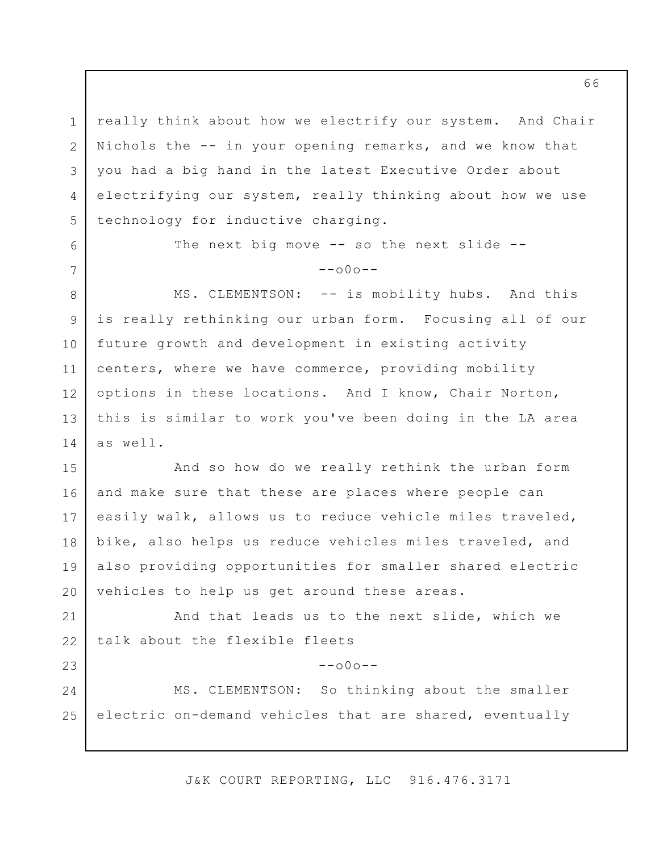1 2 3 4 5 really think about how we electrify our system. And Chair Nichols the -- in your opening remarks, and we know that you had a big hand in the latest Executive Order about electrifying our system, really thinking about how we use technology for inductive charging.

6

7

23

24

25

The next big move -- so the next slide -- $--000--$ 

8 9 10 11 12 13 14 MS. CLEMENTSON: -- is mobility hubs. And this is really rethinking our urban form. Focusing all of our future growth and development in existing activity centers, where we have commerce, providing mobility options in these locations. And I know, Chair Norton, this is similar to work you've been doing in the LA area as well.

15 16 17 18 19 20 And so how do we really rethink the urban form and make sure that these are places where people can easily walk, allows us to reduce vehicle miles traveled, bike, also helps us reduce vehicles miles traveled, and also providing opportunities for smaller shared electric vehicles to help us get around these areas.

21 22 And that leads us to the next slide, which we talk about the flexible fleets

MS. CLEMENTSON: So thinking about the smaller electric on-demand vehicles that are shared, eventually

J&K COURT REPORTING, LLC 916.476.3171

 $--000--$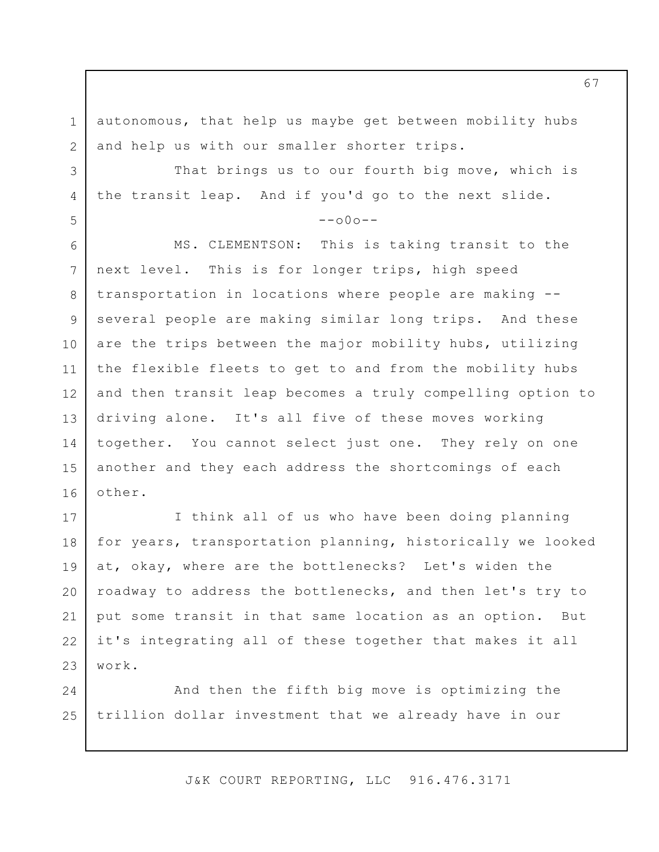1 2 autonomous, that help us maybe get between mobility hubs and help us with our smaller shorter trips.

That brings us to our fourth big move, which is the transit leap. And if you'd go to the next slide.

3

4

5

 $--000--$ 

6 7 8 9 10 11 12 13 14 15 16 MS. CLEMENTSON: This is taking transit to the next level. This is for longer trips, high speed transportation in locations where people are making - several people are making similar long trips. And these are the trips between the major mobility hubs, utilizing the flexible fleets to get to and from the mobility hubs and then transit leap becomes a truly compelling option to driving alone. It's all five of these moves working together. You cannot select just one. They rely on one another and they each address the shortcomings of each other.

17 18 19 20 21 22 23 I think all of us who have been doing planning for years, transportation planning, historically we looked at, okay, where are the bottlenecks? Let's widen the roadway to address the bottlenecks, and then let's try to put some transit in that same location as an option. But it's integrating all of these together that makes it all work.

24 25 And then the fifth big move is optimizing the trillion dollar investment that we already have in our

J&K COURT REPORTING, LLC 916.476.3171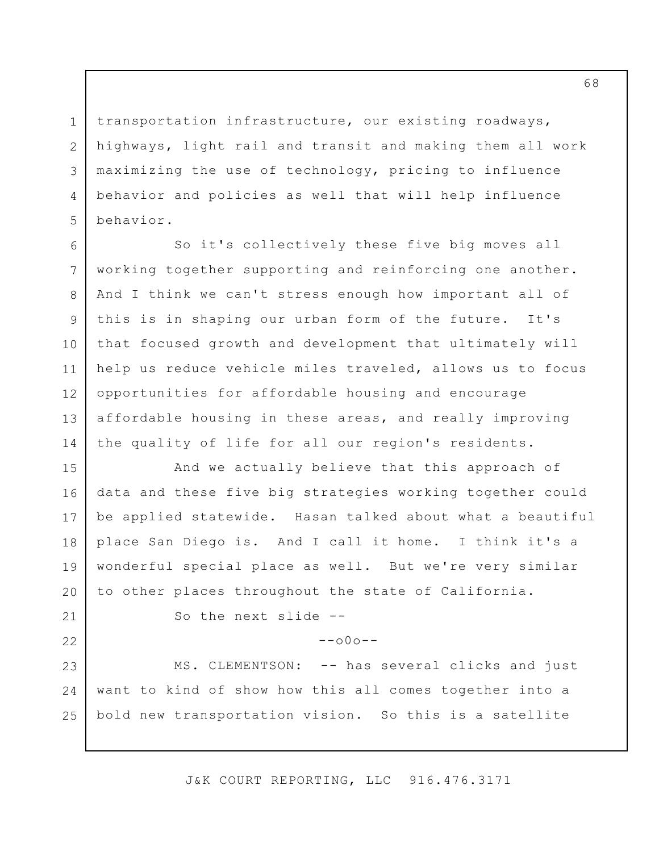transportation infrastructure, our existing roadways, highways, light rail and transit and making them all work maximizing the use of technology, pricing to influence behavior and policies as well that will help influence behavior.

6 7 8 9 10 11 12 13 14 So it's collectively these five big moves all working together supporting and reinforcing one another. And I think we can't stress enough how important all of this is in shaping our urban form of the future. It's that focused growth and development that ultimately will help us reduce vehicle miles traveled, allows us to focus opportunities for affordable housing and encourage affordable housing in these areas, and really improving the quality of life for all our region's residents.

15 16 17 18 19 20 And we actually believe that this approach of data and these five big strategies working together could be applied statewide. Hasan talked about what a beautiful place San Diego is. And I call it home. I think it's a wonderful special place as well. But we're very similar to other places throughout the state of California.

21

22

1

2

3

4

5

So the next slide --

 $--000--$ 

23 24 25 MS. CLEMENTSON: -- has several clicks and just want to kind of show how this all comes together into a bold new transportation vision. So this is a satellite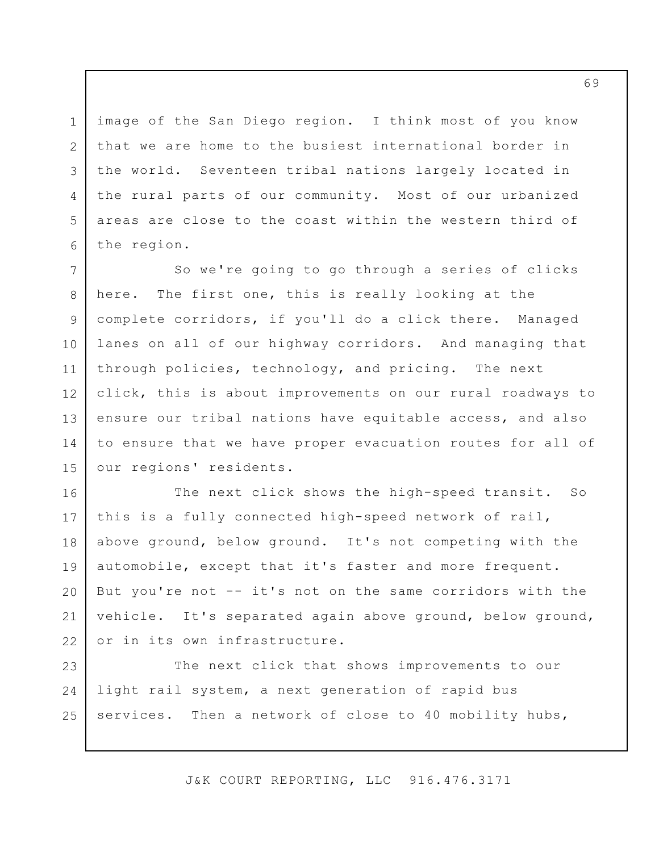image of the San Diego region. I think most of you know that we are home to the busiest international border in the world. Seventeen tribal nations largely located in the rural parts of our community. Most of our urbanized areas are close to the coast within the western third of the region.

1

2

3

4

5

6

7 8 9 10 11 12 13 14 15 So we're going to go through a series of clicks here. The first one, this is really looking at the complete corridors, if you'll do a click there. Managed lanes on all of our highway corridors. And managing that through policies, technology, and pricing. The next click, this is about improvements on our rural roadways to ensure our tribal nations have equitable access, and also to ensure that we have proper evacuation routes for all of our regions' residents.

16 17 18 19 20 21 22 The next click shows the high-speed transit. So this is a fully connected high-speed network of rail, above ground, below ground. It's not competing with the automobile, except that it's faster and more frequent. But you're not -- it's not on the same corridors with the vehicle. It's separated again above ground, below ground, or in its own infrastructure.

23 24 25 The next click that shows improvements to our light rail system, a next generation of rapid bus services. Then a network of close to 40 mobility hubs,

J&K COURT REPORTING, LLC 916.476.3171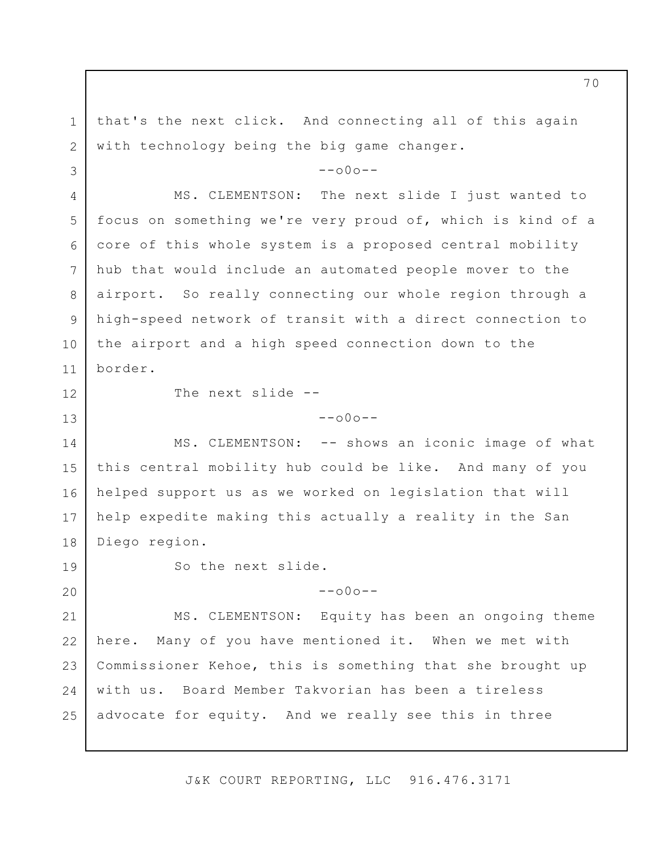1 2 3 4 5 6 7 8 9 10 11 12 13 14 15 16 17 18 19 20 21 22 23 24 25 that's the next click. And connecting all of this again with technology being the big game changer.  $--000--$ MS. CLEMENTSON: The next slide I just wanted to focus on something we're very proud of, which is kind of a core of this whole system is a proposed central mobility hub that would include an automated people mover to the airport. So really connecting our whole region through a high-speed network of transit with a direct connection to the airport and a high speed connection down to the border. The next slide --  $--$ o $0$ o $--$ MS. CLEMENTSON: -- shows an iconic image of what this central mobility hub could be like. And many of you helped support us as we worked on legislation that will help expedite making this actually a reality in the San Diego region. So the next slide.  $--000--$ MS. CLEMENTSON: Equity has been an ongoing theme here. Many of you have mentioned it. When we met with Commissioner Kehoe, this is something that she brought up with us. Board Member Takvorian has been a tireless advocate for equity. And we really see this in three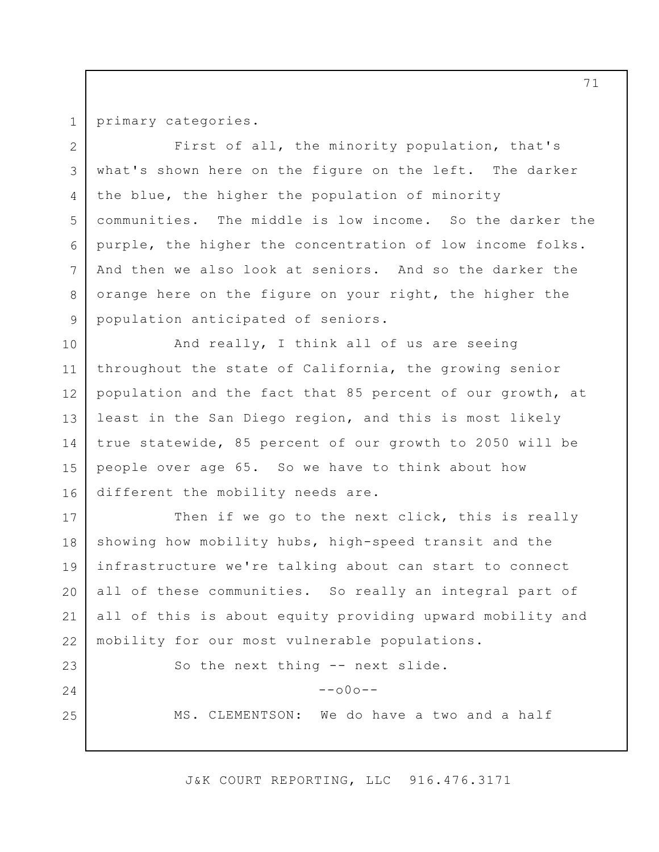1

23

24

25

primary categories.

2 3 4 5 6 7 8 9 First of all, the minority population, that's what's shown here on the figure on the left. The darker the blue, the higher the population of minority communities. The middle is low income. So the darker the purple, the higher the concentration of low income folks. And then we also look at seniors. And so the darker the orange here on the figure on your right, the higher the population anticipated of seniors.

10 11 12 13 14 15 16 And really, I think all of us are seeing throughout the state of California, the growing senior population and the fact that 85 percent of our growth, at least in the San Diego region, and this is most likely true statewide, 85 percent of our growth to 2050 will be people over age 65. So we have to think about how different the mobility needs are.

17 18 19 20 21 22 Then if we go to the next click, this is really showing how mobility hubs, high-speed transit and the infrastructure we're talking about can start to connect all of these communities. So really an integral part of all of this is about equity providing upward mobility and mobility for our most vulnerable populations.

So the next thing -- next slide.

 $--000--$ 

MS. CLEMENTSON: We do have a two and a half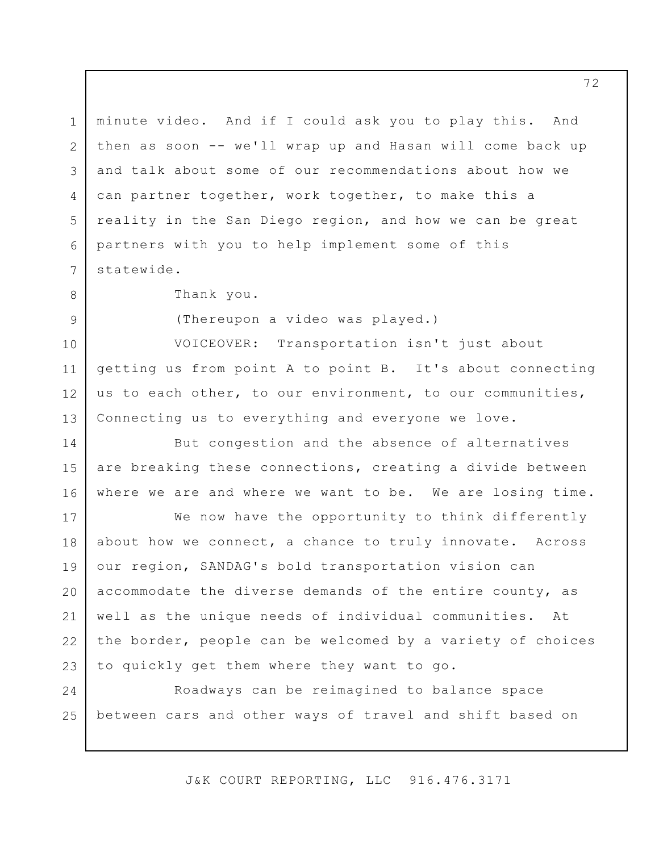1 2 3 4 5 6 7 8 9 10 minute video. And if I could ask you to play this. And then as soon -- we'll wrap up and Hasan will come back up and talk about some of our recommendations about how we can partner together, work together, to make this a reality in the San Diego region, and how we can be great partners with you to help implement some of this statewide. Thank you. (Thereupon a video was played.) VOICEOVER: Transportation isn't just about

11 12 13 getting us from point A to point B. It's about connecting us to each other, to our environment, to our communities, Connecting us to everything and everyone we love.

14 15 16 But congestion and the absence of alternatives are breaking these connections, creating a divide between where we are and where we want to be. We are losing time.

17 18 19 20 21 22 23 We now have the opportunity to think differently about how we connect, a chance to truly innovate. Across our region, SANDAG's bold transportation vision can accommodate the diverse demands of the entire county, as well as the unique needs of individual communities. At the border, people can be welcomed by a variety of choices to quickly get them where they want to go.

24 25 Roadways can be reimagined to balance space between cars and other ways of travel and shift based on

J&K COURT REPORTING, LLC 916.476.3171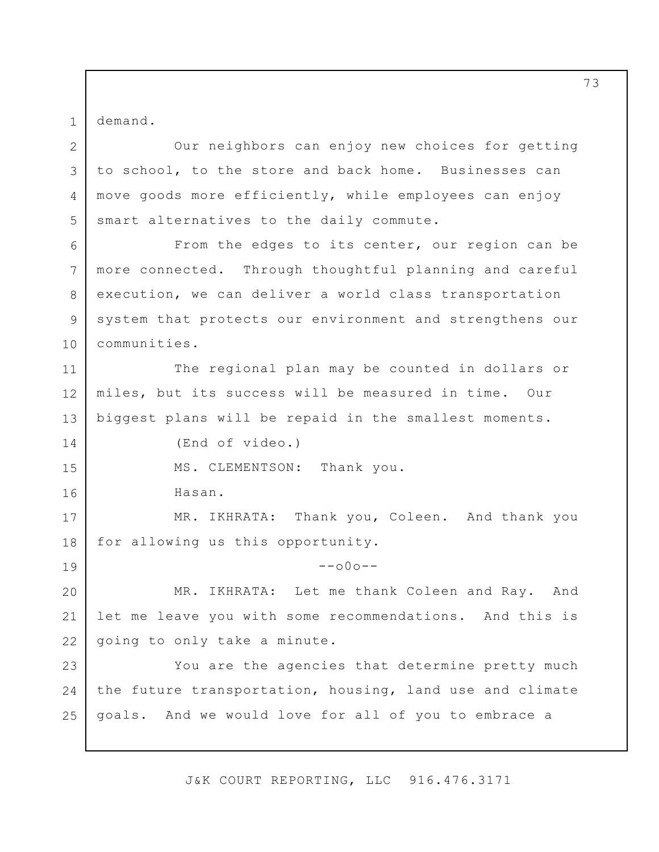1 demand.

2

14

15

16

19

3 4 5 Our neighbors can enjoy new choices for getting to school, to the store and back home. Businesses can move goods more efficiently, while employees can enjoy smart alternatives to the daily commute.

6 7 8 9 10 From the edges to its center, our region can be more connected. Through thoughtful planning and careful execution, we can deliver a world class transportation system that protects our environment and strengthens our communities.

11 12 13 The regional plan may be counted in dollars or miles, but its success will be measured in time. Our biggest plans will be repaid in the smallest moments.

(End of video.)

MS. CLEMENTSON: Thank you.

Hasan.

17 18 MR. IKHRATA: Thank you, Coleen. And thank you for allowing us this opportunity.

 $--000--$ 

20 21 22 MR. IKHRATA: Let me thank Coleen and Ray. And let me leave you with some recommendations. And this is going to only take a minute.

23 24 25 You are the agencies that determine pretty much the future transportation, housing, land use and climate goals. And we would love for all of you to embrace a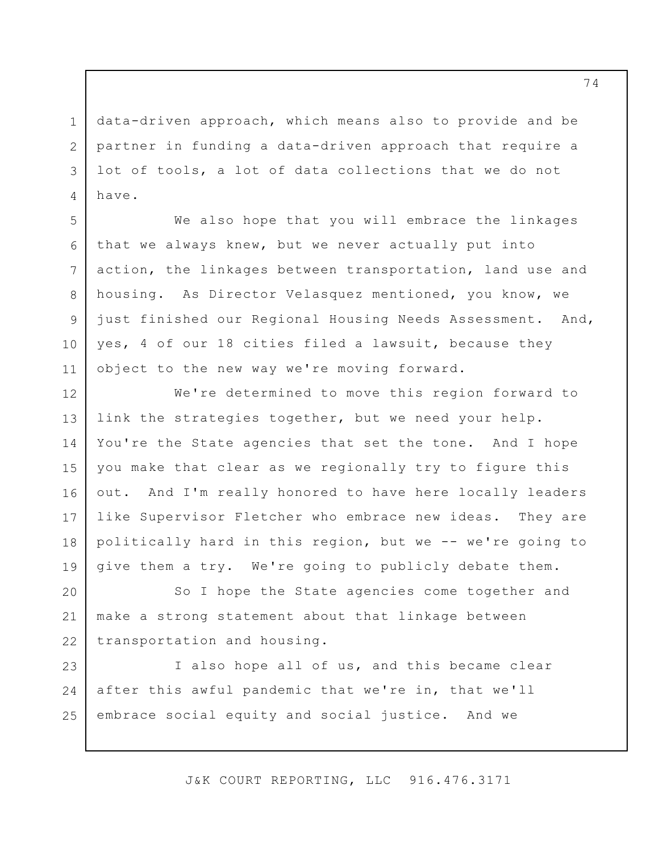data-driven approach, which means also to provide and be partner in funding a data-driven approach that require a lot of tools, a lot of data collections that we do not have.

1

2

3

4

5

6

7

8

9

10

11

We also hope that you will embrace the linkages that we always knew, but we never actually put into action, the linkages between transportation, land use and housing. As Director Velasquez mentioned, you know, we just finished our Regional Housing Needs Assessment. And, yes, 4 of our 18 cities filed a lawsuit, because they object to the new way we're moving forward.

12 13 14 15 16 17 18 19 We're determined to move this region forward to link the strategies together, but we need your help. You're the State agencies that set the tone. And I hope you make that clear as we regionally try to figure this out. And I'm really honored to have here locally leaders like Supervisor Fletcher who embrace new ideas. They are politically hard in this region, but we -- we're going to give them a try. We're going to publicly debate them.

20 21 22 So I hope the State agencies come together and make a strong statement about that linkage between transportation and housing.

23 24 25 I also hope all of us, and this became clear after this awful pandemic that we're in, that we'll embrace social equity and social justice. And we

J&K COURT REPORTING, LLC 916.476.3171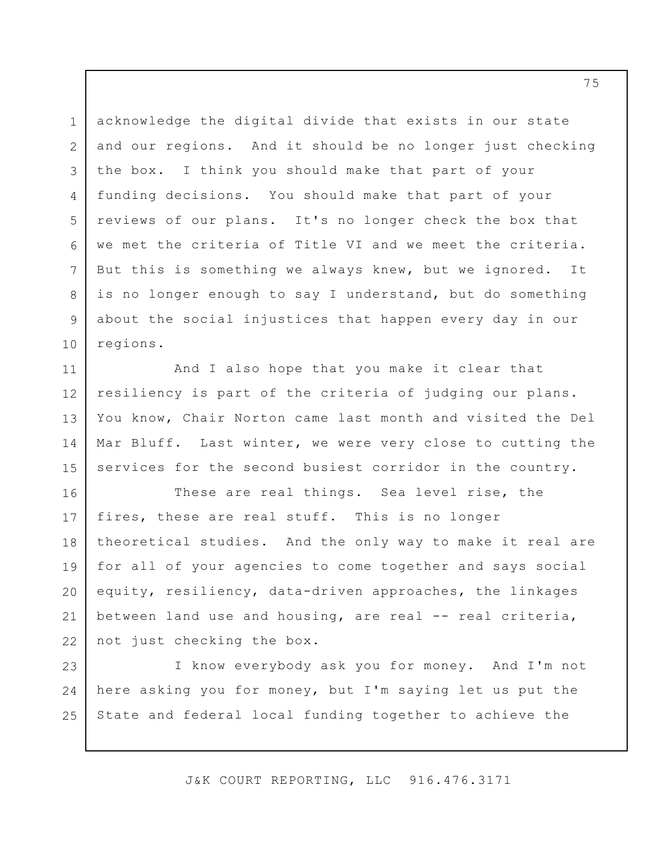1 2 3 4 5 6 7 8 9 10 acknowledge the digital divide that exists in our state and our regions. And it should be no longer just checking the box. I think you should make that part of your funding decisions. You should make that part of your reviews of our plans. It's no longer check the box that we met the criteria of Title VI and we meet the criteria. But this is something we always knew, but we ignored. It is no longer enough to say I understand, but do something about the social injustices that happen every day in our regions.

11 12 13 14 15 And I also hope that you make it clear that resiliency is part of the criteria of judging our plans. You know, Chair Norton came last month and visited the Del Mar Bluff. Last winter, we were very close to cutting the services for the second busiest corridor in the country.

16 17 18 19 20 21 22 These are real things. Sea level rise, the fires, these are real stuff. This is no longer theoretical studies. And the only way to make it real are for all of your agencies to come together and says social equity, resiliency, data-driven approaches, the linkages between land use and housing, are real -- real criteria, not just checking the box.

23 24 25 I know everybody ask you for money. And I'm not here asking you for money, but I'm saying let us put the State and federal local funding together to achieve the

J&K COURT REPORTING, LLC 916.476.3171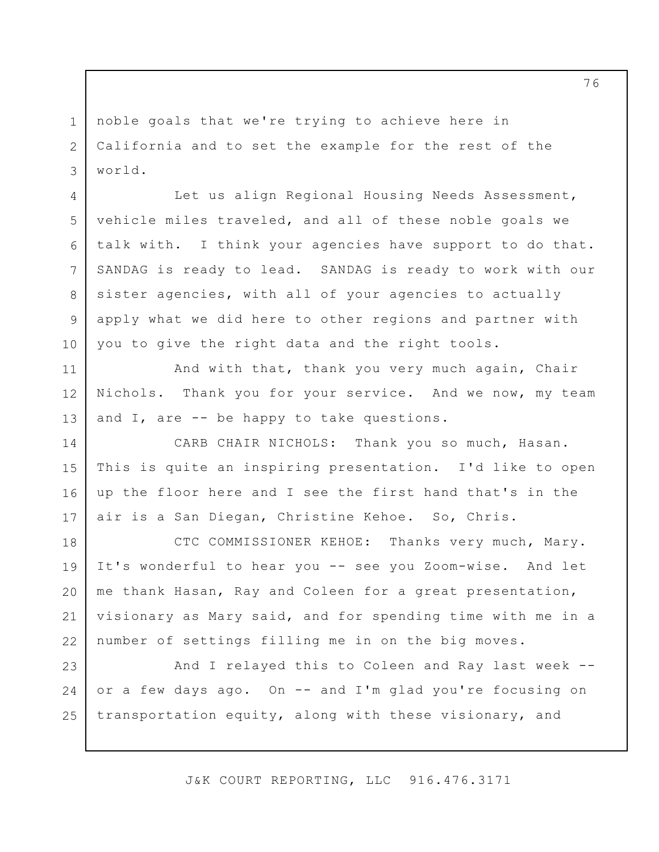noble goals that we're trying to achieve here in California and to set the example for the rest of the world.

1

2

3

4

5

6

7

8

9

10

11

12

13

Let us align Regional Housing Needs Assessment, vehicle miles traveled, and all of these noble goals we talk with. I think your agencies have support to do that. SANDAG is ready to lead. SANDAG is ready to work with our sister agencies, with all of your agencies to actually apply what we did here to other regions and partner with you to give the right data and the right tools.

And with that, thank you very much again, Chair Nichols. Thank you for your service. And we now, my team and I, are -- be happy to take questions.

14 15 16 17 CARB CHAIR NICHOLS: Thank you so much, Hasan. This is quite an inspiring presentation. I'd like to open up the floor here and I see the first hand that's in the air is a San Diegan, Christine Kehoe. So, Chris.

18 19 20 21 22 CTC COMMISSIONER KEHOE: Thanks very much, Mary. It's wonderful to hear you -- see you Zoom-wise. And let me thank Hasan, Ray and Coleen for a great presentation, visionary as Mary said, and for spending time with me in a number of settings filling me in on the big moves.

23 24 25 And I relayed this to Coleen and Ray last week - or a few days ago. On -- and I'm glad you're focusing on transportation equity, along with these visionary, and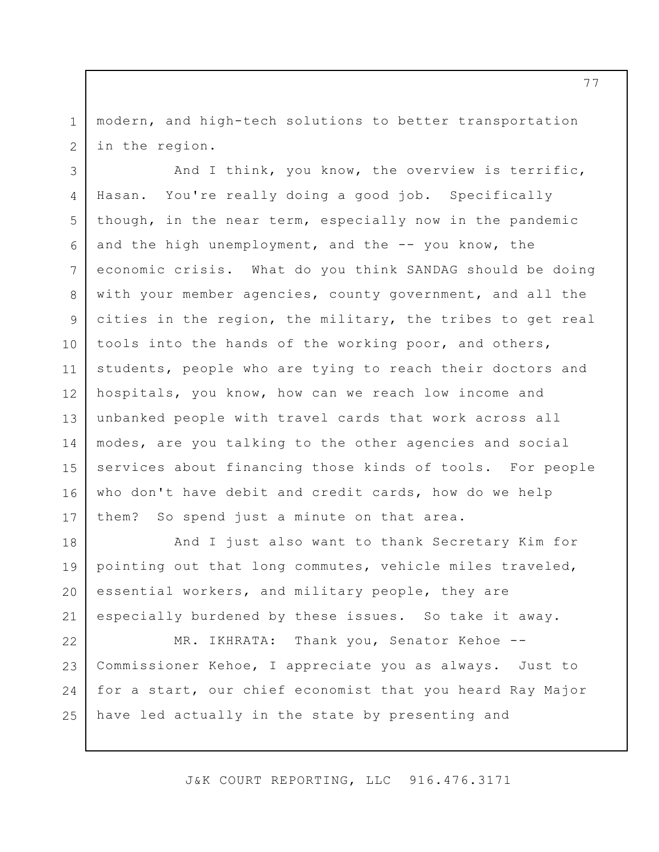1 2 modern, and high-tech solutions to better transportation in the region.

3 4 5 6 7 8 9 10 11 12 13 14 15 16 17 And I think, you know, the overview is terrific, Hasan. You're really doing a good job. Specifically though, in the near term, especially now in the pandemic and the high unemployment, and the  $-$ - you know, the economic crisis. What do you think SANDAG should be doing with your member agencies, county government, and all the cities in the region, the military, the tribes to get real tools into the hands of the working poor, and others, students, people who are tying to reach their doctors and hospitals, you know, how can we reach low income and unbanked people with travel cards that work across all modes, are you talking to the other agencies and social services about financing those kinds of tools. For people who don't have debit and credit cards, how do we help them? So spend just a minute on that area.

18 19 20 21 And I just also want to thank Secretary Kim for pointing out that long commutes, vehicle miles traveled, essential workers, and military people, they are especially burdened by these issues. So take it away.

22 23 24 25 MR. IKHRATA: Thank you, Senator Kehoe --Commissioner Kehoe, I appreciate you as always. Just to for a start, our chief economist that you heard Ray Major have led actually in the state by presenting and

J&K COURT REPORTING, LLC 916.476.3171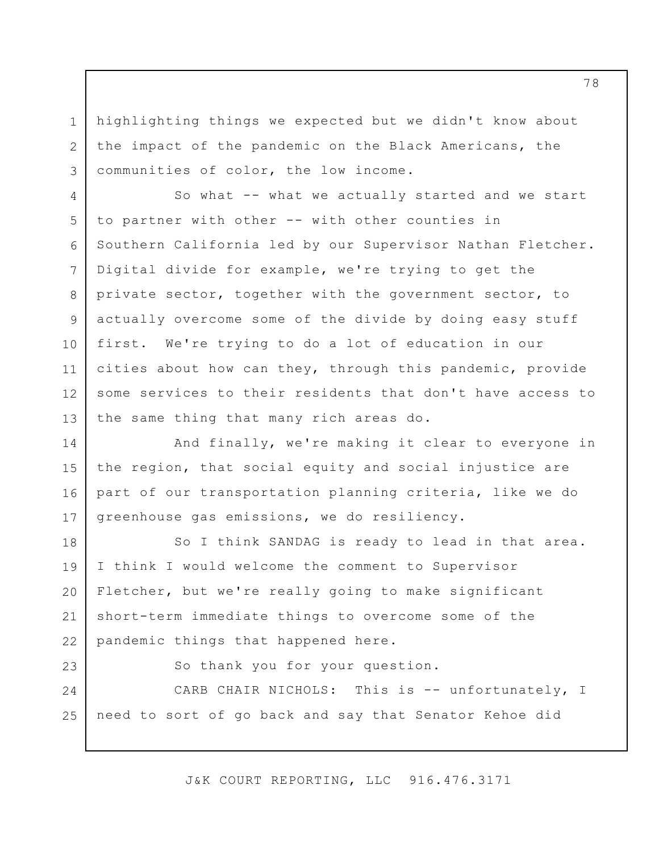highlighting things we expected but we didn't know about the impact of the pandemic on the Black Americans, the communities of color, the low income.

1

2

3

23

4 5 6 7 8 9 10 11 12 13 So what -- what we actually started and we start to partner with other -- with other counties in Southern California led by our Supervisor Nathan Fletcher. Digital divide for example, we're trying to get the private sector, together with the government sector, to actually overcome some of the divide by doing easy stuff first. We're trying to do a lot of education in our cities about how can they, through this pandemic, provide some services to their residents that don't have access to the same thing that many rich areas do.

14 15 16 17 And finally, we're making it clear to everyone in the region, that social equity and social injustice are part of our transportation planning criteria, like we do greenhouse gas emissions, we do resiliency.

18 19 20 21 22 So I think SANDAG is ready to lead in that area. I think I would welcome the comment to Supervisor Fletcher, but we're really going to make significant short-term immediate things to overcome some of the pandemic things that happened here.

So thank you for your question.

24 25 CARB CHAIR NICHOLS: This is -- unfortunately, I need to sort of go back and say that Senator Kehoe did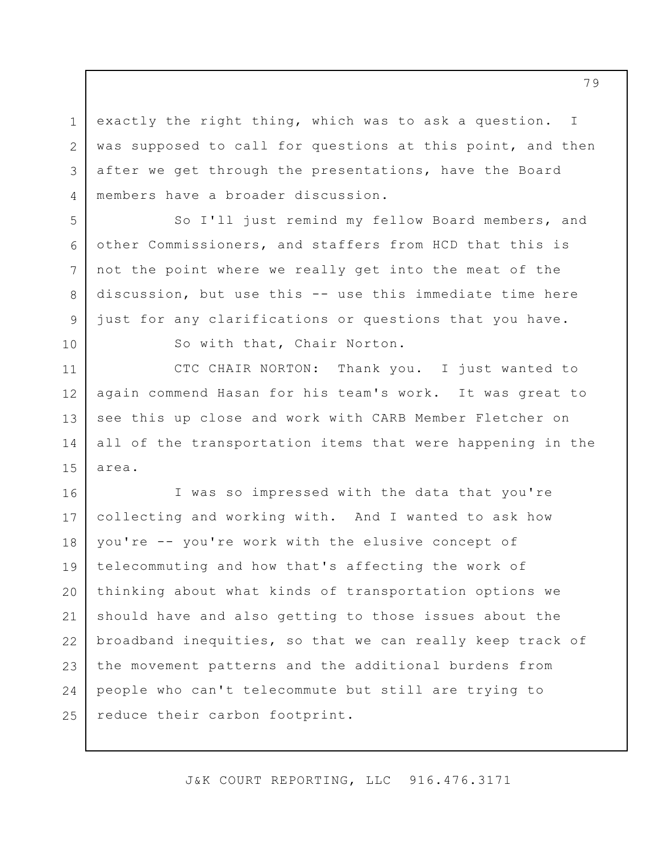1 2 3 4 exactly the right thing, which was to ask a question. I was supposed to call for questions at this point, and then after we get through the presentations, have the Board members have a broader discussion.

So I'll just remind my fellow Board members, and other Commissioners, and staffers from HCD that this is not the point where we really get into the meat of the discussion, but use this -- use this immediate time here just for any clarifications or questions that you have.

10

5

6

7

8

9

So with that, Chair Norton.

11 12 13 14 15 CTC CHAIR NORTON: Thank you. I just wanted to again commend Hasan for his team's work. It was great to see this up close and work with CARB Member Fletcher on all of the transportation items that were happening in the area.

16 17 18 19 20 21 22 23 24 25 I was so impressed with the data that you're collecting and working with. And I wanted to ask how you're -- you're work with the elusive concept of telecommuting and how that's affecting the work of thinking about what kinds of transportation options we should have and also getting to those issues about the broadband inequities, so that we can really keep track of the movement patterns and the additional burdens from people who can't telecommute but still are trying to reduce their carbon footprint.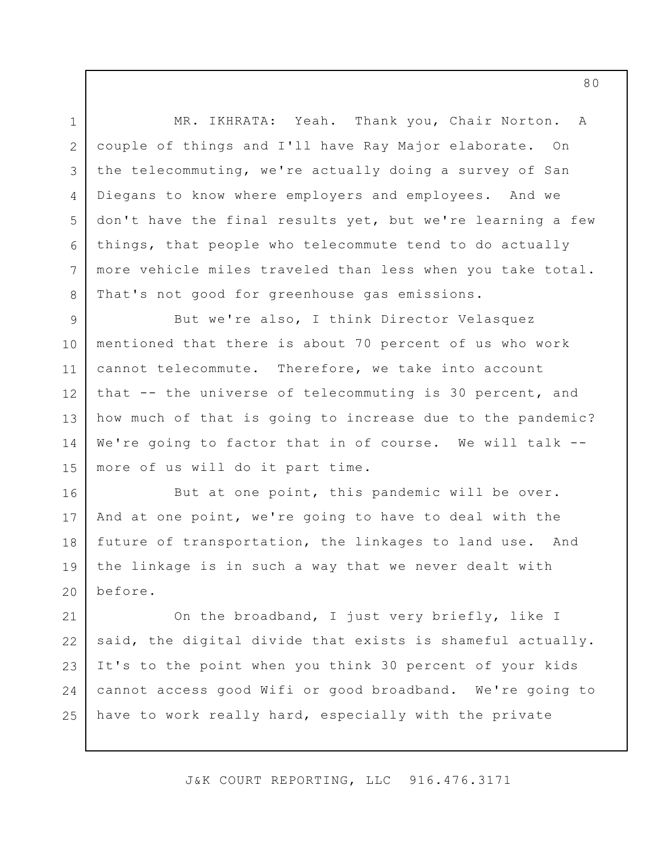1 2 3 4 5 6 7 8 MR. IKHRATA: Yeah. Thank you, Chair Norton. A couple of things and I'll have Ray Major elaborate. On the telecommuting, we're actually doing a survey of San Diegans to know where employers and employees. And we don't have the final results yet, but we're learning a few things, that people who telecommute tend to do actually more vehicle miles traveled than less when you take total. That's not good for greenhouse gas emissions.

9 10 11 12 13 14 15 But we're also, I think Director Velasquez mentioned that there is about 70 percent of us who work cannot telecommute. Therefore, we take into account that -- the universe of telecommuting is 30 percent, and how much of that is going to increase due to the pandemic? We're going to factor that in of course. We will talk -more of us will do it part time.

16 17 18 19 20 But at one point, this pandemic will be over. And at one point, we're going to have to deal with the future of transportation, the linkages to land use. And the linkage is in such a way that we never dealt with before.

21 22 23 24 25 On the broadband, I just very briefly, like I said, the digital divide that exists is shameful actually. It's to the point when you think 30 percent of your kids cannot access good Wifi or good broadband. We're going to have to work really hard, especially with the private

J&K COURT REPORTING, LLC 916.476.3171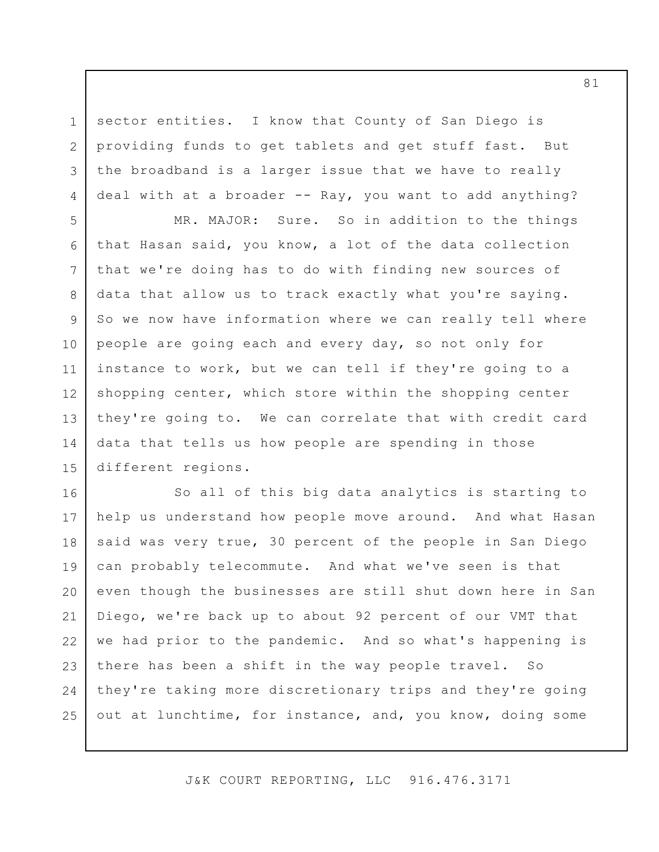sector entities. I know that County of San Diego is providing funds to get tablets and get stuff fast. But the broadband is a larger issue that we have to really deal with at a broader -- Ray, you want to add anything?

1

2

3

4

5 6 7 8 9 10 11 12 13 14 15 MR. MAJOR: Sure. So in addition to the things that Hasan said, you know, a lot of the data collection that we're doing has to do with finding new sources of data that allow us to track exactly what you're saying. So we now have information where we can really tell where people are going each and every day, so not only for instance to work, but we can tell if they're going to a shopping center, which store within the shopping center they're going to. We can correlate that with credit card data that tells us how people are spending in those different regions.

16 17 18 19 20 21 22 23 24 25 So all of this big data analytics is starting to help us understand how people move around. And what Hasan said was very true, 30 percent of the people in San Diego can probably telecommute. And what we've seen is that even though the businesses are still shut down here in San Diego, we're back up to about 92 percent of our VMT that we had prior to the pandemic. And so what's happening is there has been a shift in the way people travel. So they're taking more discretionary trips and they're going out at lunchtime, for instance, and, you know, doing some

J&K COURT REPORTING, LLC 916.476.3171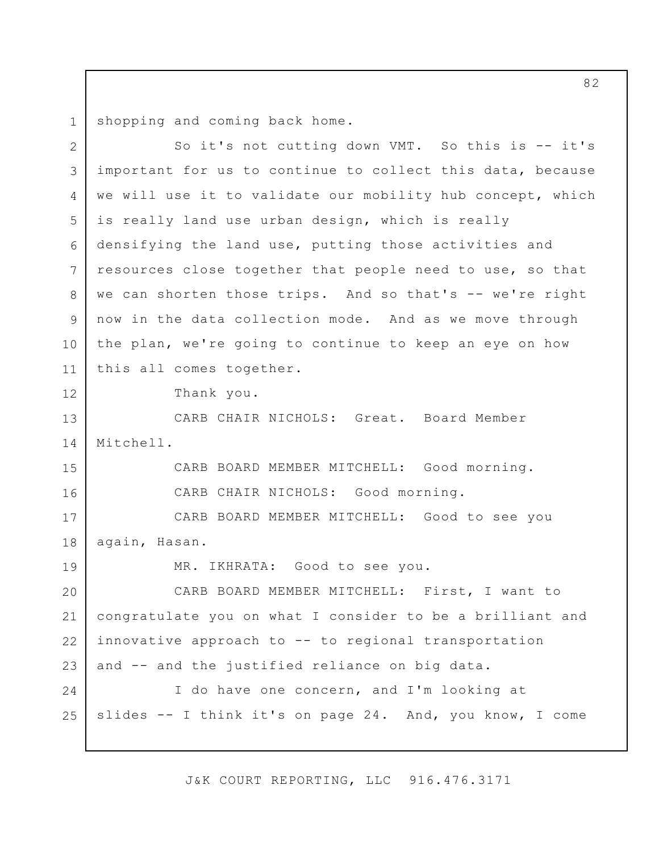1 shopping and coming back home.

2 3 4 5 6 7 8 9 10 11 12 13 14 15 16 17 18 19 20 21 22 23 24 25 So it's not cutting down VMT. So this is -- it's important for us to continue to collect this data, because we will use it to validate our mobility hub concept, which is really land use urban design, which is really densifying the land use, putting those activities and resources close together that people need to use, so that we can shorten those trips. And so that's -- we're right now in the data collection mode. And as we move through the plan, we're going to continue to keep an eye on how this all comes together. Thank you. CARB CHAIR NICHOLS: Great. Board Member Mitchell. CARB BOARD MEMBER MITCHELL: Good morning. CARB CHAIR NICHOLS: Good morning. CARB BOARD MEMBER MITCHELL: Good to see you again, Hasan. MR. IKHRATA: Good to see you. CARB BOARD MEMBER MITCHELL: First, I want to congratulate you on what I consider to be a brilliant and innovative approach to -- to regional transportation and -- and the justified reliance on big data. I do have one concern, and I'm looking at slides -- I think it's on page 24. And, you know, I come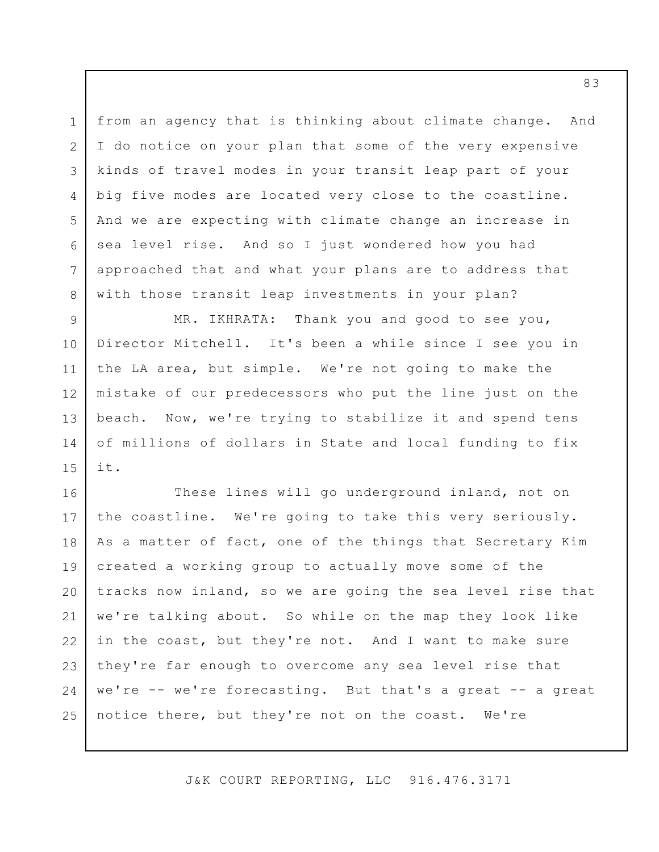1 2 3 4 5 6 7 8 from an agency that is thinking about climate change. And I do notice on your plan that some of the very expensive kinds of travel modes in your transit leap part of your big five modes are located very close to the coastline. And we are expecting with climate change an increase in sea level rise. And so I just wondered how you had approached that and what your plans are to address that with those transit leap investments in your plan?

9 10 11 12 13 14 15 MR. IKHRATA: Thank you and good to see you, Director Mitchell. It's been a while since I see you in the LA area, but simple. We're not going to make the mistake of our predecessors who put the line just on the beach. Now, we're trying to stabilize it and spend tens of millions of dollars in State and local funding to fix it.

16 17 18 19 20 21 22 23 24 25 These lines will go underground inland, not on the coastline. We're going to take this very seriously. As a matter of fact, one of the things that Secretary Kim created a working group to actually move some of the tracks now inland, so we are going the sea level rise that we're talking about. So while on the map they look like in the coast, but they're not. And I want to make sure they're far enough to overcome any sea level rise that we're -- we're forecasting. But that's a great -- a great notice there, but they're not on the coast. We're

J&K COURT REPORTING, LLC 916.476.3171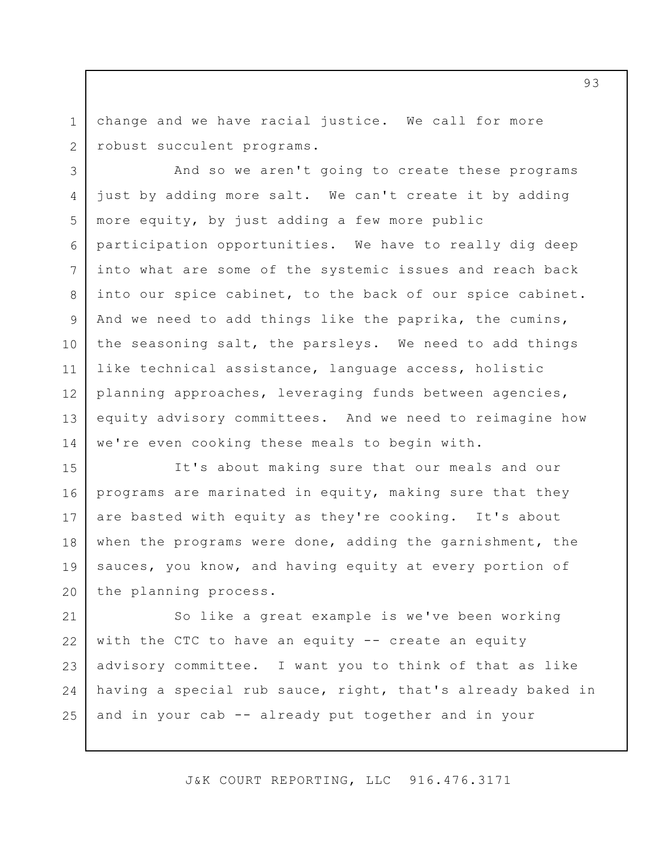1 2 change and we have racial justice. We call for more robust succulent programs.

3 4 5 6 7 8 9 10 11 12 13 14 And so we aren't going to create these programs just by adding more salt. We can't create it by adding more equity, by just adding a few more public participation opportunities. We have to really dig deep into what are some of the systemic issues and reach back into our spice cabinet, to the back of our spice cabinet. And we need to add things like the paprika, the cumins, the seasoning salt, the parsleys. We need to add things like technical assistance, language access, holistic planning approaches, leveraging funds between agencies, equity advisory committees. And we need to reimagine how we're even cooking these meals to begin with.

15 16 17 18 19 20 It's about making sure that our meals and our programs are marinated in equity, making sure that they are basted with equity as they're cooking. It's about when the programs were done, adding the garnishment, the sauces, you know, and having equity at every portion of the planning process.

21 22 23 24 25 So like a great example is we've been working with the CTC to have an equity -- create an equity advisory committee. I want you to think of that as like having a special rub sauce, right, that's already baked in and in your cab -- already put together and in your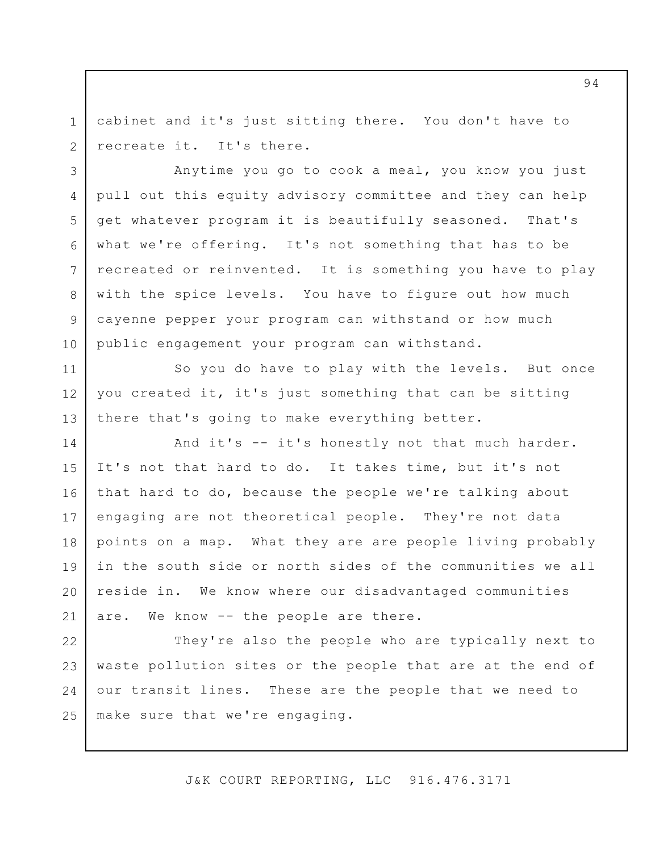1 2 cabinet and it's just sitting there. You don't have to recreate it. It's there.

3

4

8

9

10

5 6 7 Anytime you go to cook a meal, you know you just pull out this equity advisory committee and they can help get whatever program it is beautifully seasoned. That's what we're offering. It's not something that has to be recreated or reinvented. It is something you have to play with the spice levels. You have to figure out how much cayenne pepper your program can withstand or how much public engagement your program can withstand.

11 12 13 So you do have to play with the levels. But once you created it, it's just something that can be sitting there that's going to make everything better.

14 15 16 17 18 19 20 21 And it's -- it's honestly not that much harder. It's not that hard to do. It takes time, but it's not that hard to do, because the people we're talking about engaging are not theoretical people. They're not data points on a map. What they are are people living probably in the south side or north sides of the communities we all reside in. We know where our disadvantaged communities are. We know -- the people are there.

22 23 24 25 They're also the people who are typically next to waste pollution sites or the people that are at the end of our transit lines. These are the people that we need to make sure that we're engaging.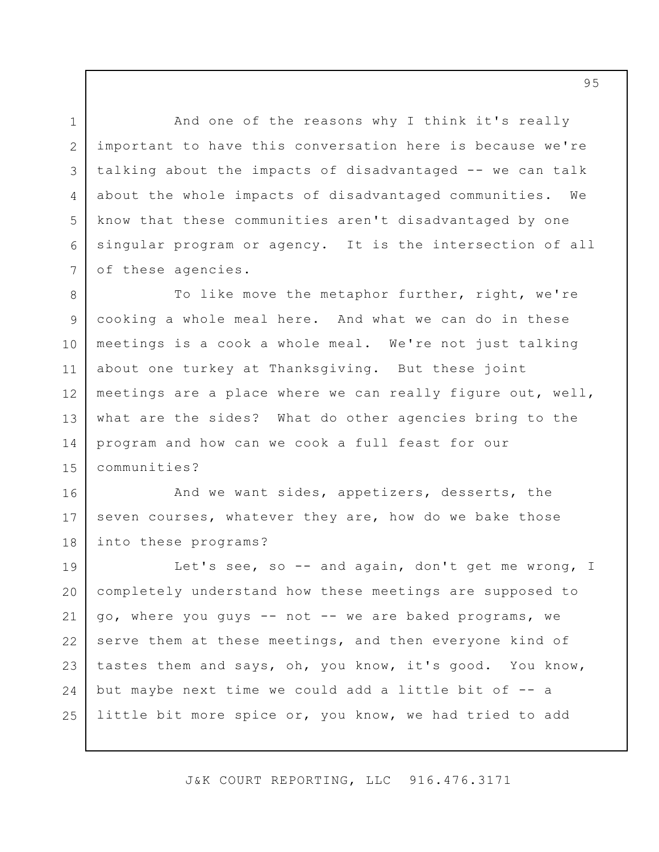3 6 And one of the reasons why I think it's really important to have this conversation here is because we're talking about the impacts of disadvantaged -- we can talk about the whole impacts of disadvantaged communities. We know that these communities aren't disadvantaged by one singular program or agency. It is the intersection of all of these agencies.

1

2

4

5

7

8 9 10 11 12 13 14 15 To like move the metaphor further, right, we're cooking a whole meal here. And what we can do in these meetings is a cook a whole meal. We're not just talking about one turkey at Thanksgiving. But these joint meetings are a place where we can really figure out, well, what are the sides? What do other agencies bring to the program and how can we cook a full feast for our communities?

16 17 18 And we want sides, appetizers, desserts, the seven courses, whatever they are, how do we bake those into these programs?

19 20 21 22 23 24 25 Let's see, so -- and again, don't get me wrong, I completely understand how these meetings are supposed to go, where you guys -- not -- we are baked programs, we serve them at these meetings, and then everyone kind of tastes them and says, oh, you know, it's good. You know, but maybe next time we could add a little bit of -- a little bit more spice or, you know, we had tried to add

J&K COURT REPORTING, LLC 916.476.3171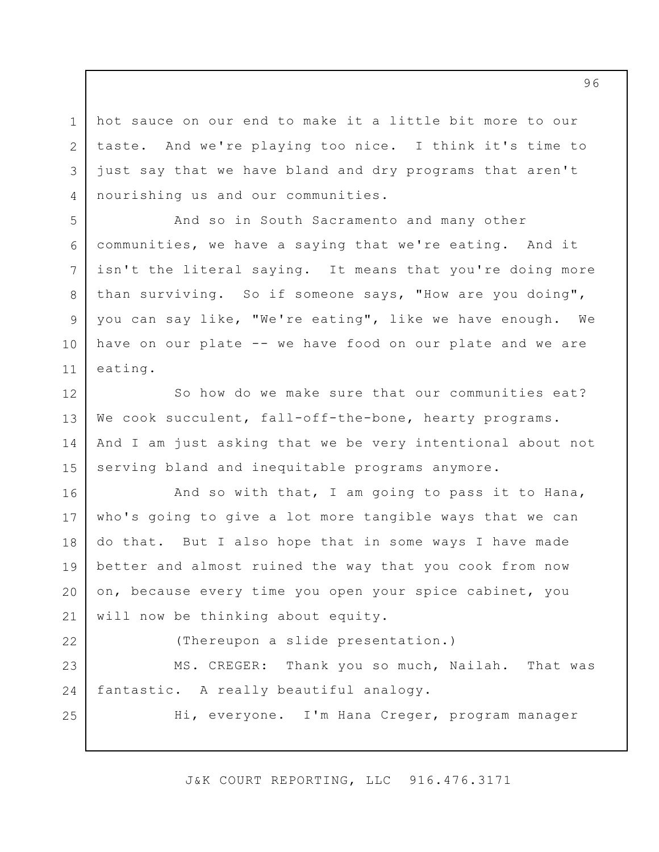hot sauce on our end to make it a little bit more to our taste. And we're playing too nice. I think it's time to just say that we have bland and dry programs that aren't nourishing us and our communities.

5 6 7 8 9 10 11 And so in South Sacramento and many other communities, we have a saying that we're eating. And it isn't the literal saying. It means that you're doing more than surviving. So if someone says, "How are you doing", you can say like, "We're eating", like we have enough. We have on our plate -- we have food on our plate and we are eating.

12 13 14 15 So how do we make sure that our communities eat? We cook succulent, fall-off-the-bone, hearty programs. And I am just asking that we be very intentional about not serving bland and inequitable programs anymore.

16 17 18 19 20 21 And so with that, I am going to pass it to Hana, who's going to give a lot more tangible ways that we can do that. But I also hope that in some ways I have made better and almost ruined the way that you cook from now on, because every time you open your spice cabinet, you will now be thinking about equity.

22 23

25

1

2

3

4

(Thereupon a slide presentation.)

24 MS. CREGER: Thank you so much, Nailah. That was fantastic. A really beautiful analogy.

Hi, everyone. I'm Hana Creger, program manager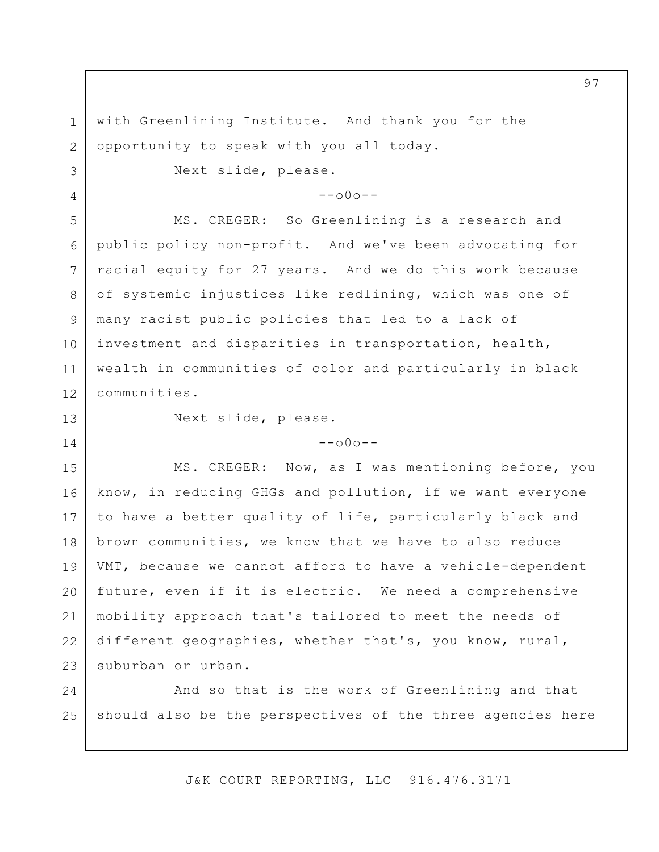with Greenlining Institute. And thank you for the opportunity to speak with you all today.

Next slide, please.

 $--000--$ 

MS. CREGER: So Greenlining is a research and public policy non-profit. And we've been advocating for racial equity for 27 years. And we do this work because of systemic injustices like redlining, which was one of many racist public policies that led to a lack of investment and disparities in transportation, health, wealth in communities of color and particularly in black communities.

13

14

1

2

3

4

5

6

7

8

9

10

11

12

Next slide, please.

 $--000--$ 

15 16 17 18 19 20 21 22 23 MS. CREGER: Now, as I was mentioning before, you know, in reducing GHGs and pollution, if we want everyone to have a better quality of life, particularly black and brown communities, we know that we have to also reduce VMT, because we cannot afford to have a vehicle-dependent future, even if it is electric. We need a comprehensive mobility approach that's tailored to meet the needs of different geographies, whether that's, you know, rural, suburban or urban.

24 25 And so that is the work of Greenlining and that should also be the perspectives of the three agencies here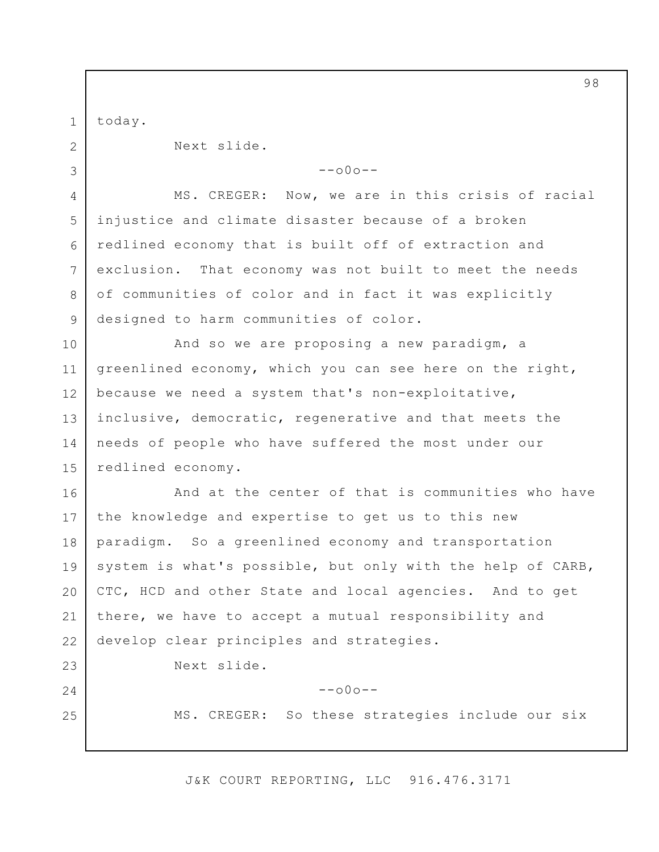1 today.

2

3

23

24

25

Next slide.

 $--000--$ 

4 5 6 7 8 9 MS. CREGER: Now, we are in this crisis of racial injustice and climate disaster because of a broken redlined economy that is built off of extraction and exclusion. That economy was not built to meet the needs of communities of color and in fact it was explicitly designed to harm communities of color.

10 11 12 13 14 15 And so we are proposing a new paradigm, a greenlined economy, which you can see here on the right, because we need a system that's non-exploitative, inclusive, democratic, regenerative and that meets the needs of people who have suffered the most under our redlined economy.

16 17 18 19 20 21 22 And at the center of that is communities who have the knowledge and expertise to get us to this new paradigm. So a greenlined economy and transportation system is what's possible, but only with the help of CARB, CTC, HCD and other State and local agencies. And to get there, we have to accept a mutual responsibility and develop clear principles and strategies.

Next slide.

 $--000--$ 

MS. CREGER: So these strategies include our six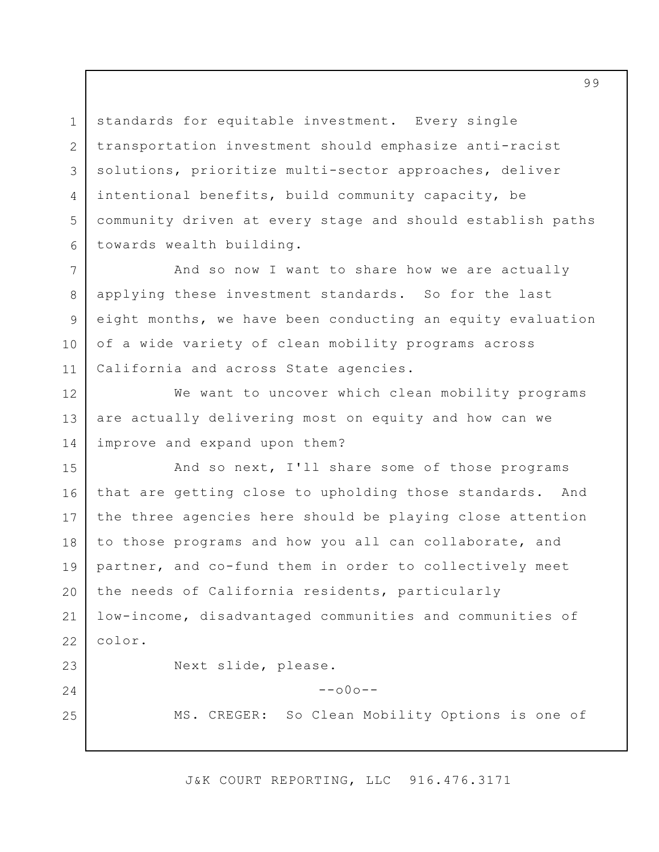standards for equitable investment. Every single transportation investment should emphasize anti-racist solutions, prioritize multi-sector approaches, deliver intentional benefits, build community capacity, be community driven at every stage and should establish paths towards wealth building.

1

2

3

4

5

6

24

25

7 8 9 10 11 And so now I want to share how we are actually applying these investment standards. So for the last eight months, we have been conducting an equity evaluation of a wide variety of clean mobility programs across California and across State agencies.

12 13 14 We want to uncover which clean mobility programs are actually delivering most on equity and how can we improve and expand upon them?

15 16 17 18 19 20 21 22 23 And so next, I'll share some of those programs that are getting close to upholding those standards. And the three agencies here should be playing close attention to those programs and how you all can collaborate, and partner, and co-fund them in order to collectively meet the needs of California residents, particularly low-income, disadvantaged communities and communities of color. Next slide, please.

MS. CREGER: So Clean Mobility Options is one of

J&K COURT REPORTING, LLC 916.476.3171

 $--000--$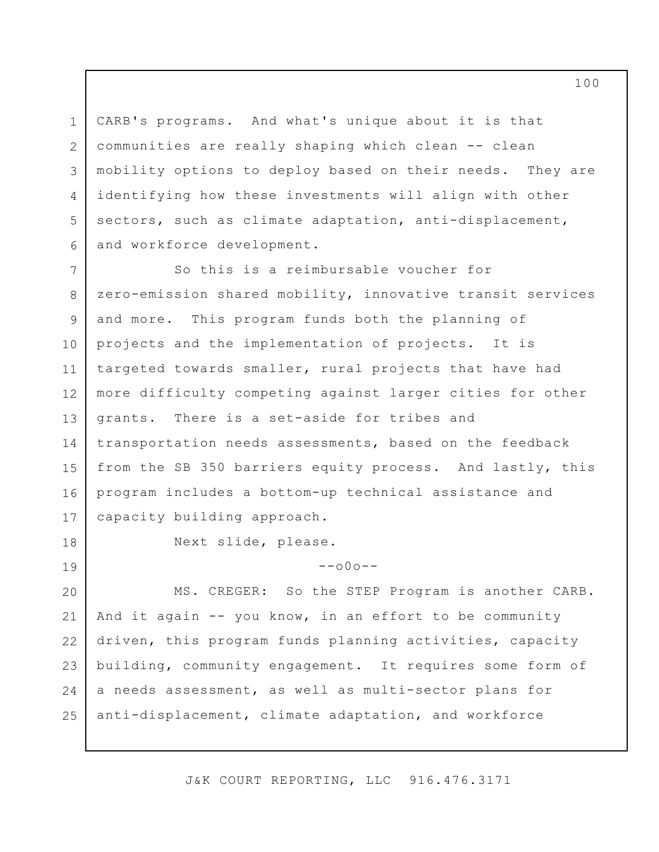1 2 3 4 5 6 CARB's programs. And what's unique about it is that communities are really shaping which clean -- clean mobility options to deploy based on their needs. They are identifying how these investments will align with other sectors, such as climate adaptation, anti-displacement, and workforce development.

7 8 9 10 11 12 13 14 15 16 17 So this is a reimbursable voucher for zero-emission shared mobility, innovative transit services and more. This program funds both the planning of projects and the implementation of projects. It is targeted towards smaller, rural projects that have had more difficulty competing against larger cities for other grants. There is a set-aside for tribes and transportation needs assessments, based on the feedback from the SB 350 barriers equity process. And lastly, this program includes a bottom-up technical assistance and capacity building approach.

18

19

Next slide, please.

 $--000--$ 

20 21 22 23 24 25 MS. CREGER: So the STEP Program is another CARB. And it again -- you know, in an effort to be community driven, this program funds planning activities, capacity building, community engagement. It requires some form of a needs assessment, as well as multi-sector plans for anti-displacement, climate adaptation, and workforce

J&K COURT REPORTING, LLC 916.476.3171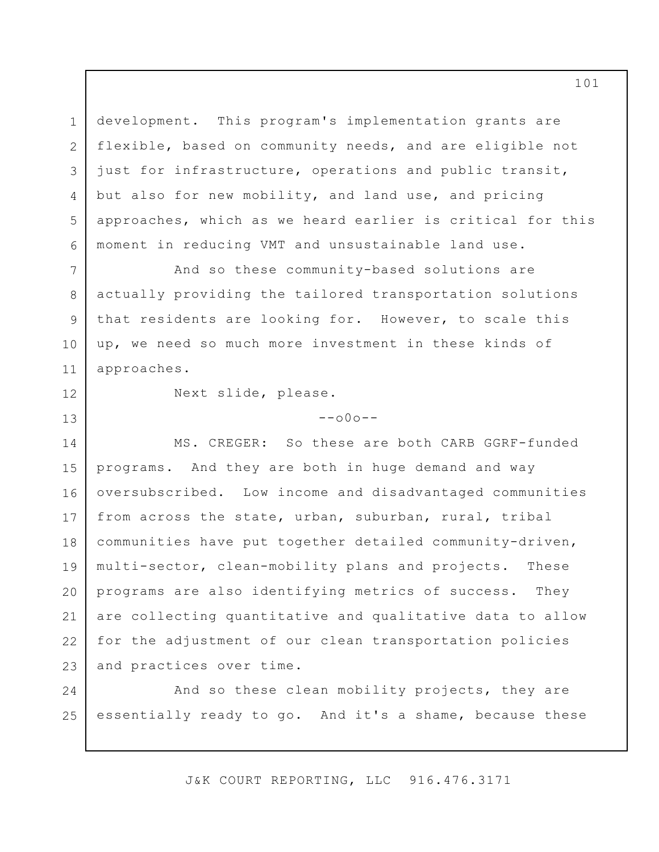3 5 6 development. This program's implementation grants are flexible, based on community needs, and are eligible not just for infrastructure, operations and public transit, but also for new mobility, and land use, and pricing approaches, which as we heard earlier is critical for this moment in reducing VMT and unsustainable land use.

And so these community-based solutions are actually providing the tailored transportation solutions that residents are looking for. However, to scale this up, we need so much more investment in these kinds of approaches.

11 12

13

1

2

4

7

8

9

10

Next slide, please.

 $--000--$ 

14 15 16 17 18 19 20 21 22 23 MS. CREGER: So these are both CARB GGRF-funded programs. And they are both in huge demand and way oversubscribed. Low income and disadvantaged communities from across the state, urban, suburban, rural, tribal communities have put together detailed community-driven, multi-sector, clean-mobility plans and projects. These programs are also identifying metrics of success. They are collecting quantitative and qualitative data to allow for the adjustment of our clean transportation policies and practices over time.

24 25 And so these clean mobility projects, they are essentially ready to go. And it's a shame, because these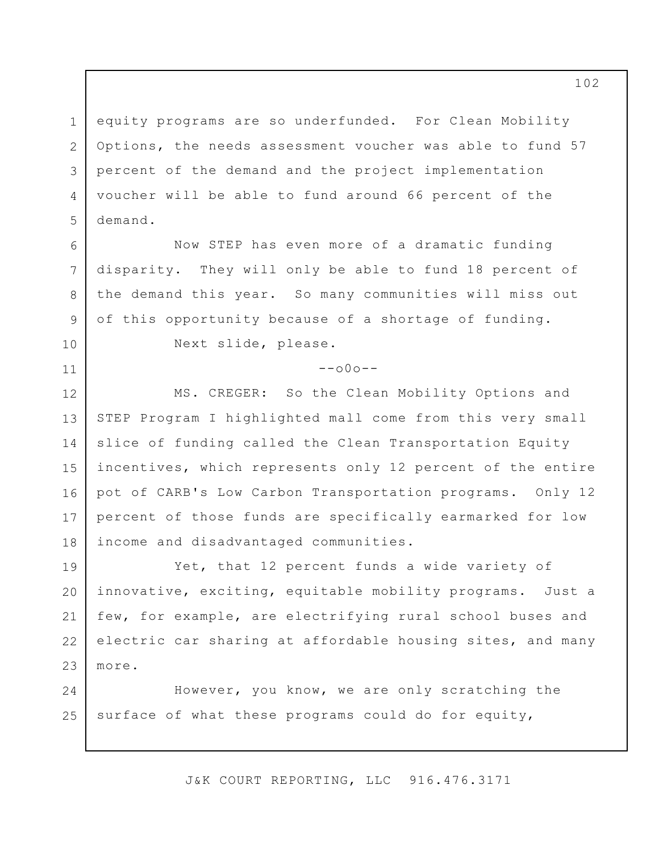1 2 3 4 5 equity programs are so underfunded. For Clean Mobility Options, the needs assessment voucher was able to fund 57 percent of the demand and the project implementation voucher will be able to fund around 66 percent of the demand.

Now STEP has even more of a dramatic funding disparity. They will only be able to fund 18 percent of the demand this year. So many communities will miss out of this opportunity because of a shortage of funding.

10

11

6

7

8

9

Next slide, please.

 $--000--$ 

12 13 14 15 16 17 18 MS. CREGER: So the Clean Mobility Options and STEP Program I highlighted mall come from this very small slice of funding called the Clean Transportation Equity incentives, which represents only 12 percent of the entire pot of CARB's Low Carbon Transportation programs. Only 12 percent of those funds are specifically earmarked for low income and disadvantaged communities.

19 20 21 22 23 Yet, that 12 percent funds a wide variety of innovative, exciting, equitable mobility programs. Just a few, for example, are electrifying rural school buses and electric car sharing at affordable housing sites, and many more.

24 25 However, you know, we are only scratching the surface of what these programs could do for equity,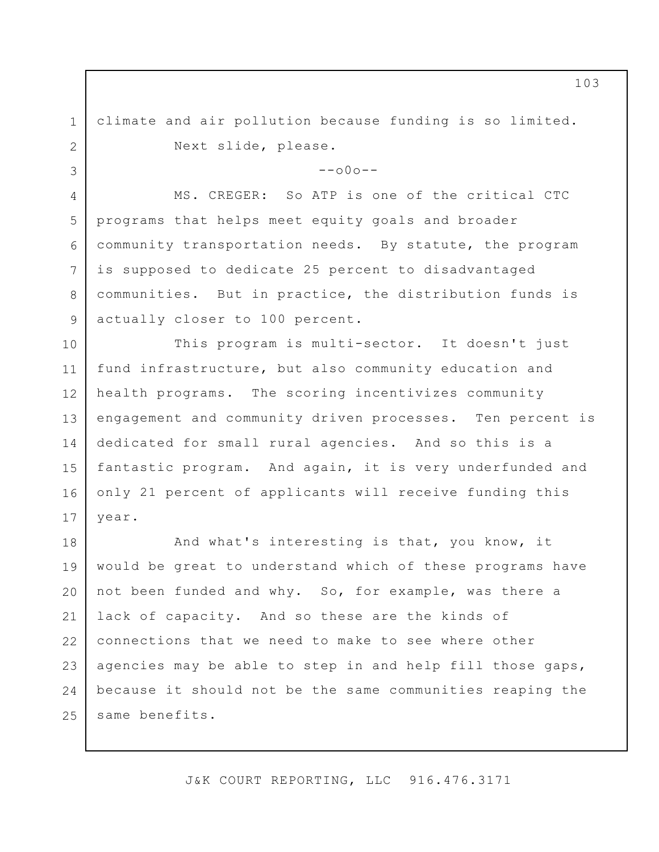climate and air pollution because funding is so limited. Next slide, please.

1

2

3

4

5

6

7

8

9

 $--000--$ 

MS. CREGER: So ATP is one of the critical CTC programs that helps meet equity goals and broader community transportation needs. By statute, the program is supposed to dedicate 25 percent to disadvantaged communities. But in practice, the distribution funds is actually closer to 100 percent.

10 11 12 13 14 15 16 17 This program is multi-sector. It doesn't just fund infrastructure, but also community education and health programs. The scoring incentivizes community engagement and community driven processes. Ten percent is dedicated for small rural agencies. And so this is a fantastic program. And again, it is very underfunded and only 21 percent of applicants will receive funding this year.

18 19 20 21 22 23 24 25 And what's interesting is that, you know, it would be great to understand which of these programs have not been funded and why. So, for example, was there a lack of capacity. And so these are the kinds of connections that we need to make to see where other agencies may be able to step in and help fill those gaps, because it should not be the same communities reaping the same benefits.

J&K COURT REPORTING, LLC 916.476.3171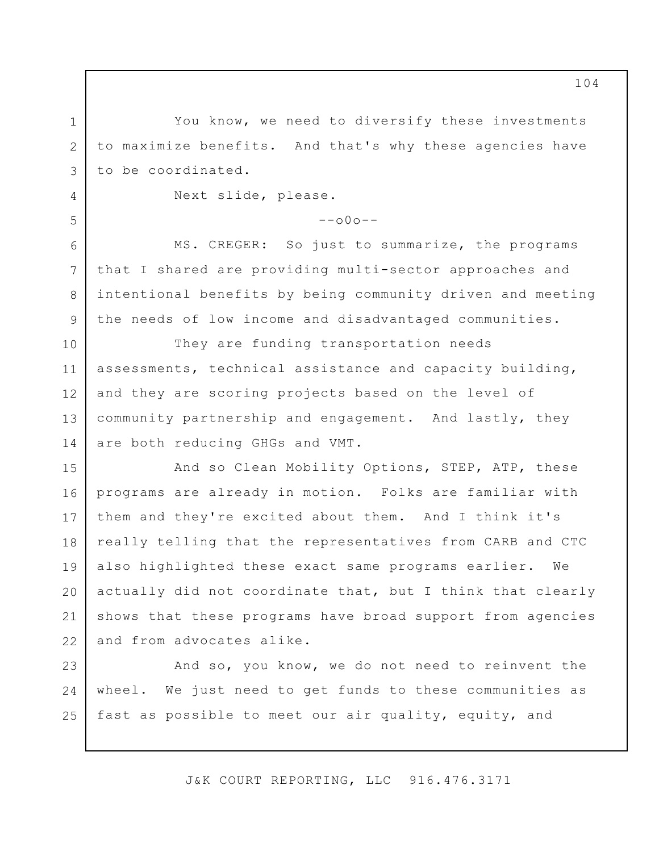You know, we need to diversify these investments to maximize benefits. And that's why these agencies have to be coordinated.

Next slide, please.

1

2

3

4

5

6

7

8

9

 $--000--$ 

MS. CREGER: So just to summarize, the programs that I shared are providing multi-sector approaches and intentional benefits by being community driven and meeting the needs of low income and disadvantaged communities.

10 11 12 13 14 They are funding transportation needs assessments, technical assistance and capacity building, and they are scoring projects based on the level of community partnership and engagement. And lastly, they are both reducing GHGs and VMT.

15 16 17 18 19 20 21 22 And so Clean Mobility Options, STEP, ATP, these programs are already in motion. Folks are familiar with them and they're excited about them. And I think it's really telling that the representatives from CARB and CTC also highlighted these exact same programs earlier. We actually did not coordinate that, but I think that clearly shows that these programs have broad support from agencies and from advocates alike.

23 24 25 And so, you know, we do not need to reinvent the wheel. We just need to get funds to these communities as fast as possible to meet our air quality, equity, and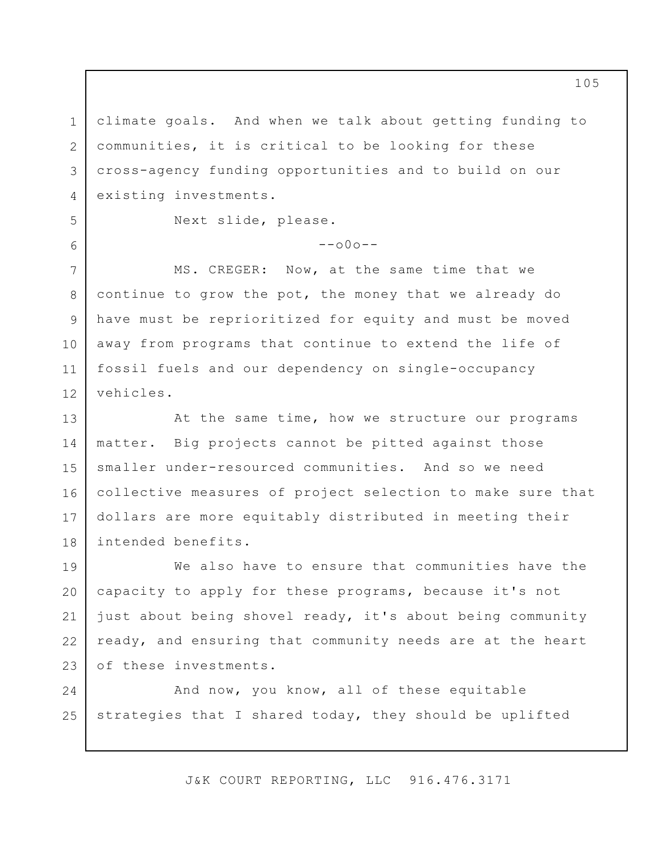1 2 3 4 climate goals. And when we talk about getting funding to communities, it is critical to be looking for these cross-agency funding opportunities and to build on our existing investments.

 $--000--$ 

5

6

7

8

9

10

11

12

Next slide, please.

MS. CREGER: Now, at the same time that we continue to grow the pot, the money that we already do have must be reprioritized for equity and must be moved away from programs that continue to extend the life of fossil fuels and our dependency on single-occupancy vehicles.

13 14 15 16 17 18 At the same time, how we structure our programs matter. Big projects cannot be pitted against those smaller under-resourced communities. And so we need collective measures of project selection to make sure that dollars are more equitably distributed in meeting their intended benefits.

19 20 21 22 23 We also have to ensure that communities have the capacity to apply for these programs, because it's not just about being shovel ready, it's about being community ready, and ensuring that community needs are at the heart of these investments.

24 25 And now, you know, all of these equitable strategies that I shared today, they should be uplifted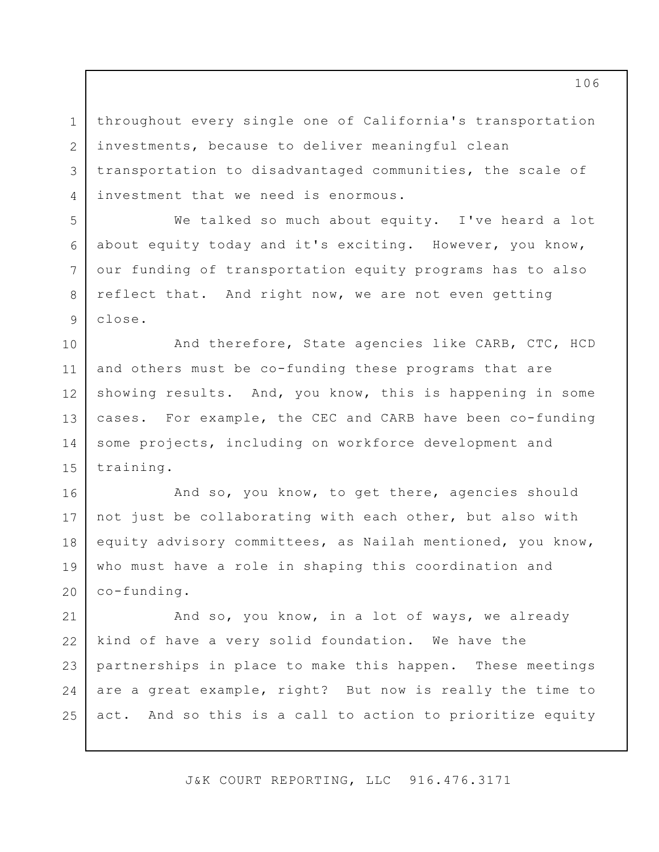1 2 3 4 throughout every single one of California's transportation investments, because to deliver meaningful clean transportation to disadvantaged communities, the scale of investment that we need is enormous.

5

6

7

8

9

We talked so much about equity. I've heard a lot about equity today and it's exciting. However, you know, our funding of transportation equity programs has to also reflect that. And right now, we are not even getting close.

10 11 12 13 14 15 And therefore, State agencies like CARB, CTC, HCD and others must be co-funding these programs that are showing results. And, you know, this is happening in some cases. For example, the CEC and CARB have been co-funding some projects, including on workforce development and training.

16 17 18 19 20 And so, you know, to get there, agencies should not just be collaborating with each other, but also with equity advisory committees, as Nailah mentioned, you know, who must have a role in shaping this coordination and co-funding.

21 22 23 24 25 And so, you know, in a lot of ways, we already kind of have a very solid foundation. We have the partnerships in place to make this happen. These meetings are a great example, right? But now is really the time to act. And so this is a call to action to prioritize equity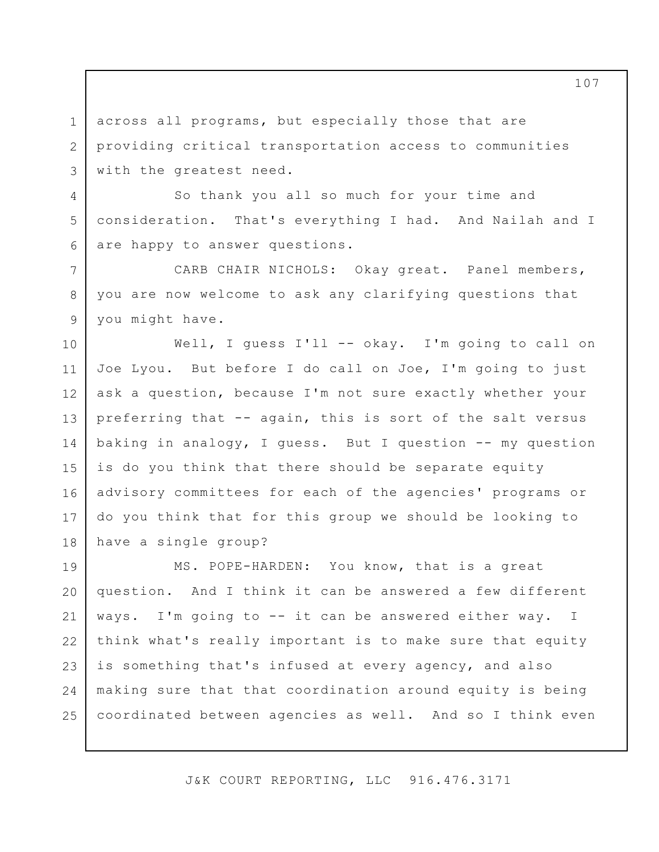across all programs, but especially those that are providing critical transportation access to communities with the greatest need.

1

2

3

4

5

6

7

8

9

So thank you all so much for your time and consideration. That's everything I had. And Nailah and I are happy to answer questions.

CARB CHAIR NICHOLS: Okay great. Panel members, you are now welcome to ask any clarifying questions that you might have.

10 11 12 13 14 15 16 17 18 Well, I guess I'll -- okay. I'm going to call on Joe Lyou. But before I do call on Joe, I'm going to just ask a question, because I'm not sure exactly whether your preferring that -- again, this is sort of the salt versus baking in analogy, I guess. But I question -- my question is do you think that there should be separate equity advisory committees for each of the agencies' programs or do you think that for this group we should be looking to have a single group?

19 20 21 22 23 24 25 MS. POPE-HARDEN: You know, that is a great question. And I think it can be answered a few different ways. I'm going to -- it can be answered either way. think what's really important is to make sure that equity is something that's infused at every agency, and also making sure that that coordination around equity is being coordinated between agencies as well. And so I think even I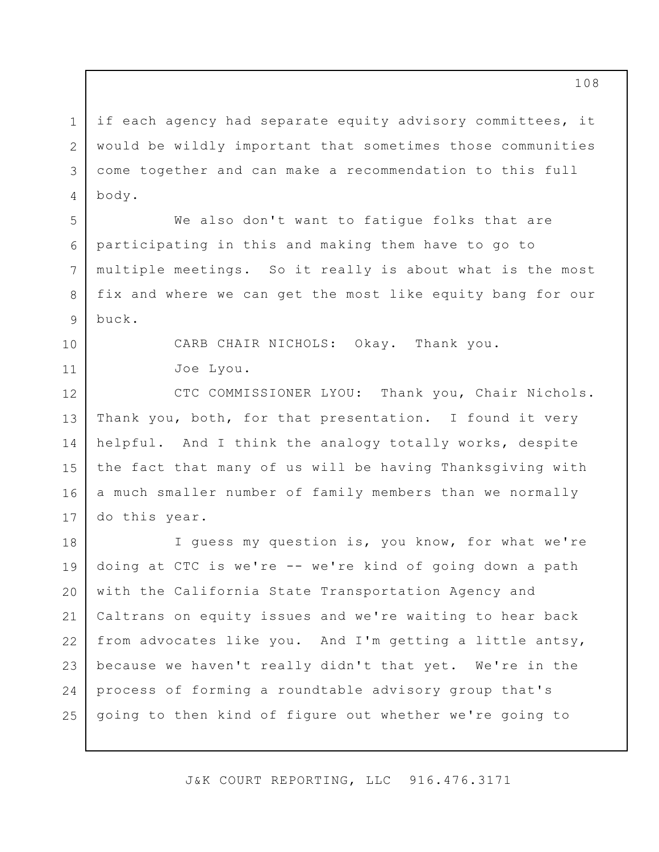if each agency had separate equity advisory committees, it would be wildly important that sometimes those communities come together and can make a recommendation to this full body.

1

2

3

4

5

6

7

8

9

10

11

We also don't want to fatigue folks that are participating in this and making them have to go to multiple meetings. So it really is about what is the most fix and where we can get the most like equity bang for our buck.

> CARB CHAIR NICHOLS: Okay. Thank you. Joe Lyou.

12 13 14 15 16 17 CTC COMMISSIONER LYOU: Thank you, Chair Nichols. Thank you, both, for that presentation. I found it very helpful. And I think the analogy totally works, despite the fact that many of us will be having Thanksgiving with a much smaller number of family members than we normally do this year.

18 19 20 21 22 23 24 25 I guess my question is, you know, for what we're doing at CTC is we're -- we're kind of going down a path with the California State Transportation Agency and Caltrans on equity issues and we're waiting to hear back from advocates like you. And I'm getting a little antsy, because we haven't really didn't that yet. We're in the process of forming a roundtable advisory group that's going to then kind of figure out whether we're going to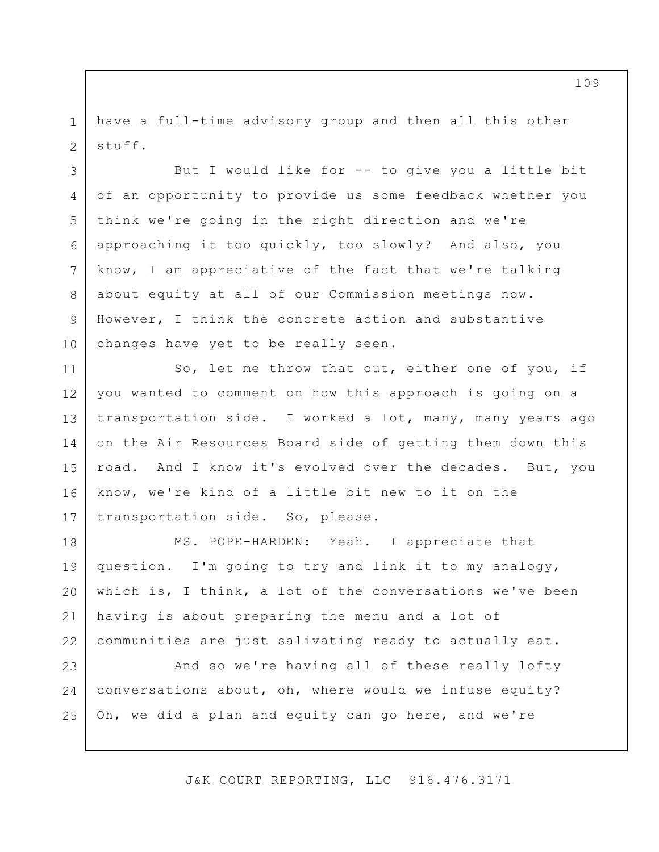1 2 have a full-time advisory group and then all this other stuff.

3 4 5 6 7 8 9 10 But I would like for -- to give you a little bit of an opportunity to provide us some feedback whether you think we're going in the right direction and we're approaching it too quickly, too slowly? And also, you know, I am appreciative of the fact that we're talking about equity at all of our Commission meetings now. However, I think the concrete action and substantive changes have yet to be really seen.

11 12 13 14 15 16 17 So, let me throw that out, either one of you, if you wanted to comment on how this approach is going on a transportation side. I worked a lot, many, many years ago on the Air Resources Board side of getting them down this road. And I know it's evolved over the decades. But, you know, we're kind of a little bit new to it on the transportation side. So, please.

18 19 20 21 22 MS. POPE-HARDEN: Yeah. I appreciate that question. I'm going to try and link it to my analogy, which is, I think, a lot of the conversations we've been having is about preparing the menu and a lot of communities are just salivating ready to actually eat.

23 24 25 And so we're having all of these really lofty conversations about, oh, where would we infuse equity? Oh, we did a plan and equity can go here, and we're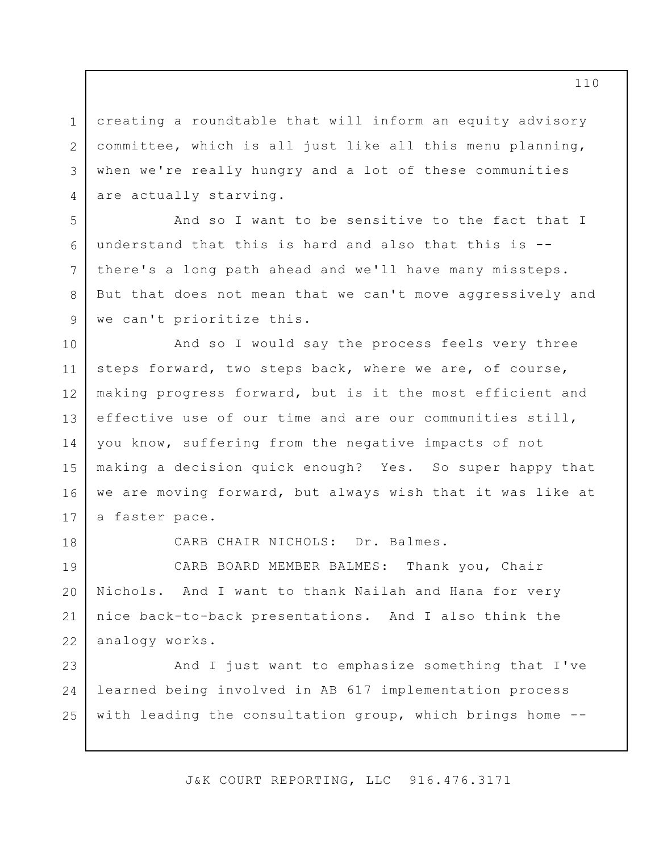creating a roundtable that will inform an equity advisory committee, which is all just like all this menu planning, when we're really hungry and a lot of these communities are actually starving.

And so I want to be sensitive to the fact that I understand that this is hard and also that this is - there's a long path ahead and we'll have many missteps. But that does not mean that we can't move aggressively and we can't prioritize this.

10 11 12 13 14 15 16 17 And so I would say the process feels very three steps forward, two steps back, where we are, of course, making progress forward, but is it the most efficient and effective use of our time and are our communities still, you know, suffering from the negative impacts of not making a decision quick enough? Yes. So super happy that we are moving forward, but always wish that it was like at a faster pace.

18

1

2

3

4

5

6

7

8

9

CARB CHAIR NICHOLS: Dr. Balmes.

19 20 21 22 CARB BOARD MEMBER BALMES: Thank you, Chair Nichols. And I want to thank Nailah and Hana for very nice back-to-back presentations. And I also think the analogy works.

23 24 25 And I just want to emphasize something that I've learned being involved in AB 617 implementation process with leading the consultation group, which brings home --

J&K COURT REPORTING, LLC 916.476.3171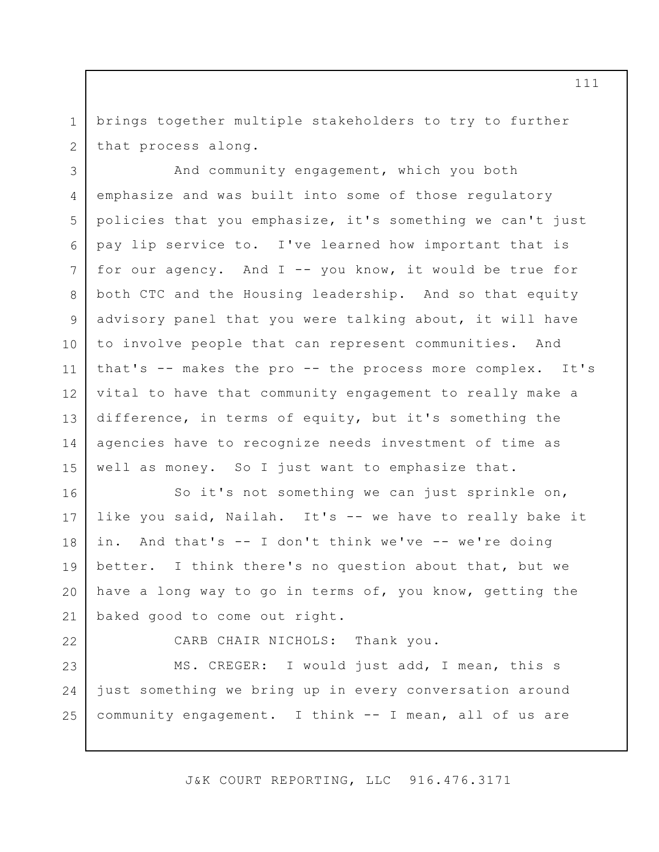1 2 brings together multiple stakeholders to try to further that process along.

3 4 5 6 7 8 9 10 11 12 13 14 15 And community engagement, which you both emphasize and was built into some of those regulatory policies that you emphasize, it's something we can't just pay lip service to. I've learned how important that is for our agency. And I -- you know, it would be true for both CTC and the Housing leadership. And so that equity advisory panel that you were talking about, it will have to involve people that can represent communities. And that's -- makes the pro -- the process more complex. It's vital to have that community engagement to really make a difference, in terms of equity, but it's something the agencies have to recognize needs investment of time as well as money. So I just want to emphasize that.

16 17 18 19 20 21 So it's not something we can just sprinkle on, like you said, Nailah. It's -- we have to really bake it in. And that's -- I don't think we've -- we're doing better. I think there's no question about that, but we have a long way to go in terms of, you know, getting the baked good to come out right.

22 23

CARB CHAIR NICHOLS: Thank you.

24 25 MS. CREGER: I would just add, I mean, this s just something we bring up in every conversation around community engagement. I think -- I mean, all of us are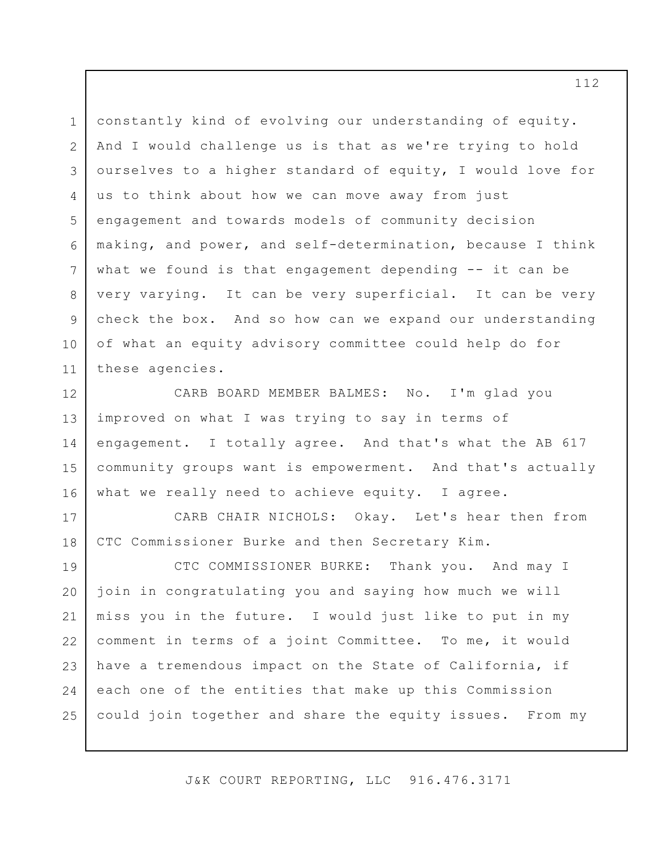1 2 3 4 5 6 7 8 9 10 11 constantly kind of evolving our understanding of equity. And I would challenge us is that as we're trying to hold ourselves to a higher standard of equity, I would love for us to think about how we can move away from just engagement and towards models of community decision making, and power, and self-determination, because I think what we found is that engagement depending -- it can be very varying. It can be very superficial. It can be very check the box. And so how can we expand our understanding of what an equity advisory committee could help do for these agencies.

12 13 14 15 16 CARB BOARD MEMBER BALMES: No. I'm glad you improved on what I was trying to say in terms of engagement. I totally agree. And that's what the AB 617 community groups want is empowerment. And that's actually what we really need to achieve equity. I agree.

CARB CHAIR NICHOLS: Okay. Let's hear then from CTC Commissioner Burke and then Secretary Kim.

17

18

19 20 21 22 23 24 25 CTC COMMISSIONER BURKE: Thank you. And may I join in congratulating you and saying how much we will miss you in the future. I would just like to put in my comment in terms of a joint Committee. To me, it would have a tremendous impact on the State of California, if each one of the entities that make up this Commission could join together and share the equity issues. From my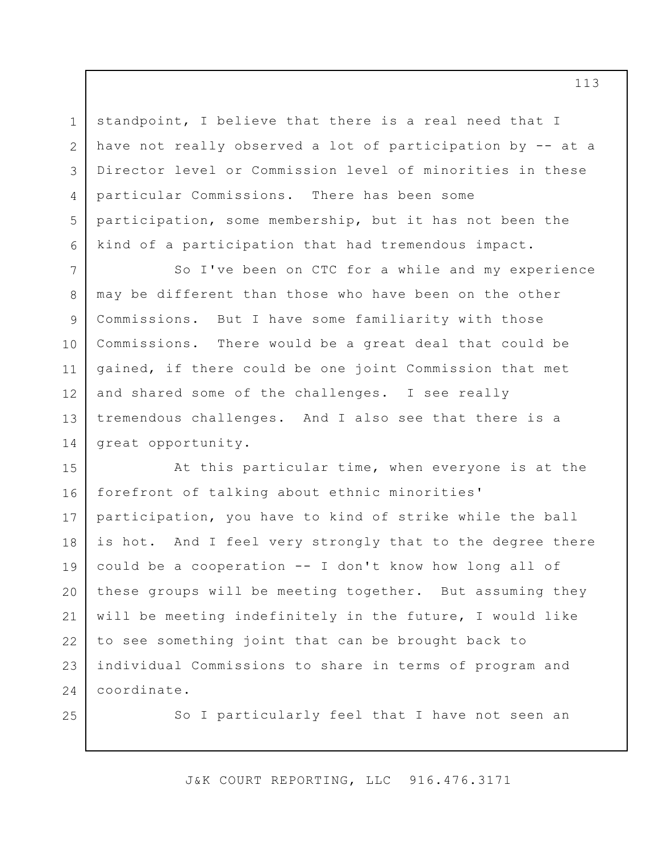standpoint, I believe that there is a real need that I have not really observed a lot of participation by -- at a Director level or Commission level of minorities in these particular Commissions. There has been some participation, some membership, but it has not been the kind of a participation that had tremendous impact.

1

2

3

4

5

6

25

7 8 9 10 11 12 13 14 So I've been on CTC for a while and my experience may be different than those who have been on the other Commissions. But I have some familiarity with those Commissions. There would be a great deal that could be gained, if there could be one joint Commission that met and shared some of the challenges. I see really tremendous challenges. And I also see that there is a great opportunity.

15 16 17 18 19 20 21 22 23 24 At this particular time, when everyone is at the forefront of talking about ethnic minorities' participation, you have to kind of strike while the ball is hot. And I feel very strongly that to the degree there could be a cooperation -- I don't know how long all of these groups will be meeting together. But assuming they will be meeting indefinitely in the future, I would like to see something joint that can be brought back to individual Commissions to share in terms of program and coordinate.

So I particularly feel that I have not seen an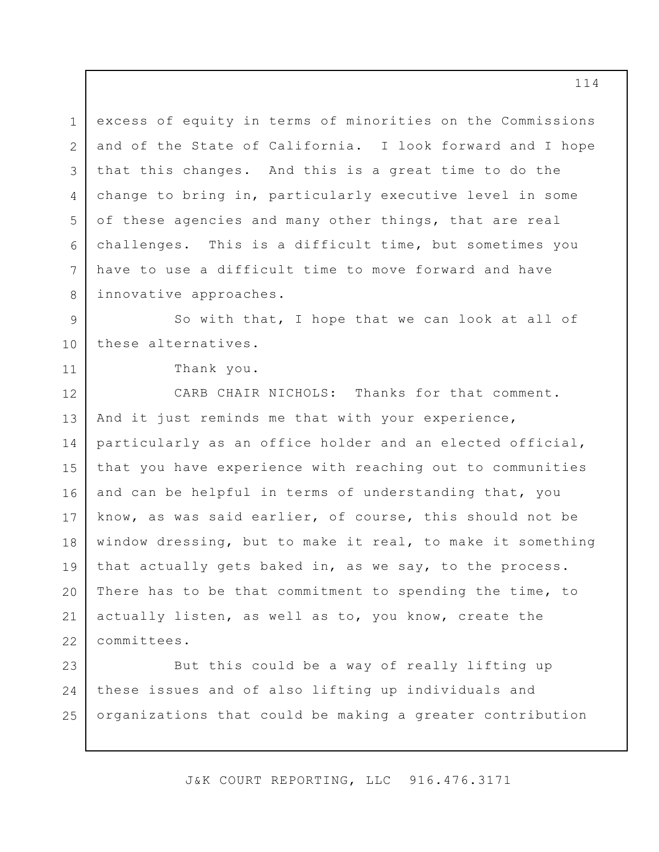1 2 3 4 5 6 7 8 excess of equity in terms of minorities on the Commissions and of the State of California. I look forward and I hope that this changes. And this is a great time to do the change to bring in, particularly executive level in some of these agencies and many other things, that are real challenges. This is a difficult time, but sometimes you have to use a difficult time to move forward and have innovative approaches.

9 10 So with that, I hope that we can look at all of these alternatives.

Thank you.

11

12 13 14 15 16 17 18 19 20 21 22 CARB CHAIR NICHOLS: Thanks for that comment. And it just reminds me that with your experience, particularly as an office holder and an elected official, that you have experience with reaching out to communities and can be helpful in terms of understanding that, you know, as was said earlier, of course, this should not be window dressing, but to make it real, to make it something that actually gets baked in, as we say, to the process. There has to be that commitment to spending the time, to actually listen, as well as to, you know, create the committees.

23 24 25 But this could be a way of really lifting up these issues and of also lifting up individuals and organizations that could be making a greater contribution

J&K COURT REPORTING, LLC 916.476.3171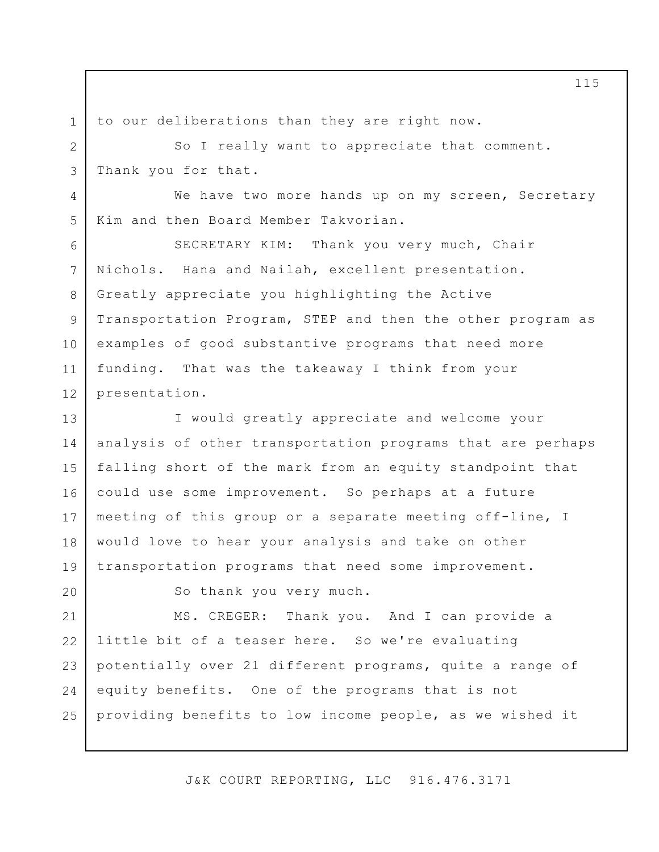1 2

3

4

5

6

7

8

9

10

11

12

to our deliberations than they are right now.

So I really want to appreciate that comment. Thank you for that.

We have two more hands up on my screen, Secretary Kim and then Board Member Takvorian.

SECRETARY KIM: Thank you very much, Chair Nichols. Hana and Nailah, excellent presentation. Greatly appreciate you highlighting the Active Transportation Program, STEP and then the other program as examples of good substantive programs that need more funding. That was the takeaway I think from your presentation.

13 14 15 16 17 18 19 I would greatly appreciate and welcome your analysis of other transportation programs that are perhaps falling short of the mark from an equity standpoint that could use some improvement. So perhaps at a future meeting of this group or a separate meeting off-line, I would love to hear your analysis and take on other transportation programs that need some improvement.

So thank you very much.

24 25 MS. CREGER: Thank you. And I can provide a little bit of a teaser here. So we're evaluating potentially over 21 different programs, quite a range of equity benefits. One of the programs that is not providing benefits to low income people, as we wished it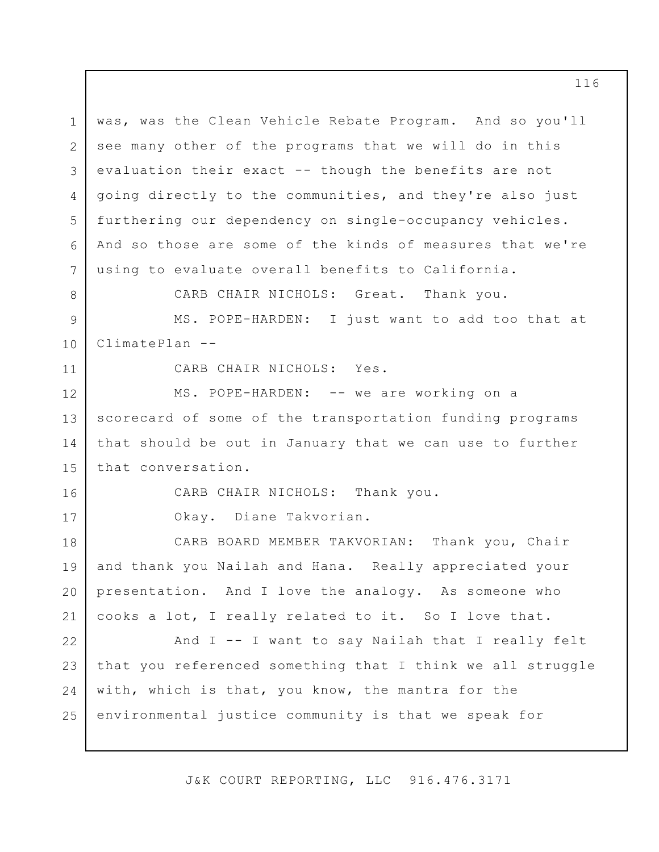1 2 3 4 5 6 7 was, was the Clean Vehicle Rebate Program. And so you'll see many other of the programs that we will do in this evaluation their exact -- though the benefits are not going directly to the communities, and they're also just furthering our dependency on single-occupancy vehicles. And so those are some of the kinds of measures that we're using to evaluate overall benefits to California.

CARB CHAIR NICHOLS: Great. Thank you.

9 10 MS. POPE-HARDEN: I just want to add too that at ClimatePlan --

11

16

17

8

CARB CHAIR NICHOLS: Yes.

12 13 14 15 MS. POPE-HARDEN: -- we are working on a scorecard of some of the transportation funding programs that should be out in January that we can use to further that conversation.

CARB CHAIR NICHOLS: Thank you.

Okay. Diane Takvorian.

18 19 20 21 CARB BOARD MEMBER TAKVORIAN: Thank you, Chair and thank you Nailah and Hana. Really appreciated your presentation. And I love the analogy. As someone who cooks a lot, I really related to it. So I love that.

22 23 24 25 And I -- I want to say Nailah that I really felt that you referenced something that I think we all struggle with, which is that, you know, the mantra for the environmental justice community is that we speak for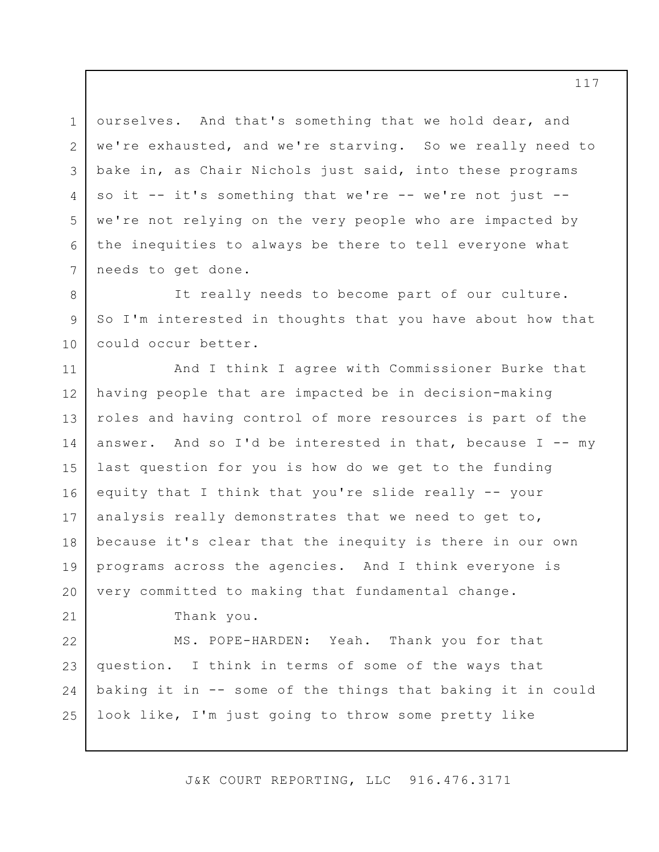1 2 3 4 5 6 7 ourselves. And that's something that we hold dear, and we're exhausted, and we're starving. So we really need to bake in, as Chair Nichols just said, into these programs so it -- it's something that we're -- we're not just -we're not relying on the very people who are impacted by the inequities to always be there to tell everyone what needs to get done.

10 It really needs to become part of our culture. So I'm interested in thoughts that you have about how that could occur better.

11 12 13 14 15 16 17 18 19 20 And I think I agree with Commissioner Burke that having people that are impacted be in decision-making roles and having control of more resources is part of the answer. And so I'd be interested in that, because  $I$  -- my last question for you is how do we get to the funding equity that I think that you're slide really -- your analysis really demonstrates that we need to get to, because it's clear that the inequity is there in our own programs across the agencies. And I think everyone is very committed to making that fundamental change.

Thank you.

8

9

21

22 23 24 25 MS. POPE-HARDEN: Yeah. Thank you for that question. I think in terms of some of the ways that baking it in -- some of the things that baking it in could look like, I'm just going to throw some pretty like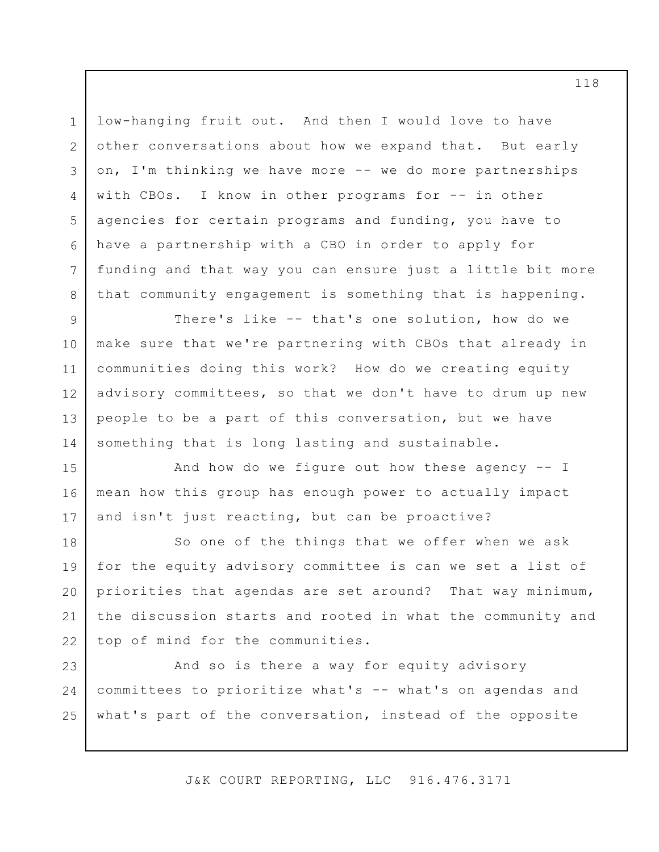low-hanging fruit out. And then I would love to have other conversations about how we expand that. But early on, I'm thinking we have more -- we do more partnerships with CBOs. I know in other programs for -- in other agencies for certain programs and funding, you have to have a partnership with a CBO in order to apply for funding and that way you can ensure just a little bit more that community engagement is something that is happening.

1

2

3

4

5

6

7

8

15

16

17

9 10 11 12 13 14 There's like -- that's one solution, how do we make sure that we're partnering with CBOs that already in communities doing this work? How do we creating equity advisory committees, so that we don't have to drum up new people to be a part of this conversation, but we have something that is long lasting and sustainable.

And how do we figure out how these agency  $-$  I mean how this group has enough power to actually impact and isn't just reacting, but can be proactive?

18 19 20 21 22 So one of the things that we offer when we ask for the equity advisory committee is can we set a list of priorities that agendas are set around? That way minimum, the discussion starts and rooted in what the community and top of mind for the communities.

23 24 25 And so is there a way for equity advisory committees to prioritize what's -- what's on agendas and what's part of the conversation, instead of the opposite

J&K COURT REPORTING, LLC 916.476.3171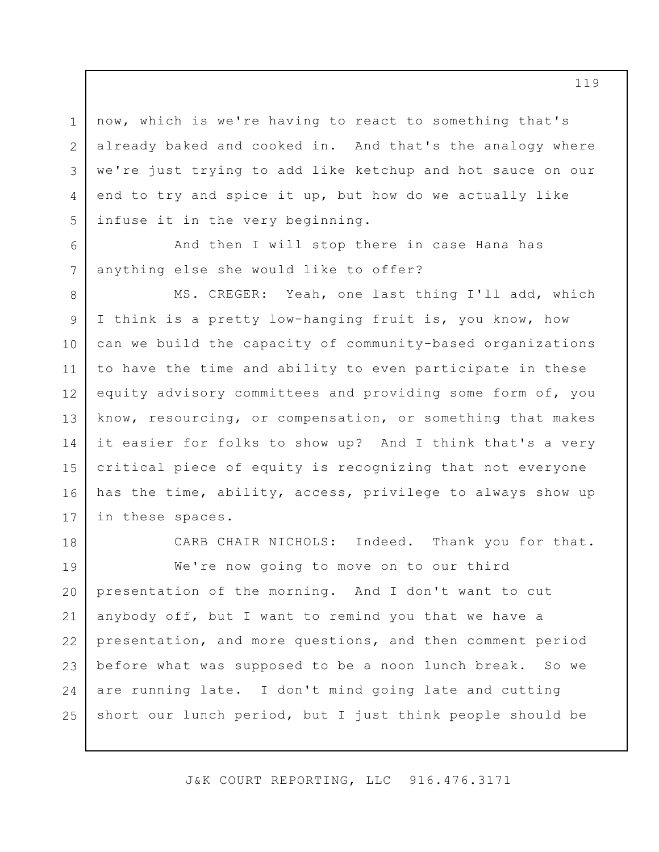now, which is we're having to react to something that's already baked and cooked in. And that's the analogy where we're just trying to add like ketchup and hot sauce on our end to try and spice it up, but how do we actually like infuse it in the very beginning.

And then I will stop there in case Hana has anything else she would like to offer?

1

2

3

4

5

6

7

18

8 9 10 11 12 13 14 15 16 17 MS. CREGER: Yeah, one last thing I'll add, which I think is a pretty low-hanging fruit is, you know, how can we build the capacity of community-based organizations to have the time and ability to even participate in these equity advisory committees and providing some form of, you know, resourcing, or compensation, or something that makes it easier for folks to show up? And I think that's a very critical piece of equity is recognizing that not everyone has the time, ability, access, privilege to always show up in these spaces.

CARB CHAIR NICHOLS: Indeed. Thank you for that.

19 20 21 22 23 24 25 We're now going to move on to our third presentation of the morning. And I don't want to cut anybody off, but I want to remind you that we have a presentation, and more questions, and then comment period before what was supposed to be a noon lunch break. So we are running late. I don't mind going late and cutting short our lunch period, but I just think people should be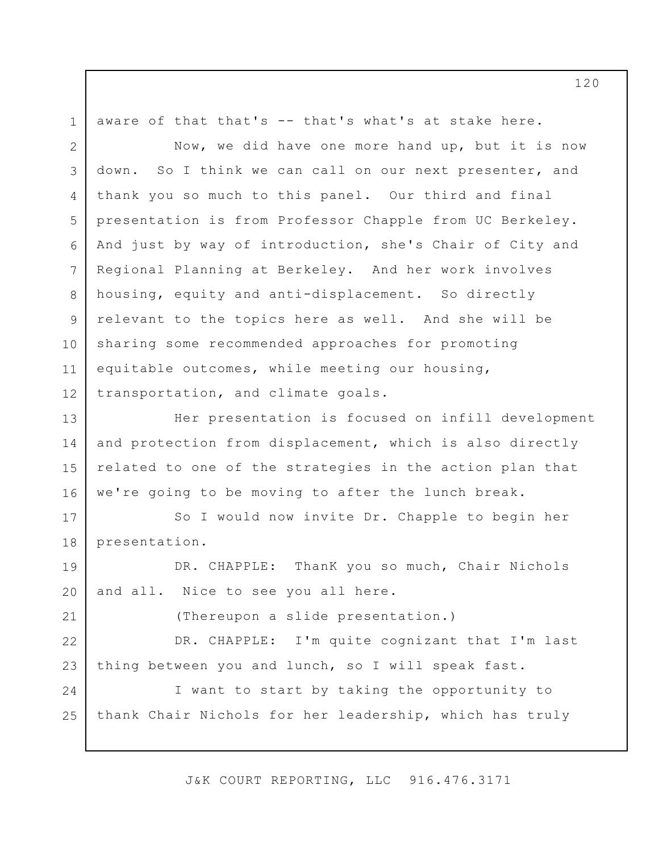1 2 3 4 5 6 7 8 9 10 11 12 13 14 15 16 17 18 19 20 21 22 23 24 25 aware of that that's -- that's what's at stake here. Now, we did have one more hand up, but it is now down. So I think we can call on our next presenter, and thank you so much to this panel. Our third and final presentation is from Professor Chapple from UC Berkeley. And just by way of introduction, she's Chair of City and Regional Planning at Berkeley. And her work involves housing, equity and anti-displacement. So directly relevant to the topics here as well. And she will be sharing some recommended approaches for promoting equitable outcomes, while meeting our housing, transportation, and climate goals. Her presentation is focused on infill development and protection from displacement, which is also directly related to one of the strategies in the action plan that we're going to be moving to after the lunch break. So I would now invite Dr. Chapple to begin her presentation. DR. CHAPPLE: ThanK you so much, Chair Nichols and all. Nice to see you all here. (Thereupon a slide presentation.) DR. CHAPPLE: I'm quite cognizant that I'm last thing between you and lunch, so I will speak fast. I want to start by taking the opportunity to thank Chair Nichols for her leadership, which has truly

J&K COURT REPORTING, LLC 916.476.3171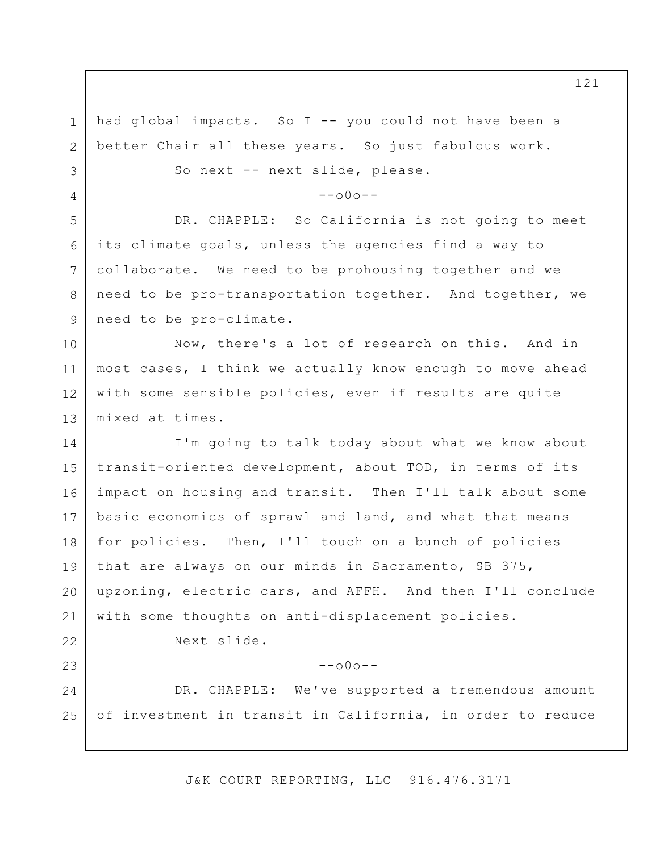1 2 3 4 5 6 7 8 9 10 11 12 13 14 15 16 17 18 19 20 21 22 23 24 25 had global impacts. So I -- you could not have been a better Chair all these years. So just fabulous work. So next -- next slide, please.  $--000--$ DR. CHAPPLE: So California is not going to meet its climate goals, unless the agencies find a way to collaborate. We need to be prohousing together and we need to be pro-transportation together. And together, we need to be pro-climate. Now, there's a lot of research on this. And in most cases, I think we actually know enough to move ahead with some sensible policies, even if results are quite mixed at times. I'm going to talk today about what we know about transit-oriented development, about TOD, in terms of its impact on housing and transit. Then I'll talk about some basic economics of sprawl and land, and what that means for policies. Then, I'll touch on a bunch of policies that are always on our minds in Sacramento, SB 375, upzoning, electric cars, and AFFH. And then I'll conclude with some thoughts on anti-displacement policies. Next slide.  $--\cap 0 \cap --$ DR. CHAPPLE: We've supported a tremendous amount of investment in transit in California, in order to reduce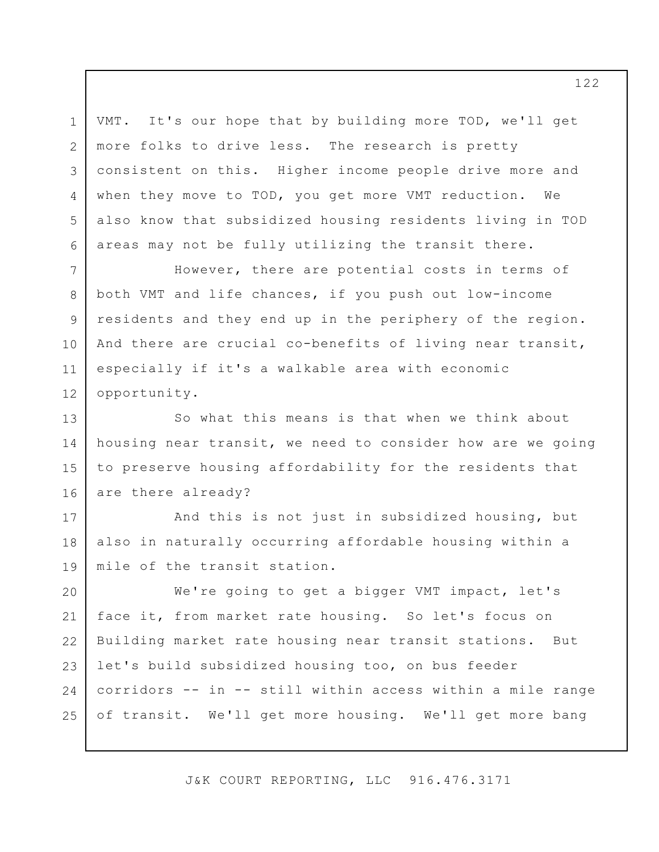1 2 3 4 5 6 VMT. It's our hope that by building more TOD, we'll get more folks to drive less. The research is pretty consistent on this. Higher income people drive more and when they move to TOD, you get more VMT reduction. We also know that subsidized housing residents living in TOD areas may not be fully utilizing the transit there.

7 8 9 10 11 12 However, there are potential costs in terms of both VMT and life chances, if you push out low-income residents and they end up in the periphery of the region. And there are crucial co-benefits of living near transit, especially if it's a walkable area with economic opportunity.

13 14 15 16 So what this means is that when we think about housing near transit, we need to consider how are we going to preserve housing affordability for the residents that are there already?

17 18 19 And this is not just in subsidized housing, but also in naturally occurring affordable housing within a mile of the transit station.

20 21 22 23 24 25 We're going to get a bigger VMT impact, let's face it, from market rate housing. So let's focus on Building market rate housing near transit stations. But let's build subsidized housing too, on bus feeder corridors -- in -- still within access within a mile range of transit. We'll get more housing. We'll get more bang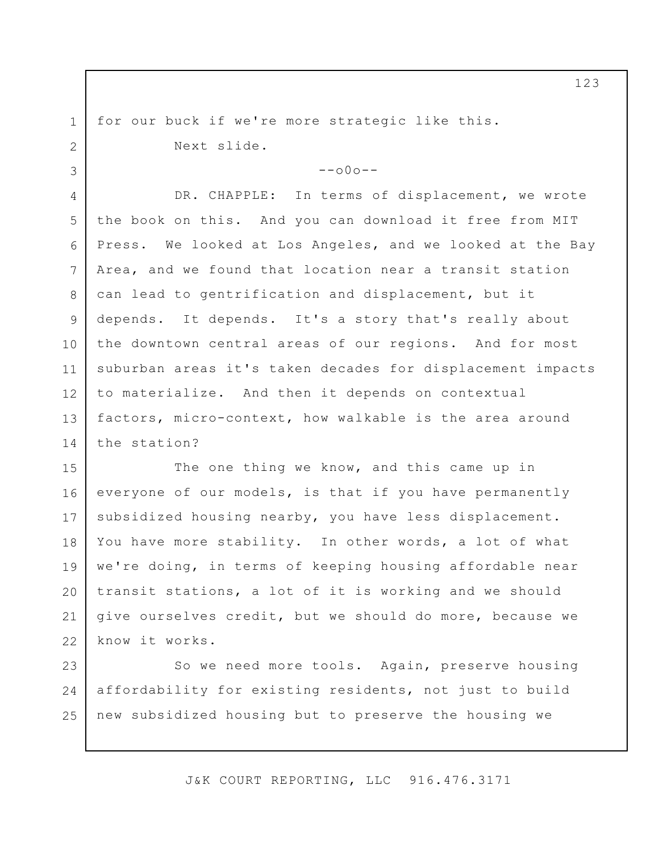for our buck if we're more strategic like this. Next slide.

1

2

3

 $--000--$ 

4 5 6 7 8 9 10 11 12 13 14 DR. CHAPPLE: In terms of displacement, we wrote the book on this. And you can download it free from MIT Press. We looked at Los Angeles, and we looked at the Bay Area, and we found that location near a transit station can lead to gentrification and displacement, but it depends. It depends. It's a story that's really about the downtown central areas of our regions. And for most suburban areas it's taken decades for displacement impacts to materialize. And then it depends on contextual factors, micro-context, how walkable is the area around the station?

15 16 17 18 19 20 21 22 The one thing we know, and this came up in everyone of our models, is that if you have permanently subsidized housing nearby, you have less displacement. You have more stability. In other words, a lot of what we're doing, in terms of keeping housing affordable near transit stations, a lot of it is working and we should give ourselves credit, but we should do more, because we know it works.

23 24 25 So we need more tools. Again, preserve housing affordability for existing residents, not just to build new subsidized housing but to preserve the housing we

J&K COURT REPORTING, LLC 916.476.3171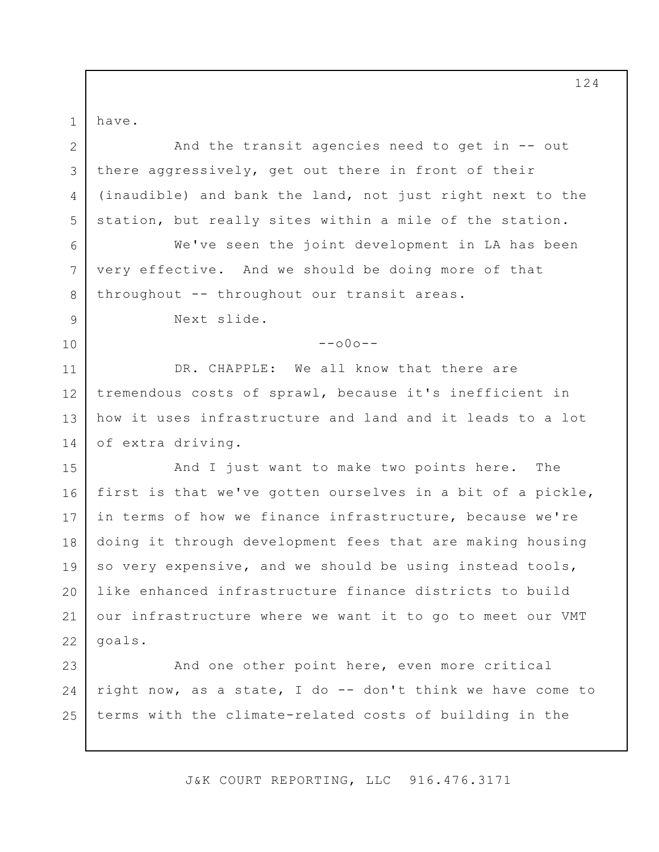have.

1

2

3

4

5

7

8

9

10

And the transit agencies need to get in -- out there aggressively, get out there in front of their (inaudible) and bank the land, not just right next to the station, but really sites within a mile of the station.

6 We've seen the joint development in LA has been very effective. And we should be doing more of that throughout -- throughout our transit areas.

Next slide.

 $--000--$ 

11 12 13 14 DR. CHAPPLE: We all know that there are tremendous costs of sprawl, because it's inefficient in how it uses infrastructure and land and it leads to a lot of extra driving.

15 16 17 18 19 20 21 22 And I just want to make two points here. The first is that we've gotten ourselves in a bit of a pickle, in terms of how we finance infrastructure, because we're doing it through development fees that are making housing so very expensive, and we should be using instead tools, like enhanced infrastructure finance districts to build our infrastructure where we want it to go to meet our VMT goals.

23 24 25 And one other point here, even more critical right now, as a state, I do -- don't think we have come to terms with the climate-related costs of building in the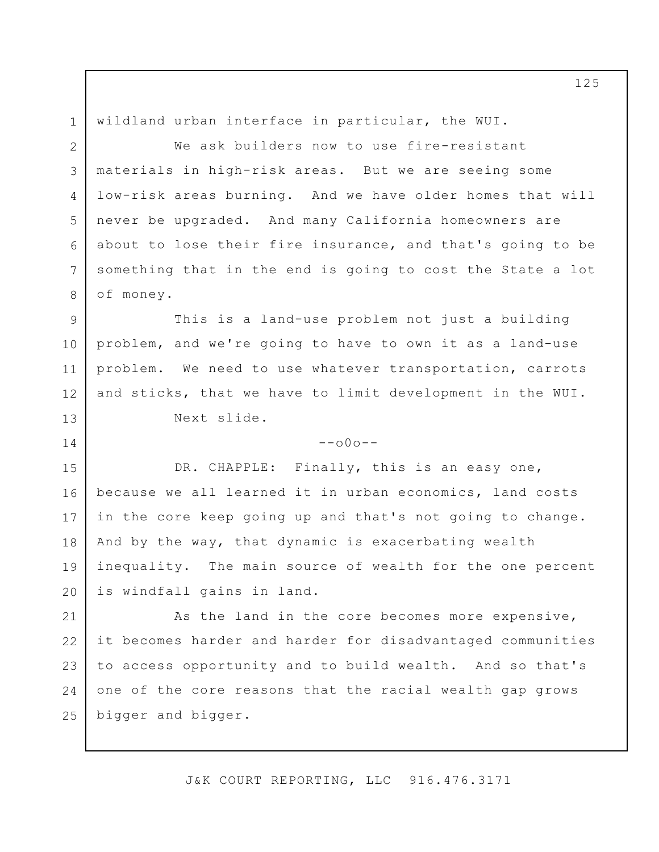wildland urban interface in particular, the WUI.

1

2

4

5

7

8

14

3 6 We ask builders now to use fire-resistant materials in high-risk areas. But we are seeing some low-risk areas burning. And we have older homes that will never be upgraded. And many California homeowners are about to lose their fire insurance, and that's going to be something that in the end is going to cost the State a lot of money.

9 10 11 12 13 This is a land-use problem not just a building problem, and we're going to have to own it as a land-use problem. We need to use whatever transportation, carrots and sticks, that we have to limit development in the WUI. Next slide.

 $--000--$ 

15 16 17 18 19 20 DR. CHAPPLE: Finally, this is an easy one, because we all learned it in urban economics, land costs in the core keep going up and that's not going to change. And by the way, that dynamic is exacerbating wealth inequality. The main source of wealth for the one percent is windfall gains in land.

21 22 23 24 25 As the land in the core becomes more expensive, it becomes harder and harder for disadvantaged communities to access opportunity and to build wealth. And so that's one of the core reasons that the racial wealth gap grows bigger and bigger.

J&K COURT REPORTING, LLC 916.476.3171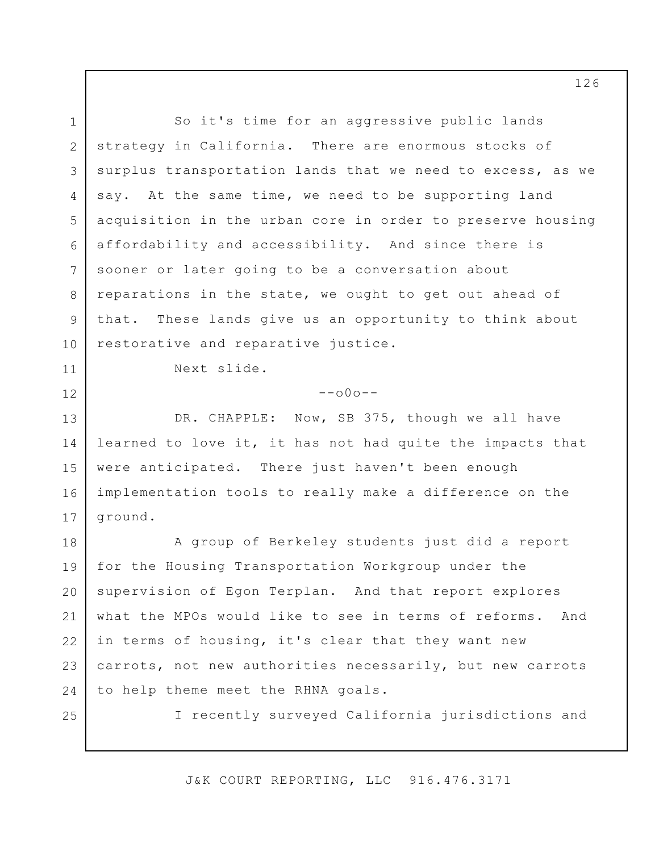1 2 3 4 5 6 7 8 9 10 11 12 13 14 15 16 17 18 19 20 21 22 23 24 25 So it's time for an aggressive public lands strategy in California. There are enormous stocks of surplus transportation lands that we need to excess, as we say. At the same time, we need to be supporting land acquisition in the urban core in order to preserve housing affordability and accessibility. And since there is sooner or later going to be a conversation about reparations in the state, we ought to get out ahead of that. These lands give us an opportunity to think about restorative and reparative justice. Next slide.  $--000--$ DR. CHAPPLE: Now, SB 375, though we all have learned to love it, it has not had quite the impacts that were anticipated. There just haven't been enough implementation tools to really make a difference on the ground. A group of Berkeley students just did a report for the Housing Transportation Workgroup under the supervision of Egon Terplan. And that report explores what the MPOs would like to see in terms of reforms. And in terms of housing, it's clear that they want new carrots, not new authorities necessarily, but new carrots to help theme meet the RHNA goals. I recently surveyed California jurisdictions and

J&K COURT REPORTING, LLC 916.476.3171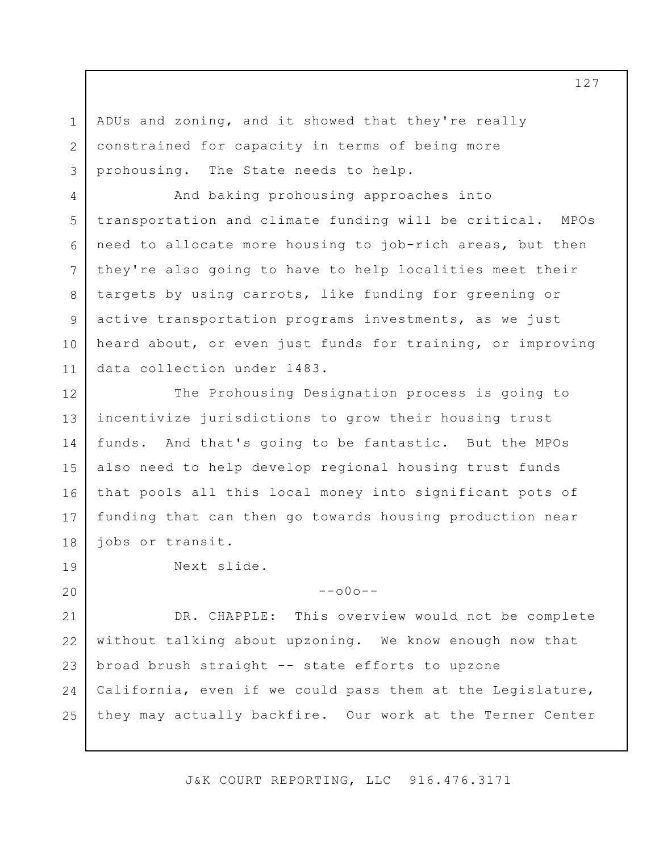3 ADUs and zoning, and it showed that they're really constrained for capacity in terms of being more prohousing. The State needs to help.

4 5 6 7 8 9 10 11 And baking prohousing approaches into transportation and climate funding will be critical. MPOs need to allocate more housing to job-rich areas, but then they're also going to have to help localities meet their targets by using carrots, like funding for greening or active transportation programs investments, as we just heard about, or even just funds for training, or improving data collection under 1483.

12 13 14 15 16 17 18 The Prohousing Designation process is going to incentivize jurisdictions to grow their housing trust funds. And that's going to be fantastic. But the MPOs also need to help develop regional housing trust funds that pools all this local money into significant pots of funding that can then go towards housing production near jobs or transit.

Next slide.

1

2

19

20

 $--000--$ 

21 22 23 24 25 DR. CHAPPLE: This overview would not be complete without talking about upzoning. We know enough now that broad brush straight -- state efforts to upzone California, even if we could pass them at the Legislature, they may actually backfire. Our work at the Terner Center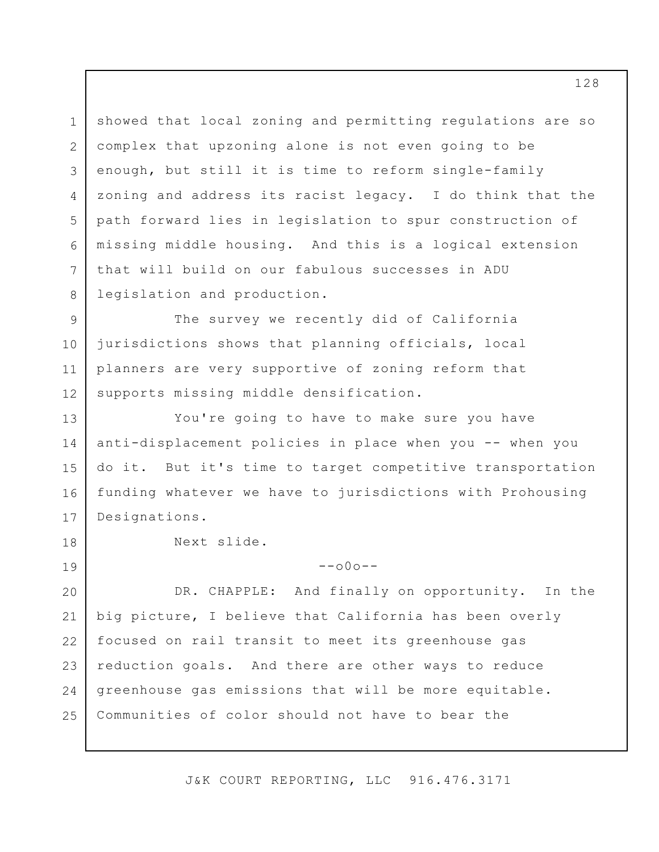1 2 3 4 5 6 7 8 showed that local zoning and permitting regulations are so complex that upzoning alone is not even going to be enough, but still it is time to reform single-family zoning and address its racist legacy. I do think that the path forward lies in legislation to spur construction of missing middle housing. And this is a logical extension that will build on our fabulous successes in ADU legislation and production.

9 10 11 12 The survey we recently did of California jurisdictions shows that planning officials, local planners are very supportive of zoning reform that supports missing middle densification.

13 14 15 16 17 You're going to have to make sure you have anti-displacement policies in place when you -- when you do it. But it's time to target competitive transportation funding whatever we have to jurisdictions with Prohousing Designations.

Next slide.

18

19

 $--000--$ 

20 21 22 23 24 25 DR. CHAPPLE: And finally on opportunity. In the big picture, I believe that California has been overly focused on rail transit to meet its greenhouse gas reduction goals. And there are other ways to reduce greenhouse gas emissions that will be more equitable. Communities of color should not have to bear the

J&K COURT REPORTING, LLC 916.476.3171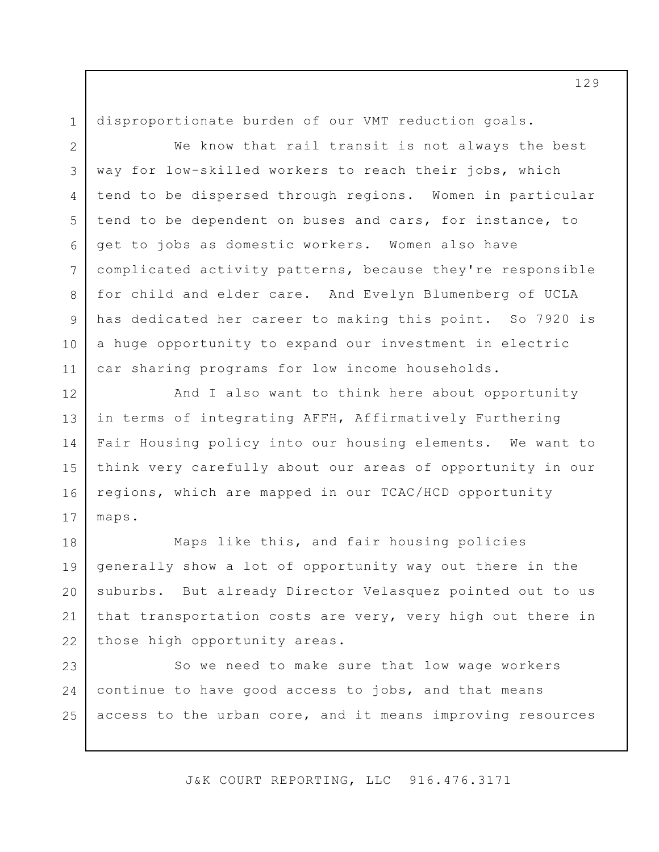1 2

3

4

5

6

7

8

9

10

11

disproportionate burden of our VMT reduction goals.

We know that rail transit is not always the best way for low-skilled workers to reach their jobs, which tend to be dispersed through regions. Women in particular tend to be dependent on buses and cars, for instance, to get to jobs as domestic workers. Women also have complicated activity patterns, because they're responsible for child and elder care. And Evelyn Blumenberg of UCLA has dedicated her career to making this point. So 7920 is a huge opportunity to expand our investment in electric car sharing programs for low income households.

12 13 14 15 16 17 And I also want to think here about opportunity in terms of integrating AFFH, Affirmatively Furthering Fair Housing policy into our housing elements. We want to think very carefully about our areas of opportunity in our regions, which are mapped in our TCAC/HCD opportunity maps.

18 19 20 21 22 Maps like this, and fair housing policies generally show a lot of opportunity way out there in the suburbs. But already Director Velasquez pointed out to us that transportation costs are very, very high out there in those high opportunity areas.

23 24 25 So we need to make sure that low wage workers continue to have good access to jobs, and that means access to the urban core, and it means improving resources

J&K COURT REPORTING, LLC 916.476.3171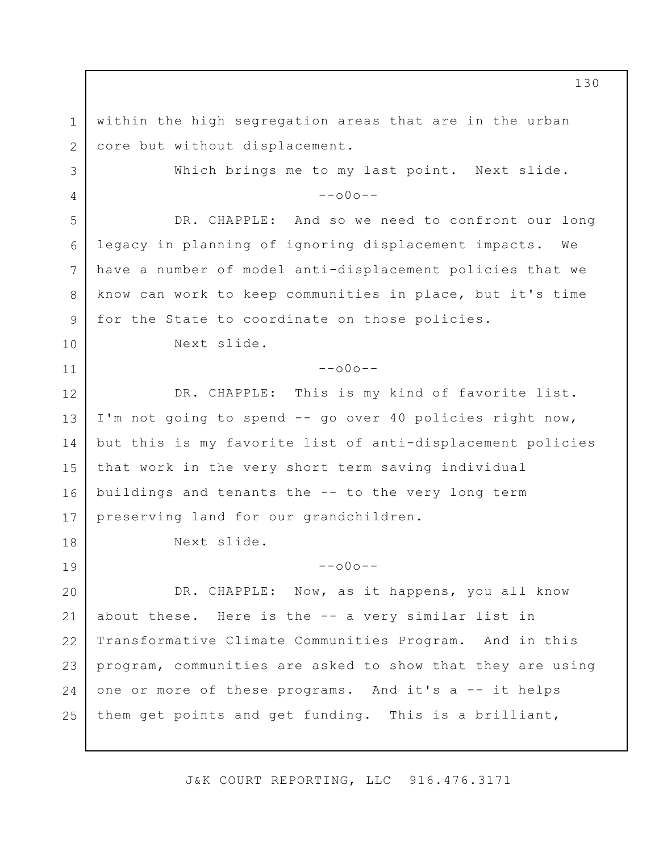1 2 3 4 5 6 7 8 9 10 11 12 13 14 15 16 17 18 19 20 21 22 23 24 25 within the high segregation areas that are in the urban core but without displacement. Which brings me to my last point. Next slide.  $--000--$ DR. CHAPPLE: And so we need to confront our long legacy in planning of ignoring displacement impacts. We have a number of model anti-displacement policies that we know can work to keep communities in place, but it's time for the State to coordinate on those policies. Next slide.  $--000--$ DR. CHAPPLE: This is my kind of favorite list. I'm not going to spend -- go over 40 policies right now, but this is my favorite list of anti-displacement policies that work in the very short term saving individual buildings and tenants the -- to the very long term preserving land for our grandchildren. Next slide.  $--000--$ DR. CHAPPLE: Now, as it happens, you all know about these. Here is the -- a very similar list in Transformative Climate Communities Program. And in this program, communities are asked to show that they are using one or more of these programs. And it's a -- it helps them get points and get funding. This is a brilliant,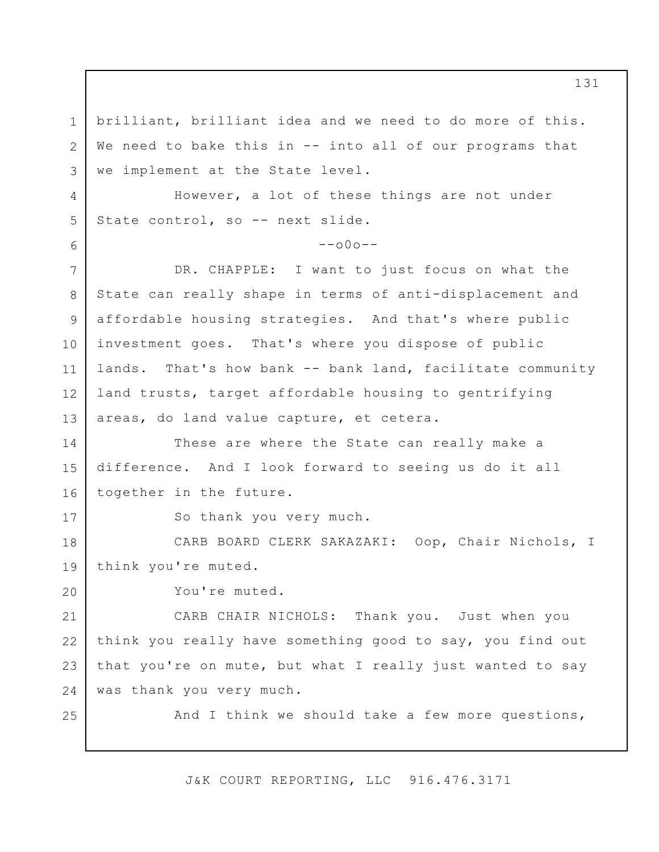1 2 3 4 5 6 7 8 9 10 11 12 13 14 15 16 17 18 19 20 21 22 23 24 25 brilliant, brilliant idea and we need to do more of this. We need to bake this in -- into all of our programs that we implement at the State level. However, a lot of these things are not under State control, so -- next slide.  $--000--$ DR. CHAPPLE: I want to just focus on what the State can really shape in terms of anti-displacement and affordable housing strategies. And that's where public investment goes. That's where you dispose of public lands. That's how bank -- bank land, facilitate community land trusts, target affordable housing to gentrifying areas, do land value capture, et cetera. These are where the State can really make a difference. And I look forward to seeing us do it all together in the future. So thank you very much. CARB BOARD CLERK SAKAZAKI: Oop, Chair Nichols, I think you're muted. You're muted. CARB CHAIR NICHOLS: Thank you. Just when you think you really have something good to say, you find out that you're on mute, but what I really just wanted to say was thank you very much. And I think we should take a few more questions,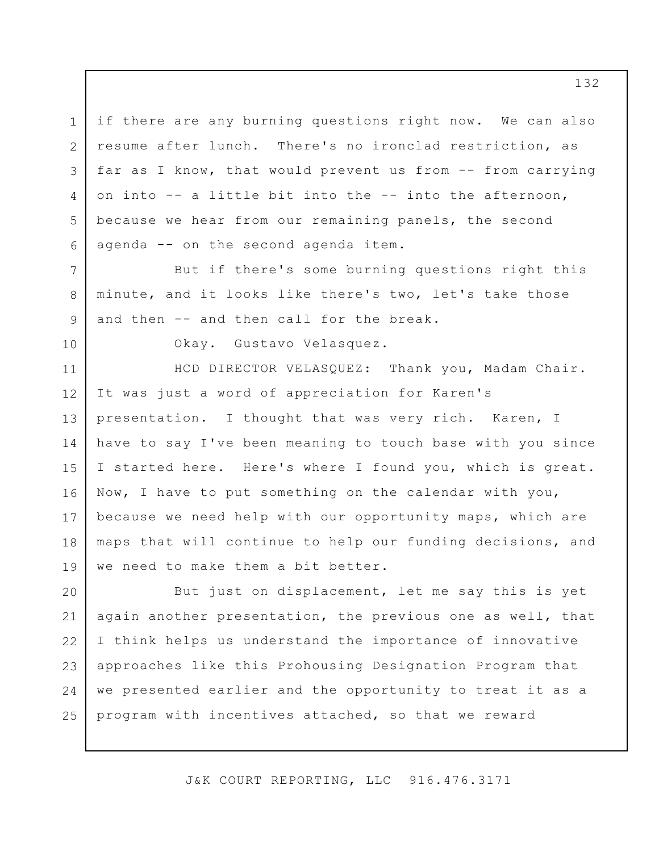if there are any burning questions right now. We can also resume after lunch. There's no ironclad restriction, as far as I know, that would prevent us from -- from carrying on into -- a little bit into the -- into the afternoon, because we hear from our remaining panels, the second agenda -- on the second agenda item.

But if there's some burning questions right this minute, and it looks like there's two, let's take those and then -- and then call for the break.

10

1

2

3

4

5

6

7

8

9

Okay. Gustavo Velasquez.

11 12 13 14 15 16 17 18 19 HCD DIRECTOR VELASQUEZ: Thank you, Madam Chair. It was just a word of appreciation for Karen's presentation. I thought that was very rich. Karen, I have to say I've been meaning to touch base with you since I started here. Here's where I found you, which is great. Now, I have to put something on the calendar with you, because we need help with our opportunity maps, which are maps that will continue to help our funding decisions, and we need to make them a bit better.

20 21 22 23 24 25 But just on displacement, let me say this is yet again another presentation, the previous one as well, that I think helps us understand the importance of innovative approaches like this Prohousing Designation Program that we presented earlier and the opportunity to treat it as a program with incentives attached, so that we reward

J&K COURT REPORTING, LLC 916.476.3171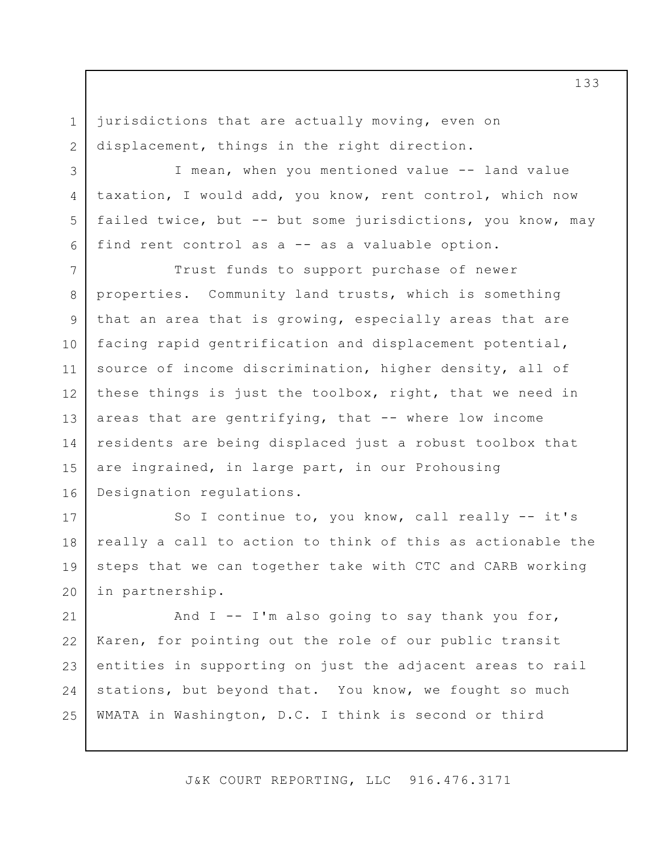jurisdictions that are actually moving, even on displacement, things in the right direction.

1

2

3

4

5

6

I mean, when you mentioned value -- land value taxation, I would add, you know, rent control, which now failed twice, but -- but some jurisdictions, you know, may find rent control as a -- as a valuable option.

7 8 9 10 11 12 13 14 15 16 Trust funds to support purchase of newer properties. Community land trusts, which is something that an area that is growing, especially areas that are facing rapid gentrification and displacement potential, source of income discrimination, higher density, all of these things is just the toolbox, right, that we need in areas that are gentrifying, that -- where low income residents are being displaced just a robust toolbox that are ingrained, in large part, in our Prohousing Designation regulations.

17 18 19 20 So I continue to, you know, call really -- it's really a call to action to think of this as actionable the steps that we can together take with CTC and CARB working in partnership.

21 22 23 24 25 And  $I$  -- I'm also going to say thank you for, Karen, for pointing out the role of our public transit entities in supporting on just the adjacent areas to rail stations, but beyond that. You know, we fought so much WMATA in Washington, D.C. I think is second or third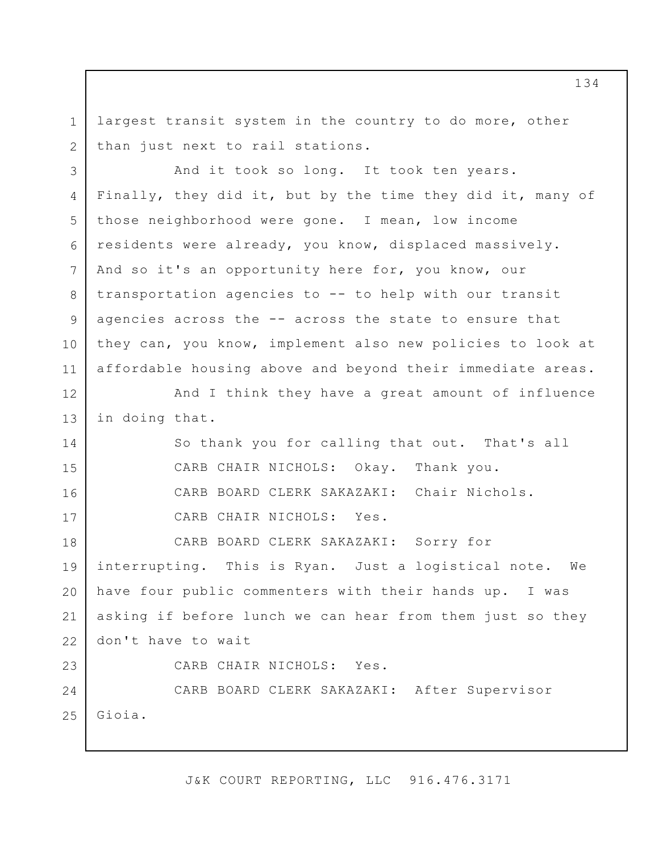1 2 largest transit system in the country to do more, other than just next to rail stations.

3 4 5 6 7 8 9 10 11 And it took so long. It took ten years. Finally, they did it, but by the time they did it, many of those neighborhood were gone. I mean, low income residents were already, you know, displaced massively. And so it's an opportunity here for, you know, our transportation agencies to -- to help with our transit agencies across the -- across the state to ensure that they can, you know, implement also new policies to look at affordable housing above and beyond their immediate areas.

12 13 And I think they have a great amount of influence in doing that.

14

15

16

17

So thank you for calling that out. That's all CARB CHAIR NICHOLS: Okay. Thank you. CARB BOARD CLERK SAKAZAKI: Chair Nichols. CARB CHAIR NICHOLS: Yes.

18 19 20 21 22 23 CARB BOARD CLERK SAKAZAKI: Sorry for interrupting. This is Ryan. Just a logistical note. We have four public commenters with their hands up. I was asking if before lunch we can hear from them just so they don't have to wait CARB CHAIR NICHOLS: Yes.

24 25 CARB BOARD CLERK SAKAZAKI: After Supervisor Gioia.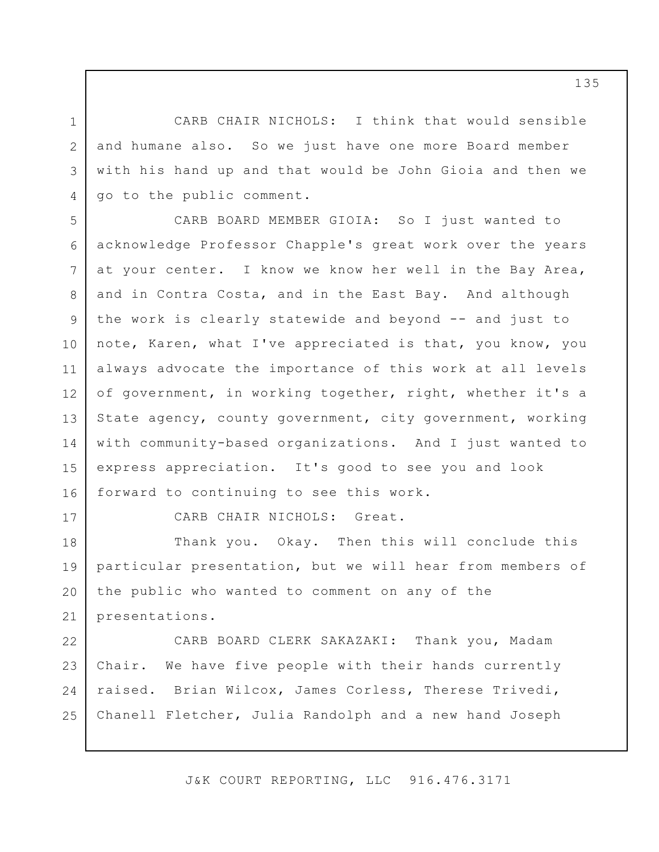CARB CHAIR NICHOLS: I think that would sensible and humane also. So we just have one more Board member with his hand up and that would be John Gioia and then we go to the public comment.

5 6 7 8 9 10 11 12 13 14 15 16 CARB BOARD MEMBER GIOIA: So I just wanted to acknowledge Professor Chapple's great work over the years at your center. I know we know her well in the Bay Area, and in Contra Costa, and in the East Bay. And although the work is clearly statewide and beyond -- and just to note, Karen, what I've appreciated is that, you know, you always advocate the importance of this work at all levels of government, in working together, right, whether it's a State agency, county government, city government, working with community-based organizations. And I just wanted to express appreciation. It's good to see you and look forward to continuing to see this work.

17

1

2

3

4

CARB CHAIR NICHOLS: Great.

18 19 20 21 Thank you. Okay. Then this will conclude this particular presentation, but we will hear from members of the public who wanted to comment on any of the presentations.

22 23 24 25 CARB BOARD CLERK SAKAZAKI: Thank you, Madam Chair. We have five people with their hands currently raised. Brian Wilcox, James Corless, Therese Trivedi, Chanell Fletcher, Julia Randolph and a new hand Joseph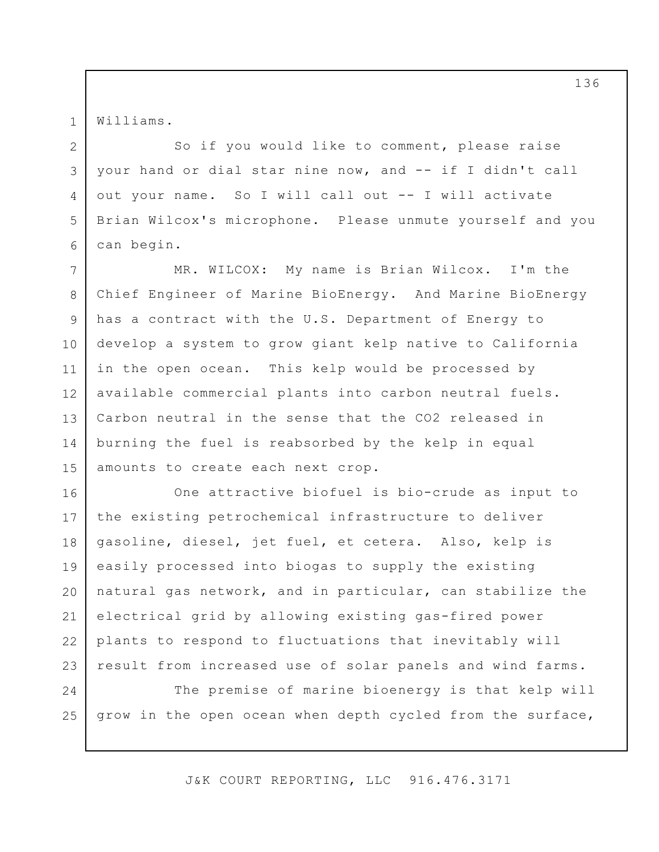Williams.

1

2

3

4

5

6

So if you would like to comment, please raise your hand or dial star nine now, and -- if I didn't call out your name. So I will call out -- I will activate Brian Wilcox's microphone. Please unmute yourself and you can begin.

7 8 9 10 11 12 13 14 15 MR. WILCOX: My name is Brian Wilcox. I'm the Chief Engineer of Marine BioEnergy. And Marine BioEnergy has a contract with the U.S. Department of Energy to develop a system to grow giant kelp native to California in the open ocean. This kelp would be processed by available commercial plants into carbon neutral fuels. Carbon neutral in the sense that the CO2 released in burning the fuel is reabsorbed by the kelp in equal amounts to create each next crop.

16 17 18 19 20 21 22 23 One attractive biofuel is bio-crude as input to the existing petrochemical infrastructure to deliver gasoline, diesel, jet fuel, et cetera. Also, kelp is easily processed into biogas to supply the existing natural gas network, and in particular, can stabilize the electrical grid by allowing existing gas-fired power plants to respond to fluctuations that inevitably will result from increased use of solar panels and wind farms.

24 25 The premise of marine bioenergy is that kelp will grow in the open ocean when depth cycled from the surface,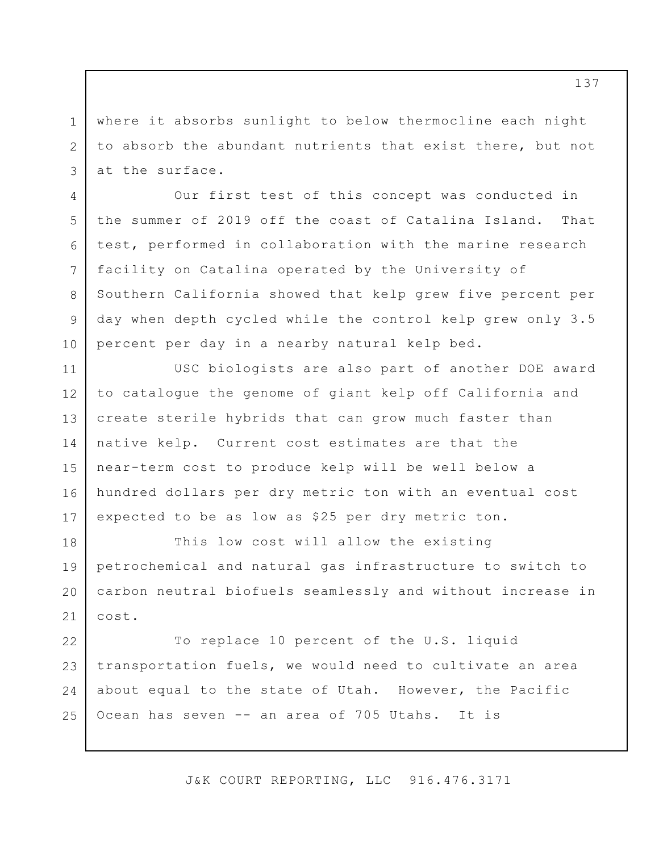where it absorbs sunlight to below thermocline each night to absorb the abundant nutrients that exist there, but not at the surface.

1

2

3

4

5

6

7

8

9

10

Our first test of this concept was conducted in the summer of 2019 off the coast of Catalina Island. That test, performed in collaboration with the marine research facility on Catalina operated by the University of Southern California showed that kelp grew five percent per day when depth cycled while the control kelp grew only 3.5 percent per day in a nearby natural kelp bed.

11 12 13 14 15 16 17 USC biologists are also part of another DOE award to catalogue the genome of giant kelp off California and create sterile hybrids that can grow much faster than native kelp. Current cost estimates are that the near-term cost to produce kelp will be well below a hundred dollars per dry metric ton with an eventual cost expected to be as low as \$25 per dry metric ton.

18 19 20 21 This low cost will allow the existing petrochemical and natural gas infrastructure to switch to carbon neutral biofuels seamlessly and without increase in cost.

22 23 24 25 To replace 10 percent of the U.S. liquid transportation fuels, we would need to cultivate an area about equal to the state of Utah. However, the Pacific Ocean has seven -- an area of 705 Utahs. It is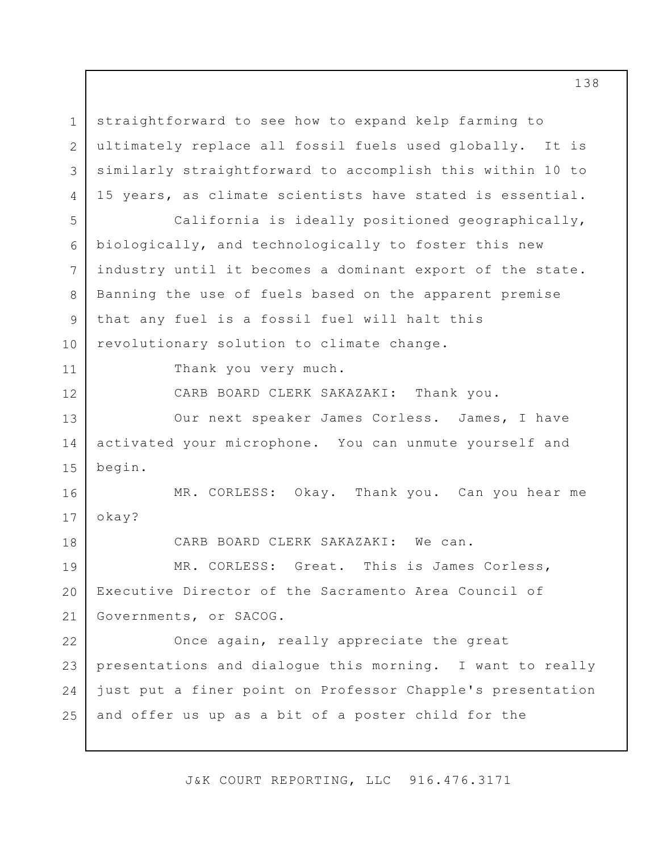1 2 3 4 5 6 7 8 9 10 11 12 13 14 15 16 17 18 19 20 21 22 23 24 25 straightforward to see how to expand kelp farming to ultimately replace all fossil fuels used globally. It is similarly straightforward to accomplish this within 10 to 15 years, as climate scientists have stated is essential. California is ideally positioned geographically, biologically, and technologically to foster this new industry until it becomes a dominant export of the state. Banning the use of fuels based on the apparent premise that any fuel is a fossil fuel will halt this revolutionary solution to climate change. Thank you very much. CARB BOARD CLERK SAKAZAKI: Thank you. Our next speaker James Corless. James, I have activated your microphone. You can unmute yourself and begin. MR. CORLESS: Okay. Thank you. Can you hear me okay? CARB BOARD CLERK SAKAZAKI: We can. MR. CORLESS: Great. This is James Corless, Executive Director of the Sacramento Area Council of Governments, or SACOG. Once again, really appreciate the great presentations and dialogue this morning. I want to really just put a finer point on Professor Chapple's presentation and offer us up as a bit of a poster child for the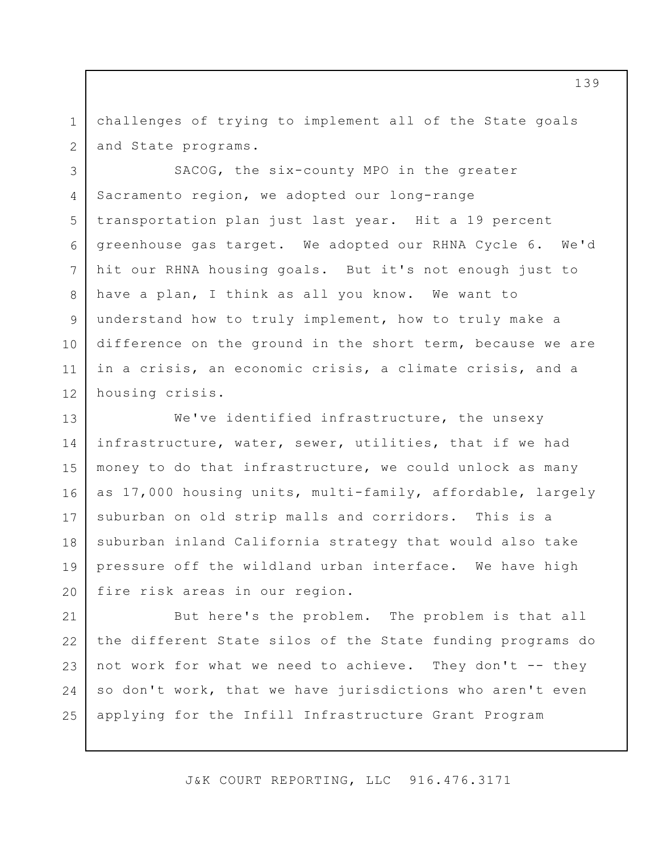1 2 challenges of trying to implement all of the State goals and State programs.

3

4

5

6

7

8

9

10

11

12

SACOG, the six-county MPO in the greater Sacramento region, we adopted our long-range transportation plan just last year. Hit a 19 percent greenhouse gas target. We adopted our RHNA Cycle 6. We'd hit our RHNA housing goals. But it's not enough just to have a plan, I think as all you know. We want to understand how to truly implement, how to truly make a difference on the ground in the short term, because we are in a crisis, an economic crisis, a climate crisis, and a housing crisis.

13 14 15 16 17 18 19 20 We've identified infrastructure, the unsexy infrastructure, water, sewer, utilities, that if we had money to do that infrastructure, we could unlock as many as 17,000 housing units, multi-family, affordable, largely suburban on old strip malls and corridors. This is a suburban inland California strategy that would also take pressure off the wildland urban interface. We have high fire risk areas in our region.

21 22 23 24 25 But here's the problem. The problem is that all the different State silos of the State funding programs do not work for what we need to achieve. They don't -- they so don't work, that we have jurisdictions who aren't even applying for the Infill Infrastructure Grant Program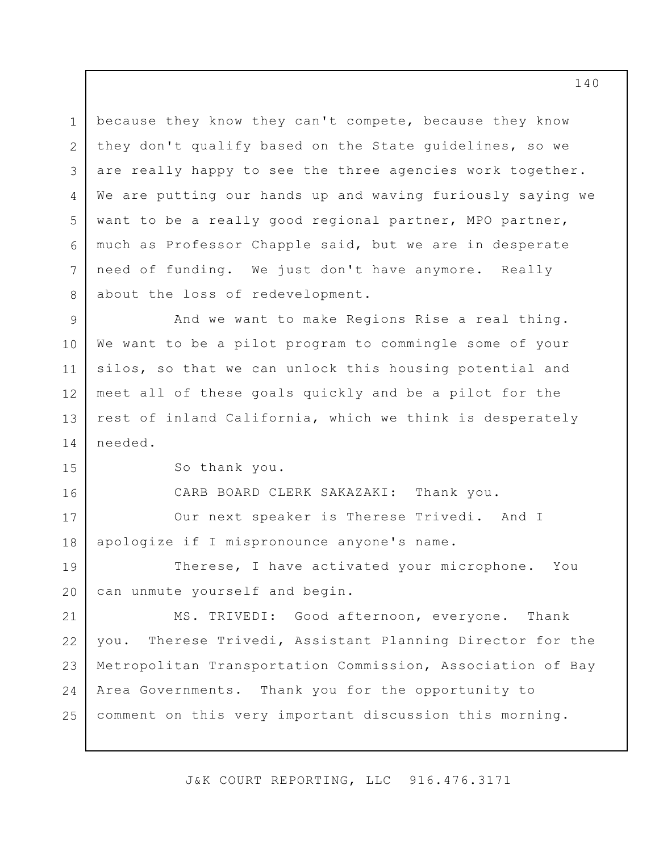1 2 3 4 5 6 7 8 9 because they know they can't compete, because they know they don't qualify based on the State guidelines, so we are really happy to see the three agencies work together. We are putting our hands up and waving furiously saying we want to be a really good regional partner, MPO partner, much as Professor Chapple said, but we are in desperate need of funding. We just don't have anymore. Really about the loss of redevelopment. And we want to make Regions Rise a real thing.

10 11 12 13 14 We want to be a pilot program to commingle some of your silos, so that we can unlock this housing potential and meet all of these goals quickly and be a pilot for the rest of inland California, which we think is desperately needed.

15

16

So thank you.

CARB BOARD CLERK SAKAZAKI: Thank you.

17 18 Our next speaker is Therese Trivedi. And I apologize if I mispronounce anyone's name.

19 20 Therese, I have activated your microphone. You can unmute yourself and begin.

21 22 23 24 25 MS. TRIVEDI: Good afternoon, everyone. Thank you. Therese Trivedi, Assistant Planning Director for the Metropolitan Transportation Commission, Association of Bay Area Governments. Thank you for the opportunity to comment on this very important discussion this morning.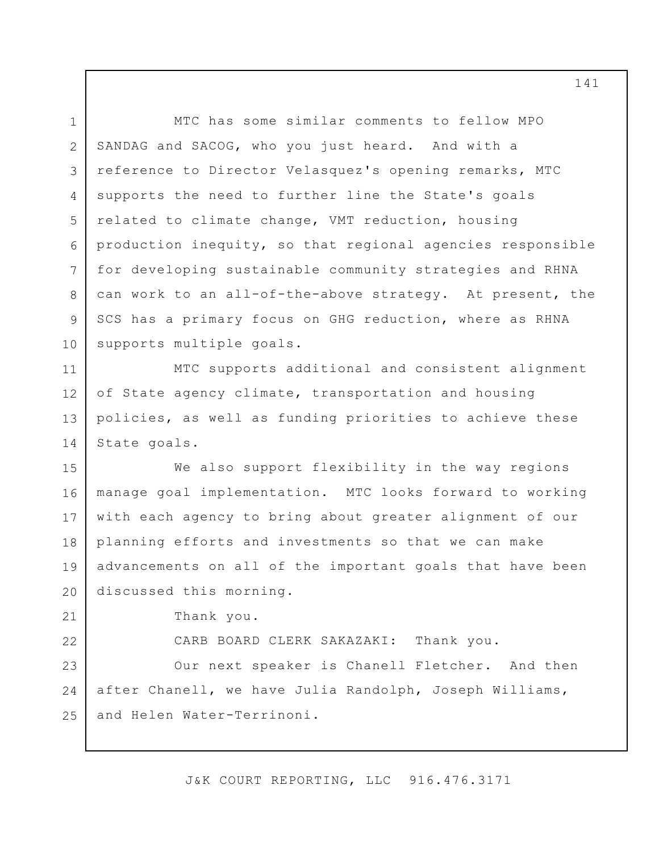1 2 3 4 5 6 7 8 9 10 MTC has some similar comments to fellow MPO SANDAG and SACOG, who you just heard. And with a reference to Director Velasquez's opening remarks, MTC supports the need to further line the State's goals related to climate change, VMT reduction, housing production inequity, so that regional agencies responsible for developing sustainable community strategies and RHNA can work to an all-of-the-above strategy. At present, the SCS has a primary focus on GHG reduction, where as RHNA supports multiple goals.

11 12 13 14 MTC supports additional and consistent alignment of State agency climate, transportation and housing policies, as well as funding priorities to achieve these State goals.

15 16 17 18 19 20 We also support flexibility in the way regions manage goal implementation. MTC looks forward to working with each agency to bring about greater alignment of our planning efforts and investments so that we can make advancements on all of the important goals that have been discussed this morning.

Thank you.

21

22

CARB BOARD CLERK SAKAZAKI: Thank you.

23 24 25 Our next speaker is Chanell Fletcher. And then after Chanell, we have Julia Randolph, Joseph Williams, and Helen Water-Terrinoni.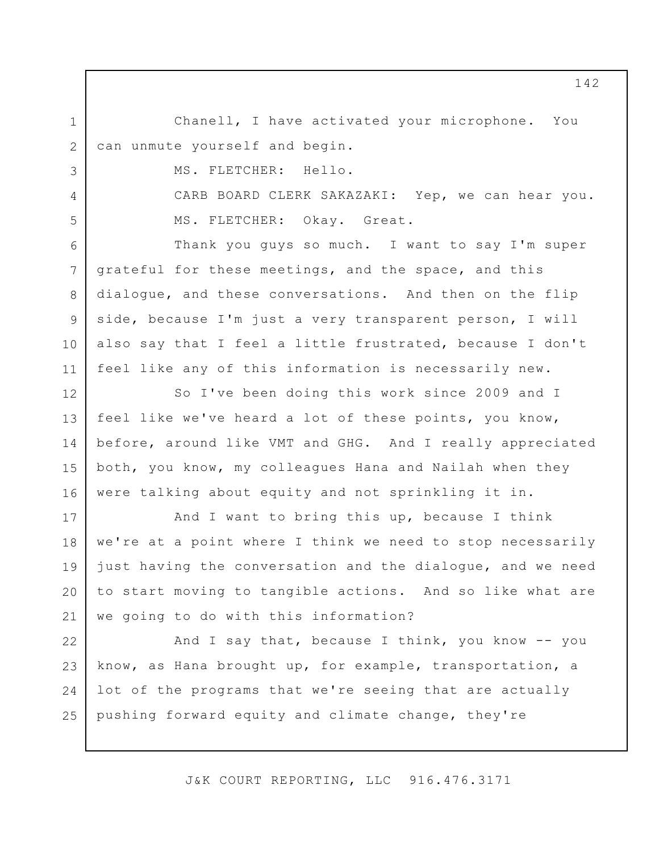Chanell, I have activated your microphone. You can unmute yourself and begin.

MS. FLETCHER: Hello.

1

2

3

4

5

CARB BOARD CLERK SAKAZAKI: Yep, we can hear you. MS. FLETCHER: Okay. Great.

6 7 8 9 10 11 Thank you guys so much. I want to say I'm super grateful for these meetings, and the space, and this dialogue, and these conversations. And then on the flip side, because I'm just a very transparent person, I will also say that I feel a little frustrated, because I don't feel like any of this information is necessarily new.

12 13 14 15 16 So I've been doing this work since 2009 and I feel like we've heard a lot of these points, you know, before, around like VMT and GHG. And I really appreciated both, you know, my colleagues Hana and Nailah when they were talking about equity and not sprinkling it in.

17 18 19 20 21 And I want to bring this up, because I think we're at a point where I think we need to stop necessarily just having the conversation and the dialogue, and we need to start moving to tangible actions. And so like what are we going to do with this information?

22 23 24 25 And I say that, because I think, you know -- you know, as Hana brought up, for example, transportation, a lot of the programs that we're seeing that are actually pushing forward equity and climate change, they're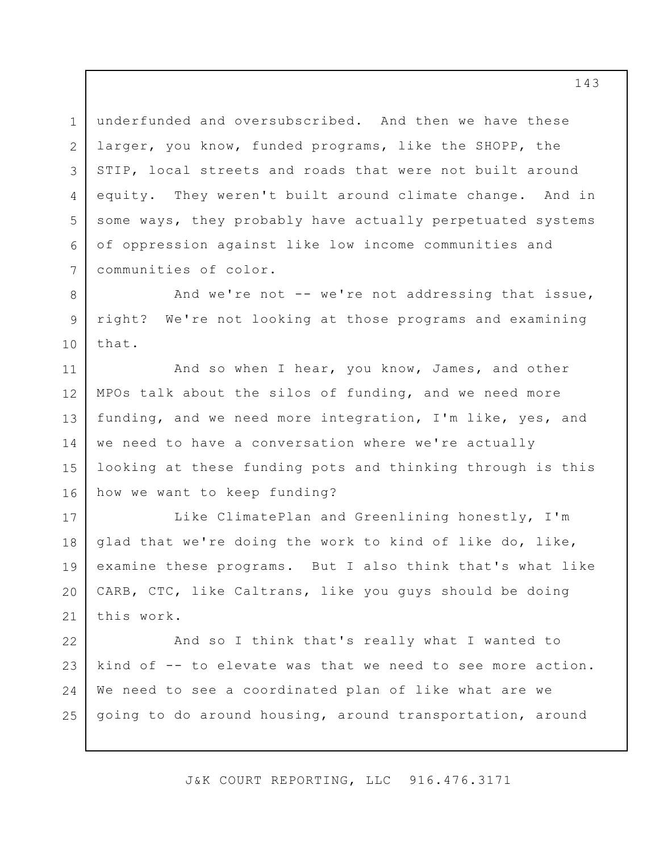1 2 3 4 5 6 7 underfunded and oversubscribed. And then we have these larger, you know, funded programs, like the SHOPP, the STIP, local streets and roads that were not built around equity. They weren't built around climate change. And in some ways, they probably have actually perpetuated systems of oppression against like low income communities and communities of color.

8 9 10 And we're not -- we're not addressing that issue, right? We're not looking at those programs and examining that.

11 12 13 14 15 16 And so when I hear, you know, James, and other MPOs talk about the silos of funding, and we need more funding, and we need more integration, I'm like, yes, and we need to have a conversation where we're actually looking at these funding pots and thinking through is this how we want to keep funding?

17 18 19 20 21 Like ClimatePlan and Greenlining honestly, I'm glad that we're doing the work to kind of like do, like, examine these programs. But I also think that's what like CARB, CTC, like Caltrans, like you guys should be doing this work.

22 23 24 25 And so I think that's really what I wanted to kind of -- to elevate was that we need to see more action. We need to see a coordinated plan of like what are we going to do around housing, around transportation, around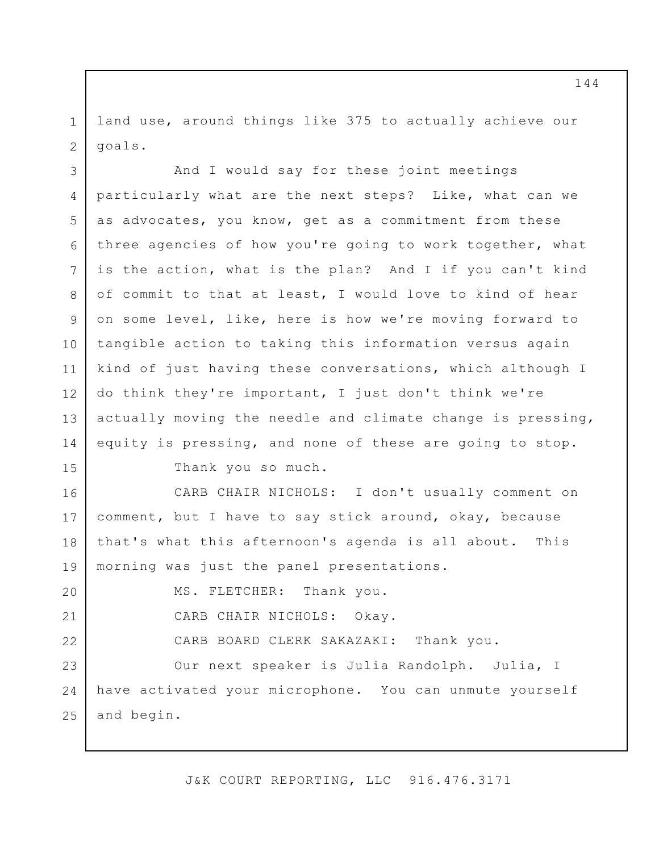1 2 land use, around things like 375 to actually achieve our goals.

3 4 5 6 7 8 9 10 11 12 13 14 And I would say for these joint meetings particularly what are the next steps? Like, what can we as advocates, you know, get as a commitment from these three agencies of how you're going to work together, what is the action, what is the plan? And I if you can't kind of commit to that at least, I would love to kind of hear on some level, like, here is how we're moving forward to tangible action to taking this information versus again kind of just having these conversations, which although I do think they're important, I just don't think we're actually moving the needle and climate change is pressing, equity is pressing, and none of these are going to stop.

15

Thank you so much.

16 17 18 19 CARB CHAIR NICHOLS: I don't usually comment on comment, but I have to say stick around, okay, because that's what this afternoon's agenda is all about. This morning was just the panel presentations.

20 21 22 23 24 25 MS. FLETCHER: Thank you. CARB CHAIR NICHOLS: Okay. CARB BOARD CLERK SAKAZAKI: Thank you. Our next speaker is Julia Randolph. Julia, I have activated your microphone. You can unmute yourself and begin.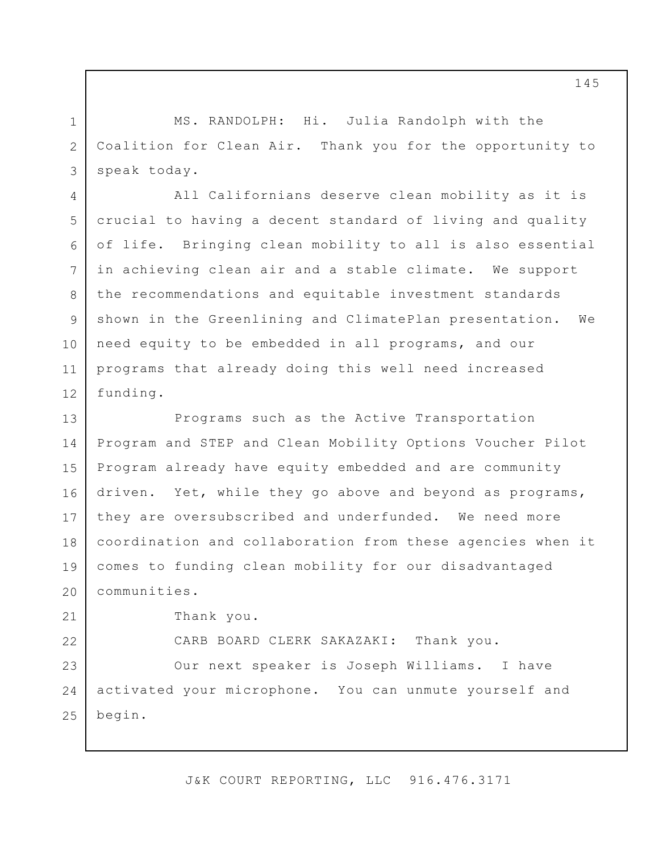MS. RANDOLPH: Hi. Julia Randolph with the Coalition for Clean Air. Thank you for the opportunity to speak today.

All Californians deserve clean mobility as it is crucial to having a decent standard of living and quality of life. Bringing clean mobility to all is also essential in achieving clean air and a stable climate. We support the recommendations and equitable investment standards shown in the Greenlining and ClimatePlan presentation. We need equity to be embedded in all programs, and our programs that already doing this well need increased funding.

13 14 15 16 17 18 19 20 Programs such as the Active Transportation Program and STEP and Clean Mobility Options Voucher Pilot Program already have equity embedded and are community driven. Yet, while they go above and beyond as programs, they are oversubscribed and underfunded. We need more coordination and collaboration from these agencies when it comes to funding clean mobility for our disadvantaged communities.

Thank you.

1

2

3

4

5

6

7

8

9

10

11

12

21

22

CARB BOARD CLERK SAKAZAKI: Thank you.

23 24 25 Our next speaker is Joseph Williams. I have activated your microphone. You can unmute yourself and begin.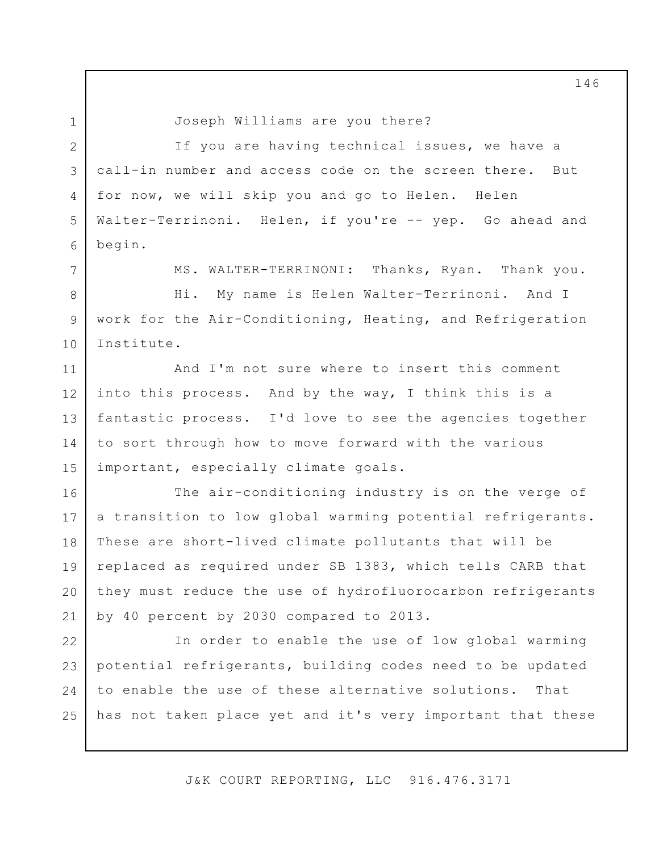Joseph Williams are you there?

2 3 4 5 6 If you are having technical issues, we have a call-in number and access code on the screen there. But for now, we will skip you and go to Helen. Helen Walter-Terrinoni. Helen, if you're -- yep. Go ahead and begin.

7

8

9

10

1

MS. WALTER-TERRINONI: Thanks, Ryan. Thank you.

Hi. My name is Helen Walter-Terrinoni. And I work for the Air-Conditioning, Heating, and Refrigeration Institute.

11 12 13 14 15 And I'm not sure where to insert this comment into this process. And by the way, I think this is a fantastic process. I'd love to see the agencies together to sort through how to move forward with the various important, especially climate goals.

16 17 18 19 20 21 The air-conditioning industry is on the verge of a transition to low global warming potential refrigerants. These are short-lived climate pollutants that will be replaced as required under SB 1383, which tells CARB that they must reduce the use of hydrofluorocarbon refrigerants by 40 percent by 2030 compared to 2013.

22 23 24 25 In order to enable the use of low global warming potential refrigerants, building codes need to be updated to enable the use of these alternative solutions. That has not taken place yet and it's very important that these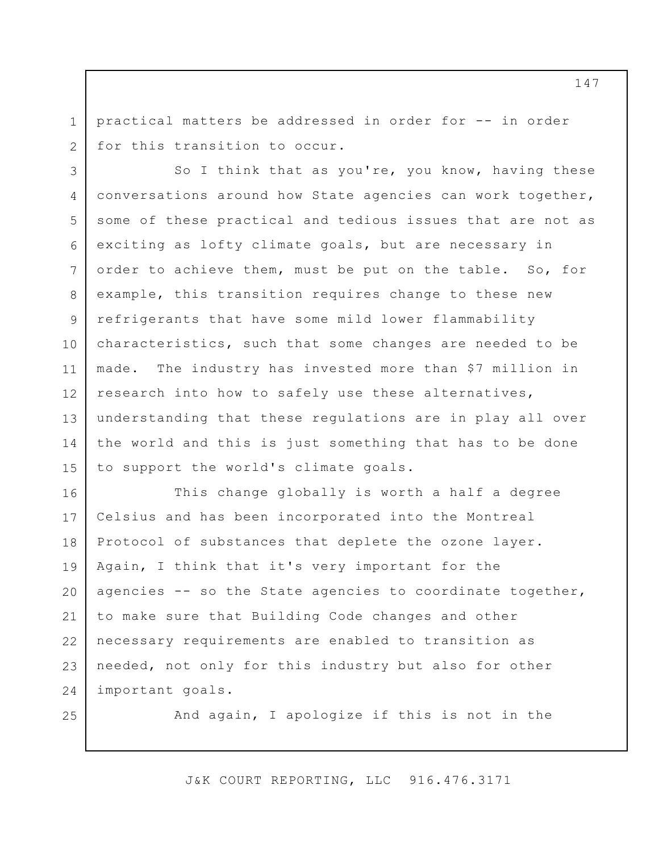1 2 practical matters be addressed in order for -- in order for this transition to occur.

3 4 5 6 7 8 9 10 11 12 13 14 15 So I think that as you're, you know, having these conversations around how State agencies can work together, some of these practical and tedious issues that are not as exciting as lofty climate goals, but are necessary in order to achieve them, must be put on the table. So, for example, this transition requires change to these new refrigerants that have some mild lower flammability characteristics, such that some changes are needed to be made. The industry has invested more than \$7 million in research into how to safely use these alternatives, understanding that these regulations are in play all over the world and this is just something that has to be done to support the world's climate goals.

16 17 18 19 20 21 22 23 24 This change globally is worth a half a degree Celsius and has been incorporated into the Montreal Protocol of substances that deplete the ozone layer. Again, I think that it's very important for the agencies -- so the State agencies to coordinate together, to make sure that Building Code changes and other necessary requirements are enabled to transition as needed, not only for this industry but also for other important goals.

25

And again, I apologize if this is not in the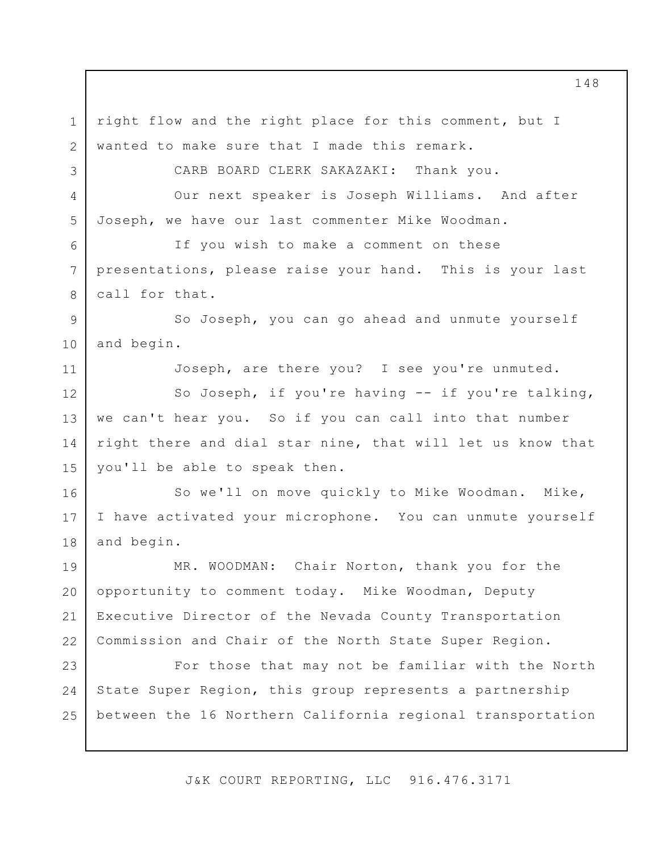1 2 3 4 5 6 7 8 9 10 11 12 13 14 15 16 17 18 19 20 21 22 23 24 25 right flow and the right place for this comment, but I wanted to make sure that I made this remark. CARB BOARD CLERK SAKAZAKI: Thank you. Our next speaker is Joseph Williams. And after Joseph, we have our last commenter Mike Woodman. If you wish to make a comment on these presentations, please raise your hand. This is your last call for that. So Joseph, you can go ahead and unmute yourself and begin. Joseph, are there you? I see you're unmuted. So Joseph, if you're having -- if you're talking, we can't hear you. So if you can call into that number right there and dial star nine, that will let us know that you'll be able to speak then. So we'll on move quickly to Mike Woodman. Mike, I have activated your microphone. You can unmute yourself and begin. MR. WOODMAN: Chair Norton, thank you for the opportunity to comment today. Mike Woodman, Deputy Executive Director of the Nevada County Transportation Commission and Chair of the North State Super Region. For those that may not be familiar with the North State Super Region, this group represents a partnership between the 16 Northern California regional transportation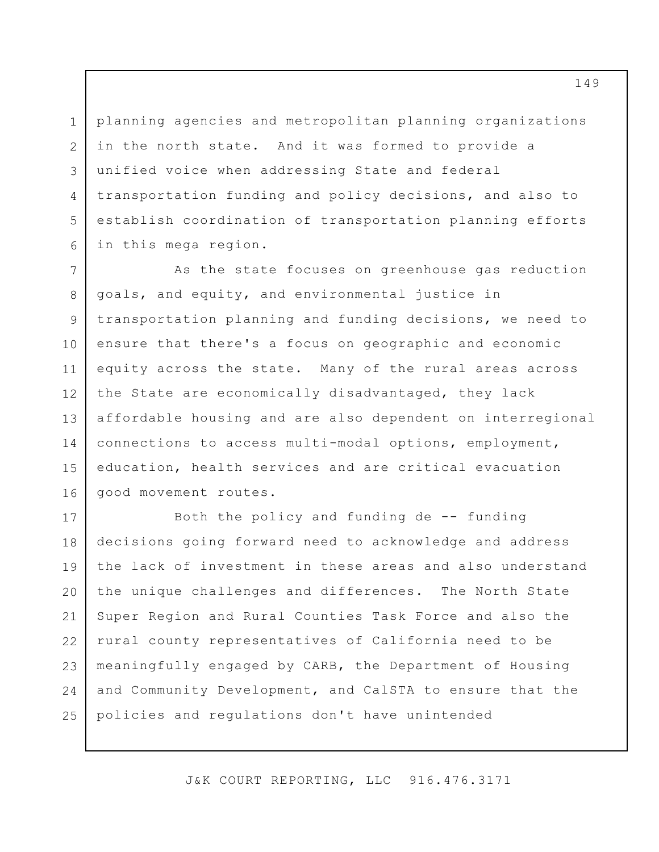1 2 3 4 5 6 planning agencies and metropolitan planning organizations in the north state. And it was formed to provide a unified voice when addressing State and federal transportation funding and policy decisions, and also to establish coordination of transportation planning efforts in this mega region.

7 8 9 10 11 12 13 14 15 16 As the state focuses on greenhouse gas reduction goals, and equity, and environmental justice in transportation planning and funding decisions, we need to ensure that there's a focus on geographic and economic equity across the state. Many of the rural areas across the State are economically disadvantaged, they lack affordable housing and are also dependent on interregional connections to access multi-modal options, employment, education, health services and are critical evacuation good movement routes.

17 18 19 20 21 22 23 24 25 Both the policy and funding de  $-$ - funding decisions going forward need to acknowledge and address the lack of investment in these areas and also understand the unique challenges and differences. The North State Super Region and Rural Counties Task Force and also the rural county representatives of California need to be meaningfully engaged by CARB, the Department of Housing and Community Development, and CalSTA to ensure that the policies and regulations don't have unintended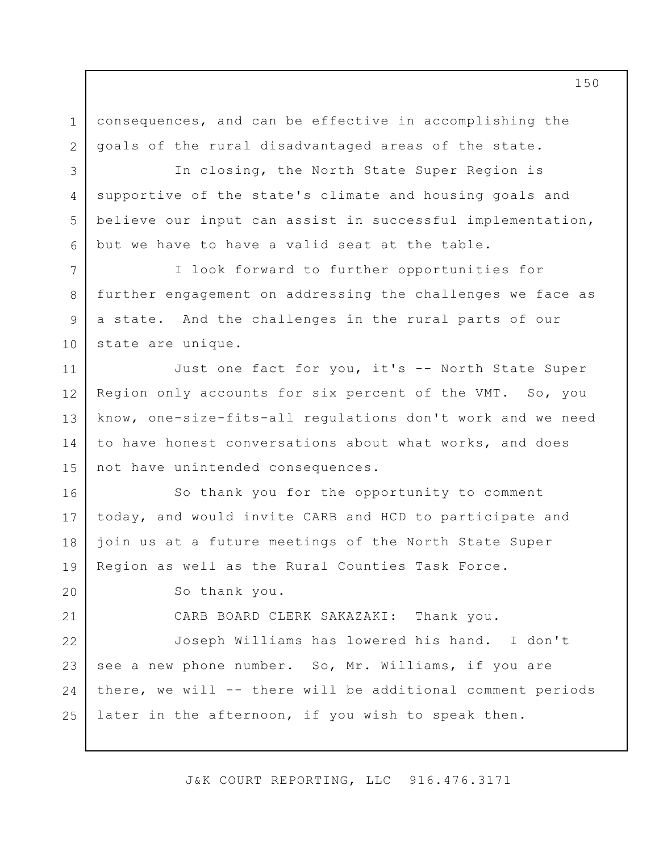consequences, and can be effective in accomplishing the goals of the rural disadvantaged areas of the state.

In closing, the North State Super Region is supportive of the state's climate and housing goals and believe our input can assist in successful implementation, but we have to have a valid seat at the table.

I look forward to further opportunities for further engagement on addressing the challenges we face as a state. And the challenges in the rural parts of our state are unique.

11 12 13 14 15 Just one fact for you, it's -- North State Super Region only accounts for six percent of the VMT. So, you know, one-size-fits-all regulations don't work and we need to have honest conversations about what works, and does not have unintended consequences.

16 17 18 19 So thank you for the opportunity to comment today, and would invite CARB and HCD to participate and join us at a future meetings of the North State Super Region as well as the Rural Counties Task Force.

So thank you.

1

2

3

4

5

6

7

8

9

10

20

21

CARB BOARD CLERK SAKAZAKI: Thank you.

22 23 24 25 Joseph Williams has lowered his hand. I don't see a new phone number. So, Mr. Williams, if you are there, we will -- there will be additional comment periods later in the afternoon, if you wish to speak then.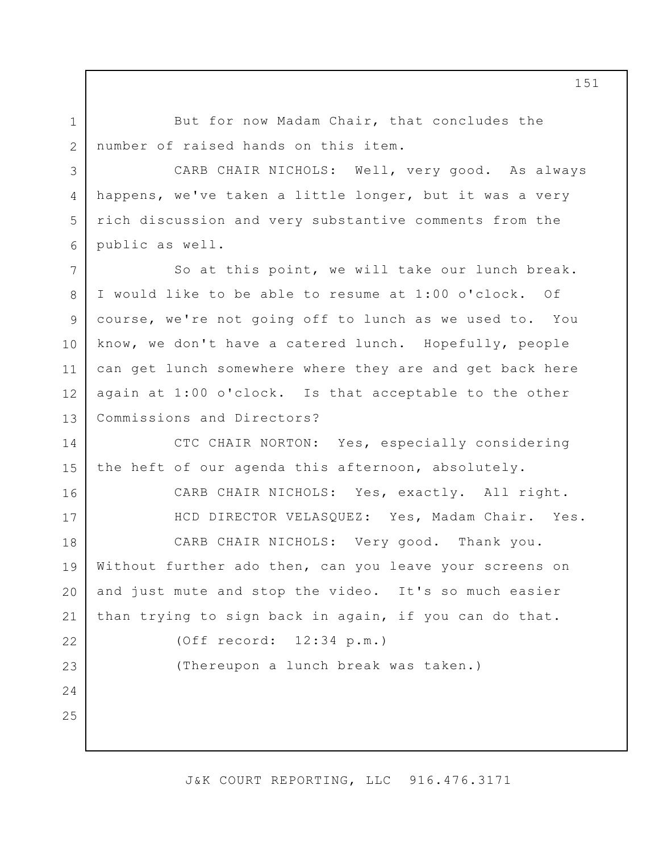But for now Madam Chair, that concludes the number of raised hands on this item.

CARB CHAIR NICHOLS: Well, very good. As always happens, we've taken a little longer, but it was a very rich discussion and very substantive comments from the public as well.

7 8 9 10 11 12 13 So at this point, we will take our lunch break. I would like to be able to resume at 1:00 o'clock. Of course, we're not going off to lunch as we used to. You know, we don't have a catered lunch. Hopefully, people can get lunch somewhere where they are and get back here again at 1:00 o'clock. Is that acceptable to the other Commissions and Directors?

14 15 CTC CHAIR NORTON: Yes, especially considering the heft of our agenda this afternoon, absolutely.

16 17

18

19

22

23

24

25

1

2

3

4

5

6

CARB CHAIR NICHOLS: Yes, exactly. All right. HCD DIRECTOR VELASQUEZ: Yes, Madam Chair. Yes. CARB CHAIR NICHOLS: Very good. Thank you. Without further ado then, can you leave your screens on

20 21 and just mute and stop the video. It's so much easier than trying to sign back in again, if you can do that.

(Off record: 12:34 p.m.)

(Thereupon a lunch break was taken.)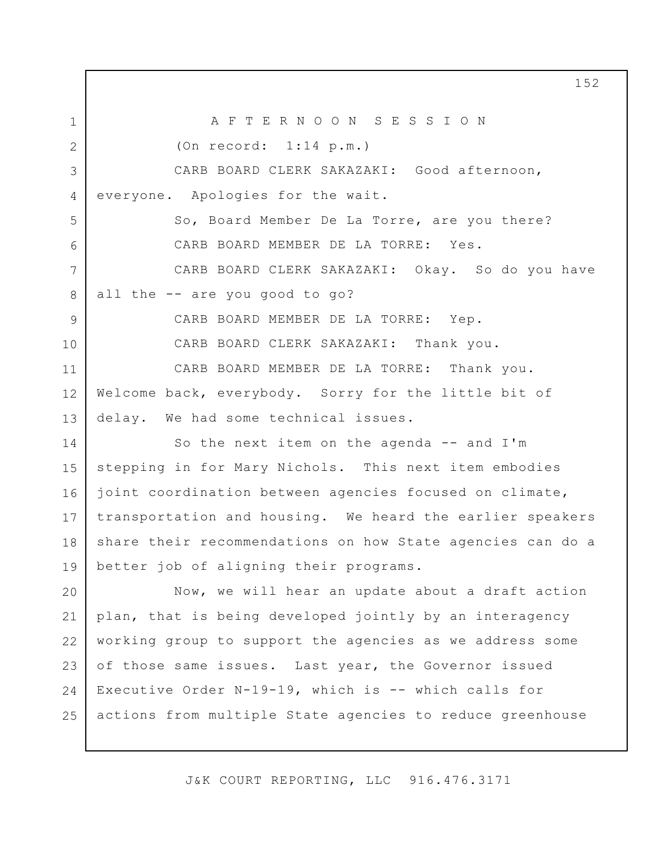1 2 3 4 5 6 7 8 9 10 11 12 13 14 15 16 17 18 19 20 21 22 23 24 25 A F T E R N O O N S E S S I O N (On record: 1:14 p.m.) CARB BOARD CLERK SAKAZAKI: Good afternoon, everyone. Apologies for the wait. So, Board Member De La Torre, are you there? CARB BOARD MEMBER DE LA TORRE: Yes. CARB BOARD CLERK SAKAZAKI: Okay. So do you have all the -- are you good to go? CARB BOARD MEMBER DE LA TORRE: Yep. CARB BOARD CLERK SAKAZAKI: Thank you. CARB BOARD MEMBER DE LA TORRE: Thank you. Welcome back, everybody. Sorry for the little bit of delay. We had some technical issues. So the next item on the agenda -- and I'm stepping in for Mary Nichols. This next item embodies joint coordination between agencies focused on climate, transportation and housing. We heard the earlier speakers share their recommendations on how State agencies can do a better job of aligning their programs. Now, we will hear an update about a draft action plan, that is being developed jointly by an interagency working group to support the agencies as we address some of those same issues. Last year, the Governor issued Executive Order N-19-19, which is -- which calls for actions from multiple State agencies to reduce greenhouse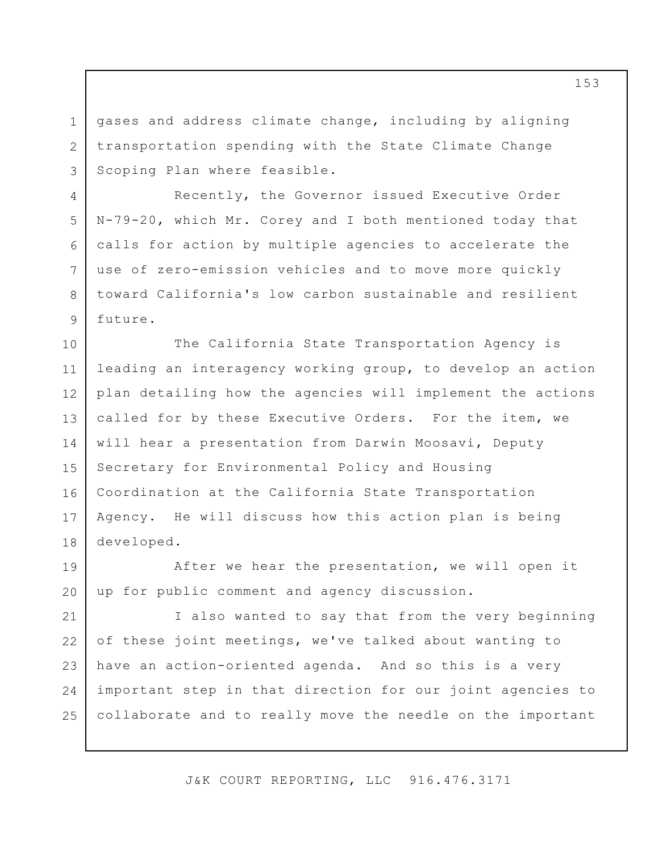gases and address climate change, including by aligning transportation spending with the State Climate Change Scoping Plan where feasible.

1

2

3

4

5

6

7

8

9

Recently, the Governor issued Executive Order N-79-20, which Mr. Corey and I both mentioned today that calls for action by multiple agencies to accelerate the use of zero-emission vehicles and to move more quickly toward California's low carbon sustainable and resilient future.

10 11 12 13 14 15 16 17 18 The California State Transportation Agency is leading an interagency working group, to develop an action plan detailing how the agencies will implement the actions called for by these Executive Orders. For the item, we will hear a presentation from Darwin Moosavi, Deputy Secretary for Environmental Policy and Housing Coordination at the California State Transportation Agency. He will discuss how this action plan is being developed.

19 20 After we hear the presentation, we will open it up for public comment and agency discussion.

21 22 23 24 25 I also wanted to say that from the very beginning of these joint meetings, we've talked about wanting to have an action-oriented agenda. And so this is a very important step in that direction for our joint agencies to collaborate and to really move the needle on the important

J&K COURT REPORTING, LLC 916.476.3171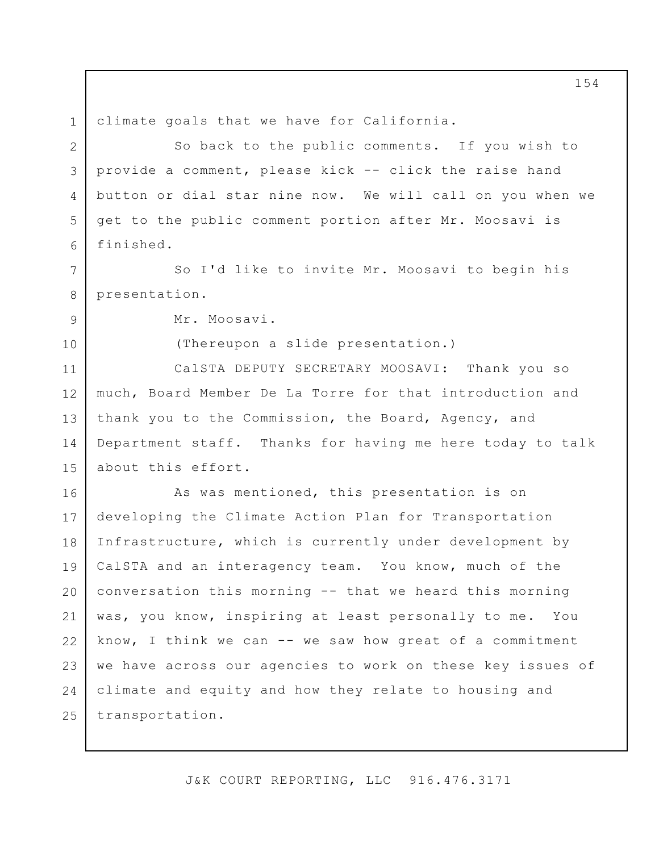1 2 3 4 5 6 7 8 9 10 11 12 13 14 15 16 17 18 19 20 21 22 23 24 25 climate goals that we have for California. So back to the public comments. If you wish to provide a comment, please kick -- click the raise hand button or dial star nine now. We will call on you when we get to the public comment portion after Mr. Moosavi is finished. So I'd like to invite Mr. Moosavi to begin his presentation. Mr. Moosavi. (Thereupon a slide presentation.) CalSTA DEPUTY SECRETARY MOOSAVI: Thank you so much, Board Member De La Torre for that introduction and thank you to the Commission, the Board, Agency, and Department staff. Thanks for having me here today to talk about this effort. As was mentioned, this presentation is on developing the Climate Action Plan for Transportation Infrastructure, which is currently under development by CalSTA and an interagency team. You know, much of the conversation this morning -- that we heard this morning was, you know, inspiring at least personally to me. You know, I think we can -- we saw how great of a commitment we have across our agencies to work on these key issues of climate and equity and how they relate to housing and transportation.

J&K COURT REPORTING, LLC 916.476.3171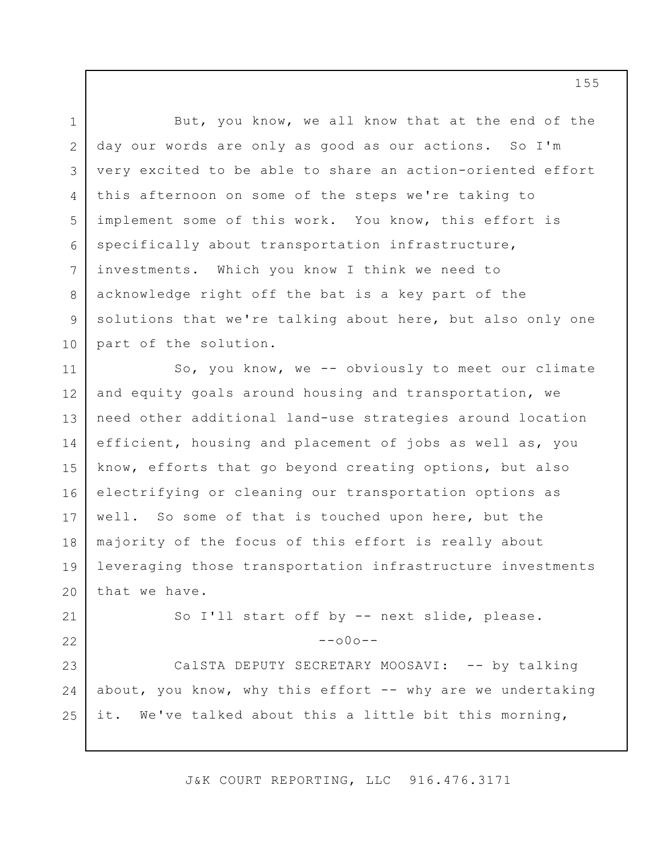1 2 3 4 5 6 7 8 9 10 11 12 13 14 15 16 17 18 19 20 21 22 23 24 25 But, you know, we all know that at the end of the day our words are only as good as our actions. So I'm very excited to be able to share an action-oriented effort this afternoon on some of the steps we're taking to implement some of this work. You know, this effort is specifically about transportation infrastructure, investments. Which you know I think we need to acknowledge right off the bat is a key part of the solutions that we're talking about here, but also only one part of the solution. So, you know, we -- obviously to meet our climate and equity goals around housing and transportation, we need other additional land-use strategies around location efficient, housing and placement of jobs as well as, you know, efforts that go beyond creating options, but also electrifying or cleaning our transportation options as well. So some of that is touched upon here, but the majority of the focus of this effort is really about leveraging those transportation infrastructure investments that we have. So I'll start off by -- next slide, please.  $--000--$ CalSTA DEPUTY SECRETARY MOOSAVI: -- by talking about, you know, why this effort  $--$  why are we undertaking it. We've talked about this a little bit this morning,

J&K COURT REPORTING, LLC 916.476.3171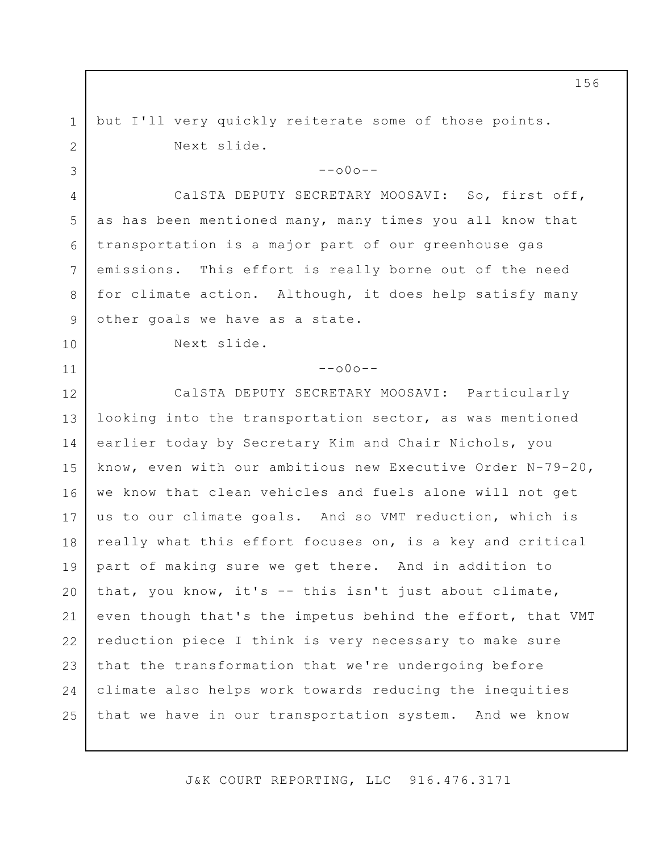but I'll very quickly reiterate some of those points. Next slide.

 $--000--$ 

CalSTA DEPUTY SECRETARY MOOSAVI: So, first off, as has been mentioned many, many times you all know that transportation is a major part of our greenhouse gas emissions. This effort is really borne out of the need for climate action. Although, it does help satisfy many other goals we have as a state.

Next slide.

1

2

3

4

5

6

7

8

9

10

11

 $--000--$ 

12 13 14 15 16 17 18 19 20 21 22 23  $24$ 25 CalSTA DEPUTY SECRETARY MOOSAVI: Particularly looking into the transportation sector, as was mentioned earlier today by Secretary Kim and Chair Nichols, you know, even with our ambitious new Executive Order N-79-20, we know that clean vehicles and fuels alone will not get us to our climate goals. And so VMT reduction, which is really what this effort focuses on, is a key and critical part of making sure we get there. And in addition to that, you know, it's -- this isn't just about climate, even though that's the impetus behind the effort, that VMT reduction piece I think is very necessary to make sure that the transformation that we're undergoing before climate also helps work towards reducing the inequities that we have in our transportation system. And we know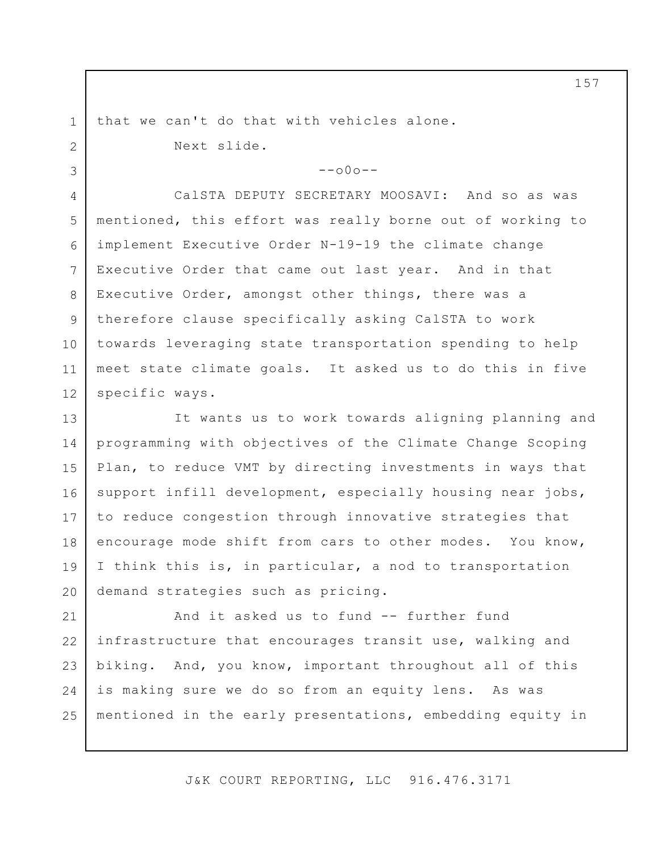1 2

3

that we can't do that with vehicles alone. Next slide.

 $--000--$ 

4 5 6 7 8 9 10 11 12 CalSTA DEPUTY SECRETARY MOOSAVI: And so as was mentioned, this effort was really borne out of working to implement Executive Order N-19-19 the climate change Executive Order that came out last year. And in that Executive Order, amongst other things, there was a therefore clause specifically asking CalSTA to work towards leveraging state transportation spending to help meet state climate goals. It asked us to do this in five specific ways.

13 14 15 16 17 18 19 20 It wants us to work towards aligning planning and programming with objectives of the Climate Change Scoping Plan, to reduce VMT by directing investments in ways that support infill development, especially housing near jobs, to reduce congestion through innovative strategies that encourage mode shift from cars to other modes. You know, I think this is, in particular, a nod to transportation demand strategies such as pricing.

21 22 23 24 25 And it asked us to fund -- further fund infrastructure that encourages transit use, walking and biking. And, you know, important throughout all of this is making sure we do so from an equity lens. As was mentioned in the early presentations, embedding equity in

J&K COURT REPORTING, LLC 916.476.3171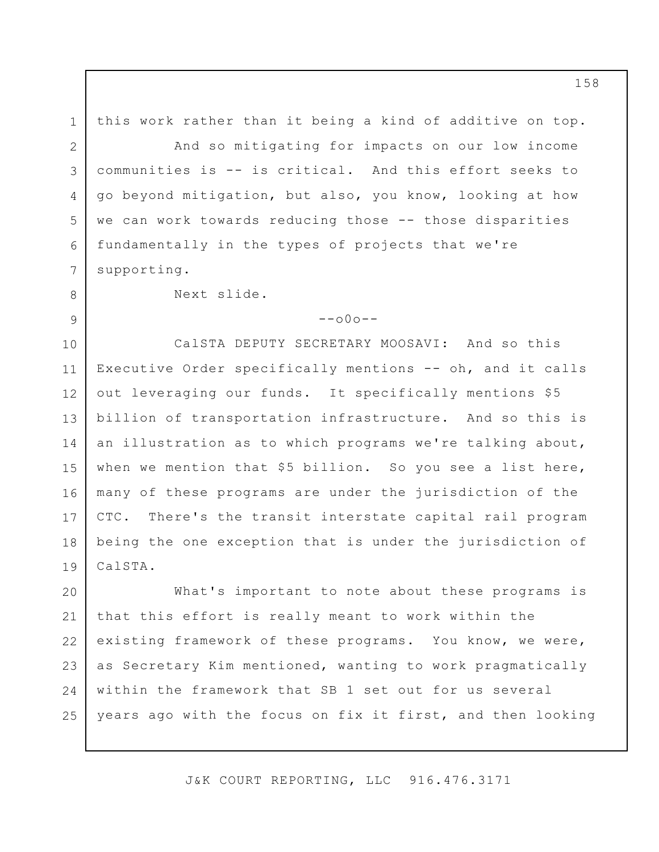1 2 3 4 5 6 7 8 9 10 11 12 13 14 15 16 17 18 19 20 21 22 this work rather than it being a kind of additive on top. And so mitigating for impacts on our low income communities is -- is critical. And this effort seeks to go beyond mitigation, but also, you know, looking at how we can work towards reducing those -- those disparities fundamentally in the types of projects that we're supporting. Next slide.  $--000--$ CalSTA DEPUTY SECRETARY MOOSAVI: And so this Executive Order specifically mentions -- oh, and it calls out leveraging our funds. It specifically mentions \$5 billion of transportation infrastructure. And so this is an illustration as to which programs we're talking about, when we mention that \$5 billion. So you see a list here, many of these programs are under the jurisdiction of the CTC. There's the transit interstate capital rail program being the one exception that is under the jurisdiction of CalSTA. What's important to note about these programs is that this effort is really meant to work within the existing framework of these programs. You know, we were,

as Secretary Kim mentioned, wanting to work pragmatically within the framework that SB 1 set out for us several years ago with the focus on fix it first, and then looking

23

24

25

J&K COURT REPORTING, LLC 916.476.3171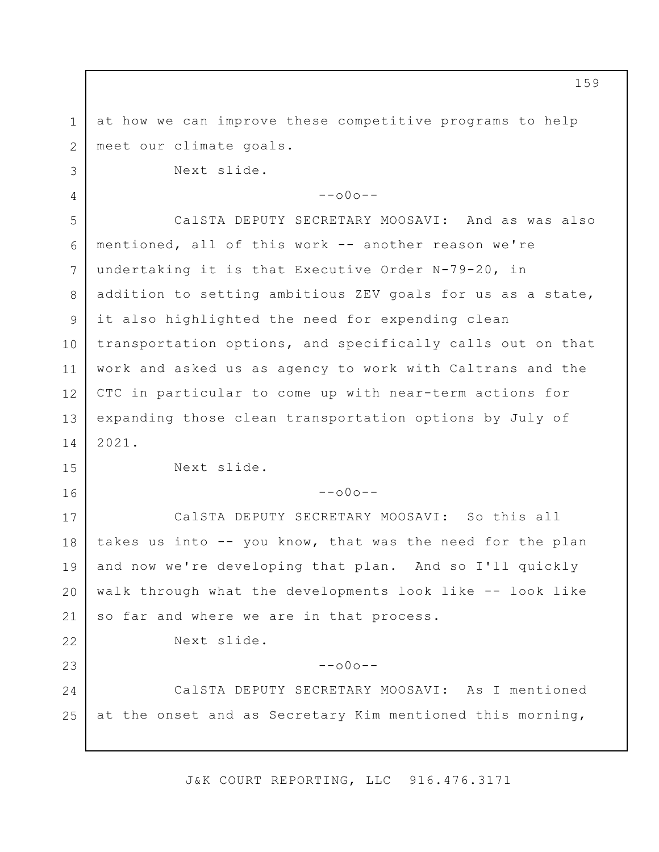1 2 3 4 5 6 7 8 9 10 11 12 13 14 15 16 17 18 19 20 21 22 23 24 25 at how we can improve these competitive programs to help meet our climate goals. Next slide.  $--000--$ CalSTA DEPUTY SECRETARY MOOSAVI: And as was also mentioned, all of this work -- another reason we're undertaking it is that Executive Order N-79-20, in addition to setting ambitious ZEV goals for us as a state, it also highlighted the need for expending clean transportation options, and specifically calls out on that work and asked us as agency to work with Caltrans and the CTC in particular to come up with near-term actions for expanding those clean transportation options by July of 2021. Next slide.  $--000--$ CalSTA DEPUTY SECRETARY MOOSAVI: So this all takes us into -- you know, that was the need for the plan and now we're developing that plan. And so I'll quickly walk through what the developments look like -- look like so far and where we are in that process. Next slide.  $--\cap 0 \cap --$ CalSTA DEPUTY SECRETARY MOOSAVI: As I mentioned at the onset and as Secretary Kim mentioned this morning,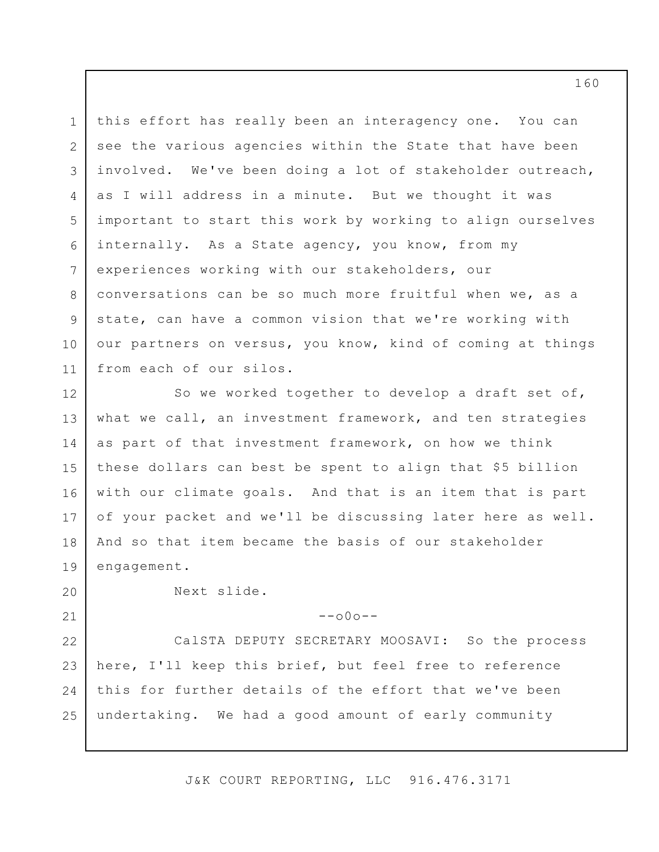1 2 3 4 5 6 7 8 9 10 11 this effort has really been an interagency one. You can see the various agencies within the State that have been involved. We've been doing a lot of stakeholder outreach, as I will address in a minute. But we thought it was important to start this work by working to align ourselves internally. As a State agency, you know, from my experiences working with our stakeholders, our conversations can be so much more fruitful when we, as a state, can have a common vision that we're working with our partners on versus, you know, kind of coming at things from each of our silos.

12 13 14 15 16 17 18 19 So we worked together to develop a draft set of, what we call, an investment framework, and ten strategies as part of that investment framework, on how we think these dollars can best be spent to align that \$5 billion with our climate goals. And that is an item that is part of your packet and we'll be discussing later here as well. And so that item became the basis of our stakeholder engagement.

20

21

Next slide.

--o0o--

22 23 24 25 CalSTA DEPUTY SECRETARY MOOSAVI: So the process here, I'll keep this brief, but feel free to reference this for further details of the effort that we've been undertaking. We had a good amount of early community

J&K COURT REPORTING, LLC 916.476.3171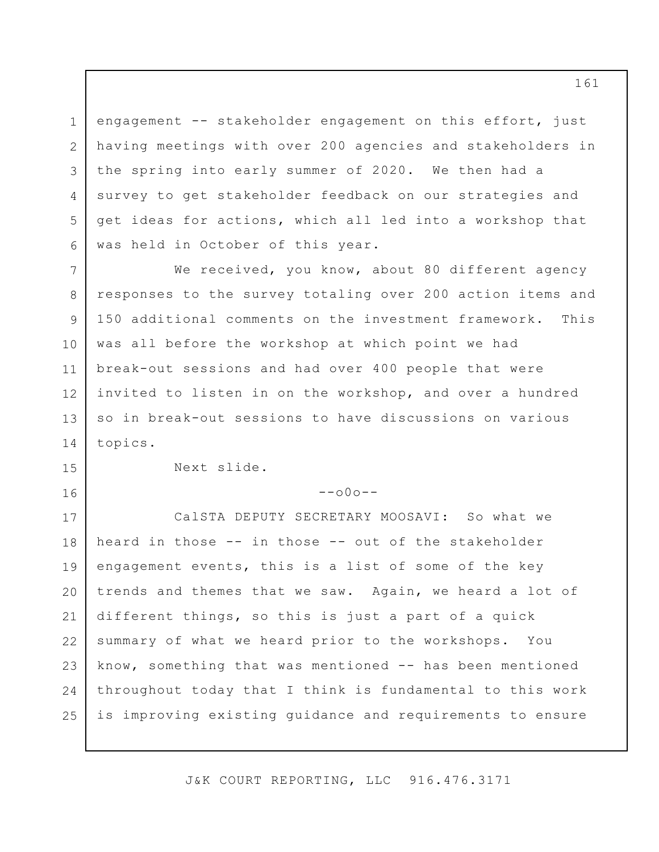1 2 3 4 5 6 engagement -- stakeholder engagement on this effort, just having meetings with over 200 agencies and stakeholders in the spring into early summer of 2020. We then had a survey to get stakeholder feedback on our strategies and get ideas for actions, which all led into a workshop that was held in October of this year.

7 12 13 We received, you know, about 80 different agency responses to the survey totaling over 200 action items and 150 additional comments on the investment framework. This was all before the workshop at which point we had break-out sessions and had over 400 people that were invited to listen in on the workshop, and over a hundred so in break-out sessions to have discussions on various topics.

8

9

10

11

14

15

16

 $--000--$ 

Next slide.

17 18 19 20 21 22 23 24 25 CalSTA DEPUTY SECRETARY MOOSAVI: So what we heard in those -- in those -- out of the stakeholder engagement events, this is a list of some of the key trends and themes that we saw. Again, we heard a lot of different things, so this is just a part of a quick summary of what we heard prior to the workshops. You know, something that was mentioned -- has been mentioned throughout today that I think is fundamental to this work is improving existing guidance and requirements to ensure

J&K COURT REPORTING, LLC 916.476.3171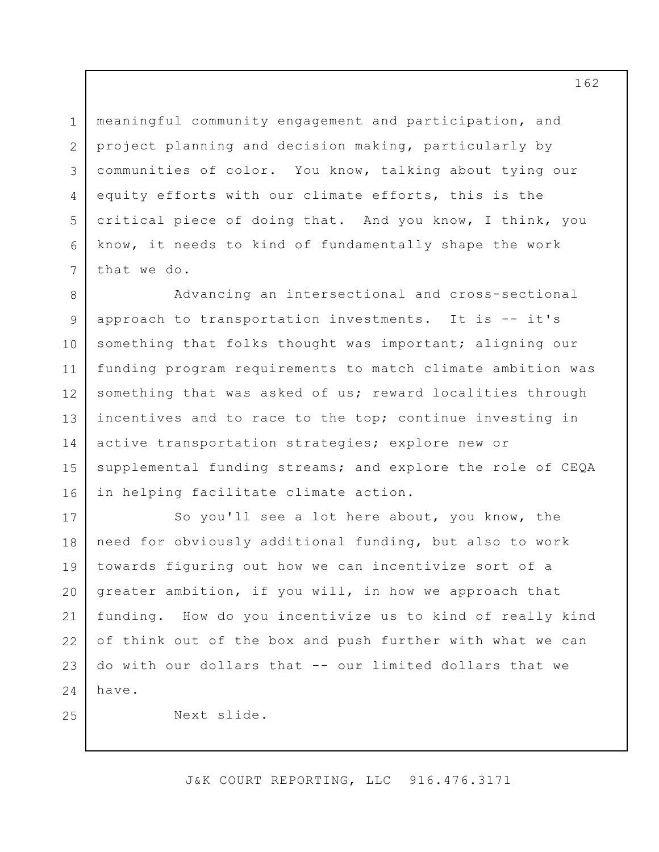1 2 3 4 5 6 7 meaningful community engagement and participation, and project planning and decision making, particularly by communities of color. You know, talking about tying our equity efforts with our climate efforts, this is the critical piece of doing that. And you know, I think, you know, it needs to kind of fundamentally shape the work that we do.

8 9 10 11 12 13 14 15 16 Advancing an intersectional and cross-sectional approach to transportation investments. It is -- it's something that folks thought was important; aligning our funding program requirements to match climate ambition was something that was asked of us; reward localities through incentives and to race to the top; continue investing in active transportation strategies; explore new or supplemental funding streams; and explore the role of CEQA in helping facilitate climate action.

17 18 19 20 21 22 23 24 So you'll see a lot here about, you know, the need for obviously additional funding, but also to work towards figuring out how we can incentivize sort of a greater ambition, if you will, in how we approach that funding. How do you incentivize us to kind of really kind of think out of the box and push further with what we can do with our dollars that -- our limited dollars that we have.

Next slide.

25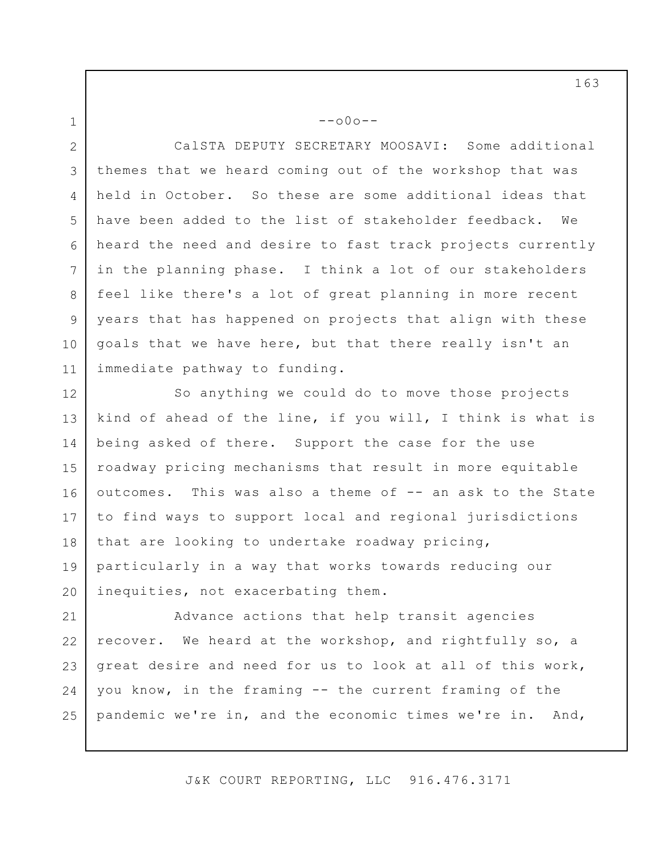1

--o0o--

2 3 4 5 6 7 8 9 10 11 CalSTA DEPUTY SECRETARY MOOSAVI: Some additional themes that we heard coming out of the workshop that was held in October. So these are some additional ideas that have been added to the list of stakeholder feedback. We heard the need and desire to fast track projects currently in the planning phase. I think a lot of our stakeholders feel like there's a lot of great planning in more recent years that has happened on projects that align with these goals that we have here, but that there really isn't an immediate pathway to funding.

12 13 14 15 16 17 18 19 20 So anything we could do to move those projects kind of ahead of the line, if you will, I think is what is being asked of there. Support the case for the use roadway pricing mechanisms that result in more equitable outcomes. This was also a theme of -- an ask to the State to find ways to support local and regional jurisdictions that are looking to undertake roadway pricing, particularly in a way that works towards reducing our inequities, not exacerbating them.

21 22 23 24 25 Advance actions that help transit agencies recover. We heard at the workshop, and rightfully so, a great desire and need for us to look at all of this work, you know, in the framing -- the current framing of the pandemic we're in, and the economic times we're in. And,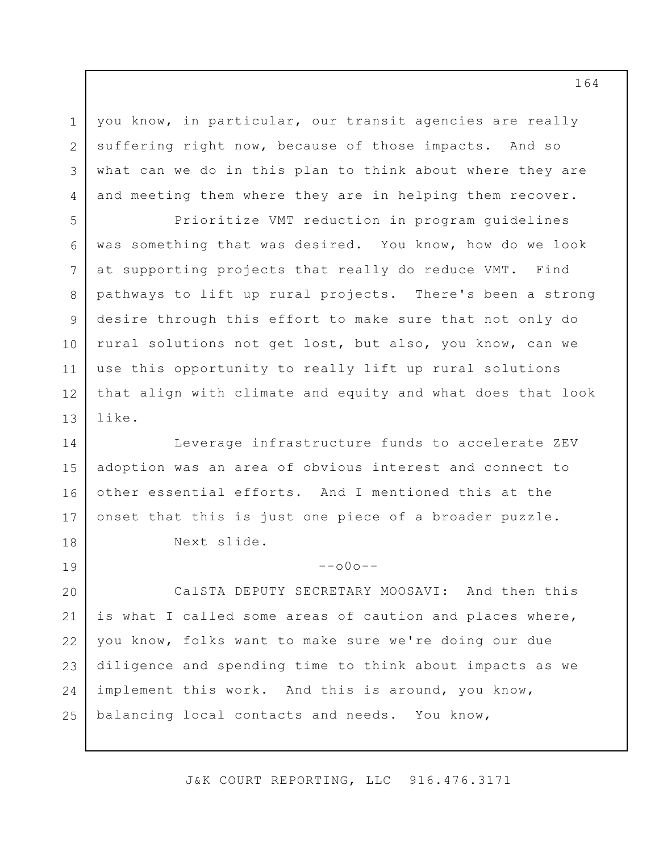you know, in particular, our transit agencies are really suffering right now, because of those impacts. And so what can we do in this plan to think about where they are and meeting them where they are in helping them recover.

1

2

3

4

5

6

7

8

9

10

11

19

12 13 Prioritize VMT reduction in program guidelines was something that was desired. You know, how do we look at supporting projects that really do reduce VMT. Find pathways to lift up rural projects. There's been a strong desire through this effort to make sure that not only do rural solutions not get lost, but also, you know, can we use this opportunity to really lift up rural solutions that align with climate and equity and what does that look like.

14 15 16 17 18 Leverage infrastructure funds to accelerate ZEV adoption was an area of obvious interest and connect to other essential efforts. And I mentioned this at the onset that this is just one piece of a broader puzzle. Next slide.

 $--000--$ 

20 21 22 23 24 25 CalSTA DEPUTY SECRETARY MOOSAVI: And then this is what I called some areas of caution and places where, you know, folks want to make sure we're doing our due diligence and spending time to think about impacts as we implement this work. And this is around, you know, balancing local contacts and needs. You know,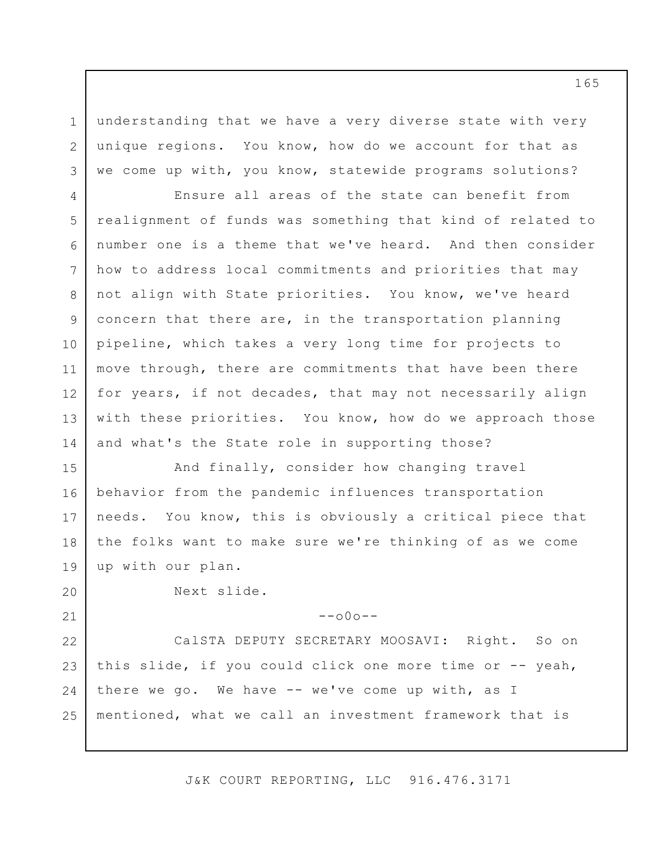1 2 3 understanding that we have a very diverse state with very unique regions. You know, how do we account for that as we come up with, you know, statewide programs solutions?

4 5 6 7 8 9 10 11 12 13 14 Ensure all areas of the state can benefit from realignment of funds was something that kind of related to number one is a theme that we've heard. And then consider how to address local commitments and priorities that may not align with State priorities. You know, we've heard concern that there are, in the transportation planning pipeline, which takes a very long time for projects to move through, there are commitments that have been there for years, if not decades, that may not necessarily align with these priorities. You know, how do we approach those and what's the State role in supporting those?

15 16 17 18 19 And finally, consider how changing travel behavior from the pandemic influences transportation needs. You know, this is obviously a critical piece that the folks want to make sure we're thinking of as we come up with our plan.

Next slide.

20

21

--o0o--

22 23 24 25 CalSTA DEPUTY SECRETARY MOOSAVI: Right. So on this slide, if you could click one more time or -- yeah, there we go. We have -- we've come up with, as I mentioned, what we call an investment framework that is

J&K COURT REPORTING, LLC 916.476.3171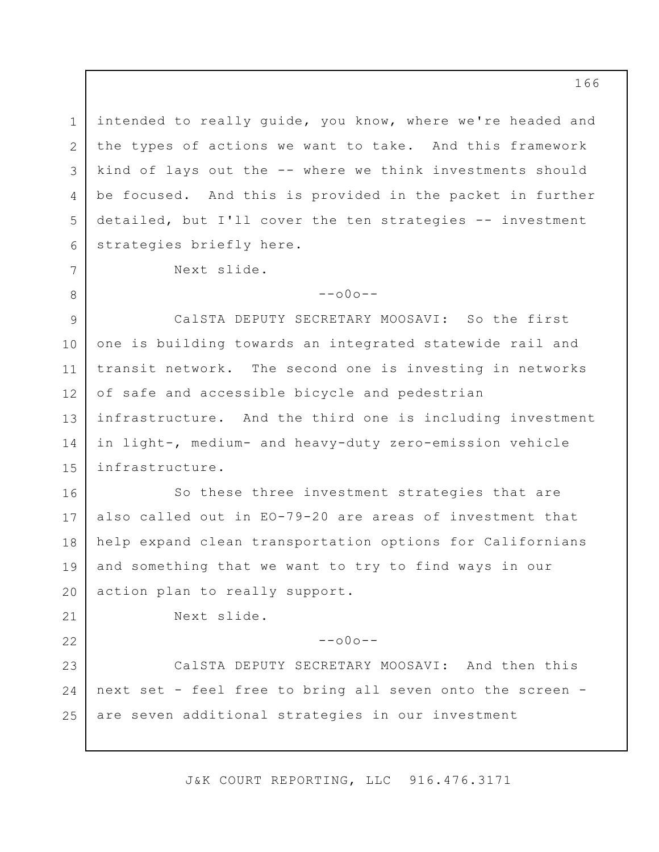3 intended to really guide, you know, where we're headed and the types of actions we want to take. And this framework kind of lays out the -- where we think investments should be focused. And this is provided in the packet in further detailed, but I'll cover the ten strategies -- investment strategies briefly here.

Next slide.

1

2

4

5

6

7

8

21

22

 $--000--$ 

9 10 11 12 13 14 15 CalSTA DEPUTY SECRETARY MOOSAVI: So the first one is building towards an integrated statewide rail and transit network. The second one is investing in networks of safe and accessible bicycle and pedestrian infrastructure. And the third one is including investment in light-, medium- and heavy-duty zero-emission vehicle infrastructure.

16 17 18 19 20 So these three investment strategies that are also called out in EO-79-20 are areas of investment that help expand clean transportation options for Californians and something that we want to try to find ways in our action plan to really support.

Next slide.

 $--000--$ 

23 24 25 CalSTA DEPUTY SECRETARY MOOSAVI: And then this next set - feel free to bring all seven onto the screen are seven additional strategies in our investment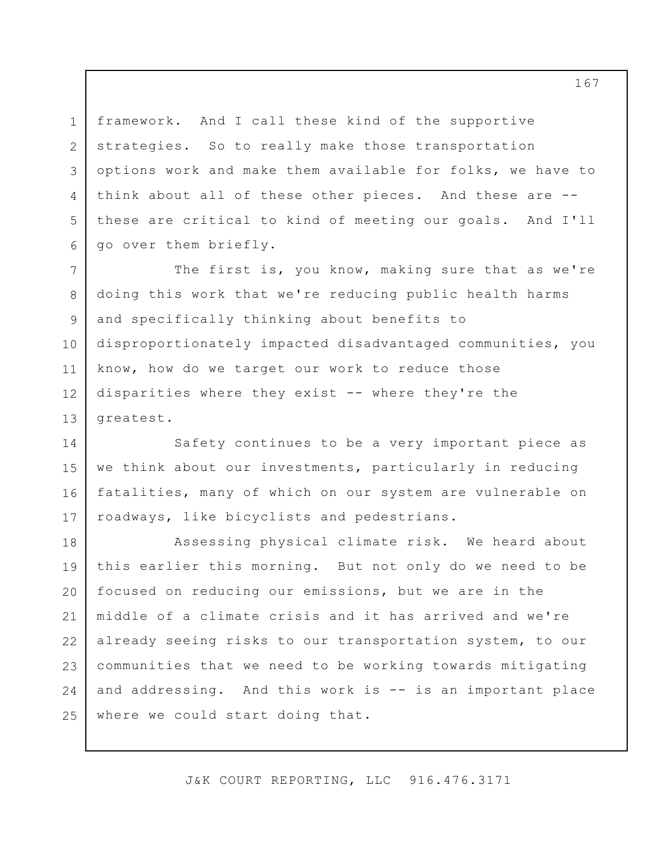1 2 3 4 5 6 framework. And I call these kind of the supportive strategies. So to really make those transportation options work and make them available for folks, we have to think about all of these other pieces. And these are - these are critical to kind of meeting our goals. And I'll go over them briefly.

7 8 9 10 11 12 13 The first is, you know, making sure that as we're doing this work that we're reducing public health harms and specifically thinking about benefits to disproportionately impacted disadvantaged communities, you know, how do we target our work to reduce those disparities where they exist -- where they're the greatest.

14 15 16 17 Safety continues to be a very important piece as we think about our investments, particularly in reducing fatalities, many of which on our system are vulnerable on roadways, like bicyclists and pedestrians.

18 19 20 21 22 23 24 25 Assessing physical climate risk. We heard about this earlier this morning. But not only do we need to be focused on reducing our emissions, but we are in the middle of a climate crisis and it has arrived and we're already seeing risks to our transportation system, to our communities that we need to be working towards mitigating and addressing. And this work is -- is an important place where we could start doing that.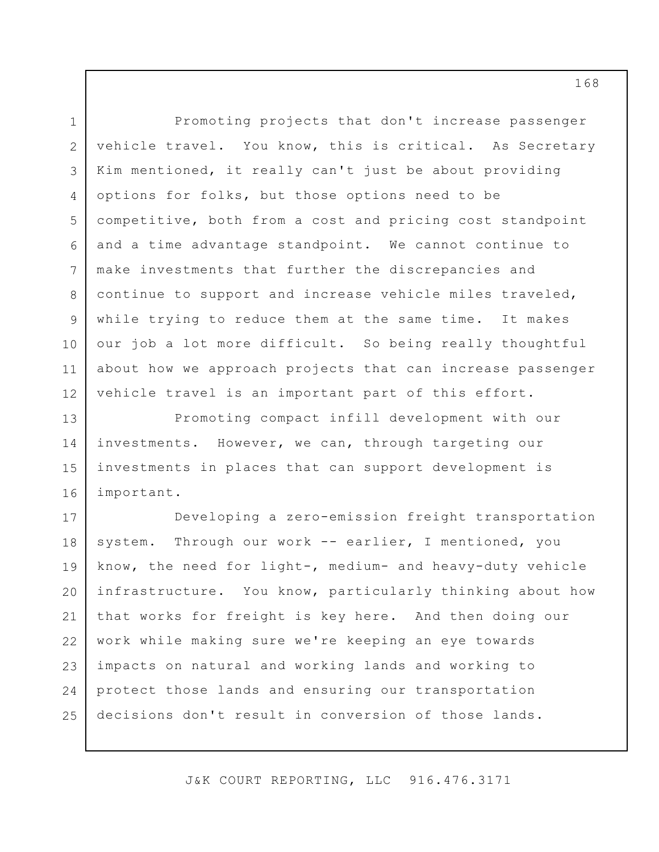1 2 3 4 5 6 7 8 9 10 11 12 Promoting projects that don't increase passenger vehicle travel. You know, this is critical. As Secretary Kim mentioned, it really can't just be about providing options for folks, but those options need to be competitive, both from a cost and pricing cost standpoint and a time advantage standpoint. We cannot continue to make investments that further the discrepancies and continue to support and increase vehicle miles traveled, while trying to reduce them at the same time. It makes our job a lot more difficult. So being really thoughtful about how we approach projects that can increase passenger vehicle travel is an important part of this effort.

13 14 15 16 Promoting compact infill development with our investments. However, we can, through targeting our investments in places that can support development is important.

17 18 19 20 21 22 23 24 25 Developing a zero-emission freight transportation system. Through our work -- earlier, I mentioned, you know, the need for light-, medium- and heavy-duty vehicle infrastructure. You know, particularly thinking about how that works for freight is key here. And then doing our work while making sure we're keeping an eye towards impacts on natural and working lands and working to protect those lands and ensuring our transportation decisions don't result in conversion of those lands.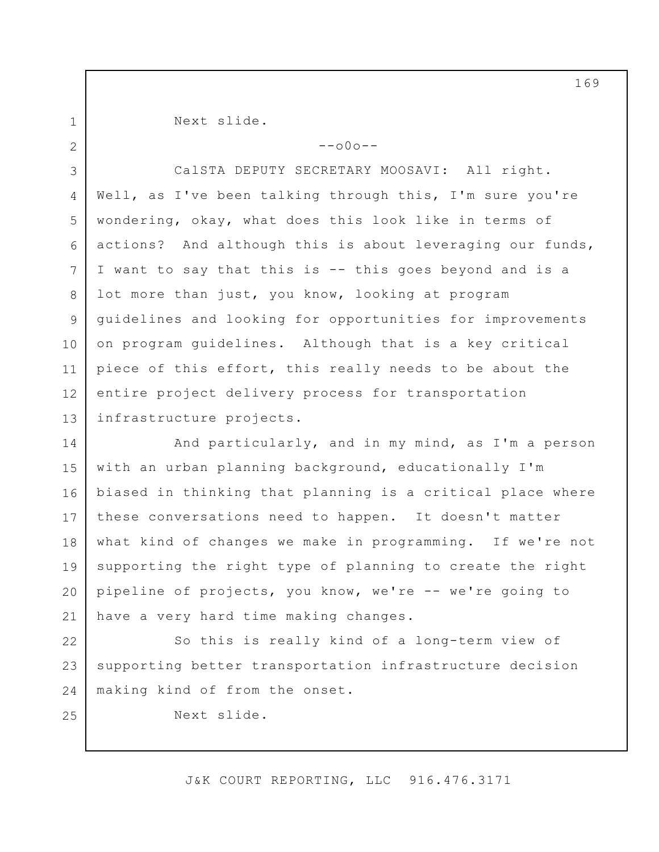1 2 Next slide.

 $--000--$ 

3 4 5 6 7 8 9 10 11 12 13 CalSTA DEPUTY SECRETARY MOOSAVI: All right. Well, as I've been talking through this, I'm sure you're wondering, okay, what does this look like in terms of actions? And although this is about leveraging our funds, I want to say that this is -- this goes beyond and is a lot more than just, you know, looking at program guidelines and looking for opportunities for improvements on program guidelines. Although that is a key critical piece of this effort, this really needs to be about the entire project delivery process for transportation infrastructure projects.

14 15 16 17 18 19 20 21 And particularly, and in my mind, as I'm a person with an urban planning background, educationally I'm biased in thinking that planning is a critical place where these conversations need to happen. It doesn't matter what kind of changes we make in programming. If we're not supporting the right type of planning to create the right pipeline of projects, you know, we're -- we're going to have a very hard time making changes.

22 23 24 So this is really kind of a long-term view of supporting better transportation infrastructure decision making kind of from the onset.

25

Next slide.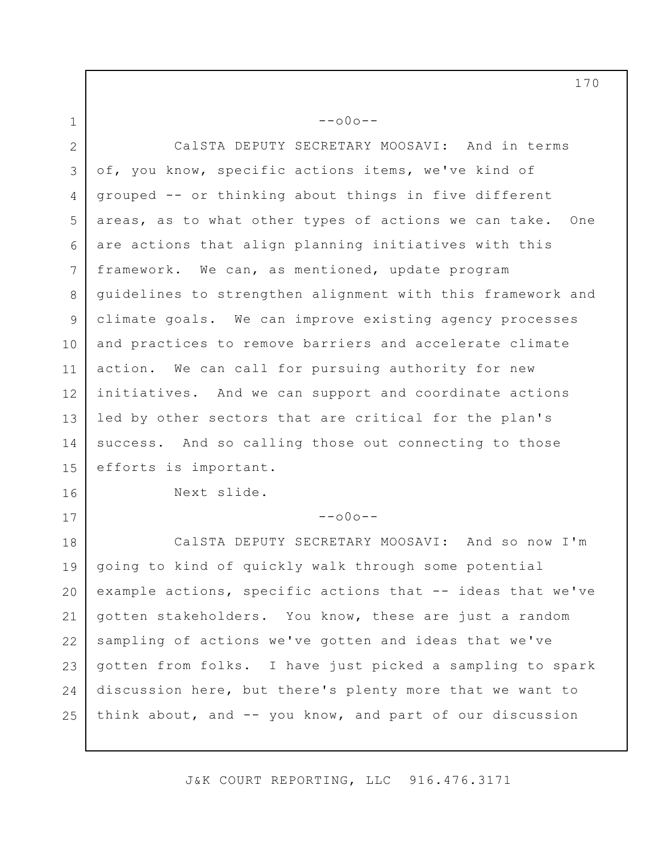1 2 3 4 5 6 7 8 9 10 11 12 13 14 15 16 17 18 --o0o-- CalSTA DEPUTY SECRETARY MOOSAVI: And in terms of, you know, specific actions items, we've kind of grouped -- or thinking about things in five different areas, as to what other types of actions we can take. One are actions that align planning initiatives with this framework. We can, as mentioned, update program guidelines to strengthen alignment with this framework and climate goals. We can improve existing agency processes and practices to remove barriers and accelerate climate action. We can call for pursuing authority for new initiatives. And we can support and coordinate actions led by other sectors that are critical for the plan's success. And so calling those out connecting to those efforts is important. Next slide.  $--000--$ CalSTA DEPUTY SECRETARY MOOSAVI: And so now I'm

19 20 21 22 23 24 25 going to kind of quickly walk through some potential example actions, specific actions that -- ideas that we've gotten stakeholders. You know, these are just a random sampling of actions we've gotten and ideas that we've gotten from folks. I have just picked a sampling to spark discussion here, but there's plenty more that we want to think about, and -- you know, and part of our discussion

J&K COURT REPORTING, LLC 916.476.3171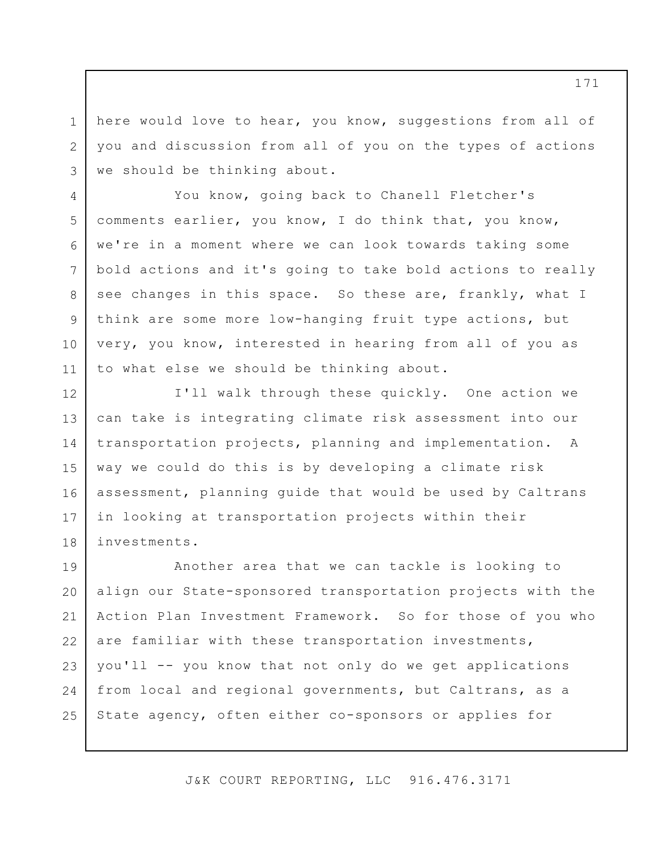here would love to hear, you know, suggestions from all of you and discussion from all of you on the types of actions we should be thinking about.

1

2

3

4

5

6

7

8

9

10

11

You know, going back to Chanell Fletcher's comments earlier, you know, I do think that, you know, we're in a moment where we can look towards taking some bold actions and it's going to take bold actions to really see changes in this space. So these are, frankly, what I think are some more low-hanging fruit type actions, but very, you know, interested in hearing from all of you as to what else we should be thinking about.

12 13 14 15 16 17 18 I'll walk through these quickly. One action we can take is integrating climate risk assessment into our transportation projects, planning and implementation. A way we could do this is by developing a climate risk assessment, planning guide that would be used by Caltrans in looking at transportation projects within their investments.

19 20 21 22 23 24 25 Another area that we can tackle is looking to align our State-sponsored transportation projects with the Action Plan Investment Framework. So for those of you who are familiar with these transportation investments, you'll -- you know that not only do we get applications from local and regional governments, but Caltrans, as a State agency, often either co-sponsors or applies for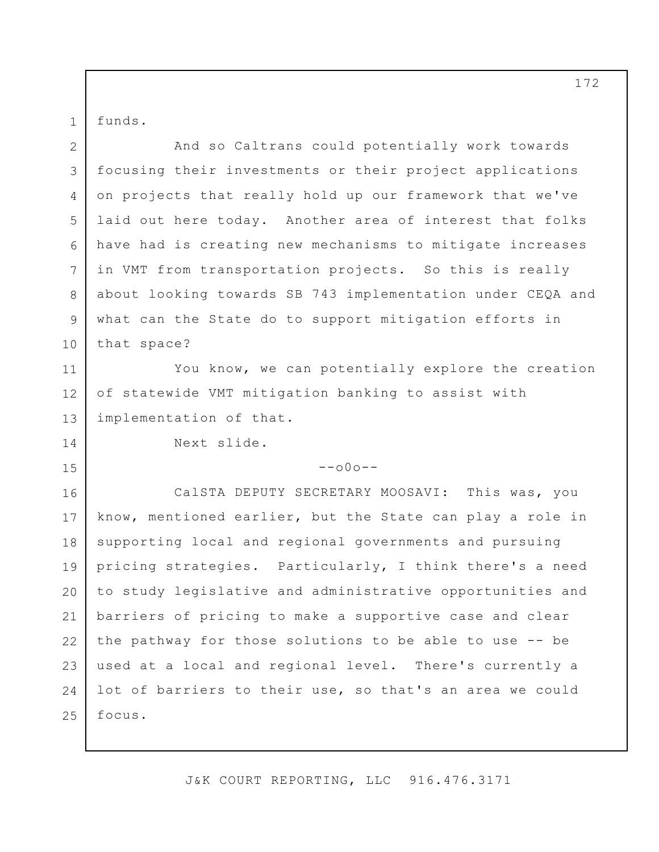funds.

1

14

15

2 3 4 5 6 7 8 9 10 And so Caltrans could potentially work towards focusing their investments or their project applications on projects that really hold up our framework that we've laid out here today. Another area of interest that folks have had is creating new mechanisms to mitigate increases in VMT from transportation projects. So this is really about looking towards SB 743 implementation under CEQA and what can the State do to support mitigation efforts in that space?

11 12 13 You know, we can potentially explore the creation of statewide VMT mitigation banking to assist with implementation of that.

Next slide.

## $--000--$

16 17 18 19 20 21 22 23 24 25 CalSTA DEPUTY SECRETARY MOOSAVI: This was, you know, mentioned earlier, but the State can play a role in supporting local and regional governments and pursuing pricing strategies. Particularly, I think there's a need to study legislative and administrative opportunities and barriers of pricing to make a supportive case and clear the pathway for those solutions to be able to use -- be used at a local and regional level. There's currently a lot of barriers to their use, so that's an area we could focus.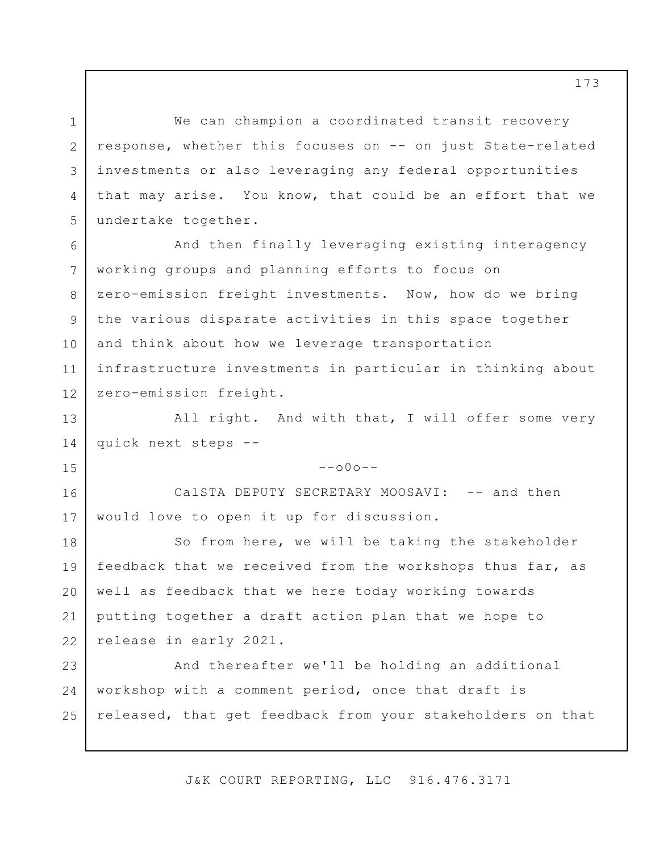We can champion a coordinated transit recovery response, whether this focuses on -- on just State-related investments or also leveraging any federal opportunities that may arise. You know, that could be an effort that we undertake together.

1

2

3

4

5

7

8

9

10

11

15

6 12 And then finally leveraging existing interagency working groups and planning efforts to focus on zero-emission freight investments. Now, how do we bring the various disparate activities in this space together and think about how we leverage transportation infrastructure investments in particular in thinking about zero-emission freight.

13 14 All right. And with that, I will offer some very quick next steps --

 $--000--$ 

16 17 CalSTA DEPUTY SECRETARY MOOSAVI: -- and then would love to open it up for discussion.

18 19 20 21 22 So from here, we will be taking the stakeholder feedback that we received from the workshops thus far, as well as feedback that we here today working towards putting together a draft action plan that we hope to release in early 2021.

23 24 25 And thereafter we'll be holding an additional workshop with a comment period, once that draft is released, that get feedback from your stakeholders on that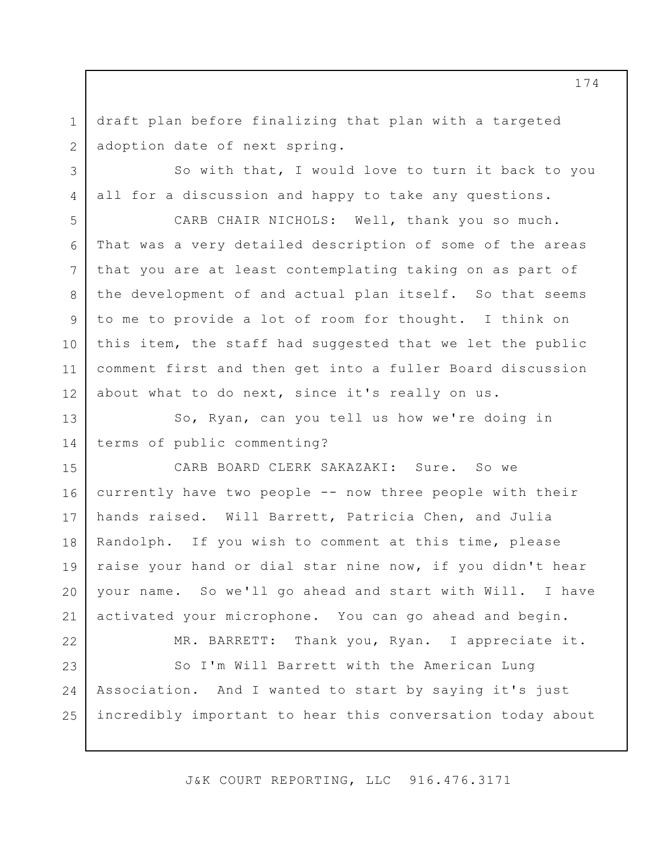draft plan before finalizing that plan with a targeted adoption date of next spring.

So with that, I would love to turn it back to you all for a discussion and happy to take any questions.

CARB CHAIR NICHOLS: Well, thank you so much. That was a very detailed description of some of the areas that you are at least contemplating taking on as part of the development of and actual plan itself. So that seems to me to provide a lot of room for thought. I think on this item, the staff had suggested that we let the public comment first and then get into a fuller Board discussion about what to do next, since it's really on us.

13 14 So, Ryan, can you tell us how we're doing in terms of public commenting?

15 16 17 18 19 20 21 CARB BOARD CLERK SAKAZAKI: Sure. So we currently have two people -- now three people with their hands raised. Will Barrett, Patricia Chen, and Julia Randolph. If you wish to comment at this time, please raise your hand or dial star nine now, if you didn't hear your name. So we'll go ahead and start with Will. I have activated your microphone. You can go ahead and begin.

22 23 24

1

2

3

4

5

6

7

8

9

10

11

12

MR. BARRETT: Thank you, Ryan. I appreciate it.

25 So I'm Will Barrett with the American Lung Association. And I wanted to start by saying it's just incredibly important to hear this conversation today about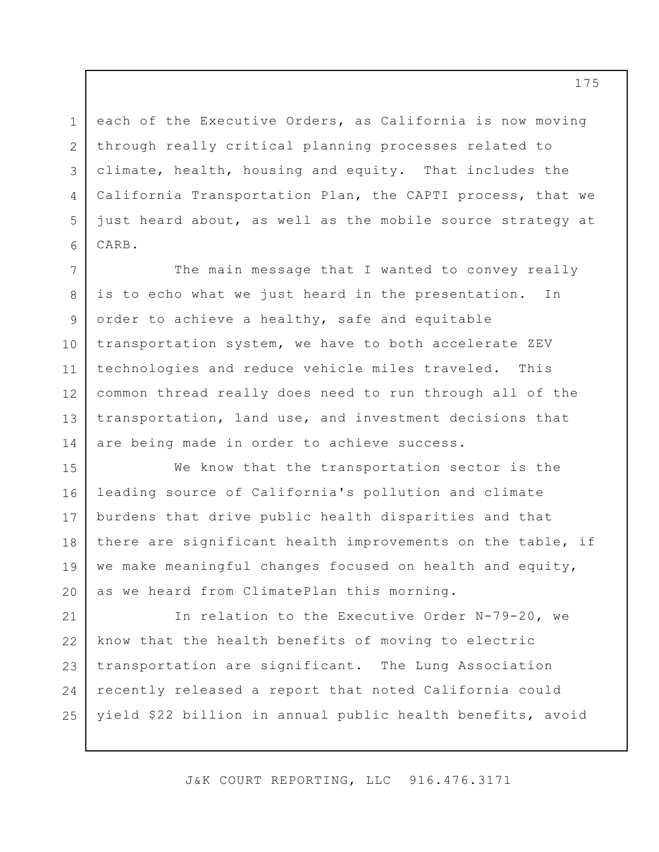each of the Executive Orders, as California is now moving through really critical planning processes related to climate, health, housing and equity. That includes the California Transportation Plan, the CAPTI process, that we just heard about, as well as the mobile source strategy at CARB.

1

2

3

4

5

6

7 8 9 10 11 12 13 14 The main message that I wanted to convey really is to echo what we just heard in the presentation. In order to achieve a healthy, safe and equitable transportation system, we have to both accelerate ZEV technologies and reduce vehicle miles traveled. This common thread really does need to run through all of the transportation, land use, and investment decisions that are being made in order to achieve success.

15 16 17 18 19 20 We know that the transportation sector is the leading source of California's pollution and climate burdens that drive public health disparities and that there are significant health improvements on the table, if we make meaningful changes focused on health and equity, as we heard from ClimatePlan this morning.

21 22 23 24 25 In relation to the Executive Order N-79-20, we know that the health benefits of moving to electric transportation are significant. The Lung Association recently released a report that noted California could yield \$22 billion in annual public health benefits, avoid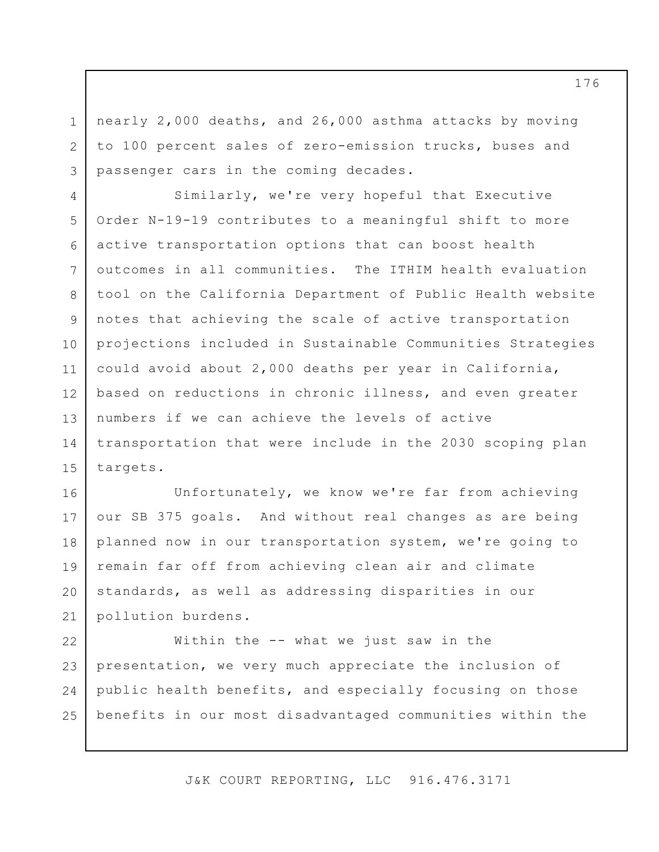nearly 2,000 deaths, and 26,000 asthma attacks by moving to 100 percent sales of zero-emission trucks, buses and passenger cars in the coming decades.

1

2

3

4 5 6 7 8 9 10 11 12 13 14 15 Similarly, we're very hopeful that Executive Order N-19-19 contributes to a meaningful shift to more active transportation options that can boost health outcomes in all communities. The ITHIM health evaluation tool on the California Department of Public Health website notes that achieving the scale of active transportation projections included in Sustainable Communities Strategies could avoid about 2,000 deaths per year in California, based on reductions in chronic illness, and even greater numbers if we can achieve the levels of active transportation that were include in the 2030 scoping plan targets.

16 17 18 19 20 21 Unfortunately, we know we're far from achieving our SB 375 goals. And without real changes as are being planned now in our transportation system, we're going to remain far off from achieving clean air and climate standards, as well as addressing disparities in our pollution burdens.

22 23 24 25 Within the -- what we just saw in the presentation, we very much appreciate the inclusion of public health benefits, and especially focusing on those benefits in our most disadvantaged communities within the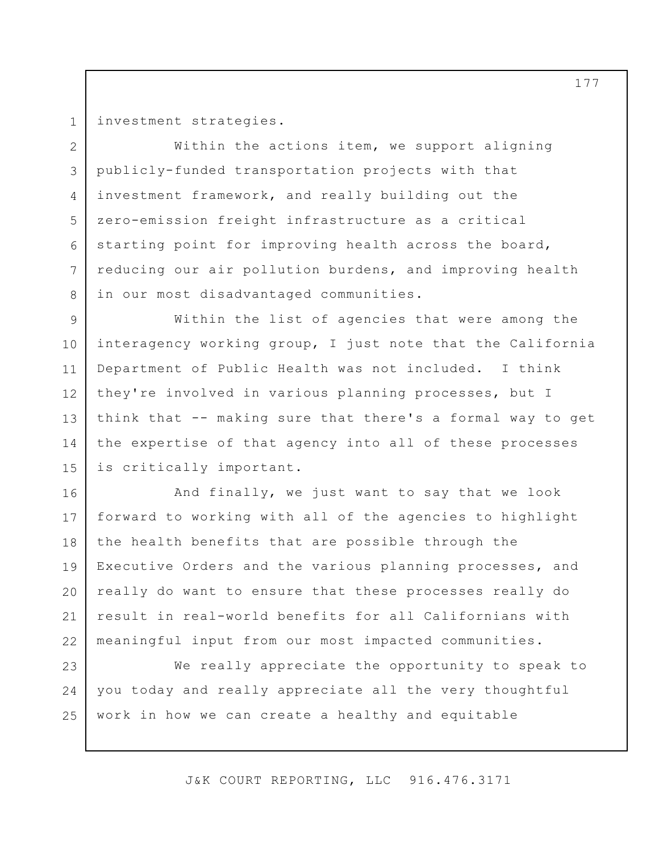1 2

3

4

5

6

7

8

investment strategies.

Within the actions item, we support aligning publicly-funded transportation projects with that investment framework, and really building out the zero-emission freight infrastructure as a critical starting point for improving health across the board, reducing our air pollution burdens, and improving health in our most disadvantaged communities.

9 10 11 12 13 14 15 Within the list of agencies that were among the interagency working group, I just note that the California Department of Public Health was not included. I think they're involved in various planning processes, but I think that -- making sure that there's a formal way to get the expertise of that agency into all of these processes is critically important.

16 17 18 19 20 21 22 And finally, we just want to say that we look forward to working with all of the agencies to highlight the health benefits that are possible through the Executive Orders and the various planning processes, and really do want to ensure that these processes really do result in real-world benefits for all Californians with meaningful input from our most impacted communities.

23 24 25 We really appreciate the opportunity to speak to you today and really appreciate all the very thoughtful work in how we can create a healthy and equitable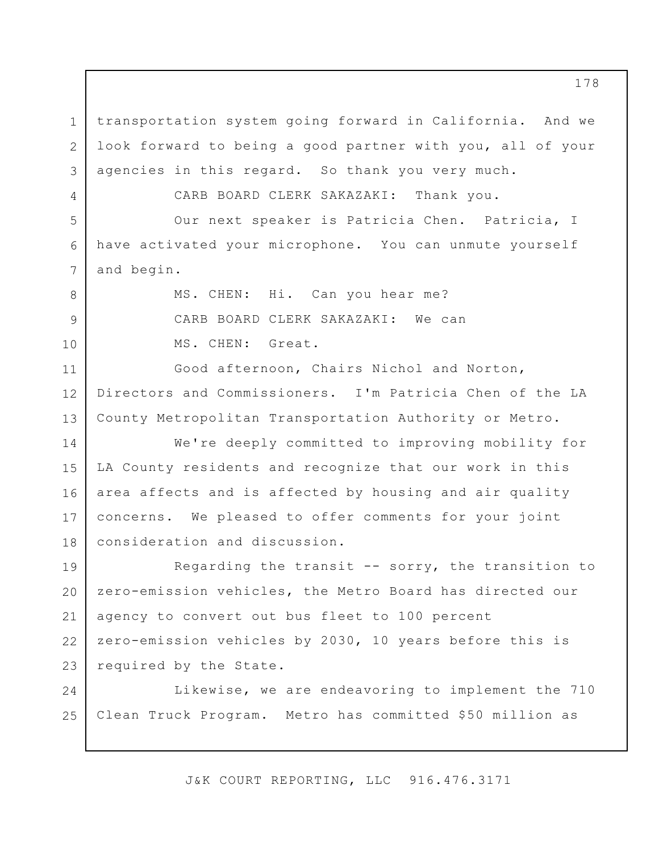1 2 3 transportation system going forward in California. And we look forward to being a good partner with you, all of your agencies in this regard. So thank you very much.

CARB BOARD CLERK SAKAZAKI: Thank you.

4

5

7

8

9

10

6 Our next speaker is Patricia Chen. Patricia, I have activated your microphone. You can unmute yourself and begin.

> MS. CHEN: Hi. Can you hear me? CARB BOARD CLERK SAKAZAKI: We can MS. CHEN: Great.

11 12 13 Good afternoon, Chairs Nichol and Norton, Directors and Commissioners. I'm Patricia Chen of the LA County Metropolitan Transportation Authority or Metro.

14 15 16 17 18 We're deeply committed to improving mobility for LA County residents and recognize that our work in this area affects and is affected by housing and air quality concerns. We pleased to offer comments for your joint consideration and discussion.

19 20 21 22 23 Regarding the transit  $--$  sorry, the transition to zero-emission vehicles, the Metro Board has directed our agency to convert out bus fleet to 100 percent zero-emission vehicles by 2030, 10 years before this is required by the State.

24 25 Likewise, we are endeavoring to implement the 710 Clean Truck Program. Metro has committed \$50 million as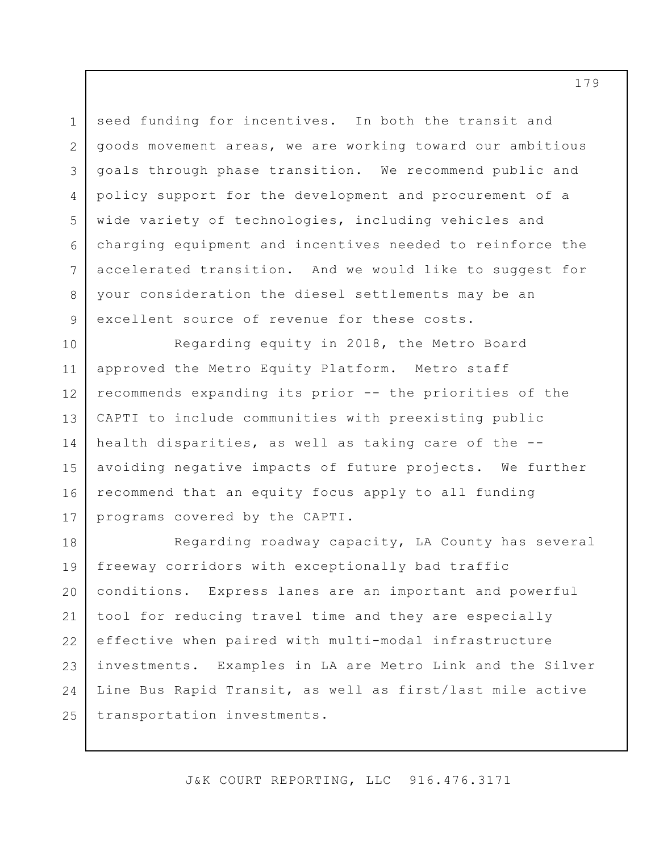3 6 seed funding for incentives. In both the transit and goods movement areas, we are working toward our ambitious goals through phase transition. We recommend public and policy support for the development and procurement of a wide variety of technologies, including vehicles and charging equipment and incentives needed to reinforce the accelerated transition. And we would like to suggest for your consideration the diesel settlements may be an excellent source of revenue for these costs.

1

2

4

5

7

8

9

10 11 12 13 14 15 16 17 Regarding equity in 2018, the Metro Board approved the Metro Equity Platform. Metro staff recommends expanding its prior -- the priorities of the CAPTI to include communities with preexisting public health disparities, as well as taking care of the - avoiding negative impacts of future projects. We further recommend that an equity focus apply to all funding programs covered by the CAPTI.

18 19 20 21 22 23 24 25 Regarding roadway capacity, LA County has several freeway corridors with exceptionally bad traffic conditions. Express lanes are an important and powerful tool for reducing travel time and they are especially effective when paired with multi-modal infrastructure investments. Examples in LA are Metro Link and the Silver Line Bus Rapid Transit, as well as first/last mile active transportation investments.

J&K COURT REPORTING, LLC 916.476.3171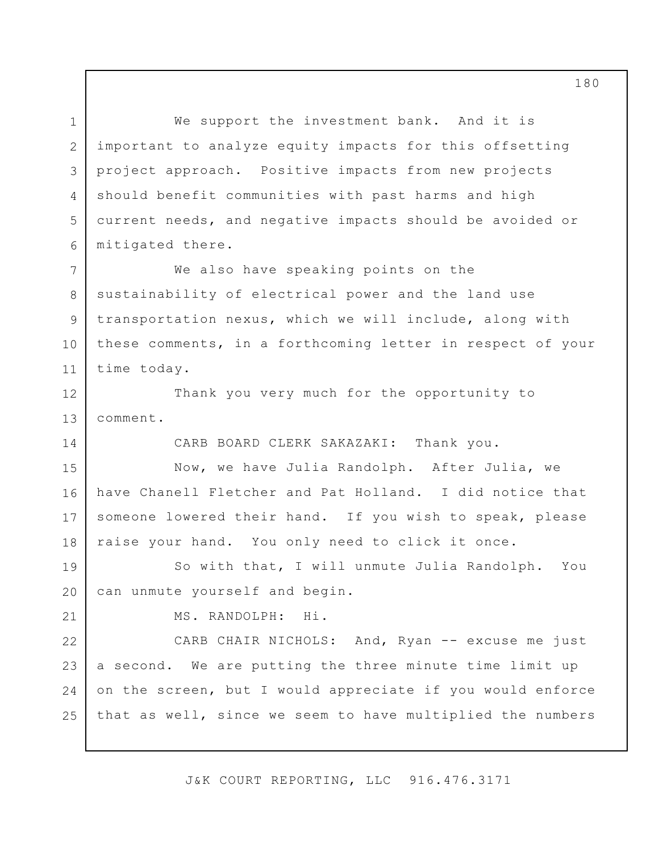1 2 3 4 5 6 We support the investment bank. And it is important to analyze equity impacts for this offsetting project approach. Positive impacts from new projects should benefit communities with past harms and high current needs, and negative impacts should be avoided or mitigated there.

7 8 9 10 11 We also have speaking points on the sustainability of electrical power and the land use transportation nexus, which we will include, along with these comments, in a forthcoming letter in respect of your time today.

12 13 Thank you very much for the opportunity to comment.

CARB BOARD CLERK SAKAZAKI: Thank you.

15 16 17 18 Now, we have Julia Randolph. After Julia, we have Chanell Fletcher and Pat Holland. I did notice that someone lowered their hand. If you wish to speak, please raise your hand. You only need to click it once.

19 20 So with that, I will unmute Julia Randolph. You can unmute yourself and begin.

21

14

MS. RANDOLPH: Hi.

22 23 24 25 CARB CHAIR NICHOLS: And, Ryan -- excuse me just a second. We are putting the three minute time limit up on the screen, but I would appreciate if you would enforce that as well, since we seem to have multiplied the numbers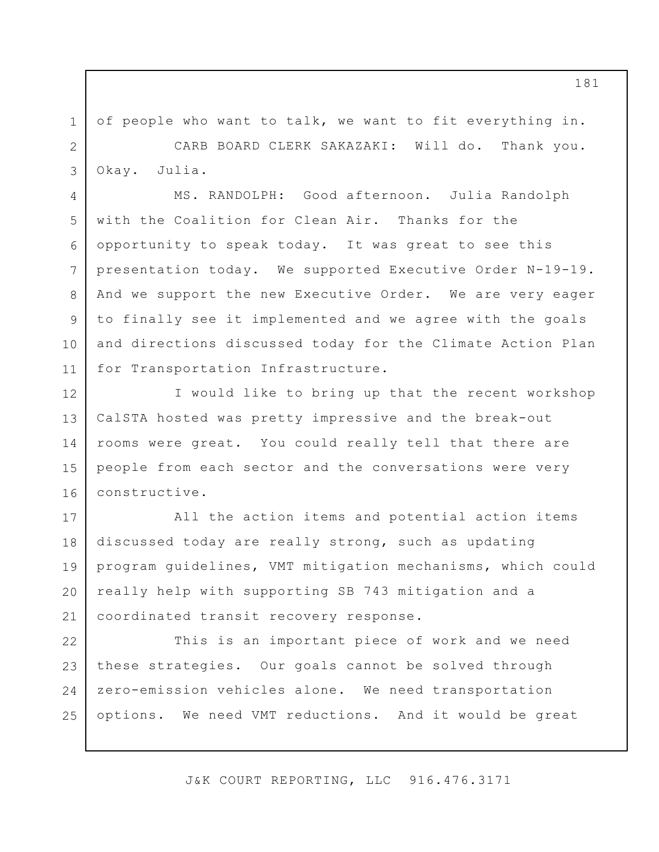of people who want to talk, we want to fit everything in. CARB BOARD CLERK SAKAZAKI: Will do. Thank you. Okay. Julia.

1

2

3

4

5

6

7

8

9

10

11

MS. RANDOLPH: Good afternoon. Julia Randolph with the Coalition for Clean Air. Thanks for the opportunity to speak today. It was great to see this presentation today. We supported Executive Order N-19-19. And we support the new Executive Order. We are very eager to finally see it implemented and we agree with the goals and directions discussed today for the Climate Action Plan for Transportation Infrastructure.

12 13 14 15 16 I would like to bring up that the recent workshop CalSTA hosted was pretty impressive and the break-out rooms were great. You could really tell that there are people from each sector and the conversations were very constructive.

17 18 19 20 21 All the action items and potential action items discussed today are really strong, such as updating program guidelines, VMT mitigation mechanisms, which could really help with supporting SB 743 mitigation and a coordinated transit recovery response.

22 23 24 25 This is an important piece of work and we need these strategies. Our goals cannot be solved through zero-emission vehicles alone. We need transportation options. We need VMT reductions. And it would be great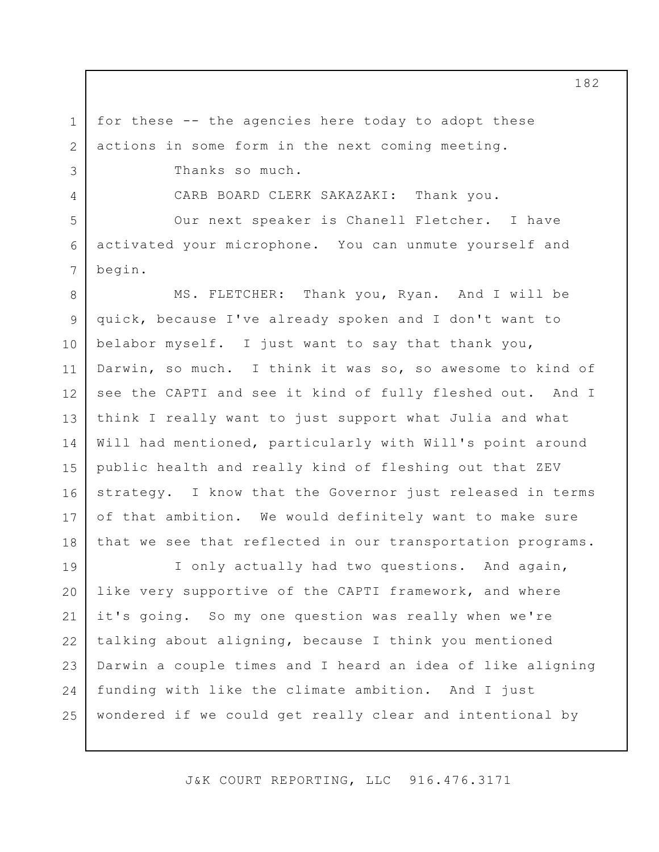for these -- the agencies here today to adopt these actions in some form in the next coming meeting.

Thanks so much.

1

2

3

4

5

6

7

CARB BOARD CLERK SAKAZAKI: Thank you.

Our next speaker is Chanell Fletcher. I have activated your microphone. You can unmute yourself and begin.

8 9 10 11 12 13 14 15 16 17 18 MS. FLETCHER: Thank you, Ryan. And I will be quick, because I've already spoken and I don't want to belabor myself. I just want to say that thank you, Darwin, so much. I think it was so, so awesome to kind of see the CAPTI and see it kind of fully fleshed out. And I think I really want to just support what Julia and what Will had mentioned, particularly with Will's point around public health and really kind of fleshing out that ZEV strategy. I know that the Governor just released in terms of that ambition. We would definitely want to make sure that we see that reflected in our transportation programs.

19 20 21 22 23 24 25 I only actually had two questions. And again, like very supportive of the CAPTI framework, and where it's going. So my one question was really when we're talking about aligning, because I think you mentioned Darwin a couple times and I heard an idea of like aligning funding with like the climate ambition. And I just wondered if we could get really clear and intentional by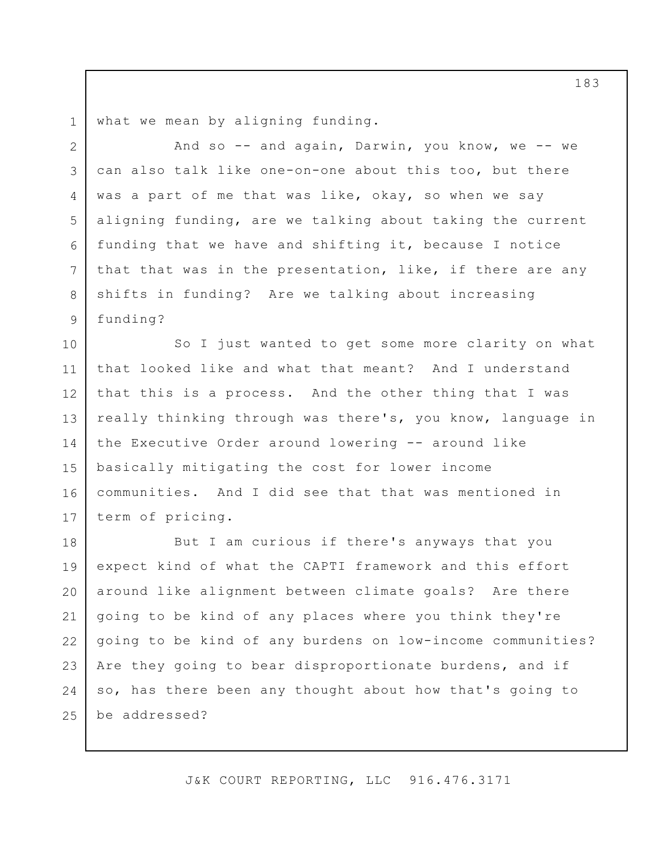1 what we mean by aligning funding.

2

3

4

5

6

7

8

9

And so -- and again, Darwin, you know, we -- we can also talk like one-on-one about this too, but there was a part of me that was like, okay, so when we say aligning funding, are we talking about taking the current funding that we have and shifting it, because I notice that that was in the presentation, like, if there are any shifts in funding? Are we talking about increasing funding?

10 11 12 13 14 15 16 17 So I just wanted to get some more clarity on what that looked like and what that meant? And I understand that this is a process. And the other thing that I was really thinking through was there's, you know, language in the Executive Order around lowering -- around like basically mitigating the cost for lower income communities. And I did see that that was mentioned in term of pricing.

18 19 20 21 22 23 24 25 But I am curious if there's anyways that you expect kind of what the CAPTI framework and this effort around like alignment between climate goals? Are there going to be kind of any places where you think they're going to be kind of any burdens on low-income communities? Are they going to bear disproportionate burdens, and if so, has there been any thought about how that's going to be addressed?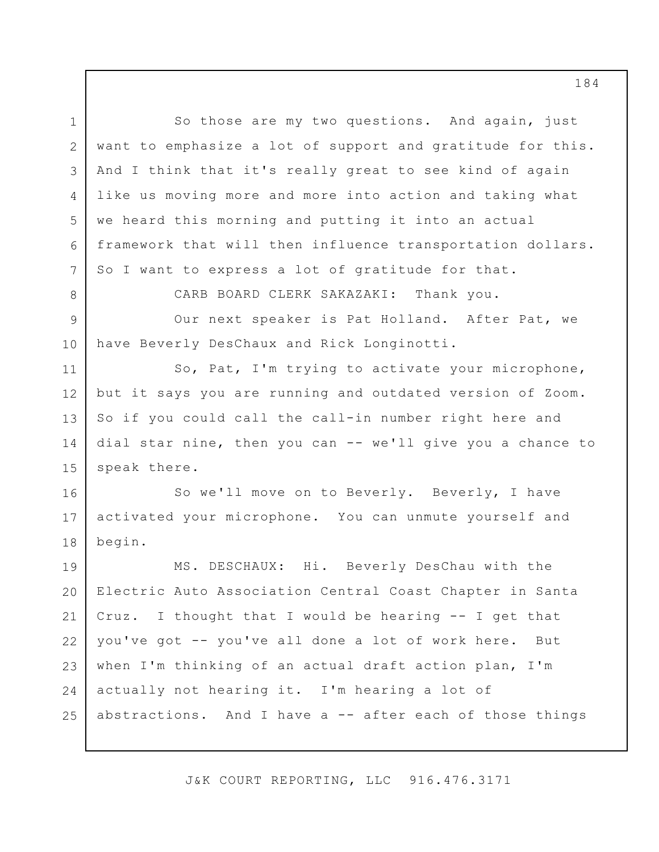1 2 3 4 5 6 7 8 9 10 11 12 13 14 15 16 17 18 19 20 21 22 23 24 25 So those are my two questions. And again, just want to emphasize a lot of support and gratitude for this. And I think that it's really great to see kind of again like us moving more and more into action and taking what we heard this morning and putting it into an actual framework that will then influence transportation dollars. So I want to express a lot of gratitude for that. CARB BOARD CLERK SAKAZAKI: Thank you. Our next speaker is Pat Holland. After Pat, we have Beverly DesChaux and Rick Longinotti. So, Pat, I'm trying to activate your microphone, but it says you are running and outdated version of Zoom. So if you could call the call-in number right here and dial star nine, then you can -- we'll give you a chance to speak there. So we'll move on to Beverly. Beverly, I have activated your microphone. You can unmute yourself and begin. MS. DESCHAUX: Hi. Beverly DesChau with the Electric Auto Association Central Coast Chapter in Santa Cruz. I thought that I would be hearing -- I get that you've got -- you've all done a lot of work here. But when I'm thinking of an actual draft action plan, I'm actually not hearing it. I'm hearing a lot of abstractions. And I have a  $--$  after each of those things

J&K COURT REPORTING, LLC 916.476.3171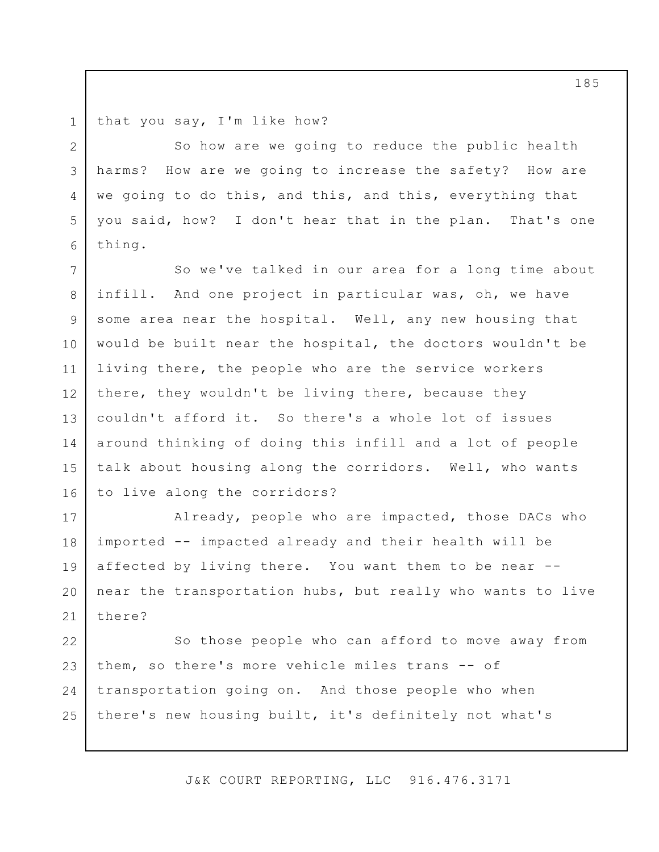1 that you say, I'm like how?

2

3

4

5

6

So how are we going to reduce the public health harms? How are we going to increase the safety? How are we going to do this, and this, and this, everything that you said, how? I don't hear that in the plan. That's one thing.

7 8 9 10 11 12 13 14 15 16 So we've talked in our area for a long time about infill. And one project in particular was, oh, we have some area near the hospital. Well, any new housing that would be built near the hospital, the doctors wouldn't be living there, the people who are the service workers there, they wouldn't be living there, because they couldn't afford it. So there's a whole lot of issues around thinking of doing this infill and a lot of people talk about housing along the corridors. Well, who wants to live along the corridors?

17 18 19 20 21 Already, people who are impacted, those DACs who imported -- impacted already and their health will be affected by living there. You want them to be near - near the transportation hubs, but really who wants to live there?

22 23 24 25 So those people who can afford to move away from them, so there's more vehicle miles trans -- of transportation going on. And those people who when there's new housing built, it's definitely not what's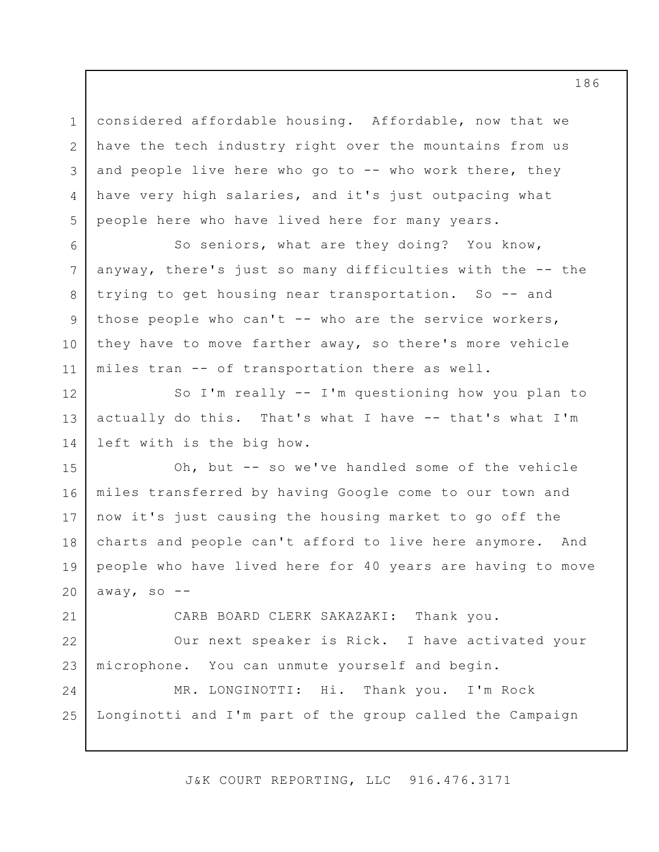considered affordable housing. Affordable, now that we have the tech industry right over the mountains from us and people live here who go to -- who work there, they have very high salaries, and it's just outpacing what people here who have lived here for many years.

1

2

3

4

5

12

14

21

6 7 8 9 10 11 So seniors, what are they doing? You know, anyway, there's just so many difficulties with the -- the trying to get housing near transportation. So -- and those people who can't  $-$ - who are the service workers, they have to move farther away, so there's more vehicle miles tran -- of transportation there as well.

13 So I'm really -- I'm questioning how you plan to actually do this. That's what I have -- that's what I'm left with is the big how.

15 16 17 18 19 20 Oh, but -- so we've handled some of the vehicle miles transferred by having Google come to our town and now it's just causing the housing market to go off the charts and people can't afford to live here anymore. And people who have lived here for 40 years are having to move away, so  $-$ -

CARB BOARD CLERK SAKAZAKI: Thank you.

22 23 Our next speaker is Rick. I have activated your microphone. You can unmute yourself and begin.

24 25 MR. LONGINOTTI: Hi. Thank you. I'm Rock Longinotti and I'm part of the group called the Campaign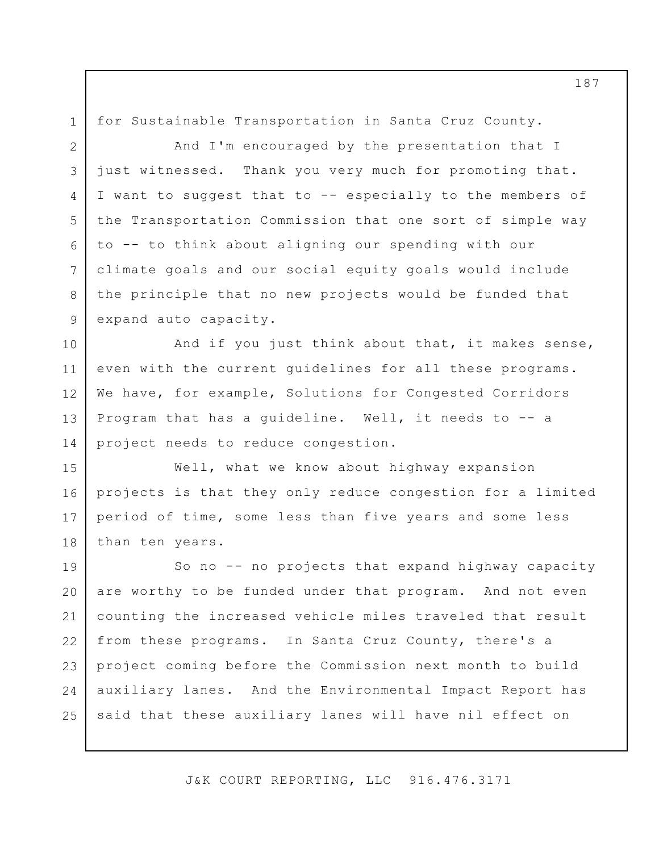for Sustainable Transportation in Santa Cruz County.

1

2

3

4

5

6

7

8

9

And I'm encouraged by the presentation that I just witnessed. Thank you very much for promoting that. I want to suggest that to -- especially to the members of the Transportation Commission that one sort of simple way to -- to think about aligning our spending with our climate goals and our social equity goals would include the principle that no new projects would be funded that expand auto capacity.

10 11 12 13 14 And if you just think about that, it makes sense, even with the current guidelines for all these programs. We have, for example, Solutions for Congested Corridors Program that has a guideline. Well, it needs to -- a project needs to reduce congestion.

15 16 17 18 Well, what we know about highway expansion projects is that they only reduce congestion for a limited period of time, some less than five years and some less than ten years.

19 20 21 22 23 24 25 So no -- no projects that expand highway capacity are worthy to be funded under that program. And not even counting the increased vehicle miles traveled that result from these programs. In Santa Cruz County, there's a project coming before the Commission next month to build auxiliary lanes. And the Environmental Impact Report has said that these auxiliary lanes will have nil effect on

J&K COURT REPORTING, LLC 916.476.3171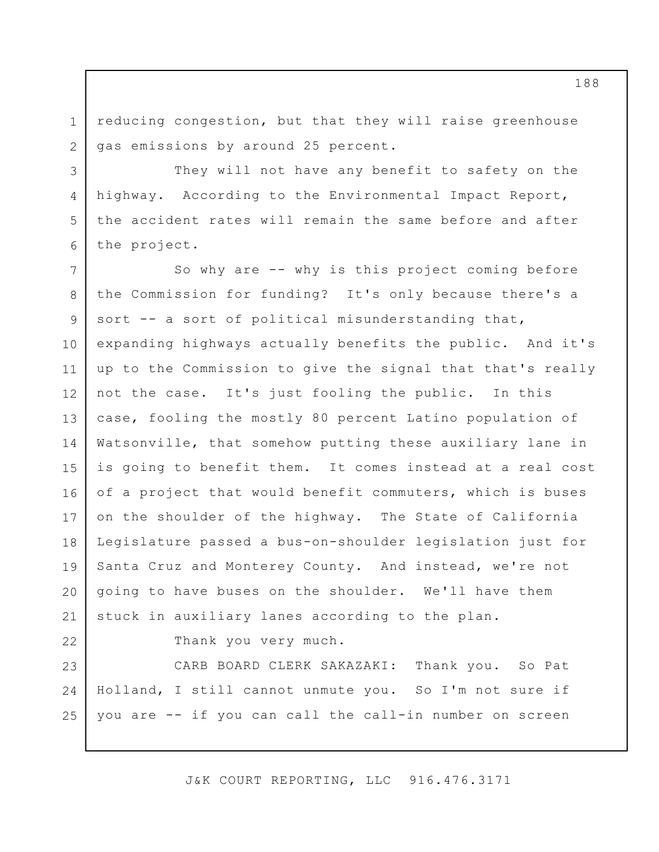reducing congestion, but that they will raise greenhouse gas emissions by around 25 percent.

They will not have any benefit to safety on the highway. According to the Environmental Impact Report, the accident rates will remain the same before and after the project.

7 8 9 10 11 12 13 14 15 16 17 18 19 20 21 So why are -- why is this project coming before the Commission for funding? It's only because there's a sort -- a sort of political misunderstanding that, expanding highways actually benefits the public. And it's up to the Commission to give the signal that that's really not the case. It's just fooling the public. In this case, fooling the mostly 80 percent Latino population of Watsonville, that somehow putting these auxiliary lane in is going to benefit them. It comes instead at a real cost of a project that would benefit commuters, which is buses on the shoulder of the highway. The State of California Legislature passed a bus-on-shoulder legislation just for Santa Cruz and Monterey County. And instead, we're not going to have buses on the shoulder. We'll have them stuck in auxiliary lanes according to the plan.

22

1

2

3

4

5

6

Thank you very much.

23 24 25 CARB BOARD CLERK SAKAZAKI: Thank you. So Pat Holland, I still cannot unmute you. So I'm not sure if you are -- if you can call the call-in number on screen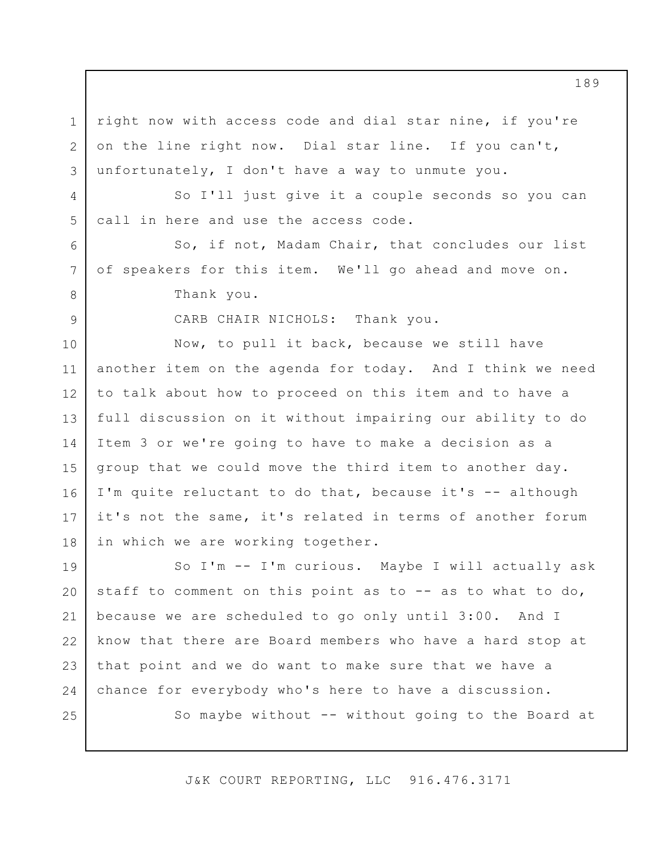right now with access code and dial star nine, if you're on the line right now. Dial star line. If you can't, unfortunately, I don't have a way to unmute you.

1

2

3

4

5

6

7

8

9

So I'll just give it a couple seconds so you can call in here and use the access code.

So, if not, Madam Chair, that concludes our list of speakers for this item. We'll go ahead and move on. Thank you.

CARB CHAIR NICHOLS: Thank you.

10 11 12 13 14 15 16 17 18 Now, to pull it back, because we still have another item on the agenda for today. And I think we need to talk about how to proceed on this item and to have a full discussion on it without impairing our ability to do Item 3 or we're going to have to make a decision as a group that we could move the third item to another day. I'm quite reluctant to do that, because it's -- although it's not the same, it's related in terms of another forum in which we are working together.

19 20 21 22 23 24 25 So I'm -- I'm curious. Maybe I will actually ask staff to comment on this point as to -- as to what to do, because we are scheduled to go only until 3:00. And I know that there are Board members who have a hard stop at that point and we do want to make sure that we have a chance for everybody who's here to have a discussion. So maybe without -- without going to the Board at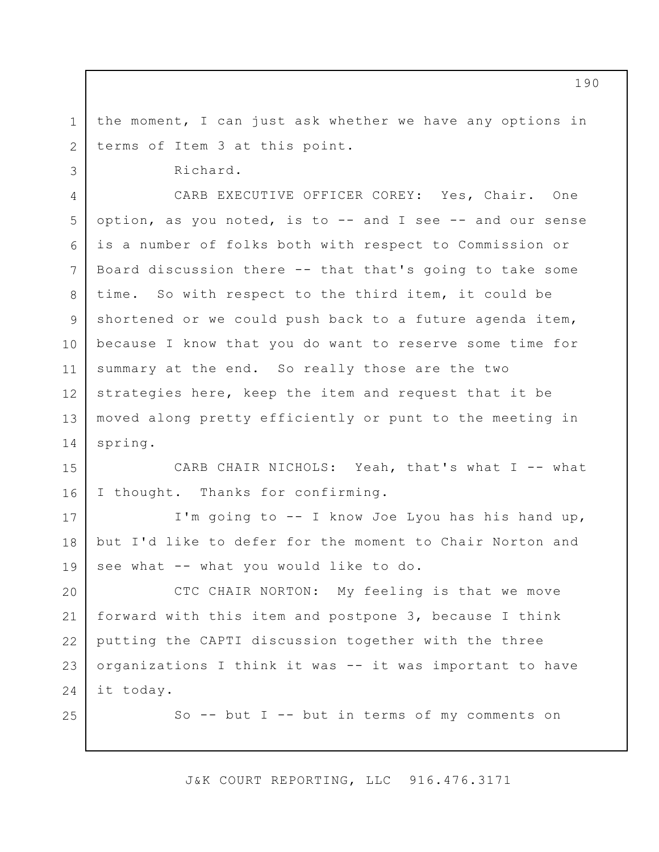the moment, I can just ask whether we have any options in terms of Item 3 at this point.

Richard.

1

2

3

17

18

19

25

4 5 6 7 8 9 10 11 12 13 14 CARB EXECUTIVE OFFICER COREY: Yes, Chair. One option, as you noted, is to -- and I see -- and our sense is a number of folks both with respect to Commission or Board discussion there -- that that's going to take some time. So with respect to the third item, it could be shortened or we could push back to a future agenda item, because I know that you do want to reserve some time for summary at the end. So really those are the two strategies here, keep the item and request that it be moved along pretty efficiently or punt to the meeting in spring.

15 16 CARB CHAIR NICHOLS: Yeah, that's what I -- what I thought. Thanks for confirming.

I'm going to -- I know Joe Lyou has his hand up, but I'd like to defer for the moment to Chair Norton and see what -- what you would like to do.

20 21 22 23 24 CTC CHAIR NORTON: My feeling is that we move forward with this item and postpone 3, because I think putting the CAPTI discussion together with the three organizations I think it was -- it was important to have it today.

So  $--$  but I  $--$  but in terms of my comments on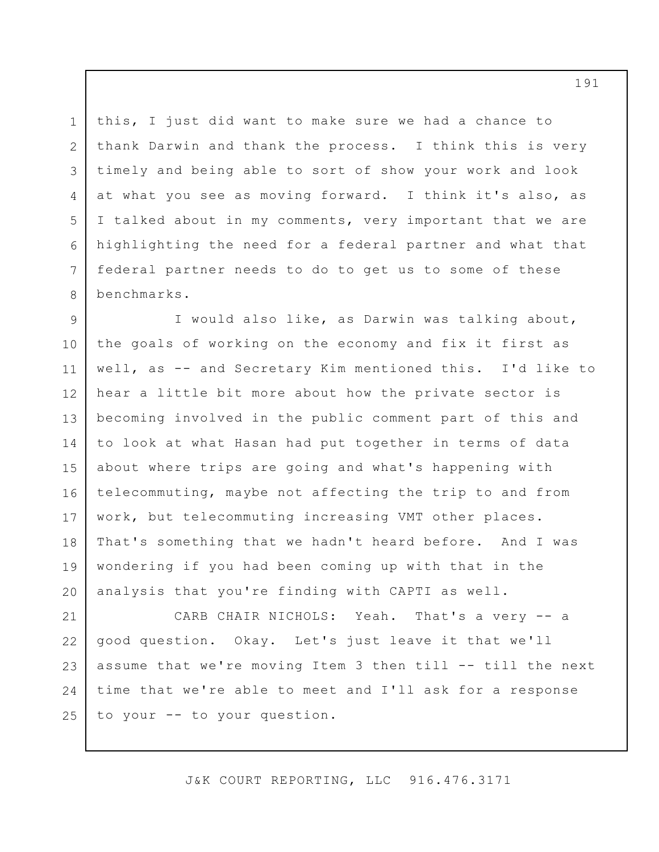this, I just did want to make sure we had a chance to thank Darwin and thank the process. I think this is very timely and being able to sort of show your work and look at what you see as moving forward. I think it's also, as I talked about in my comments, very important that we are highlighting the need for a federal partner and what that federal partner needs to do to get us to some of these benchmarks.

1

2

3

4

5

6

7

8

9 10 11 12 13 14 15 16 17 18 19 20 I would also like, as Darwin was talking about, the goals of working on the economy and fix it first as well, as -- and Secretary Kim mentioned this. I'd like to hear a little bit more about how the private sector is becoming involved in the public comment part of this and to look at what Hasan had put together in terms of data about where trips are going and what's happening with telecommuting, maybe not affecting the trip to and from work, but telecommuting increasing VMT other places. That's something that we hadn't heard before. And I was wondering if you had been coming up with that in the analysis that you're finding with CAPTI as well.

21 22 23 24 25 CARB CHAIR NICHOLS: Yeah. That's a very -- a good question. Okay. Let's just leave it that we'll assume that we're moving Item 3 then till -- till the next time that we're able to meet and I'll ask for a response to your -- to your question.

J&K COURT REPORTING, LLC 916.476.3171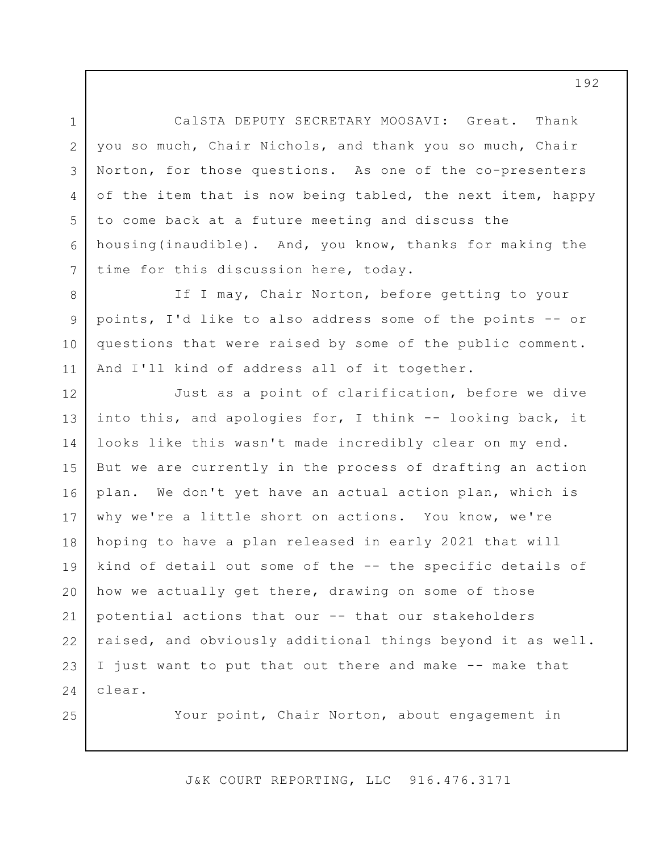CalSTA DEPUTY SECRETARY MOOSAVI: Great. Thank you so much, Chair Nichols, and thank you so much, Chair Norton, for those questions. As one of the co-presenters of the item that is now being tabled, the next item, happy to come back at a future meeting and discuss the housing(inaudible). And, you know, thanks for making the time for this discussion here, today.

1

2

3

4

5

6

7

25

8 9 10 11 If I may, Chair Norton, before getting to your points, I'd like to also address some of the points -- or questions that were raised by some of the public comment. And I'll kind of address all of it together.

12 13 14 15 16 17 18 19 20 21 22 23 24 Just as a point of clarification, before we dive into this, and apologies for, I think -- looking back, it looks like this wasn't made incredibly clear on my end. But we are currently in the process of drafting an action plan. We don't yet have an actual action plan, which is why we're a little short on actions. You know, we're hoping to have a plan released in early 2021 that will kind of detail out some of the -- the specific details of how we actually get there, drawing on some of those potential actions that our -- that our stakeholders raised, and obviously additional things beyond it as well. I just want to put that out there and make -- make that clear.

Your point, Chair Norton, about engagement in

J&K COURT REPORTING, LLC 916.476.3171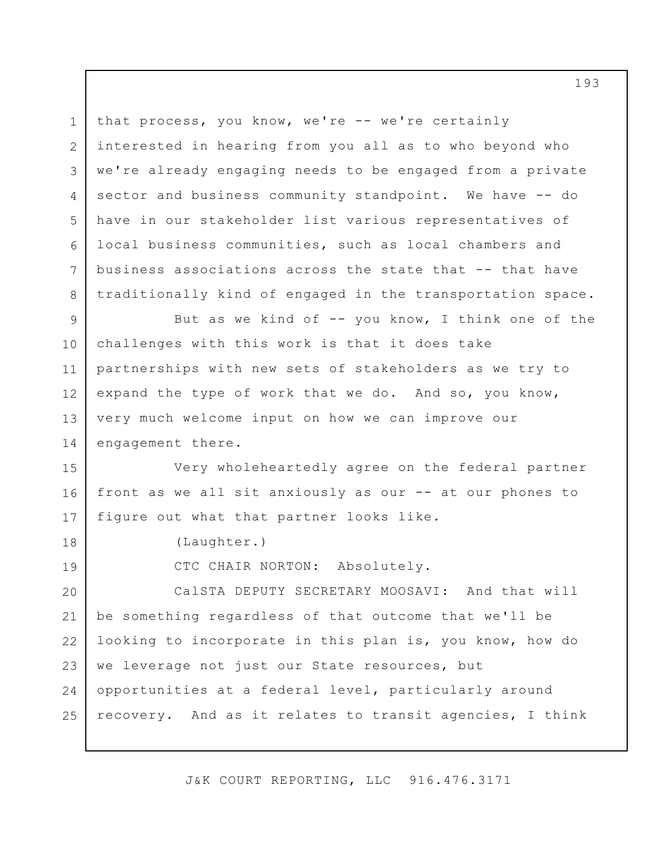that process, you know, we're -- we're certainly interested in hearing from you all as to who beyond who we're already engaging needs to be engaged from a private sector and business community standpoint. We have -- do have in our stakeholder list various representatives of local business communities, such as local chambers and business associations across the state that -- that have traditionally kind of engaged in the transportation space.

9 10 11 12 13 14 But as we kind of  $-$ - you know, I think one of the challenges with this work is that it does take partnerships with new sets of stakeholders as we try to expand the type of work that we do. And so, you know, very much welcome input on how we can improve our engagement there.

15 16 17 Very wholeheartedly agree on the federal partner front as we all sit anxiously as our -- at our phones to figure out what that partner looks like.

(Laughter.)

1

2

3

4

5

6

7

8

18

19

CTC CHAIR NORTON: Absolutely.

20 21 22 23 24 25 CalSTA DEPUTY SECRETARY MOOSAVI: And that will be something regardless of that outcome that we'll be looking to incorporate in this plan is, you know, how do we leverage not just our State resources, but opportunities at a federal level, particularly around recovery. And as it relates to transit agencies, I think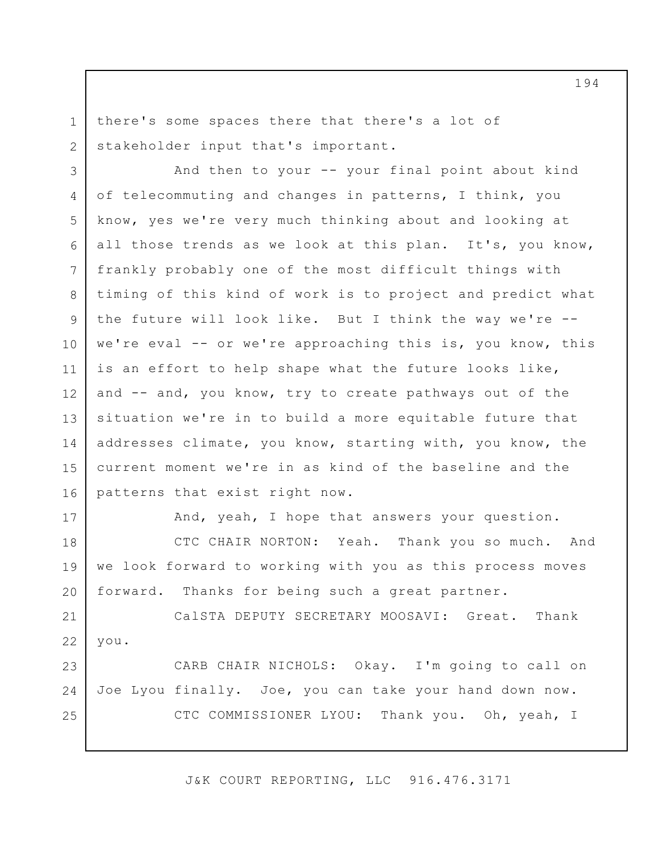there's some spaces there that there's a lot of stakeholder input that's important.

3 4 5 6 7 8 9 10 11 12 13 14 15 16 And then to your -- your final point about kind of telecommuting and changes in patterns, I think, you know, yes we're very much thinking about and looking at all those trends as we look at this plan. It's, you know, frankly probably one of the most difficult things with timing of this kind of work is to project and predict what the future will look like. But I think the way we're - we're eval -- or we're approaching this is, you know, this is an effort to help shape what the future looks like, and -- and, you know, try to create pathways out of the situation we're in to build a more equitable future that addresses climate, you know, starting with, you know, the current moment we're in as kind of the baseline and the patterns that exist right now.

17

1

2

And, yeah, I hope that answers your question.

18 19 20 CTC CHAIR NORTON: Yeah. Thank you so much. And we look forward to working with you as this process moves forward. Thanks for being such a great partner.

21 22 CalSTA DEPUTY SECRETARY MOOSAVI: Great. Thank you.

23 24 25 CARB CHAIR NICHOLS: Okay. I'm going to call on Joe Lyou finally. Joe, you can take your hand down now. CTC COMMISSIONER LYOU: Thank you. Oh, yeah, I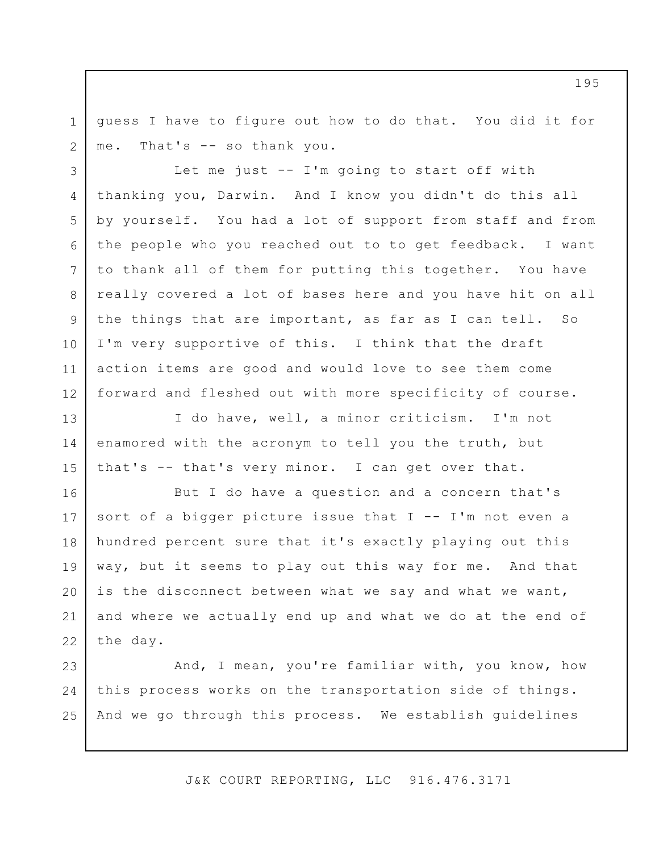guess I have to figure out how to do that. You did it for me. That's -- so thank you.

1

2

3

4

5

6

7

8

9

10

11

12

Let me just -- I'm going to start off with thanking you, Darwin. And I know you didn't do this all by yourself. You had a lot of support from staff and from the people who you reached out to to get feedback. I want to thank all of them for putting this together. You have really covered a lot of bases here and you have hit on all the things that are important, as far as I can tell. So I'm very supportive of this. I think that the draft action items are good and would love to see them come forward and fleshed out with more specificity of course.

13 14 15 I do have, well, a minor criticism. I'm not enamored with the acronym to tell you the truth, but that's -- that's very minor. I can get over that.

16 17 18 19 20 21 22 But I do have a question and a concern that's sort of a bigger picture issue that  $I - - I'm$  not even a hundred percent sure that it's exactly playing out this way, but it seems to play out this way for me. And that is the disconnect between what we say and what we want, and where we actually end up and what we do at the end of the day.

23 24 25 And, I mean, you're familiar with, you know, how this process works on the transportation side of things. And we go through this process. We establish guidelines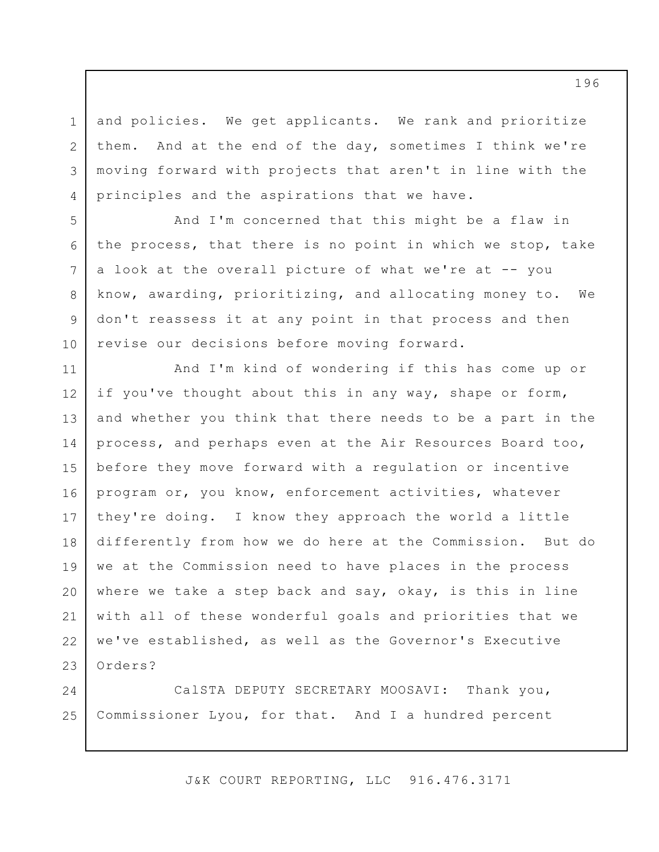and policies. We get applicants. We rank and prioritize them. And at the end of the day, sometimes I think we're moving forward with projects that aren't in line with the principles and the aspirations that we have.

1

2

3

4

5

6

7

8

9

10

And I'm concerned that this might be a flaw in the process, that there is no point in which we stop, take a look at the overall picture of what we're at -- you know, awarding, prioritizing, and allocating money to. We don't reassess it at any point in that process and then revise our decisions before moving forward.

11 12 13 14 15 16 17 18 19 20 21 22 23 And I'm kind of wondering if this has come up or if you've thought about this in any way, shape or form, and whether you think that there needs to be a part in the process, and perhaps even at the Air Resources Board too, before they move forward with a regulation or incentive program or, you know, enforcement activities, whatever they're doing. I know they approach the world a little differently from how we do here at the Commission. But do we at the Commission need to have places in the process where we take a step back and say, okay, is this in line with all of these wonderful goals and priorities that we we've established, as well as the Governor's Executive Orders?

24 25 CalSTA DEPUTY SECRETARY MOOSAVI: Thank you, Commissioner Lyou, for that. And I a hundred percent

J&K COURT REPORTING, LLC 916.476.3171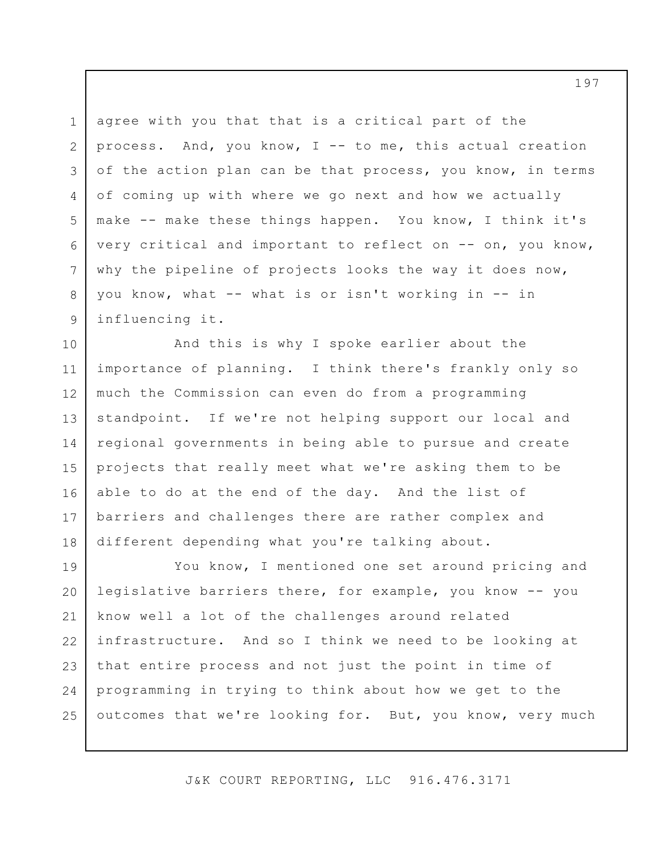1 2 3 4 5 6 7 8 9 agree with you that that is a critical part of the process. And, you know, I -- to me, this actual creation of the action plan can be that process, you know, in terms of coming up with where we go next and how we actually make -- make these things happen. You know, I think it's very critical and important to reflect on -- on, you know, why the pipeline of projects looks the way it does now, you know, what -- what is or isn't working in -- in influencing it.

10 11 12 13 14 15 16 17 18 And this is why I spoke earlier about the importance of planning. I think there's frankly only so much the Commission can even do from a programming standpoint. If we're not helping support our local and regional governments in being able to pursue and create projects that really meet what we're asking them to be able to do at the end of the day. And the list of barriers and challenges there are rather complex and different depending what you're talking about.

19 20 21 22 23 24 25 You know, I mentioned one set around pricing and legislative barriers there, for example, you know -- you know well a lot of the challenges around related infrastructure. And so I think we need to be looking at that entire process and not just the point in time of programming in trying to think about how we get to the outcomes that we're looking for. But, you know, very much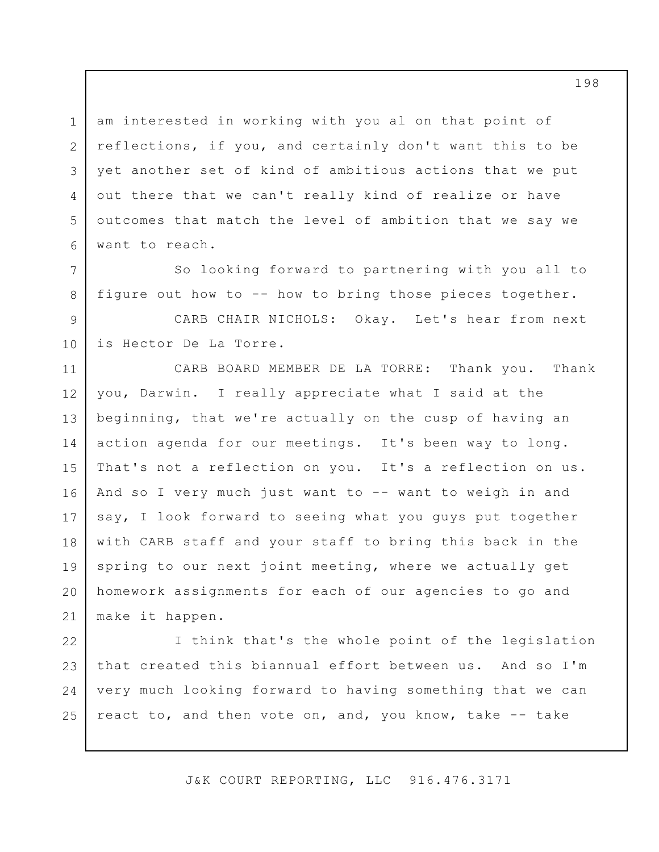1 2 3 4 5 6 am interested in working with you al on that point of reflections, if you, and certainly don't want this to be yet another set of kind of ambitious actions that we put out there that we can't really kind of realize or have outcomes that match the level of ambition that we say we want to reach.

So looking forward to partnering with you all to figure out how to -- how to bring those pieces together.

7

8

9 10 CARB CHAIR NICHOLS: Okay. Let's hear from next is Hector De La Torre.

11 12 13 14 15 16 17 18 19 20 21 CARB BOARD MEMBER DE LA TORRE: Thank you. Thank you, Darwin. I really appreciate what I said at the beginning, that we're actually on the cusp of having an action agenda for our meetings. It's been way to long. That's not a reflection on you. It's a reflection on us. And so I very much just want to -- want to weigh in and say, I look forward to seeing what you guys put together with CARB staff and your staff to bring this back in the spring to our next joint meeting, where we actually get homework assignments for each of our agencies to go and make it happen.

22 23 24 25 I think that's the whole point of the legislation that created this biannual effort between us. And so I'm very much looking forward to having something that we can react to, and then vote on, and, you know, take -- take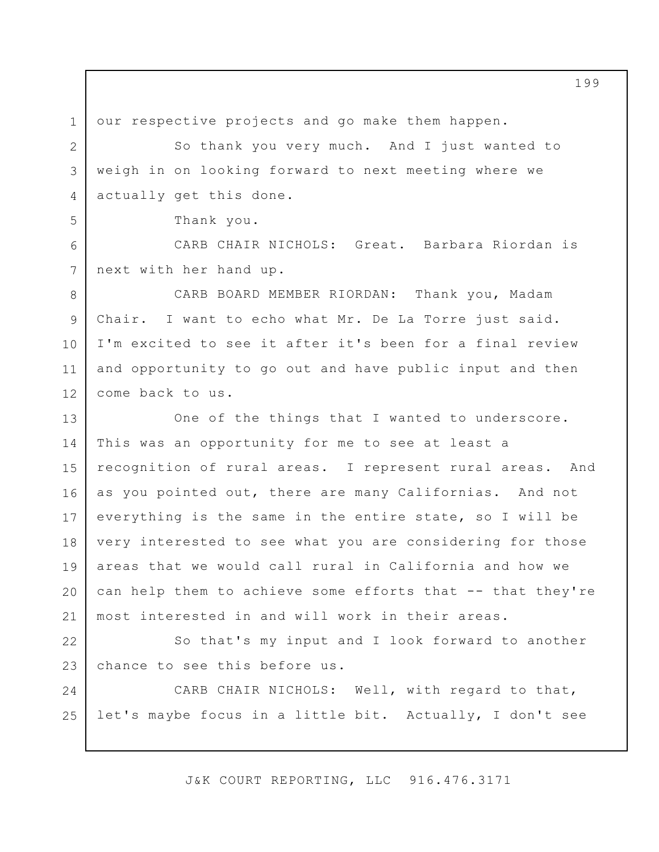1 our respective projects and go make them happen.

So thank you very much. And I just wanted to weigh in on looking forward to next meeting where we actually get this done.

Thank you.

2

3

4

5

6

7

CARB CHAIR NICHOLS: Great. Barbara Riordan is next with her hand up.

8 9 10 11 12 CARB BOARD MEMBER RIORDAN: Thank you, Madam Chair. I want to echo what Mr. De La Torre just said. I'm excited to see it after it's been for a final review and opportunity to go out and have public input and then come back to us.

13 14 15 16 17 18 19 20 21 One of the things that I wanted to underscore. This was an opportunity for me to see at least a recognition of rural areas. I represent rural areas. And as you pointed out, there are many Californias. And not everything is the same in the entire state, so I will be very interested to see what you are considering for those areas that we would call rural in California and how we can help them to achieve some efforts that -- that they're most interested in and will work in their areas.

22 23 So that's my input and I look forward to another chance to see this before us.

24 25 CARB CHAIR NICHOLS: Well, with regard to that, let's maybe focus in a little bit. Actually, I don't see

J&K COURT REPORTING, LLC 916.476.3171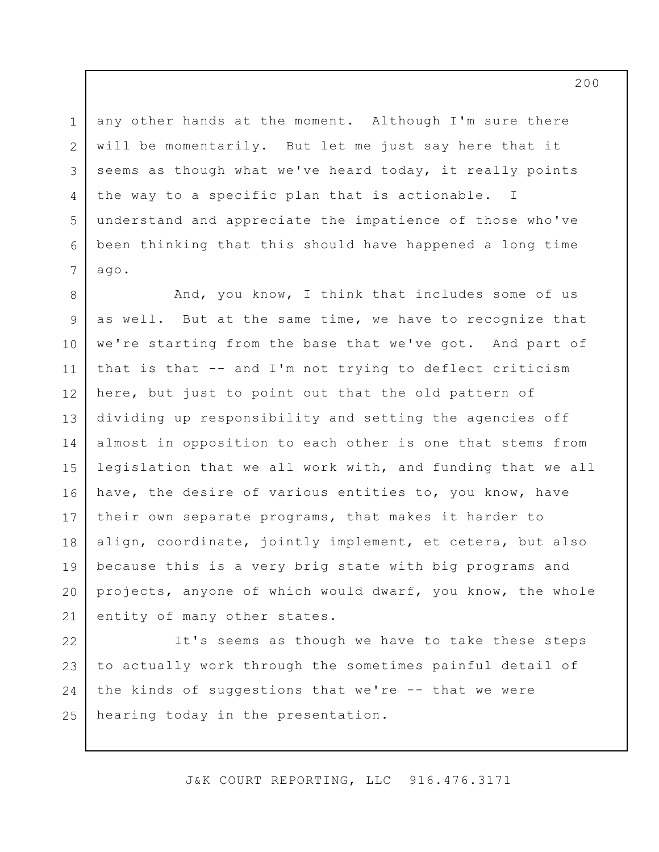3 any other hands at the moment. Although I'm sure there will be momentarily. But let me just say here that it seems as though what we've heard today, it really points the way to a specific plan that is actionable. I understand and appreciate the impatience of those who've been thinking that this should have happened a long time ago.

1

2

4

5

6

7

8 9 10 11 12 13 14 15 16 17 18 19 20 21 And, you know, I think that includes some of us as well. But at the same time, we have to recognize that we're starting from the base that we've got. And part of that is that -- and I'm not trying to deflect criticism here, but just to point out that the old pattern of dividing up responsibility and setting the agencies off almost in opposition to each other is one that stems from legislation that we all work with, and funding that we all have, the desire of various entities to, you know, have their own separate programs, that makes it harder to align, coordinate, jointly implement, et cetera, but also because this is a very brig state with big programs and projects, anyone of which would dwarf, you know, the whole entity of many other states.

22 23 24 25 It's seems as though we have to take these steps to actually work through the sometimes painful detail of the kinds of suggestions that we're -- that we were hearing today in the presentation.

J&K COURT REPORTING, LLC 916.476.3171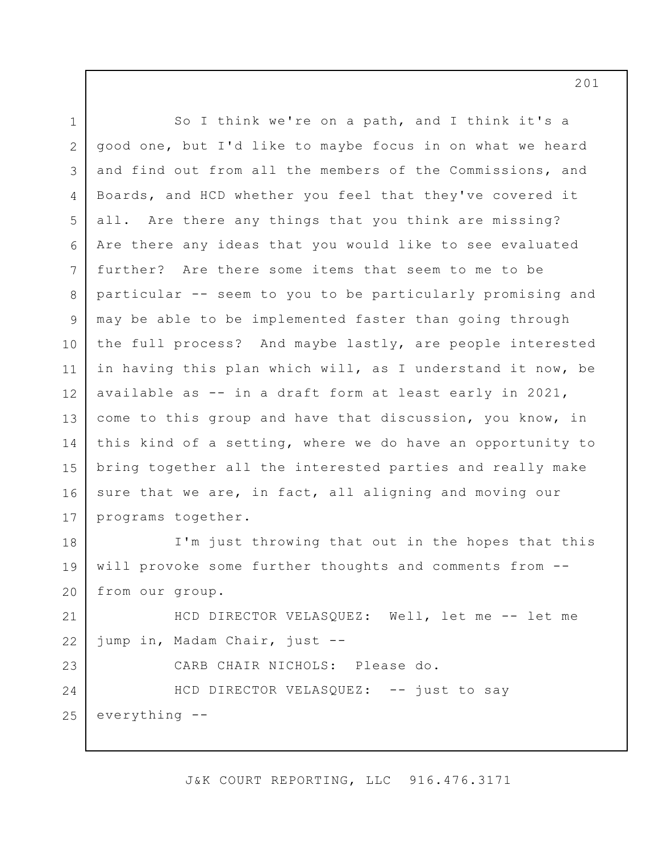1 2 3 4 5 6 7 8 9 10 11 12 13 14 15 16 17 18 19 20 21 22 23 24 25 So I think we're on a path, and I think it's a good one, but I'd like to maybe focus in on what we heard and find out from all the members of the Commissions, and Boards, and HCD whether you feel that they've covered it all. Are there any things that you think are missing? Are there any ideas that you would like to see evaluated further? Are there some items that seem to me to be particular -- seem to you to be particularly promising and may be able to be implemented faster than going through the full process? And maybe lastly, are people interested in having this plan which will, as I understand it now, be available as -- in a draft form at least early in 2021, come to this group and have that discussion, you know, in this kind of a setting, where we do have an opportunity to bring together all the interested parties and really make sure that we are, in fact, all aligning and moving our programs together. I'm just throwing that out in the hopes that this will provoke some further thoughts and comments from - from our group. HCD DIRECTOR VELASQUEZ: Well, let me -- let me jump in, Madam Chair, just -- CARB CHAIR NICHOLS: Please do. HCD DIRECTOR VELASQUEZ: -- just to say everything --

J&K COURT REPORTING, LLC 916.476.3171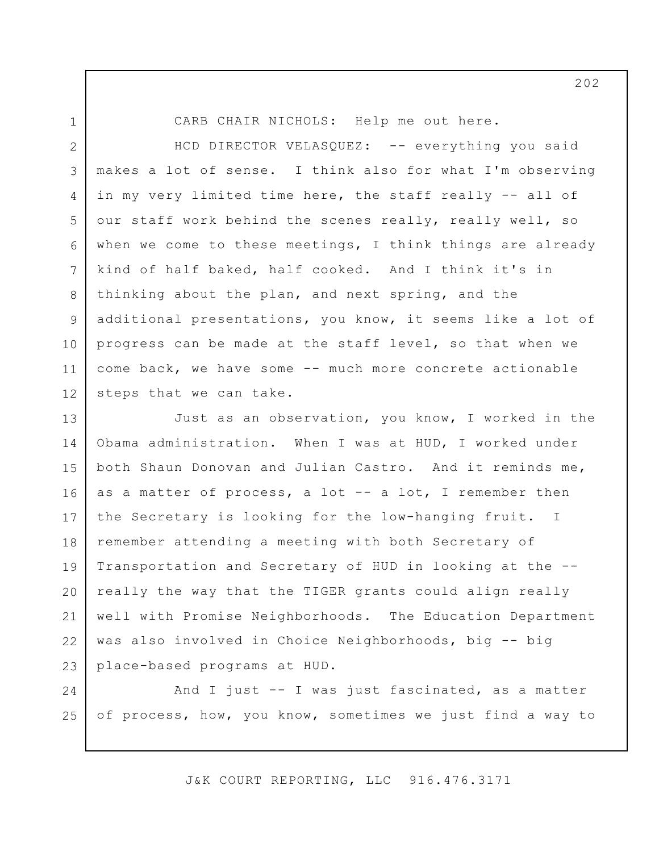1

CARB CHAIR NICHOLS: Help me out here.

2 3 4 5 6 7 8 9 10 11 12 HCD DIRECTOR VELASQUEZ: -- everything you said makes a lot of sense. I think also for what I'm observing in my very limited time here, the staff really -- all of our staff work behind the scenes really, really well, so when we come to these meetings, I think things are already kind of half baked, half cooked. And I think it's in thinking about the plan, and next spring, and the additional presentations, you know, it seems like a lot of progress can be made at the staff level, so that when we come back, we have some -- much more concrete actionable steps that we can take.

13 14 15 16 17 18 19 20 21 22 23 Just as an observation, you know, I worked in the Obama administration. When I was at HUD, I worked under both Shaun Donovan and Julian Castro. And it reminds me, as a matter of process, a lot -- a lot, I remember then the Secretary is looking for the low-hanging fruit. I remember attending a meeting with both Secretary of Transportation and Secretary of HUD in looking at the - really the way that the TIGER grants could align really well with Promise Neighborhoods. The Education Department was also involved in Choice Neighborhoods, big -- big place-based programs at HUD.

24 25 And I just -- I was just fascinated, as a matter of process, how, you know, sometimes we just find a way to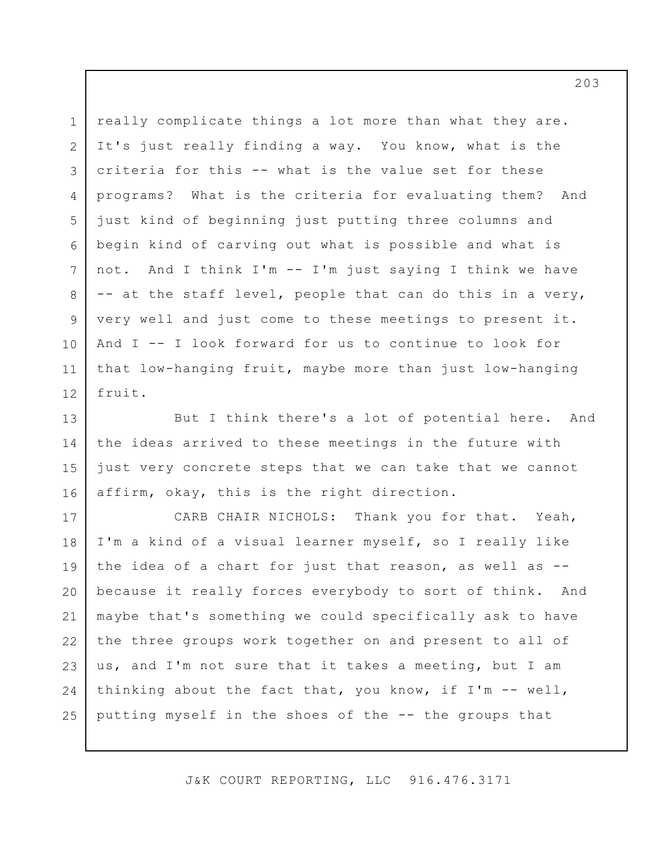really complicate things a lot more than what they are. It's just really finding a way. You know, what is the criteria for this -- what is the value set for these programs? What is the criteria for evaluating them? And just kind of beginning just putting three columns and begin kind of carving out what is possible and what is not. And I think I'm -- I'm just saying I think we have -- at the staff level, people that can do this in a very, very well and just come to these meetings to present it. And I -- I look forward for us to continue to look for that low-hanging fruit, maybe more than just low-hanging fruit.

1

2

3

4

5

6

7

8

9

10

11

12

13 14 15 16 But I think there's a lot of potential here. And the ideas arrived to these meetings in the future with just very concrete steps that we can take that we cannot affirm, okay, this is the right direction.

17 18 19 20 21 22 23 24 25 CARB CHAIR NICHOLS: Thank you for that. Yeah, I'm a kind of a visual learner myself, so I really like the idea of a chart for just that reason, as well as - because it really forces everybody to sort of think. And maybe that's something we could specifically ask to have the three groups work together on and present to all of us, and I'm not sure that it takes a meeting, but I am thinking about the fact that, you know, if  $I'm - -$  well, putting myself in the shoes of the -- the groups that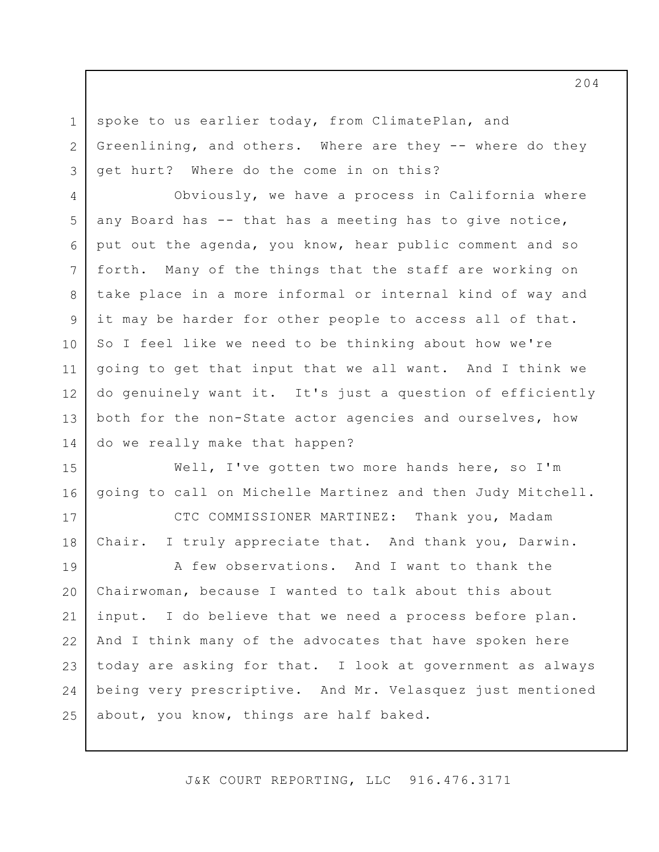spoke to us earlier today, from ClimatePlan, and Greenlining, and others. Where are they -- where do they get hurt? Where do the come in on this?

1

2

3

4 5 6 7 8 9 10 11 12 13 14 Obviously, we have a process in California where any Board has -- that has a meeting has to give notice, put out the agenda, you know, hear public comment and so forth. Many of the things that the staff are working on take place in a more informal or internal kind of way and it may be harder for other people to access all of that. So I feel like we need to be thinking about how we're going to get that input that we all want. And I think we do genuinely want it. It's just a question of efficiently both for the non-State actor agencies and ourselves, how do we really make that happen?

15 16 Well, I've gotten two more hands here, so I'm going to call on Michelle Martinez and then Judy Mitchell.

17 18 CTC COMMISSIONER MARTINEZ: Thank you, Madam Chair. I truly appreciate that. And thank you, Darwin.

19 20 21 22 23 24 25 A few observations. And I want to thank the Chairwoman, because I wanted to talk about this about input. I do believe that we need a process before plan. And I think many of the advocates that have spoken here today are asking for that. I look at government as always being very prescriptive. And Mr. Velasquez just mentioned about, you know, things are half baked.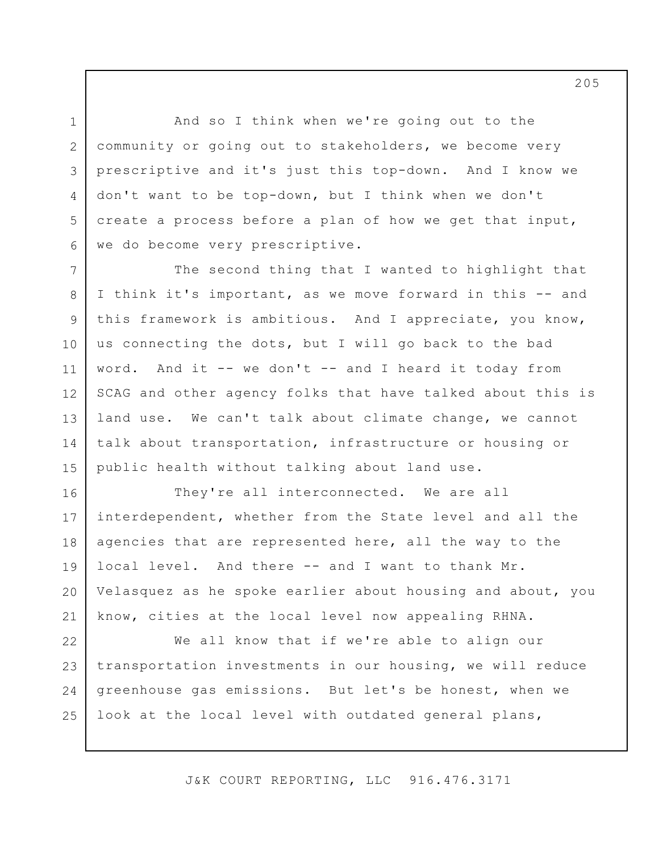And so I think when we're going out to the community or going out to stakeholders, we become very prescriptive and it's just this top-down. And I know we don't want to be top-down, but I think when we don't create a process before a plan of how we get that input, we do become very prescriptive.

1

2

3

4

5

6

7 8 9 10 11 12 13 14 15 The second thing that I wanted to highlight that I think it's important, as we move forward in this -- and this framework is ambitious. And I appreciate, you know, us connecting the dots, but I will go back to the bad word. And it -- we don't -- and I heard it today from SCAG and other agency folks that have talked about this is land use. We can't talk about climate change, we cannot talk about transportation, infrastructure or housing or public health without talking about land use.

16 17 18 19 20 21 They're all interconnected. We are all interdependent, whether from the State level and all the agencies that are represented here, all the way to the local level. And there -- and I want to thank Mr. Velasquez as he spoke earlier about housing and about, you know, cities at the local level now appealing RHNA.

22 23 24 25 We all know that if we're able to align our transportation investments in our housing, we will reduce greenhouse gas emissions. But let's be honest, when we look at the local level with outdated general plans,

J&K COURT REPORTING, LLC 916.476.3171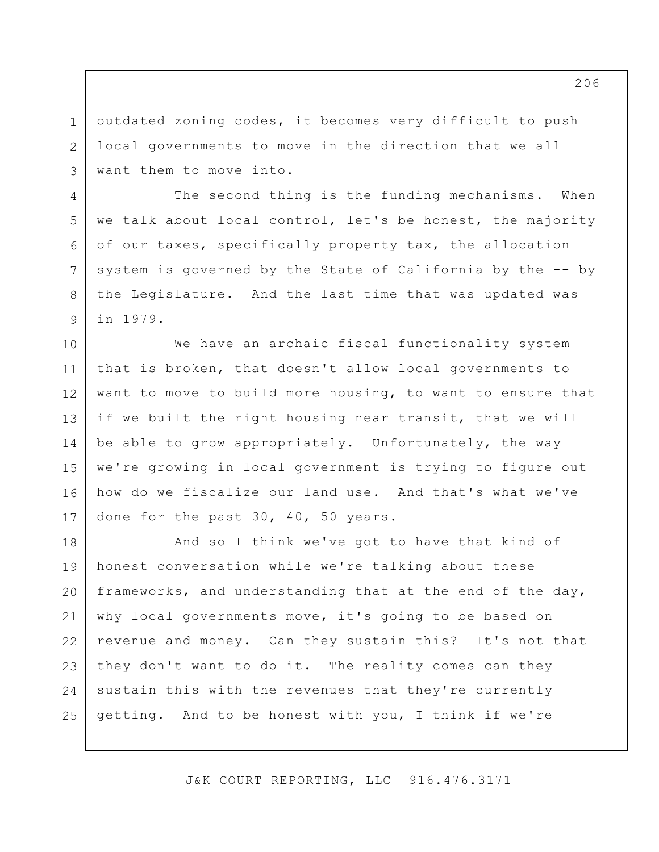outdated zoning codes, it becomes very difficult to push local governments to move in the direction that we all want them to move into.

1

2

3

4

5

6

7

8

9

The second thing is the funding mechanisms. When we talk about local control, let's be honest, the majority of our taxes, specifically property tax, the allocation system is governed by the State of California by the -- by the Legislature. And the last time that was updated was in 1979.

10 11 12 13 14 15 16 17 We have an archaic fiscal functionality system that is broken, that doesn't allow local governments to want to move to build more housing, to want to ensure that if we built the right housing near transit, that we will be able to grow appropriately. Unfortunately, the way we're growing in local government is trying to figure out how do we fiscalize our land use. And that's what we've done for the past 30, 40, 50 years.

18 19 20 21 22 23 24 25 And so I think we've got to have that kind of honest conversation while we're talking about these frameworks, and understanding that at the end of the day, why local governments move, it's going to be based on revenue and money. Can they sustain this? It's not that they don't want to do it. The reality comes can they sustain this with the revenues that they're currently getting. And to be honest with you, I think if we're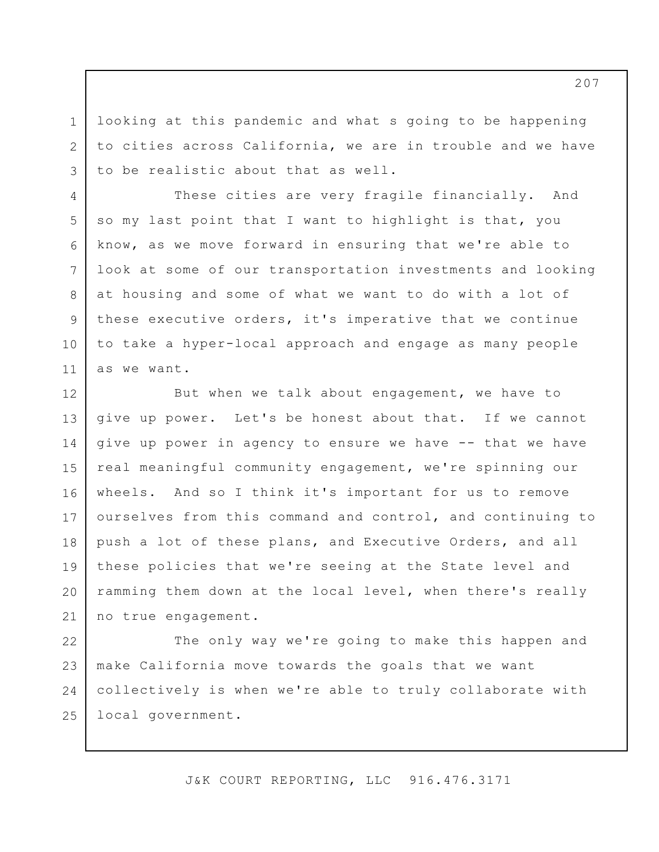looking at this pandemic and what s going to be happening to cities across California, we are in trouble and we have to be realistic about that as well.

1

2

3

4

5

6

7

8

9

10

11

These cities are very fragile financially. And so my last point that I want to highlight is that, you know, as we move forward in ensuring that we're able to look at some of our transportation investments and looking at housing and some of what we want to do with a lot of these executive orders, it's imperative that we continue to take a hyper-local approach and engage as many people as we want.

12 13 14 15 16 17 18 19 20 21 But when we talk about engagement, we have to give up power. Let's be honest about that. If we cannot give up power in agency to ensure we have -- that we have real meaningful community engagement, we're spinning our wheels. And so I think it's important for us to remove ourselves from this command and control, and continuing to push a lot of these plans, and Executive Orders, and all these policies that we're seeing at the State level and ramming them down at the local level, when there's really no true engagement.

22 23 24 25 The only way we're going to make this happen and make California move towards the goals that we want collectively is when we're able to truly collaborate with local government.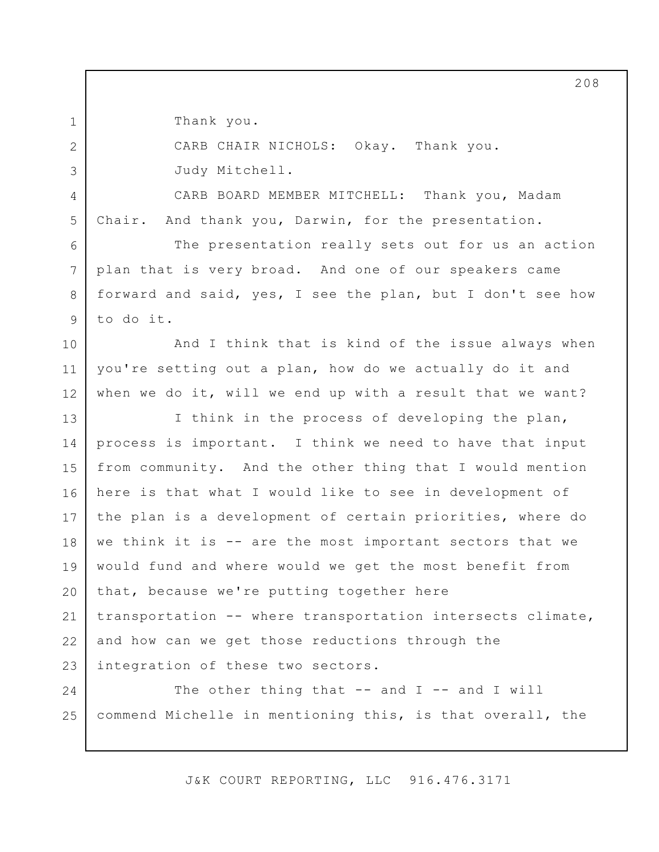Thank you.

1

2

3

4

5

6

7

8

9

CARB CHAIR NICHOLS: Okay. Thank you. Judy Mitchell.

CARB BOARD MEMBER MITCHELL: Thank you, Madam Chair. And thank you, Darwin, for the presentation.

The presentation really sets out for us an action plan that is very broad. And one of our speakers came forward and said, yes, I see the plan, but I don't see how to do it.

10 11 12 And I think that is kind of the issue always when you're setting out a plan, how do we actually do it and when we do it, will we end up with a result that we want?

13 14 15 16 17 18 19 20 21 22 23 I think in the process of developing the plan, process is important. I think we need to have that input from community. And the other thing that I would mention here is that what I would like to see in development of the plan is a development of certain priorities, where do we think it is -- are the most important sectors that we would fund and where would we get the most benefit from that, because we're putting together here transportation -- where transportation intersects climate, and how can we get those reductions through the integration of these two sectors.

24 25 The other thing that  $--$  and I  $--$  and I will commend Michelle in mentioning this, is that overall, the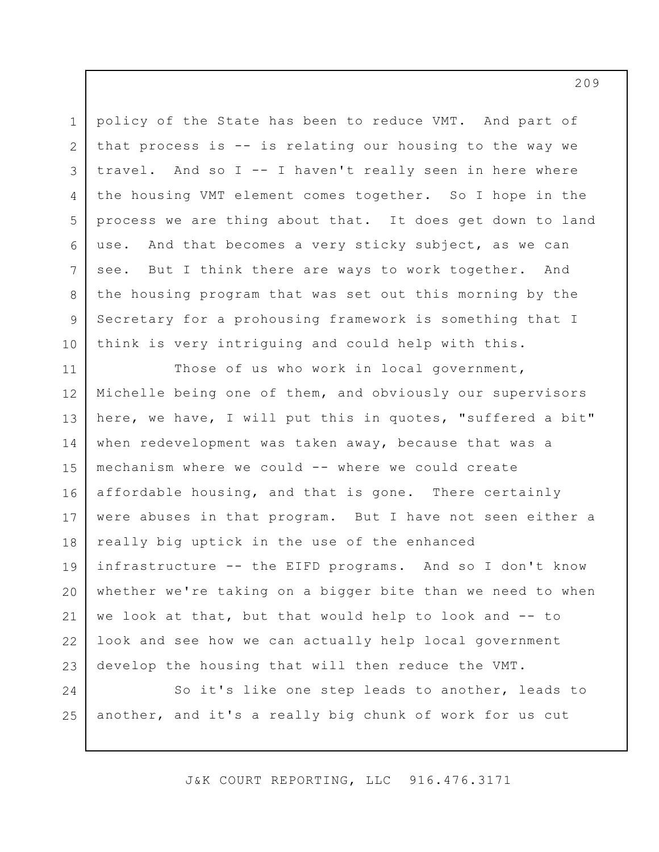1 2 3 4 5 6 7 8 9 10 policy of the State has been to reduce VMT. And part of that process is -- is relating our housing to the way we travel. And so I -- I haven't really seen in here where the housing VMT element comes together. So I hope in the process we are thing about that. It does get down to land use. And that becomes a very sticky subject, as we can see. But I think there are ways to work together. And the housing program that was set out this morning by the Secretary for a prohousing framework is something that I think is very intriguing and could help with this.

11 12 13 14 15 16 17 18 19 20 21 22 23 Those of us who work in local government, Michelle being one of them, and obviously our supervisors here, we have, I will put this in quotes, "suffered a bit" when redevelopment was taken away, because that was a mechanism where we could -- where we could create affordable housing, and that is gone. There certainly were abuses in that program. But I have not seen either a really big uptick in the use of the enhanced infrastructure -- the EIFD programs. And so I don't know whether we're taking on a bigger bite than we need to when we look at that, but that would help to look and -- to look and see how we can actually help local government develop the housing that will then reduce the VMT.

24 25 So it's like one step leads to another, leads to another, and it's a really big chunk of work for us cut

J&K COURT REPORTING, LLC 916.476.3171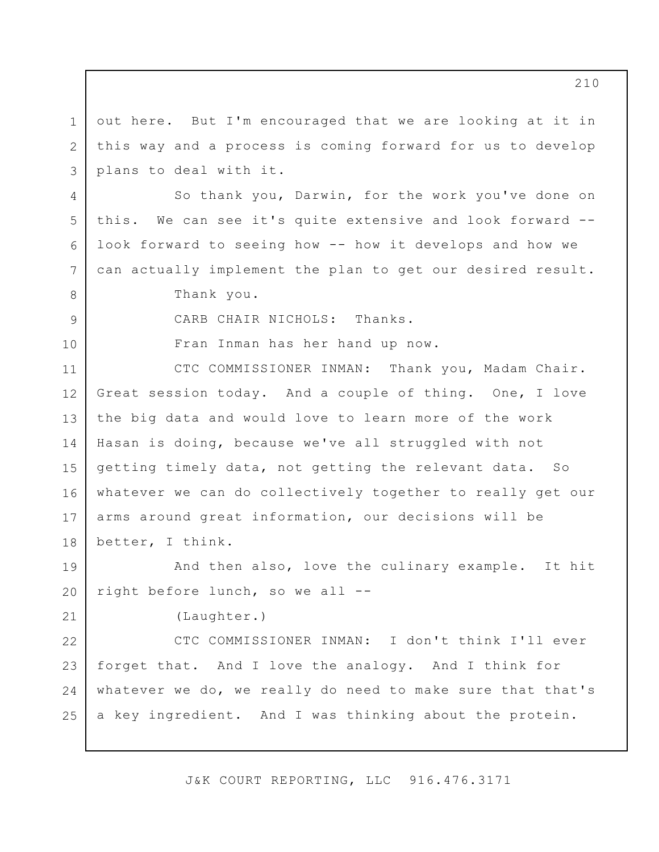1 2 3 out here. But I'm encouraged that we are looking at it in this way and a process is coming forward for us to develop plans to deal with it.

So thank you, Darwin, for the work you've done on this. We can see it's quite extensive and look forward - look forward to seeing how -- how it develops and how we can actually implement the plan to get our desired result.

Thank you.

4

5

6

7

8

9

10

21

CARB CHAIR NICHOLS: Thanks.

Fran Inman has her hand up now.

11 12 13 14 15 16 17 18 CTC COMMISSIONER INMAN: Thank you, Madam Chair. Great session today. And a couple of thing. One, I love the big data and would love to learn more of the work Hasan is doing, because we've all struggled with not getting timely data, not getting the relevant data. So whatever we can do collectively together to really get our arms around great information, our decisions will be better, I think.

19 20 And then also, love the culinary example. It hit right before lunch, so we all --

(Laughter.)

22 23 24 25 CTC COMMISSIONER INMAN: I don't think I'll ever forget that. And I love the analogy. And I think for whatever we do, we really do need to make sure that that's a key ingredient. And I was thinking about the protein.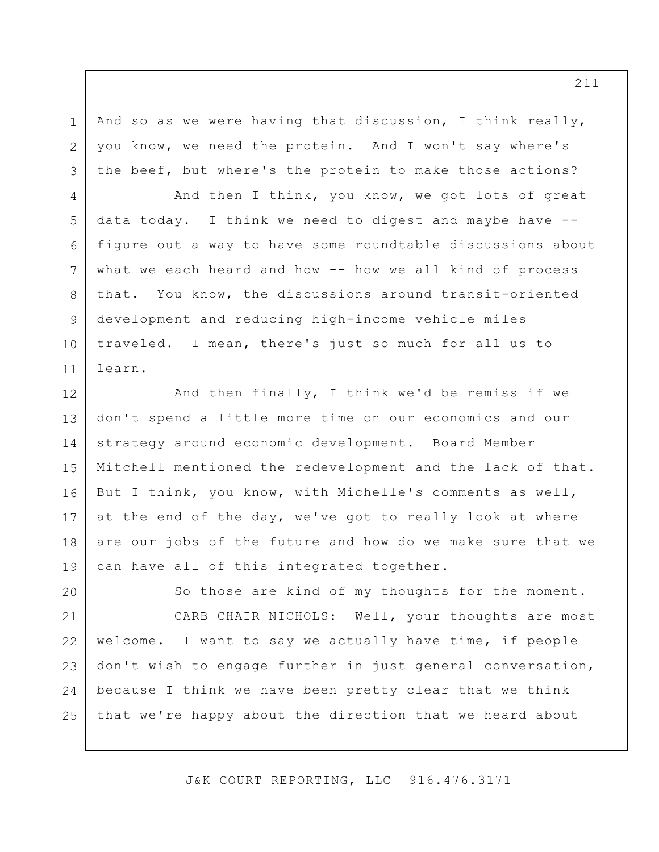And so as we were having that discussion, I think really, you know, we need the protein. And I won't say where's the beef, but where's the protein to make those actions?

1

2

3

4

5

7

8

9

10

11

6 And then I think, you know, we got lots of great data today. I think we need to digest and maybe have - figure out a way to have some roundtable discussions about what we each heard and how -- how we all kind of process that. You know, the discussions around transit-oriented development and reducing high-income vehicle miles traveled. I mean, there's just so much for all us to learn.

12 13 14 15 16 17 18 19 And then finally, I think we'd be remiss if we don't spend a little more time on our economics and our strategy around economic development. Board Member Mitchell mentioned the redevelopment and the lack of that. But I think, you know, with Michelle's comments as well, at the end of the day, we've got to really look at where are our jobs of the future and how do we make sure that we can have all of this integrated together.

20 21 22 23 24 25 So those are kind of my thoughts for the moment. CARB CHAIR NICHOLS: Well, your thoughts are most welcome. I want to say we actually have time, if people don't wish to engage further in just general conversation, because I think we have been pretty clear that we think that we're happy about the direction that we heard about

J&K COURT REPORTING, LLC 916.476.3171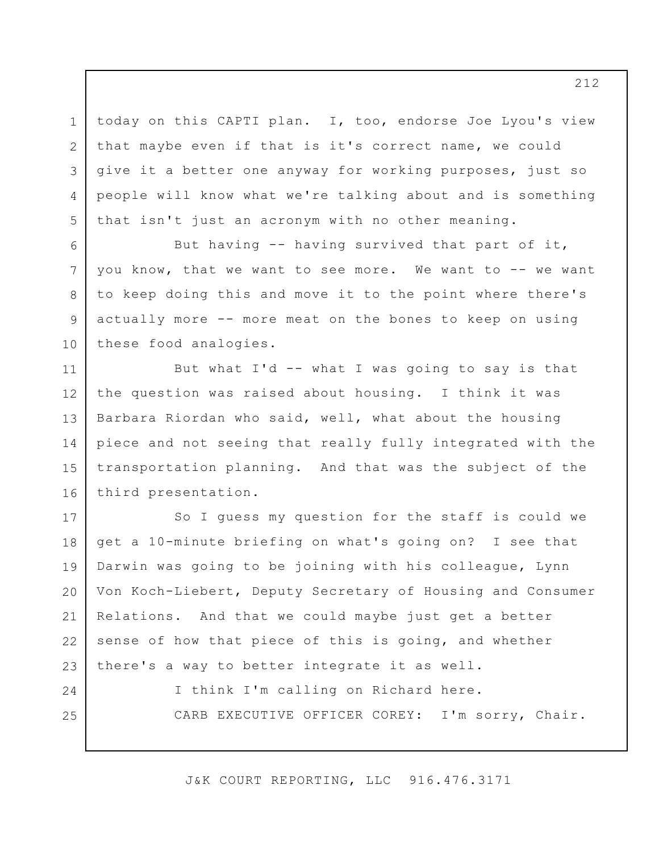today on this CAPTI plan. I, too, endorse Joe Lyou's view that maybe even if that is it's correct name, we could give it a better one anyway for working purposes, just so people will know what we're talking about and is something that isn't just an acronym with no other meaning.

1

2

3

4

5

6

7

8

9

10

24

25

But having -- having survived that part of it, you know, that we want to see more. We want to -- we want to keep doing this and move it to the point where there's actually more -- more meat on the bones to keep on using these food analogies.

11 12 13 14 15 16 But what I'd -- what I was going to say is that the question was raised about housing. I think it was Barbara Riordan who said, well, what about the housing piece and not seeing that really fully integrated with the transportation planning. And that was the subject of the third presentation.

17 18 19 20 21 22 23 So I guess my question for the staff is could we get a 10-minute briefing on what's going on? I see that Darwin was going to be joining with his colleague, Lynn Von Koch-Liebert, Deputy Secretary of Housing and Consumer Relations. And that we could maybe just get a better sense of how that piece of this is going, and whether there's a way to better integrate it as well.

> I think I'm calling on Richard here. CARB EXECUTIVE OFFICER COREY: I'm sorry, Chair.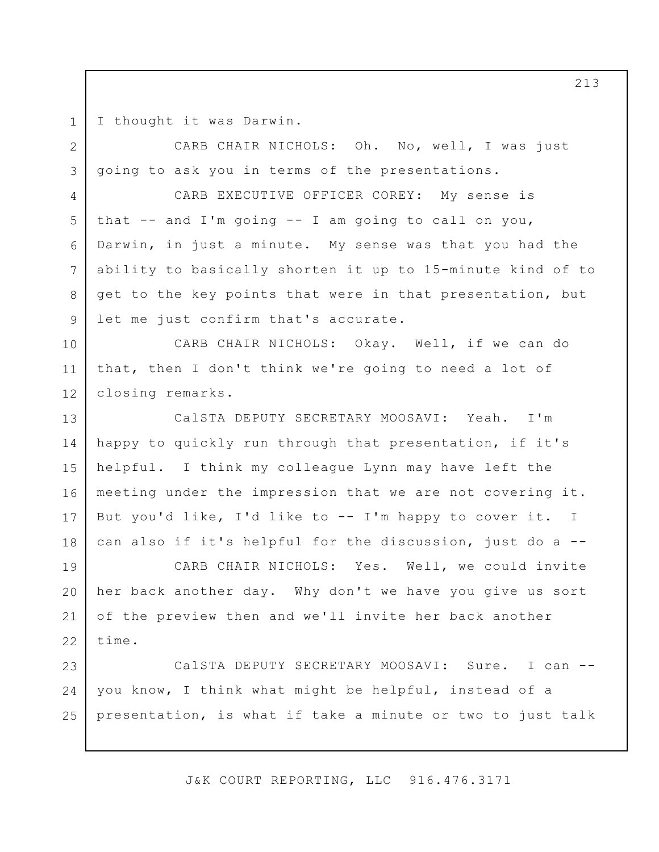I thought it was Darwin.

1

2

3

4

5

6

7

8

9

CARB CHAIR NICHOLS: Oh. No, well, I was just going to ask you in terms of the presentations.

CARB EXECUTIVE OFFICER COREY: My sense is that  $--$  and I'm going  $--$  I am going to call on you, Darwin, in just a minute. My sense was that you had the ability to basically shorten it up to 15-minute kind of to get to the key points that were in that presentation, but let me just confirm that's accurate.

10 11 12 CARB CHAIR NICHOLS: Okay. Well, if we can do that, then I don't think we're going to need a lot of closing remarks.

13 14 15 16 17 18 CalSTA DEPUTY SECRETARY MOOSAVI: Yeah. I'm happy to quickly run through that presentation, if it's helpful. I think my colleague Lynn may have left the meeting under the impression that we are not covering it. But you'd like, I'd like to -- I'm happy to cover it. I can also if it's helpful for the discussion, just do a --

19 20 21 22 CARB CHAIR NICHOLS: Yes. Well, we could invite her back another day. Why don't we have you give us sort of the preview then and we'll invite her back another time.

23 24 25 CalSTA DEPUTY SECRETARY MOOSAVI: Sure. I can - you know, I think what might be helpful, instead of a presentation, is what if take a minute or two to just talk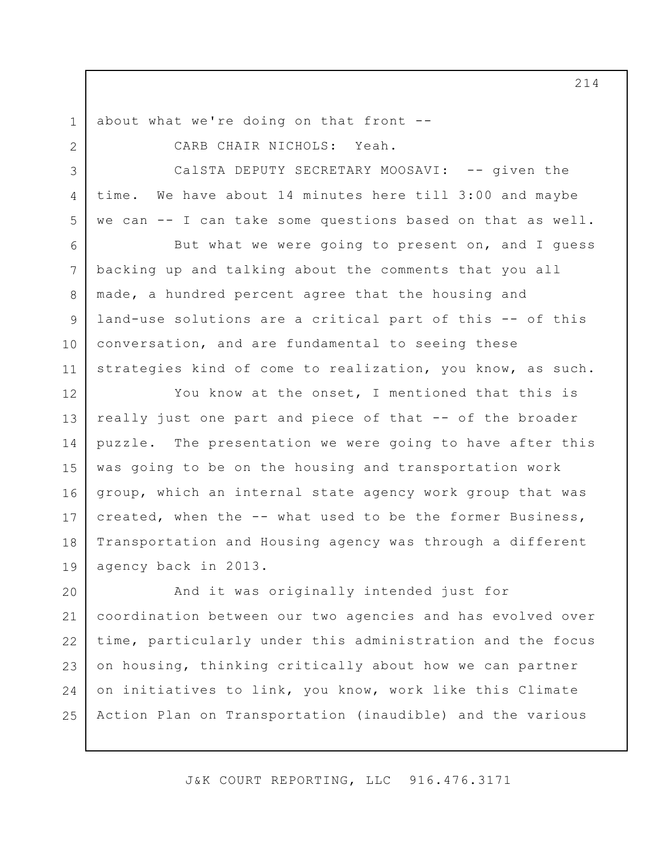about what we're doing on that front --

1

2

3

4

5

7

8

9

11

CARB CHAIR NICHOLS: Yeah.

CalSTA DEPUTY SECRETARY MOOSAVI: -- given the time. We have about 14 minutes here till 3:00 and maybe we can -- I can take some questions based on that as well.

6 10 But what we were going to present on, and I guess backing up and talking about the comments that you all made, a hundred percent agree that the housing and land-use solutions are a critical part of this -- of this conversation, and are fundamental to seeing these strategies kind of come to realization, you know, as such.

12 13 14 15 16 17 18 19 You know at the onset, I mentioned that this is really just one part and piece of that -- of the broader puzzle. The presentation we were going to have after this was going to be on the housing and transportation work group, which an internal state agency work group that was created, when the -- what used to be the former Business, Transportation and Housing agency was through a different agency back in 2013.

20 21 22 23 24 25 And it was originally intended just for coordination between our two agencies and has evolved over time, particularly under this administration and the focus on housing, thinking critically about how we can partner on initiatives to link, you know, work like this Climate Action Plan on Transportation (inaudible) and the various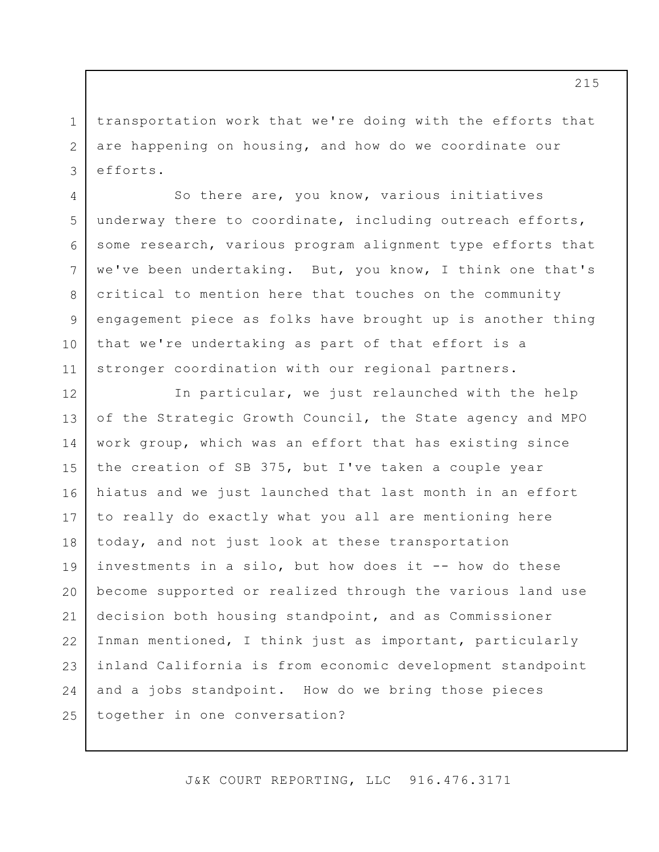transportation work that we're doing with the efforts that are happening on housing, and how do we coordinate our efforts.

1

2

3

4

5

6

7

8

9

10

11

So there are, you know, various initiatives underway there to coordinate, including outreach efforts, some research, various program alignment type efforts that we've been undertaking. But, you know, I think one that's critical to mention here that touches on the community engagement piece as folks have brought up is another thing that we're undertaking as part of that effort is a stronger coordination with our regional partners.

12 13 14 15 16 17 18 19 20 21 22 23 24 25 In particular, we just relaunched with the help of the Strategic Growth Council, the State agency and MPO work group, which was an effort that has existing since the creation of SB 375, but I've taken a couple year hiatus and we just launched that last month in an effort to really do exactly what you all are mentioning here today, and not just look at these transportation investments in a silo, but how does it -- how do these become supported or realized through the various land use decision both housing standpoint, and as Commissioner Inman mentioned, I think just as important, particularly inland California is from economic development standpoint and a jobs standpoint. How do we bring those pieces together in one conversation?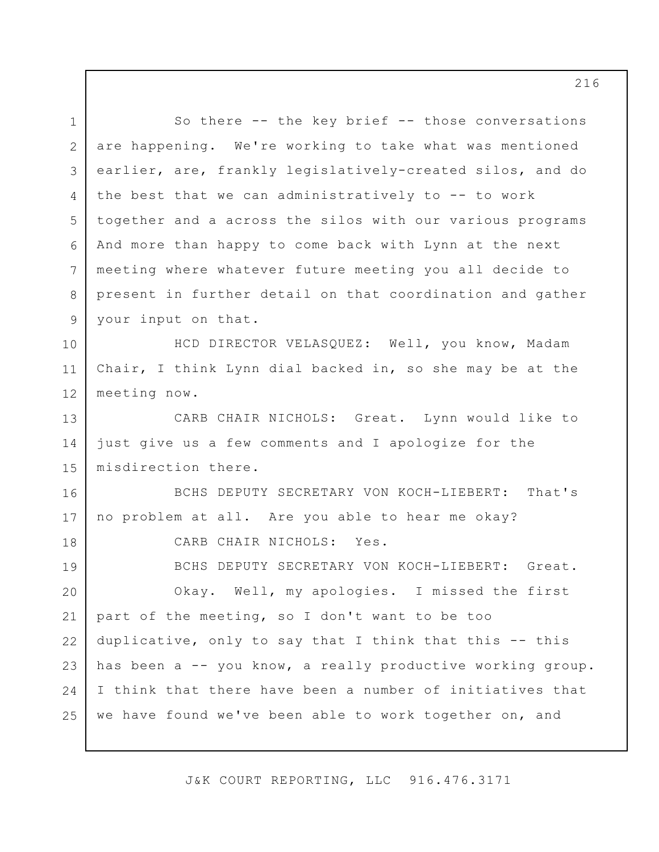1 2 3 4 5 6 7 8 9 10 11 12 13 14 15 16 17 18 19 20 21 22 23 24 25 So there -- the key brief -- those conversations are happening. We're working to take what was mentioned earlier, are, frankly legislatively-created silos, and do the best that we can administratively to -- to work together and a across the silos with our various programs And more than happy to come back with Lynn at the next meeting where whatever future meeting you all decide to present in further detail on that coordination and gather your input on that. HCD DIRECTOR VELASQUEZ: Well, you know, Madam Chair, I think Lynn dial backed in, so she may be at the meeting now. CARB CHAIR NICHOLS: Great. Lynn would like to just give us a few comments and I apologize for the misdirection there. BCHS DEPUTY SECRETARY VON KOCH-LIEBERT: That's no problem at all. Are you able to hear me okay? CARB CHAIR NICHOLS: Yes. BCHS DEPUTY SECRETARY VON KOCH-LIEBERT: Great. Okay. Well, my apologies. I missed the first part of the meeting, so I don't want to be too duplicative, only to say that I think that this -- this has been a -- you know, a really productive working group. I think that there have been a number of initiatives that we have found we've been able to work together on, and

J&K COURT REPORTING, LLC 916.476.3171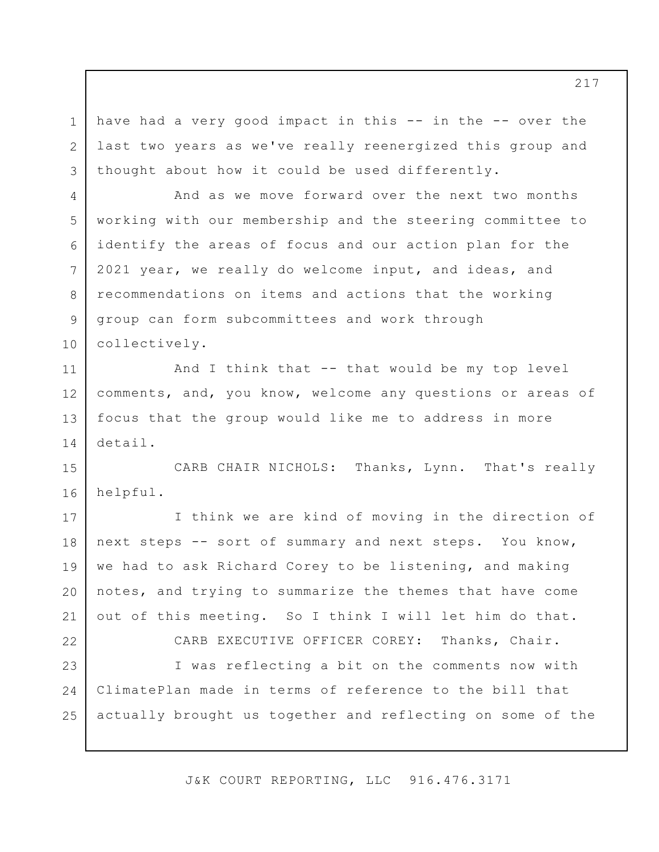1 2 3 have had a very good impact in this -- in the -- over the last two years as we've really reenergized this group and thought about how it could be used differently.

4

5

6

7

8

9

10

And as we move forward over the next two months working with our membership and the steering committee to identify the areas of focus and our action plan for the 2021 year, we really do welcome input, and ideas, and recommendations on items and actions that the working group can form subcommittees and work through collectively.

11 12 13 14 And I think that -- that would be my top level comments, and, you know, welcome any questions or areas of focus that the group would like me to address in more detail.

15 16 CARB CHAIR NICHOLS: Thanks, Lynn. That's really helpful.

17 18 19 20 21 I think we are kind of moving in the direction of next steps -- sort of summary and next steps. You know, we had to ask Richard Corey to be listening, and making notes, and trying to summarize the themes that have come out of this meeting. So I think I will let him do that.

22 23 24 25 CARB EXECUTIVE OFFICER COREY: Thanks, Chair. I was reflecting a bit on the comments now with ClimatePlan made in terms of reference to the bill that actually brought us together and reflecting on some of the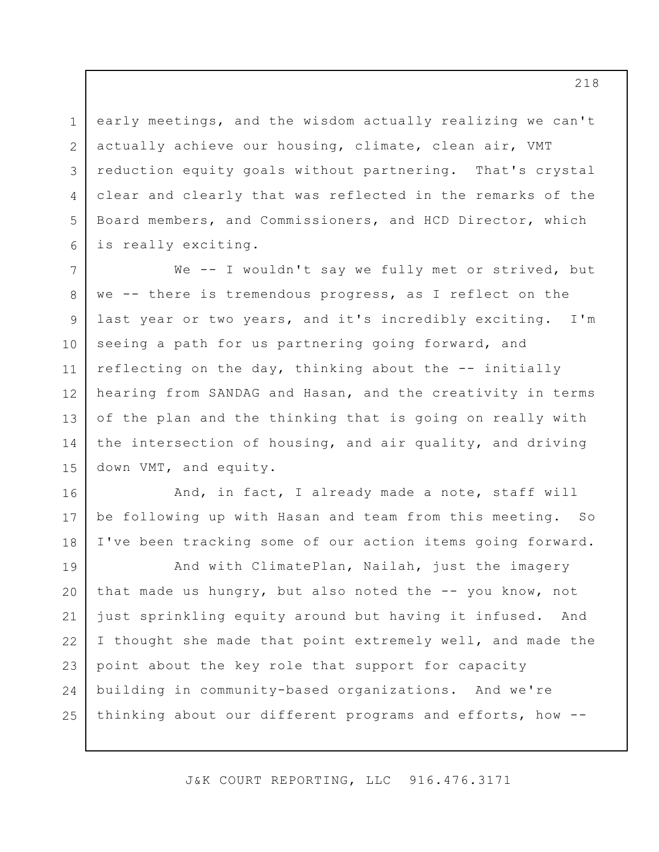3 6 early meetings, and the wisdom actually realizing we can't actually achieve our housing, climate, clean air, VMT reduction equity goals without partnering. That's crystal clear and clearly that was reflected in the remarks of the Board members, and Commissioners, and HCD Director, which is really exciting.

1

2

4

5

16

17

18

7 8 9 10 11 12 13 14 15 We -- I wouldn't say we fully met or strived, but we -- there is tremendous progress, as I reflect on the last year or two years, and it's incredibly exciting. I'm seeing a path for us partnering going forward, and reflecting on the day, thinking about the -- initially hearing from SANDAG and Hasan, and the creativity in terms of the plan and the thinking that is going on really with the intersection of housing, and air quality, and driving down VMT, and equity.

And, in fact, I already made a note, staff will be following up with Hasan and team from this meeting. So I've been tracking some of our action items going forward.

19 20 21 22 23 24 25 And with ClimatePlan, Nailah, just the imagery that made us hungry, but also noted the -- you know, not just sprinkling equity around but having it infused. And I thought she made that point extremely well, and made the point about the key role that support for capacity building in community-based organizations. And we're thinking about our different programs and efforts, how --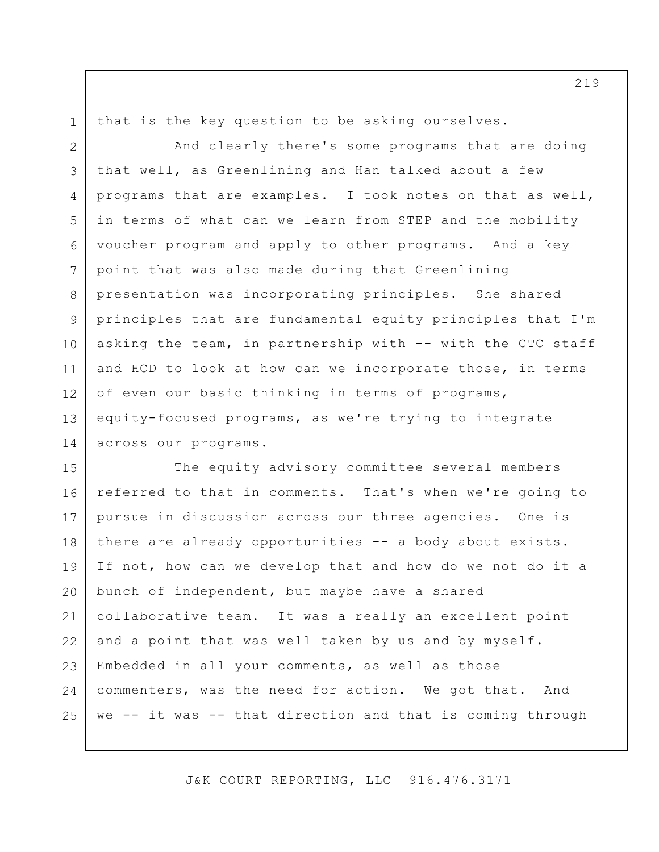1

that is the key question to be asking ourselves.

2 3 4 5 6 7 8 9 10 11 12 13 14 And clearly there's some programs that are doing that well, as Greenlining and Han talked about a few programs that are examples. I took notes on that as well, in terms of what can we learn from STEP and the mobility voucher program and apply to other programs. And a key point that was also made during that Greenlining presentation was incorporating principles. She shared principles that are fundamental equity principles that I'm asking the team, in partnership with -- with the CTC staff and HCD to look at how can we incorporate those, in terms of even our basic thinking in terms of programs, equity-focused programs, as we're trying to integrate across our programs.

15 16 17 18 19 20 21 22 23 24 25 The equity advisory committee several members referred to that in comments. That's when we're going to pursue in discussion across our three agencies. One is there are already opportunities -- a body about exists. If not, how can we develop that and how do we not do it a bunch of independent, but maybe have a shared collaborative team. It was a really an excellent point and a point that was well taken by us and by myself. Embedded in all your comments, as well as those commenters, was the need for action. We got that. And we -- it was -- that direction and that is coming through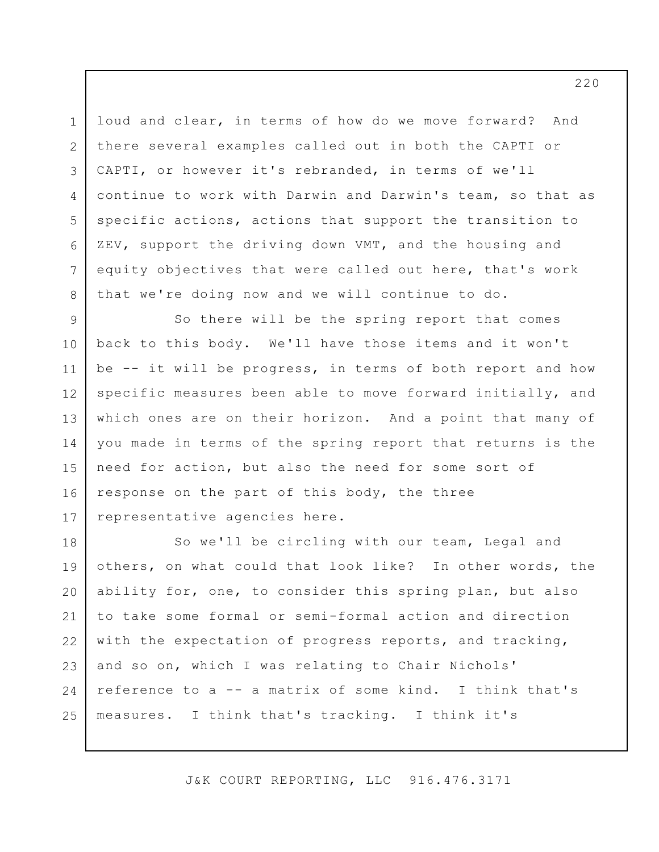3 5 6 7 loud and clear, in terms of how do we move forward? And there several examples called out in both the CAPTI or CAPTI, or however it's rebranded, in terms of we'll continue to work with Darwin and Darwin's team, so that as specific actions, actions that support the transition to ZEV, support the driving down VMT, and the housing and equity objectives that were called out here, that's work that we're doing now and we will continue to do.

1

2

4

8

9 10 11 12 13 14 15 16 17 So there will be the spring report that comes back to this body. We'll have those items and it won't be -- it will be progress, in terms of both report and how specific measures been able to move forward initially, and which ones are on their horizon. And a point that many of you made in terms of the spring report that returns is the need for action, but also the need for some sort of response on the part of this body, the three representative agencies here.

18 19 20 21 22 23 24 25 So we'll be circling with our team, Legal and others, on what could that look like? In other words, the ability for, one, to consider this spring plan, but also to take some formal or semi-formal action and direction with the expectation of progress reports, and tracking, and so on, which I was relating to Chair Nichols' reference to a -- a matrix of some kind. I think that's measures. I think that's tracking. I think it's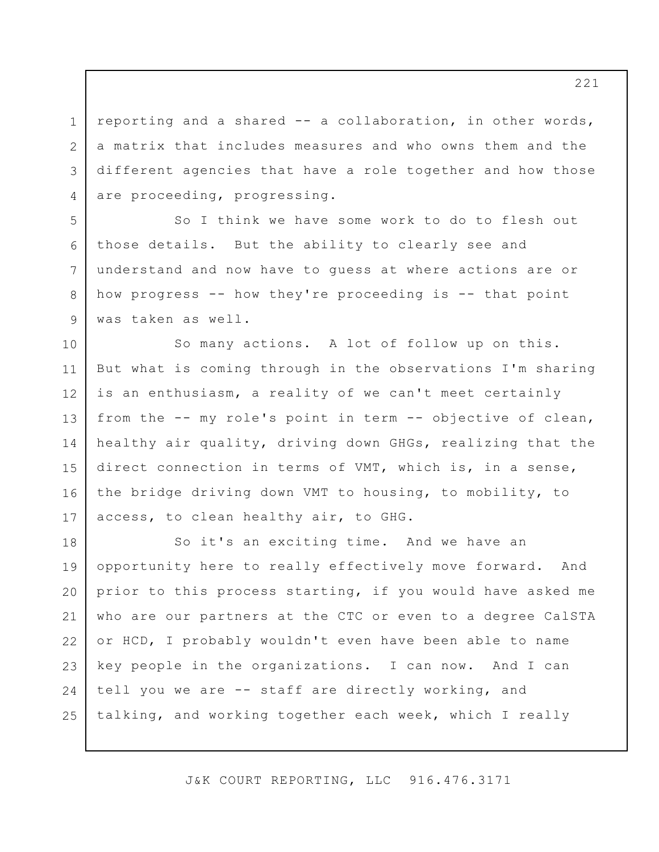1 2 3 4 reporting and a shared -- a collaboration, in other words, a matrix that includes measures and who owns them and the different agencies that have a role together and how those are proceeding, progressing.

6 So I think we have some work to do to flesh out those details. But the ability to clearly see and understand and now have to guess at where actions are or how progress -- how they're proceeding is -- that point was taken as well.

5

7

8

9

10 11 12 13 14 15 16 17 So many actions. A lot of follow up on this. But what is coming through in the observations I'm sharing is an enthusiasm, a reality of we can't meet certainly from the -- my role's point in term -- objective of clean, healthy air quality, driving down GHGs, realizing that the direct connection in terms of VMT, which is, in a sense, the bridge driving down VMT to housing, to mobility, to access, to clean healthy air, to GHG.

18 19 20 21 22 23 24 25 So it's an exciting time. And we have an opportunity here to really effectively move forward. And prior to this process starting, if you would have asked me who are our partners at the CTC or even to a degree CalSTA or HCD, I probably wouldn't even have been able to name key people in the organizations. I can now. And I can tell you we are -- staff are directly working, and talking, and working together each week, which I really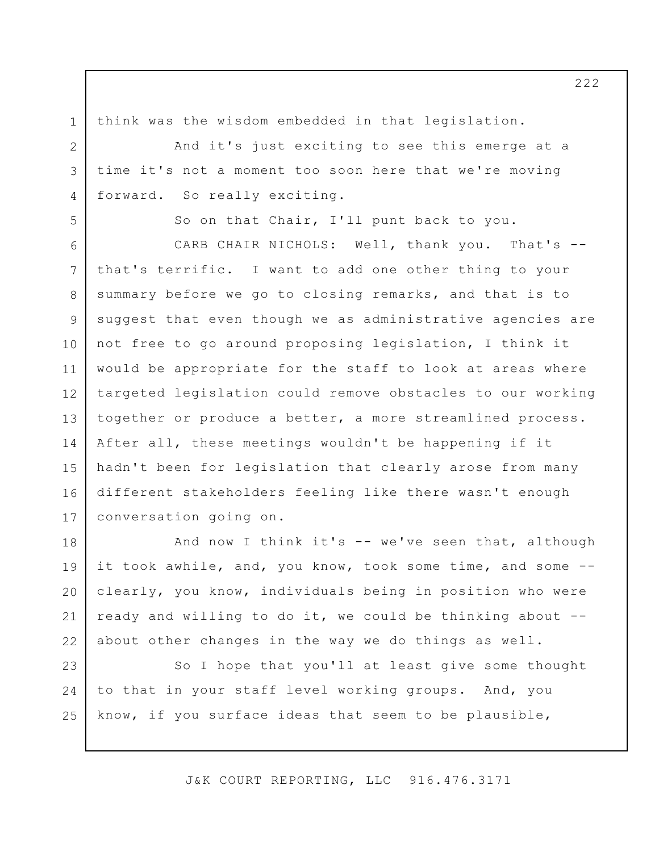1 2

3

4

5

think was the wisdom embedded in that legislation.

And it's just exciting to see this emerge at a time it's not a moment too soon here that we're moving forward. So really exciting.

So on that Chair, I'll punt back to you.

6 7 8 9 10 11 12 13 14 15 16 17 CARB CHAIR NICHOLS: Well, thank you. That's - that's terrific. I want to add one other thing to your summary before we go to closing remarks, and that is to suggest that even though we as administrative agencies are not free to go around proposing legislation, I think it would be appropriate for the staff to look at areas where targeted legislation could remove obstacles to our working together or produce a better, a more streamlined process. After all, these meetings wouldn't be happening if it hadn't been for legislation that clearly arose from many different stakeholders feeling like there wasn't enough conversation going on.

18 19 20 21 22 And now I think it's -- we've seen that, although it took awhile, and, you know, took some time, and some - clearly, you know, individuals being in position who were ready and willing to do it, we could be thinking about - about other changes in the way we do things as well.

23 24 25 So I hope that you'll at least give some thought to that in your staff level working groups. And, you know, if you surface ideas that seem to be plausible,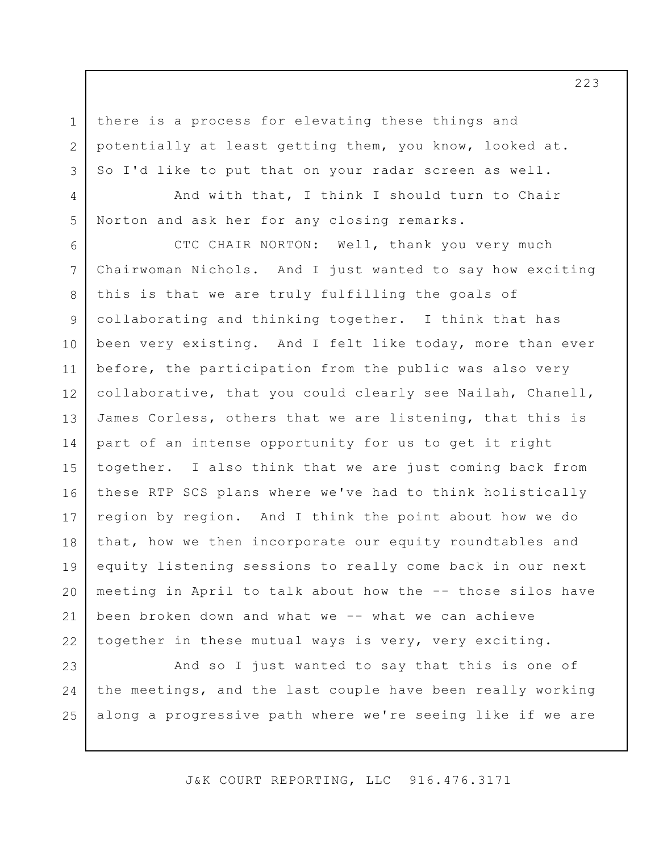there is a process for elevating these things and potentially at least getting them, you know, looked at. So I'd like to put that on your radar screen as well.

1

2

3

4

5

And with that, I think I should turn to Chair Norton and ask her for any closing remarks.

6 7 8 9 10 11 12 13 14 15 16 17 18 19 20 21 22 CTC CHAIR NORTON: Well, thank you very much Chairwoman Nichols. And I just wanted to say how exciting this is that we are truly fulfilling the goals of collaborating and thinking together. I think that has been very existing. And I felt like today, more than ever before, the participation from the public was also very collaborative, that you could clearly see Nailah, Chanell, James Corless, others that we are listening, that this is part of an intense opportunity for us to get it right together. I also think that we are just coming back from these RTP SCS plans where we've had to think holistically region by region. And I think the point about how we do that, how we then incorporate our equity roundtables and equity listening sessions to really come back in our next meeting in April to talk about how the -- those silos have been broken down and what we -- what we can achieve together in these mutual ways is very, very exciting.

23 24 25 And so I just wanted to say that this is one of the meetings, and the last couple have been really working along a progressive path where we're seeing like if we are

J&K COURT REPORTING, LLC 916.476.3171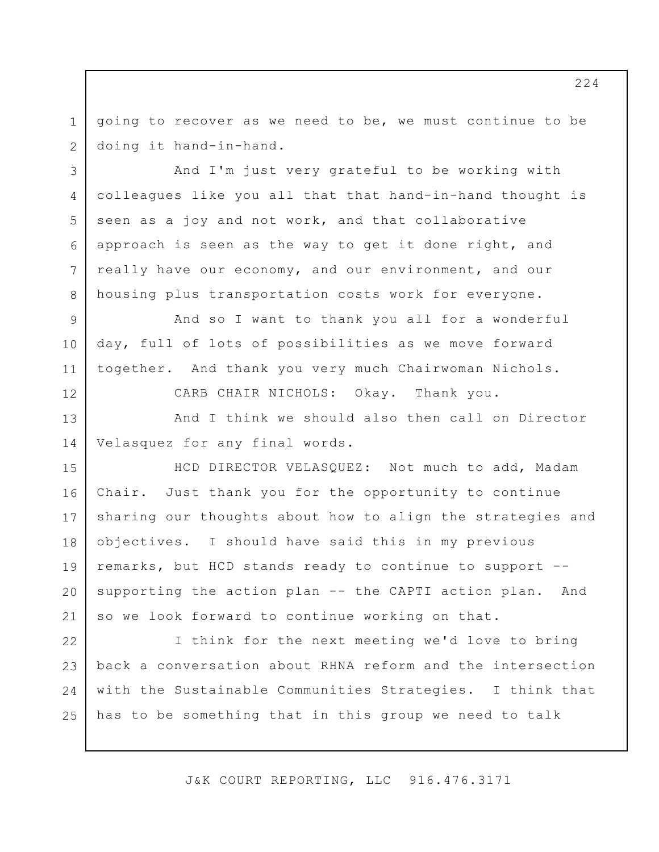1 2 going to recover as we need to be, we must continue to be doing it hand-in-hand.

3 4 5 6 7 And I'm just very grateful to be working with colleagues like you all that that hand-in-hand thought is seen as a joy and not work, and that collaborative approach is seen as the way to get it done right, and really have our economy, and our environment, and our housing plus transportation costs work for everyone.

And so I want to thank you all for a wonderful day, full of lots of possibilities as we move forward together. And thank you very much Chairwoman Nichols.

8

9

10

11

12

CARB CHAIR NICHOLS: Okay. Thank you.

13 14 And I think we should also then call on Director Velasquez for any final words.

15 16 17 18 19 20 21 HCD DIRECTOR VELASQUEZ: Not much to add, Madam Chair. Just thank you for the opportunity to continue sharing our thoughts about how to align the strategies and objectives. I should have said this in my previous remarks, but HCD stands ready to continue to support - supporting the action plan -- the CAPTI action plan. And so we look forward to continue working on that.

22 23 24 25 I think for the next meeting we'd love to bring back a conversation about RHNA reform and the intersection with the Sustainable Communities Strategies. I think that has to be something that in this group we need to talk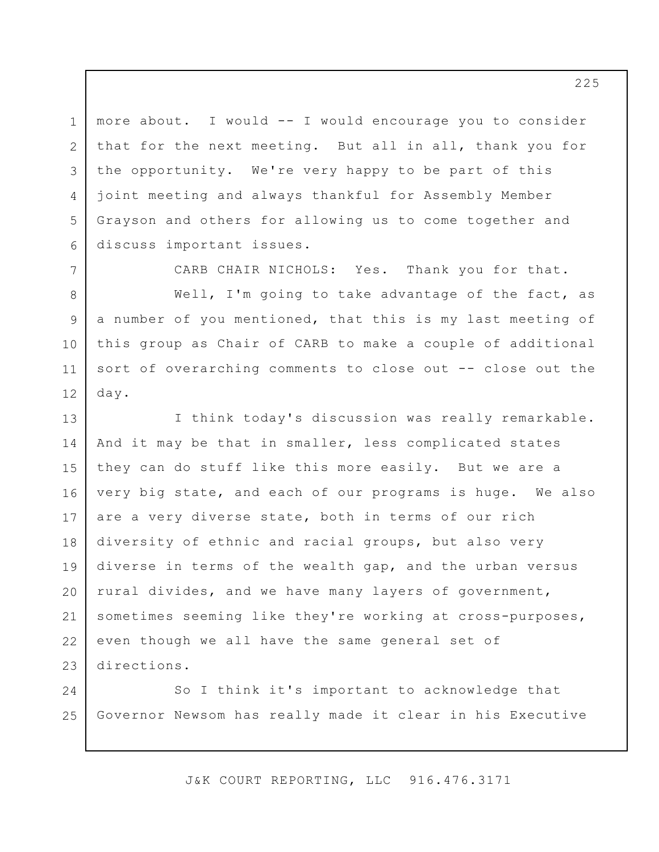1 2 3 4 5 6 more about. I would -- I would encourage you to consider that for the next meeting. But all in all, thank you for the opportunity. We're very happy to be part of this joint meeting and always thankful for Assembly Member Grayson and others for allowing us to come together and discuss important issues.

7 8 9 10 11 12 CARB CHAIR NICHOLS: Yes. Thank you for that. Well, I'm going to take advantage of the fact, as a number of you mentioned, that this is my last meeting of this group as Chair of CARB to make a couple of additional sort of overarching comments to close out -- close out the day.

13 14 15 16 17 18 19 20 21 22 23 I think today's discussion was really remarkable. And it may be that in smaller, less complicated states they can do stuff like this more easily. But we are a very big state, and each of our programs is huge. We also are a very diverse state, both in terms of our rich diversity of ethnic and racial groups, but also very diverse in terms of the wealth gap, and the urban versus rural divides, and we have many layers of government, sometimes seeming like they're working at cross-purposes, even though we all have the same general set of directions.

24 25 So I think it's important to acknowledge that Governor Newsom has really made it clear in his Executive

J&K COURT REPORTING, LLC 916.476.3171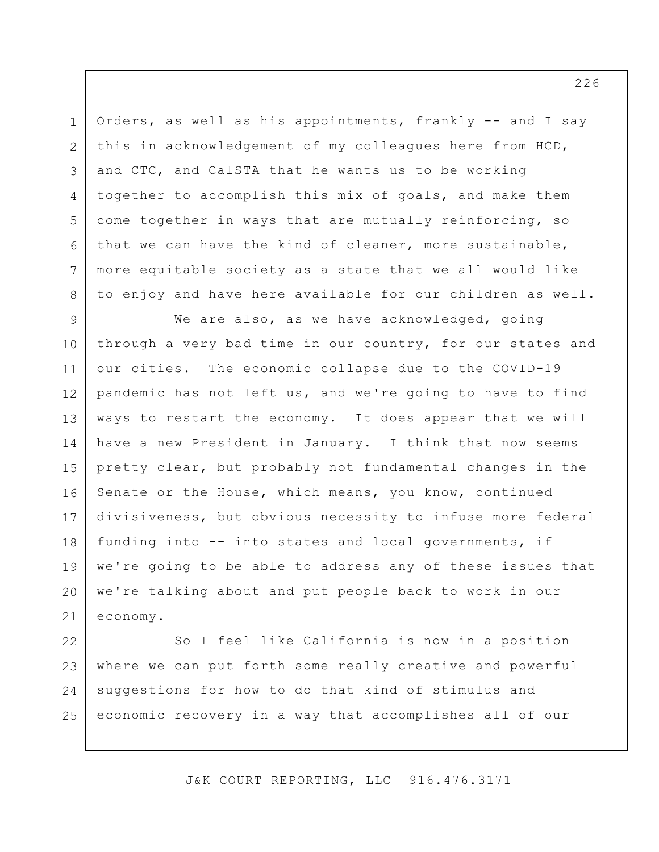1 2 3 4 5 6 7 8 Orders, as well as his appointments, frankly -- and I say this in acknowledgement of my colleagues here from HCD, and CTC, and CalSTA that he wants us to be working together to accomplish this mix of goals, and make them come together in ways that are mutually reinforcing, so that we can have the kind of cleaner, more sustainable, more equitable society as a state that we all would like to enjoy and have here available for our children as well.

9 10 11 12 13 14 15 16 17 18 19 20 21 We are also, as we have acknowledged, going through a very bad time in our country, for our states and our cities. The economic collapse due to the COVID-19 pandemic has not left us, and we're going to have to find ways to restart the economy. It does appear that we will have a new President in January. I think that now seems pretty clear, but probably not fundamental changes in the Senate or the House, which means, you know, continued divisiveness, but obvious necessity to infuse more federal funding into -- into states and local governments, if we're going to be able to address any of these issues that we're talking about and put people back to work in our economy.

22 23 24 25 So I feel like California is now in a position where we can put forth some really creative and powerful suggestions for how to do that kind of stimulus and economic recovery in a way that accomplishes all of our

J&K COURT REPORTING, LLC 916.476.3171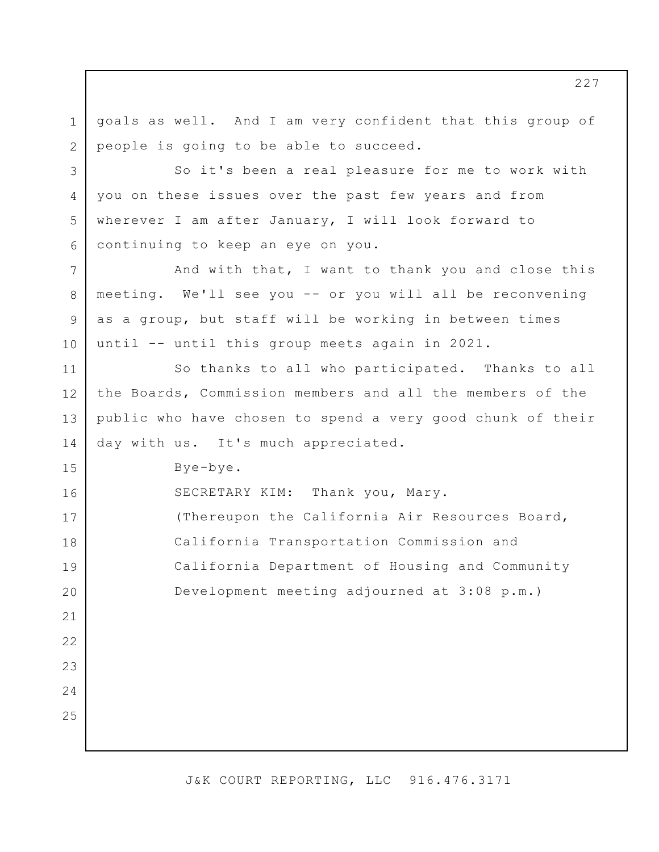1 2 3 4 5 6 7 8 9 10 11 12 13 14 15 16 17 18 19 20 21 22 23 24 25 goals as well. And I am very confident that this group of people is going to be able to succeed. So it's been a real pleasure for me to work with you on these issues over the past few years and from wherever I am after January, I will look forward to continuing to keep an eye on you. And with that, I want to thank you and close this meeting. We'll see you -- or you will all be reconvening as a group, but staff will be working in between times until -- until this group meets again in 2021. So thanks to all who participated. Thanks to all the Boards, Commission members and all the members of the public who have chosen to spend a very good chunk of their day with us. It's much appreciated. Bye-bye. SECRETARY KIM: Thank you, Mary. (Thereupon the California Air Resources Board, California Transportation Commission and California Department of Housing and Community Development meeting adjourned at 3:08 p.m.)